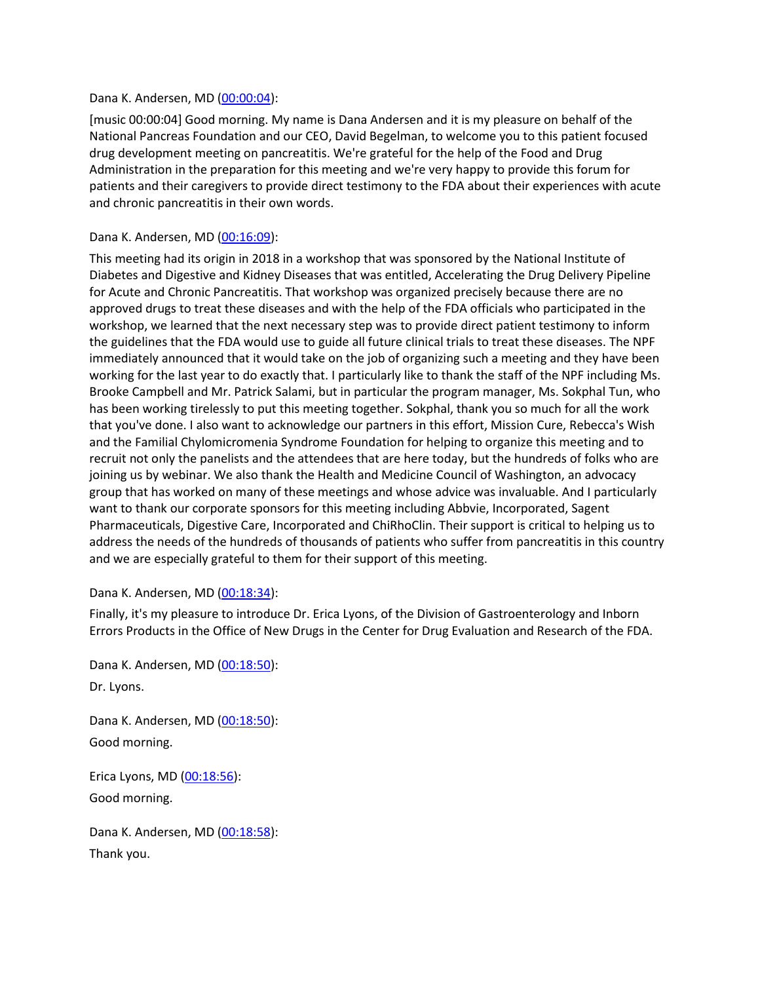#### Dana K. Andersen, MD [\(00:00:04\)](https://www.rev.com/transcript-editor/Edit?token=zNZQqMYIwbt5xWDmtlW_bdzU5tMpcZjj7JnweOwIaZalIRGzm260WXxNcDRE41IhLviAEVuwW6AwnlUtMVB7sorsSf4&loadFrom=DocumentDeeplink&ts=4):

[music 00:00:04] Good morning. My name is Dana Andersen and it is my pleasure on behalf of the National Pancreas Foundation and our CEO, David Begelman, to welcome you to this patient focused drug development meeting on pancreatitis. We're grateful for the help of the Food and Drug Administration in the preparation for this meeting and we're very happy to provide this forum for patients and their caregivers to provide direct testimony to the FDA about their experiences with acute and chronic pancreatitis in their own words.

#### Dana K. Andersen, MD [\(00:16:09\)](https://www.rev.com/transcript-editor/Edit?token=-Knylz9nqaEW3e0ktkl7tmdz2UupxEgKLfq2kTmVhHuE0HNmTucnGrbtdwJLCwIebQYnqjZbCdvYsfAujUGNGOzgY9s&loadFrom=DocumentDeeplink&ts=969.85):

This meeting had its origin in 2018 in a workshop that was sponsored by the National Institute of Diabetes and Digestive and Kidney Diseases that was entitled, Accelerating the Drug Delivery Pipeline for Acute and Chronic Pancreatitis. That workshop was organized precisely because there are no approved drugs to treat these diseases and with the help of the FDA officials who participated in the workshop, we learned that the next necessary step was to provide direct patient testimony to inform the guidelines that the FDA would use to guide all future clinical trials to treat these diseases. The NPF immediately announced that it would take on the job of organizing such a meeting and they have been working for the last year to do exactly that. I particularly like to thank the staff of the NPF including Ms. Brooke Campbell and Mr. Patrick Salami, but in particular the program manager, Ms. Sokphal Tun, who has been working tirelessly to put this meeting together. Sokphal, thank you so much for all the work that you've done. I also want to acknowledge our partners in this effort, Mission Cure, Rebecca's Wish and the Familial Chylomicromenia Syndrome Foundation for helping to organize this meeting and to recruit not only the panelists and the attendees that are here today, but the hundreds of folks who are joining us by webinar. We also thank the Health and Medicine Council of Washington, an advocacy group that has worked on many of these meetings and whose advice was invaluable. And I particularly want to thank our corporate sponsors for this meeting including Abbvie, Incorporated, Sagent Pharmaceuticals, Digestive Care, Incorporated and ChiRhoClin. Their support is critical to helping us to address the needs of the hundreds of thousands of patients who suffer from pancreatitis in this country and we are especially grateful to them for their support of this meeting.

#### Dana K. Andersen, MD [\(00:18:34\)](https://www.rev.com/transcript-editor/Edit?token=BSkVMa6k6xxe-2JTxK21jDa7p8iQq8XOXI0gRVwaT_7awFtQt2PAKl3EWw71dzubVBAshBUjrCOI6fLiYOHihrfbe_g&loadFrom=DocumentDeeplink&ts=1114.29):

Finally, it's my pleasure to introduce Dr. Erica Lyons, of the Division of Gastroenterology and Inborn Errors Products in the Office of New Drugs in the Center for Drug Evaluation and Research of the FDA.

Dana K. Andersen, MD [\(00:18:50\)](https://www.rev.com/transcript-editor/Edit?token=ACb-uS7zNF1hEfEHskC_vTTekPeZXgZ2c6ma33P7eJMzZeH7IKvr2ZruBA0zc0z_CH4epVUJn_zB95hVHpyXMFRneys&loadFrom=DocumentDeeplink&ts=1130): Dr. Lyons.

Dana K. Andersen, MD [\(00:18:50\)](https://www.rev.com/transcript-editor/Edit?token=ICNBOAbc1Ectk4FViuGc0_LrVEc4EjbbcW-tMYZ4N4Lm-U71-lltxebKdGfxvMB8ikVf6AFeGSHKNvkpGEHOW-Nx-pE&loadFrom=DocumentDeeplink&ts=1130.89): Good morning.

Erica Lyons, MD [\(00:18:56\)](https://www.rev.com/transcript-editor/Edit?token=DBmw0ASUhEa-EQBtHUDQf6mSTKvquCjED_QaHDJqyWlX1h-tJuEngjteoDmPcpFfxRiuUC9VZILR1RH8KIZgd7fQzf4&loadFrom=DocumentDeeplink&ts=1136.87): Good morning.

Dana K. Andersen, MD [\(00:18:58\)](https://www.rev.com/transcript-editor/Edit?token=njN3hvZhYghLDHvBmR6L581y8k7C6myqP8e0dqfLskIo78fjozmqcQ7M6xxbENTAkB6vnhe8aUKtnleFxm--bhLFZsc&loadFrom=DocumentDeeplink&ts=1138.27): Thank you.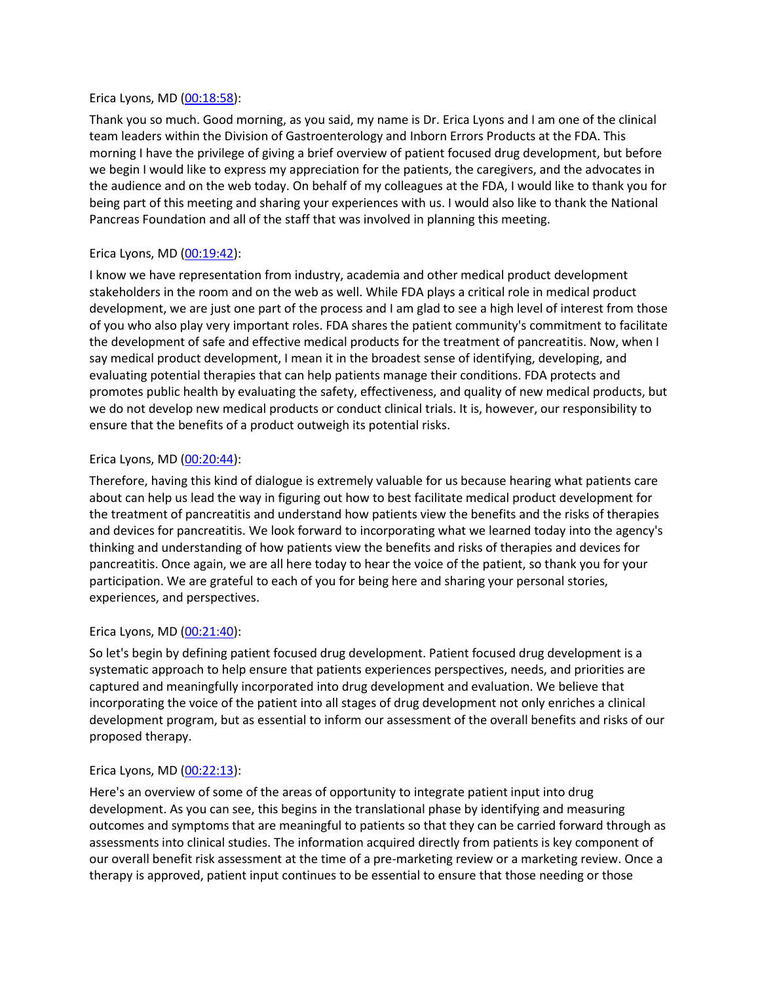#### Erica Lyons, MD [\(00:18:58\)](https://www.rev.com/transcript-editor/Edit?token=9PTXuOTqP1RorJPy9EFYzscz5uNRtoziDP0u2h-CmhTQ0HsVMQhAuDJfwElU1yFOr0rp8C2cBkqnUcjN3ulF3IKhFXg&loadFrom=DocumentDeeplink&ts=1138.92):

Thank you so much. Good morning, as you said, my name is Dr. Erica Lyons and I am one of the clinical team leaders within the Division of Gastroenterology and Inborn Errors Products at the FDA. This morning I have the privilege of giving a brief overview of patient focused drug development, but before we begin I would like to express my appreciation for the patients, the caregivers, and the advocates in the audience and on the web today. On behalf of my colleagues at the FDA, I would like to thank you for being part of this meeting and sharing your experiences with us. I would also like to thank the National Pancreas Foundation and all of the staff that was involved in planning this meeting.

# Erica Lyons, MD [\(00:19:42\)](https://www.rev.com/transcript-editor/Edit?token=ckIjW0WRJi7FlXoQ1sBxYhs8hsGj4wsX2LQZAgcxVaLA8i_EvLrxkBFahsq5KxXrPtLU8LXbHjYnWOD0fuaJTb9aLwA&loadFrom=DocumentDeeplink&ts=1182.53):

I know we have representation from industry, academia and other medical product development stakeholders in the room and on the web as well. While FDA plays a critical role in medical product development, we are just one part of the process and I am glad to see a high level of interest from those of you who also play very important roles. FDA shares the patient community's commitment to facilitate the development of safe and effective medical products for the treatment of pancreatitis. Now, when I say medical product development, I mean it in the broadest sense of identifying, developing, and evaluating potential therapies that can help patients manage their conditions. FDA protects and promotes public health by evaluating the safety, effectiveness, and quality of new medical products, but we do not develop new medical products or conduct clinical trials. It is, however, our responsibility to ensure that the benefits of a product outweigh its potential risks.

### Erica Lyons, MD [\(00:20:44\)](https://www.rev.com/transcript-editor/Edit?token=QtK3dn2RWWfgyqFeWlae_YrT0SoOeU2neyKMzm8-wpKufpJCdaOFUAQzKI_fBUPbI5NAmP-JJA57-lpdoOyLYxQn_jc&loadFrom=DocumentDeeplink&ts=1244.57):

Therefore, having this kind of dialogue is extremely valuable for us because hearing what patients care about can help us lead the way in figuring out how to best facilitate medical product development for the treatment of pancreatitis and understand how patients view the benefits and the risks of therapies and devices for pancreatitis. We look forward to incorporating what we learned today into the agency's thinking and understanding of how patients view the benefits and risks of therapies and devices for pancreatitis. Once again, we are all here today to hear the voice of the patient, so thank you for your participation. We are grateful to each of you for being here and sharing your personal stories, experiences, and perspectives.

### Erica Lyons, MD [\(00:21:40\)](https://www.rev.com/transcript-editor/Edit?token=c8EypRtGZQ6KxND4CFSfH_Z9P1YAcaU05_Oozv5OfvlzBMaTSRbEVKxrU5vbAHoQulcbs6hotACljm6dSRz3rCTSu4s&loadFrom=DocumentDeeplink&ts=1300.13):

So let's begin by defining patient focused drug development. Patient focused drug development is a systematic approach to help ensure that patients experiences perspectives, needs, and priorities are captured and meaningfully incorporated into drug development and evaluation. We believe that incorporating the voice of the patient into all stages of drug development not only enriches a clinical development program, but as essential to inform our assessment of the overall benefits and risks of our proposed therapy.

### Erica Lyons, MD [\(00:22:13\)](https://www.rev.com/transcript-editor/Edit?token=gsFwLpcieFX5TIerUy0Nwlu9NIeHDkKP1n15J_NR4kLekScRDLq5mDqONIOpElJK7rvhTR2LYk7W2glyNyho77YZ6wA&loadFrom=DocumentDeeplink&ts=1333.79):

Here's an overview of some of the areas of opportunity to integrate patient input into drug development. As you can see, this begins in the translational phase by identifying and measuring outcomes and symptoms that are meaningful to patients so that they can be carried forward through as assessments into clinical studies. The information acquired directly from patients is key component of our overall benefit risk assessment at the time of a pre-marketing review or a marketing review. Once a therapy is approved, patient input continues to be essential to ensure that those needing or those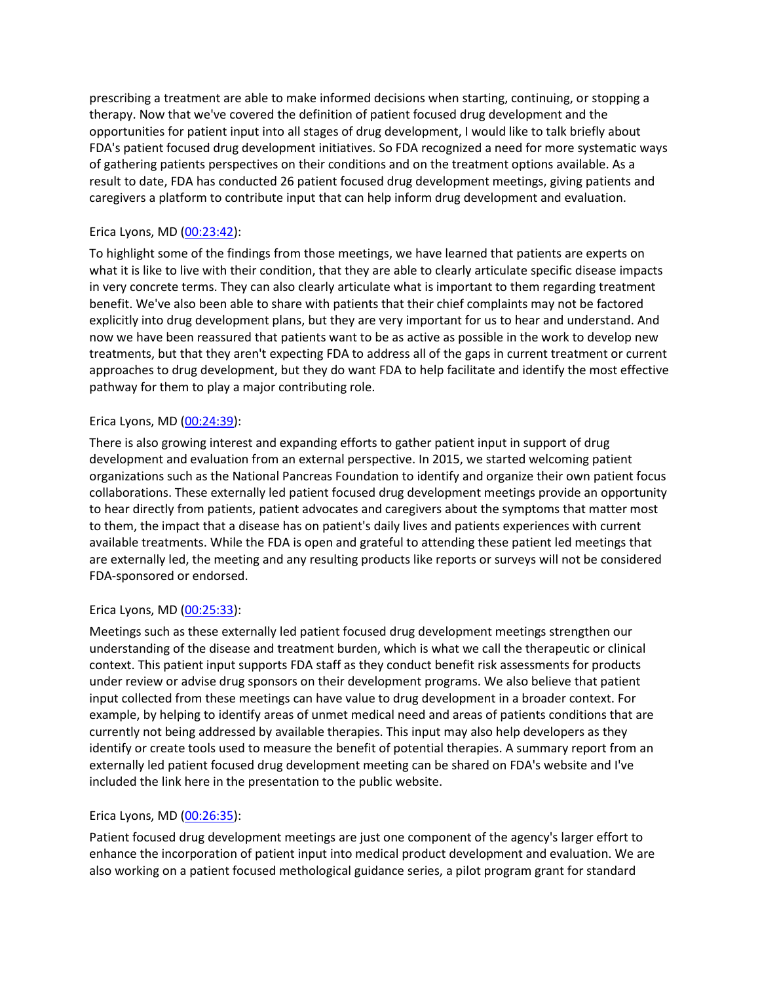prescribing a treatment are able to make informed decisions when starting, continuing, or stopping a therapy. Now that we've covered the definition of patient focused drug development and the opportunities for patient input into all stages of drug development, I would like to talk briefly about FDA's patient focused drug development initiatives. So FDA recognized a need for more systematic ways of gathering patients perspectives on their conditions and on the treatment options available. As a result to date, FDA has conducted 26 patient focused drug development meetings, giving patients and caregivers a platform to contribute input that can help inform drug development and evaluation.

# Erica Lyons, MD [\(00:23:42\)](https://www.rev.com/transcript-editor/Edit?token=jleQRMcLSphLhYhdex9H-wX06WYCHtmsZZB2n-wZ7EuSU_s87Wqolx6yQC0unhQNbCghG0_Rfhb3uDIDpwFdlzphhpg&loadFrom=DocumentDeeplink&ts=1422.2):

To highlight some of the findings from those meetings, we have learned that patients are experts on what it is like to live with their condition, that they are able to clearly articulate specific disease impacts in very concrete terms. They can also clearly articulate what is important to them regarding treatment benefit. We've also been able to share with patients that their chief complaints may not be factored explicitly into drug development plans, but they are very important for us to hear and understand. And now we have been reassured that patients want to be as active as possible in the work to develop new treatments, but that they aren't expecting FDA to address all of the gaps in current treatment or current approaches to drug development, but they do want FDA to help facilitate and identify the most effective pathway for them to play a major contributing role.

### Erica Lyons, MD [\(00:24:39\)](https://www.rev.com/transcript-editor/Edit?token=6zanVk1hO29rWJtcrK0qkjuFSWVutnLm7ypdd-a18bZNX79TNrYe09QiTW5g1EdrgIleZTbJ2sdFsWI-iwn1omXPlR8&loadFrom=DocumentDeeplink&ts=1479.09):

There is also growing interest and expanding efforts to gather patient input in support of drug development and evaluation from an external perspective. In 2015, we started welcoming patient organizations such as the National Pancreas Foundation to identify and organize their own patient focus collaborations. These externally led patient focused drug development meetings provide an opportunity to hear directly from patients, patient advocates and caregivers about the symptoms that matter most to them, the impact that a disease has on patient's daily lives and patients experiences with current available treatments. While the FDA is open and grateful to attending these patient led meetings that are externally led, the meeting and any resulting products like reports or surveys will not be considered FDA-sponsored or endorsed.

### Erica Lyons, MD [\(00:25:33\)](https://www.rev.com/transcript-editor/Edit?token=Ah1qkMD-UQAn-8OSdGfPMC3CjBNJ8U_jg77O98qv5jPGlsqYc7oq3vo96cVzjVcCCv_jy9q_VOLrF78yvC8jLFY7BJk&loadFrom=DocumentDeeplink&ts=1533.68):

Meetings such as these externally led patient focused drug development meetings strengthen our understanding of the disease and treatment burden, which is what we call the therapeutic or clinical context. This patient input supports FDA staff as they conduct benefit risk assessments for products under review or advise drug sponsors on their development programs. We also believe that patient input collected from these meetings can have value to drug development in a broader context. For example, by helping to identify areas of unmet medical need and areas of patients conditions that are currently not being addressed by available therapies. This input may also help developers as they identify or create tools used to measure the benefit of potential therapies. A summary report from an externally led patient focused drug development meeting can be shared on FDA's website and I've included the link here in the presentation to the public website.

### Erica Lyons, MD [\(00:26:35\)](https://www.rev.com/transcript-editor/Edit?token=LIrM-0rfKVNWbKlsdY14qwmm3eUyT-Bm6bahJ3_HmAptX9OJ5zA0Cvj5kqdwn5pRlH5tZaCIv-iDO3G8Fq_LjzV6weA&loadFrom=DocumentDeeplink&ts=1595.82):

Patient focused drug development meetings are just one component of the agency's larger effort to enhance the incorporation of patient input into medical product development and evaluation. We are also working on a patient focused methological guidance series, a pilot program grant for standard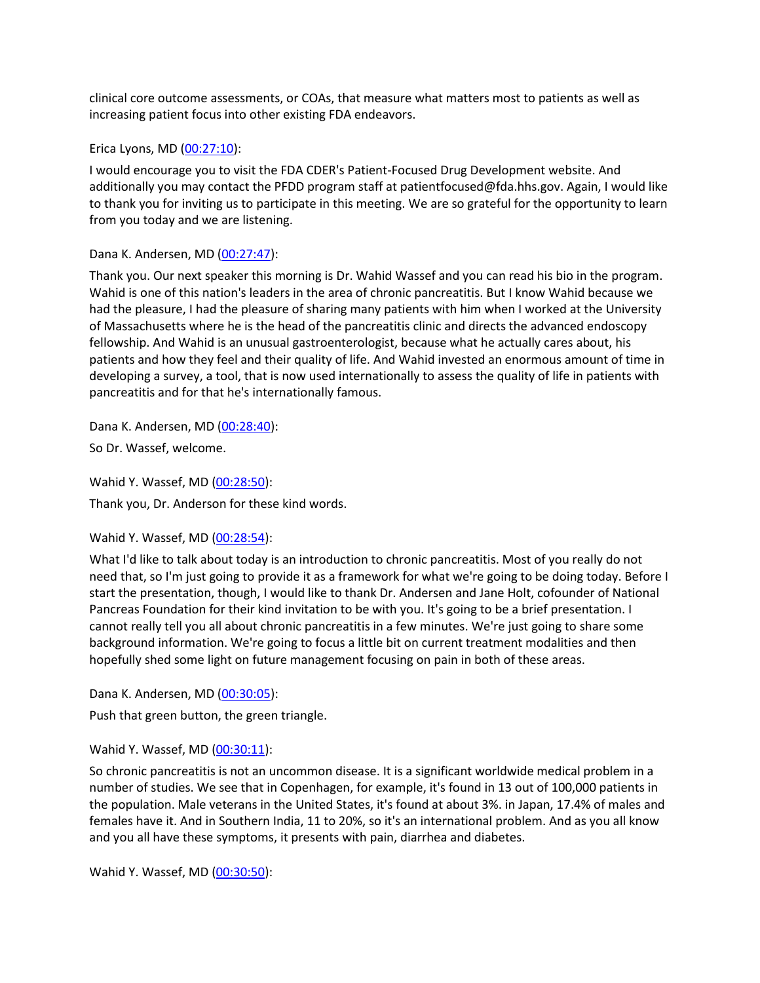clinical core outcome assessments, or COAs, that measure what matters most to patients as well as increasing patient focus into other existing FDA endeavors.

#### Erica Lyons, MD [\(00:27:10\)](https://www.rev.com/transcript-editor/Edit?token=hTjJaSr9OrrCc80N_uxCdegKdVWLrF38iX4nGEVOAZOdEjILenPbTKKAok3LBApj05MimufXkJwvGazm03_c23jbq6I&loadFrom=DocumentDeeplink&ts=1630.67):

I would encourage you to visit the FDA CDER's Patient-Focused Drug Development website. And additionally you may contact the PFDD program staff at patientfocused@fda.hhs.gov. Again, I would like to thank you for inviting us to participate in this meeting. We are so grateful for the opportunity to learn from you today and we are listening.

### Dana K. Andersen, MD [\(00:27:47\)](https://www.rev.com/transcript-editor/Edit?token=eY7i1dOrHpsPAaenG2yIzvbxlnjKzfsYwRBVRmnZ8j8ngw_3-dvT6Y8LS7LqsM7o-VILCjAW9RjpFv1MCnU5XgFN5_A&loadFrom=DocumentDeeplink&ts=1667.15):

Thank you. Our next speaker this morning is Dr. Wahid Wassef and you can read his bio in the program. Wahid is one of this nation's leaders in the area of chronic pancreatitis. But I know Wahid because we had the pleasure, I had the pleasure of sharing many patients with him when I worked at the University of Massachusetts where he is the head of the pancreatitis clinic and directs the advanced endoscopy fellowship. And Wahid is an unusual gastroenterologist, because what he actually cares about, his patients and how they feel and their quality of life. And Wahid invested an enormous amount of time in developing a survey, a tool, that is now used internationally to assess the quality of life in patients with pancreatitis and for that he's internationally famous.

Dana K. Andersen, MD [\(00:28:40\)](https://www.rev.com/transcript-editor/Edit?token=h_jpl_6svjEuzyOqPFNdrUvdemjfyx1LdRjXlJRCLEWzXPnpUknL7fIBemjz6nkB1ifRikiM972g866BvtrE3MCHoO8&loadFrom=DocumentDeeplink&ts=1720.98): So Dr. Wassef, welcome.

Wahid Y. Wassef, MD [\(00:28:50\)](https://www.rev.com/transcript-editor/Edit?token=pKmMuNeuLY7nVVjBvksI7PMQGCGukVvcxlKEM6ZiCZ2hKCyv0SWJngeumyPbQ8i7Hq0Ww-JPPhywx0cf6da_Z6q6LWY&loadFrom=DocumentDeeplink&ts=1730.95): Thank you, Dr. Anderson for these kind words.

### Wahid Y. Wassef, MD [\(00:28:54\)](https://www.rev.com/transcript-editor/Edit?token=S-T8LRJQVD67_RGO3bRXMCb-Qxz3qLQM2aUfRC1kPTlEe82kZ4Z5dU8kbQEKeTcYr1siKNKq6c_3kbwrrpnKl8h2RrQ&loadFrom=DocumentDeeplink&ts=1734.88):

What I'd like to talk about today is an introduction to chronic pancreatitis. Most of you really do not need that, so I'm just going to provide it as a framework for what we're going to be doing today. Before I start the presentation, though, I would like to thank Dr. Andersen and Jane Holt, cofounder of National Pancreas Foundation for their kind invitation to be with you. It's going to be a brief presentation. I cannot really tell you all about chronic pancreatitis in a few minutes. We're just going to share some background information. We're going to focus a little bit on current treatment modalities and then hopefully shed some light on future management focusing on pain in both of these areas.

Dana K. Andersen, MD [\(00:30:05\)](https://www.rev.com/transcript-editor/Edit?token=ca8GPsoqMF3Fkv9eIQCyG8lIG9k9WxIT99ZbFsNTRvSjeMNCVUes_htrORx4ppitiKPKPJ04JOIfODaK0dmMt--Bw2s&loadFrom=DocumentDeeplink&ts=1805.18):

Push that green button, the green triangle.

### Wahid Y. Wassef, MD [\(00:30:11\)](https://www.rev.com/transcript-editor/Edit?token=s25ENns9_bMiE28eL3Wy_KNukGz7uheqxvPRkYE3lMlj9rPGIxbTaSJisEmypX2JR5uqJgqfgNUshTuYwkz35UPJE8U&loadFrom=DocumentDeeplink&ts=1811.41):

So chronic pancreatitis is not an uncommon disease. It is a significant worldwide medical problem in a number of studies. We see that in Copenhagen, for example, it's found in 13 out of 100,000 patients in the population. Male veterans in the United States, it's found at about 3%. in Japan, 17.4% of males and females have it. And in Southern India, 11 to 20%, so it's an international problem. And as you all know and you all have these symptoms, it presents with pain, diarrhea and diabetes.

Wahid Y. Wassef, MD [\(00:30:50\)](https://www.rev.com/transcript-editor/Edit?token=2sC06VLELeOijDc95I7MsbkxM1nMTJqHPyU8CZINITY1Vqv8QEzx_va0MnNGFoGILq6qPLruOnjLgEv86pe7cW58Das&loadFrom=DocumentDeeplink&ts=1850.02):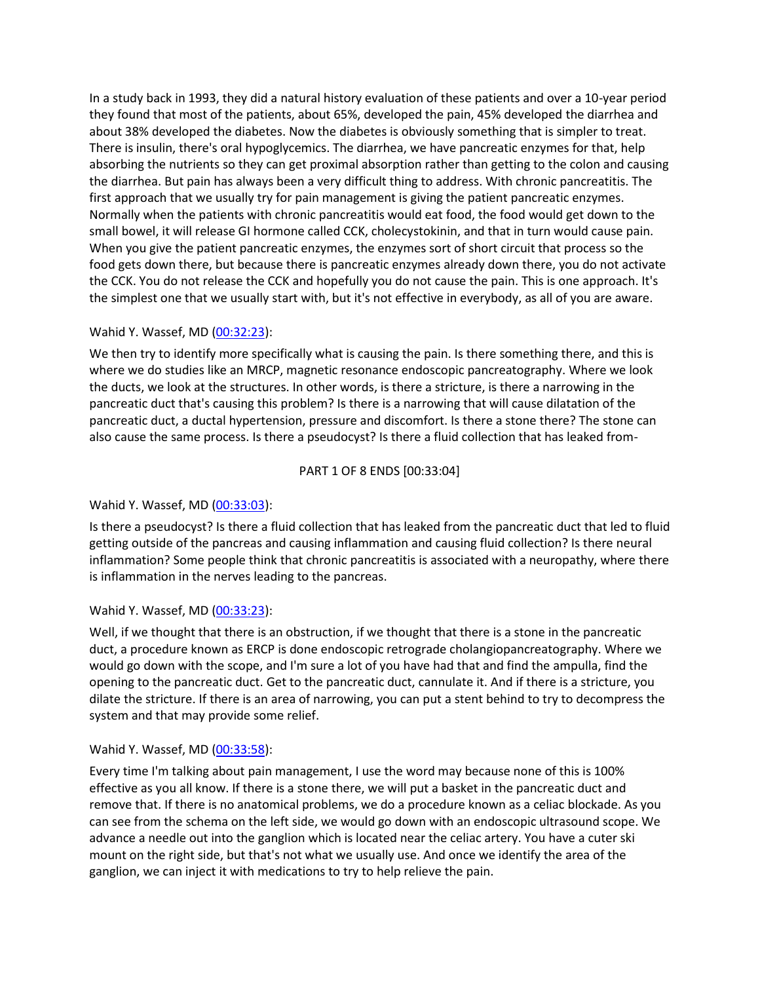In a study back in 1993, they did a natural history evaluation of these patients and over a 10-year period they found that most of the patients, about 65%, developed the pain, 45% developed the diarrhea and about 38% developed the diabetes. Now the diabetes is obviously something that is simpler to treat. There is insulin, there's oral hypoglycemics. The diarrhea, we have pancreatic enzymes for that, help absorbing the nutrients so they can get proximal absorption rather than getting to the colon and causing the diarrhea. But pain has always been a very difficult thing to address. With chronic pancreatitis. The first approach that we usually try for pain management is giving the patient pancreatic enzymes. Normally when the patients with chronic pancreatitis would eat food, the food would get down to the small bowel, it will release GI hormone called CCK, cholecystokinin, and that in turn would cause pain. When you give the patient pancreatic enzymes, the enzymes sort of short circuit that process so the food gets down there, but because there is pancreatic enzymes already down there, you do not activate the CCK. You do not release the CCK and hopefully you do not cause the pain. This is one approach. It's the simplest one that we usually start with, but it's not effective in everybody, as all of you are aware.

### Wahid Y. Wassef, MD [\(00:32:23\)](https://www.rev.com/transcript-editor/Edit?token=YEYM6QsPca-FeHXlEepeWmEI4hR_0l81JKp8K7U-hOMuvWJP2viKLwKWMFHC0rFmDHX3ruXz9rnuGKFONBwg5AyfuUU&loadFrom=DocumentDeeplink&ts=1943.29):

We then try to identify more specifically what is causing the pain. Is there something there, and this is where we do studies like an MRCP, magnetic resonance endoscopic pancreatography. Where we look the ducts, we look at the structures. In other words, is there a stricture, is there a narrowing in the pancreatic duct that's causing this problem? Is there is a narrowing that will cause dilatation of the pancreatic duct, a ductal hypertension, pressure and discomfort. Is there a stone there? The stone can also cause the same process. Is there a pseudocyst? Is there a fluid collection that has leaked from-

# PART 1 OF 8 ENDS [00:33:04]

# Wahid Y. Wassef, MD [\(00:33:03\)](https://www.rev.com/transcript-editor/Edit?token=fPNaOQlp0pYrjfqZwesZTBmUDbUFMbf7ZBBeodD62lPRjjchoZXx6AcmjqUa_blqOQAnJ19Vp32P_da1DeSBnqgTd1c&loadFrom=DocumentDeeplink&ts=1983.77):

Is there a pseudocyst? Is there a fluid collection that has leaked from the pancreatic duct that led to fluid getting outside of the pancreas and causing inflammation and causing fluid collection? Is there neural inflammation? Some people think that chronic pancreatitis is associated with a neuropathy, where there is inflammation in the nerves leading to the pancreas.

### Wahid Y. Wassef, MD [\(00:33:23\)](https://www.rev.com/transcript-editor/Edit?token=-mBbr-5r6kpDuexIrviW7VZjwzTtQoSCaiAtOQAFlVh7QKTNh56bsmLlRYjitcSqInumePa9Sy0HHoQqX-o-BZL61vE&loadFrom=DocumentDeeplink&ts=2003.83):

Well, if we thought that there is an obstruction, if we thought that there is a stone in the pancreatic duct, a procedure known as ERCP is done endoscopic retrograde cholangiopancreatography. Where we would go down with the scope, and I'm sure a lot of you have had that and find the ampulla, find the opening to the pancreatic duct. Get to the pancreatic duct, cannulate it. And if there is a stricture, you dilate the stricture. If there is an area of narrowing, you can put a stent behind to try to decompress the system and that may provide some relief.

### Wahid Y. Wassef, MD [\(00:33:58\)](https://www.rev.com/transcript-editor/Edit?token=oaw2GdTEHlFBWE4E2wn28EBhxYYNlPAHpbbuf2mzdNY8-UYIe_WmSbShsSVfvFzRyLf5gWhTDd9Y8sZpkFTU72OtKsE&loadFrom=DocumentDeeplink&ts=2038.51):

Every time I'm talking about pain management, I use the word may because none of this is 100% effective as you all know. If there is a stone there, we will put a basket in the pancreatic duct and remove that. If there is no anatomical problems, we do a procedure known as a celiac blockade. As you can see from the schema on the left side, we would go down with an endoscopic ultrasound scope. We advance a needle out into the ganglion which is located near the celiac artery. You have a cuter ski mount on the right side, but that's not what we usually use. And once we identify the area of the ganglion, we can inject it with medications to try to help relieve the pain.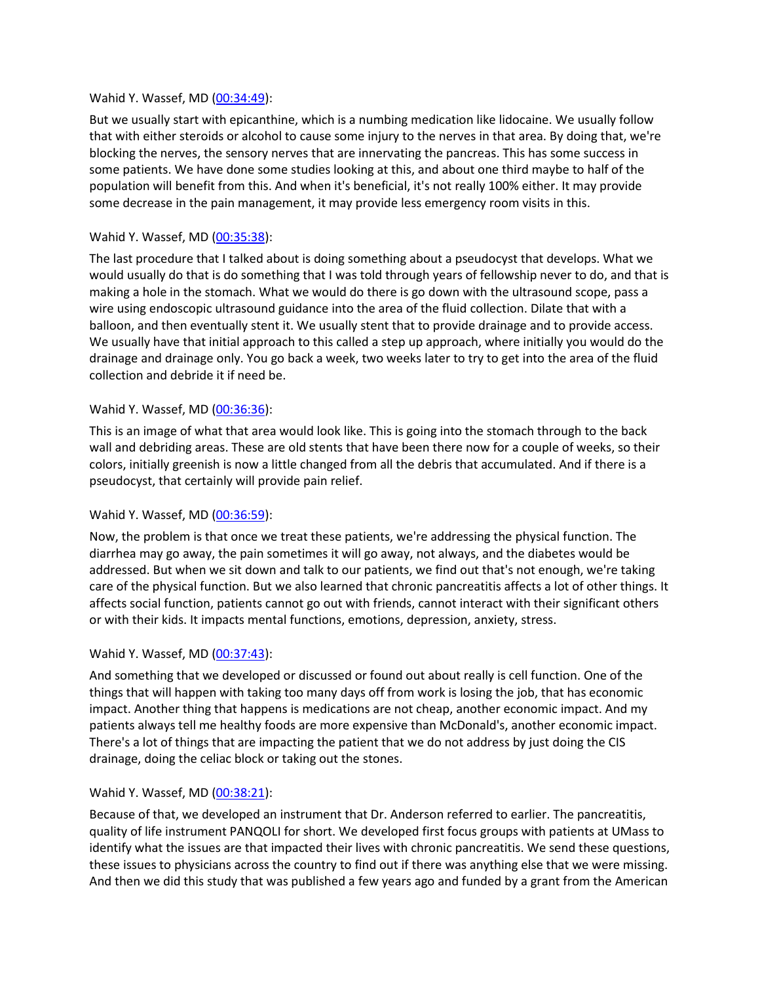#### Wahid Y. Wassef, MD [\(00:34:49\)](https://www.rev.com/transcript-editor/Edit?token=aBCjR5Ko6SoCc0DnIBzE_2c0E6jzT_YiwTvO7QgrO6ehvp_hOixn-RG_MjR4y_obv3p_FZUOlL0knjq7xLFDe0DHooY&loadFrom=DocumentDeeplink&ts=2089.64):

But we usually start with epicanthine, which is a numbing medication like lidocaine. We usually follow that with either steroids or alcohol to cause some injury to the nerves in that area. By doing that, we're blocking the nerves, the sensory nerves that are innervating the pancreas. This has some success in some patients. We have done some studies looking at this, and about one third maybe to half of the population will benefit from this. And when it's beneficial, it's not really 100% either. It may provide some decrease in the pain management, it may provide less emergency room visits in this.

### Wahid Y. Wassef, MD [\(00:35:38\)](https://www.rev.com/transcript-editor/Edit?token=dNQaCvaZUbf-KWJlU--EFZiF1cZcClKckQmPokLbMyU9IpvZ47oUjPv86IuKamvVsHF1F0MscYO8LxXddWpkO9fR8rE&loadFrom=DocumentDeeplink&ts=2138.99):

The last procedure that I talked about is doing something about a pseudocyst that develops. What we would usually do that is do something that I was told through years of fellowship never to do, and that is making a hole in the stomach. What we would do there is go down with the ultrasound scope, pass a wire using endoscopic ultrasound guidance into the area of the fluid collection. Dilate that with a balloon, and then eventually stent it. We usually stent that to provide drainage and to provide access. We usually have that initial approach to this called a step up approach, where initially you would do the drainage and drainage only. You go back a week, two weeks later to try to get into the area of the fluid collection and debride it if need be.

#### Wahid Y. Wassef, MD [\(00:36:36\)](https://www.rev.com/transcript-editor/Edit?token=KRAiopLF0CsE-lecorYcp6fYOesWcUFXNIKxdlyZN1UmYlhTiexR6U9x57ufqFRIPdlHEIc3H5PBgZK32ACfkEWYYT4&loadFrom=DocumentDeeplink&ts=2196.73):

This is an image of what that area would look like. This is going into the stomach through to the back wall and debriding areas. These are old stents that have been there now for a couple of weeks, so their colors, initially greenish is now a little changed from all the debris that accumulated. And if there is a pseudocyst, that certainly will provide pain relief.

### Wahid Y. Wassef, MD [\(00:36:59\)](https://www.rev.com/transcript-editor/Edit?token=mHvAfudXFwMSupCArhPlmLtnRKbbXrA82bV_hAJ3mRVjO_SMpcPhVqP6bAYQJ_E7BqHuvDfaCRlf-bpAZAbDavf9mJw&loadFrom=DocumentDeeplink&ts=2219.69):

Now, the problem is that once we treat these patients, we're addressing the physical function. The diarrhea may go away, the pain sometimes it will go away, not always, and the diabetes would be addressed. But when we sit down and talk to our patients, we find out that's not enough, we're taking care of the physical function. But we also learned that chronic pancreatitis affects a lot of other things. It affects social function, patients cannot go out with friends, cannot interact with their significant others or with their kids. It impacts mental functions, emotions, depression, anxiety, stress.

#### Wahid Y. Wassef, MD [\(00:37:43\)](https://www.rev.com/transcript-editor/Edit?token=riCVaxRIIuFHb3tcz0W2h81PrqQhHQtcTZjPhj3sswThPTqxhXAqqZ5xhHP_ilOnuM7nUJ8eH6AbP8iT5w1vRUnQd94&loadFrom=DocumentDeeplink&ts=2263):

And something that we developed or discussed or found out about really is cell function. One of the things that will happen with taking too many days off from work is losing the job, that has economic impact. Another thing that happens is medications are not cheap, another economic impact. And my patients always tell me healthy foods are more expensive than McDonald's, another economic impact. There's a lot of things that are impacting the patient that we do not address by just doing the CIS drainage, doing the celiac block or taking out the stones.

#### Wahid Y. Wassef, MD [\(00:38:21\)](https://www.rev.com/transcript-editor/Edit?token=C-xZwUqw2UEKP4TabwRD9cigL7j1TV4A82l0a1Dbkk9Z8mnI9j_Wg6A-saskFsEu7M1lnJ8oOsUCoNoKg3fyaUMAgfk&loadFrom=DocumentDeeplink&ts=2301.41):

Because of that, we developed an instrument that Dr. Anderson referred to earlier. The pancreatitis, quality of life instrument PANQOLI for short. We developed first focus groups with patients at UMass to identify what the issues are that impacted their lives with chronic pancreatitis. We send these questions, these issues to physicians across the country to find out if there was anything else that we were missing. And then we did this study that was published a few years ago and funded by a grant from the American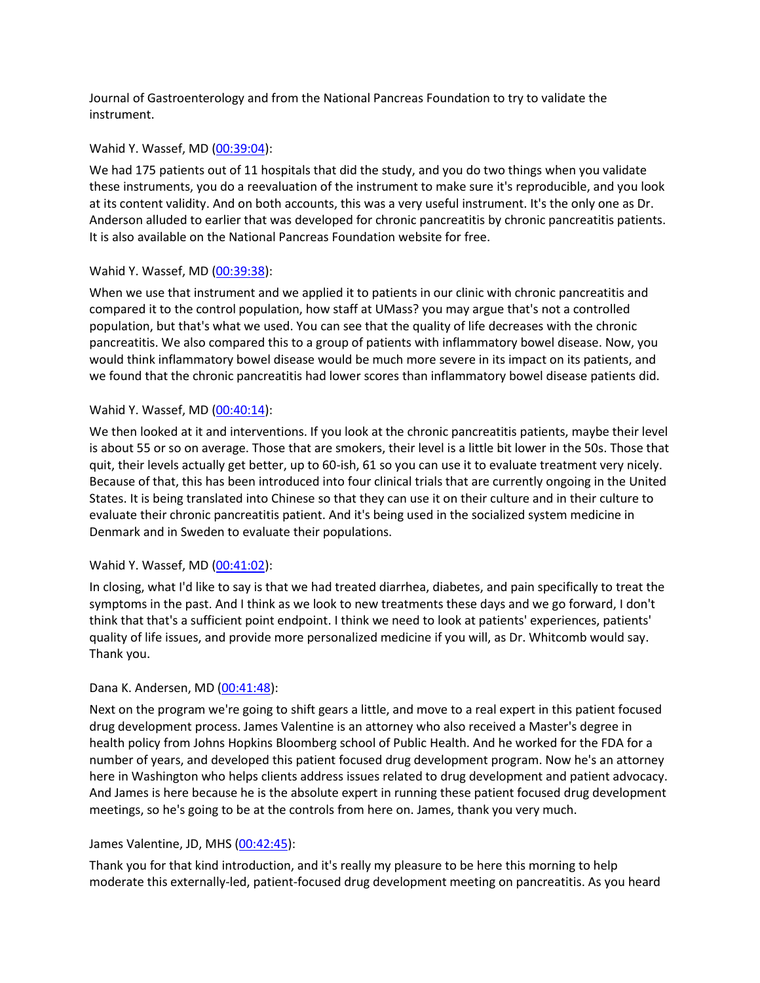Journal of Gastroenterology and from the National Pancreas Foundation to try to validate the instrument.

#### Wahid Y. Wassef, MD [\(00:39:04\)](https://www.rev.com/transcript-editor/Edit?token=0ehgIif_OI1vqdFY-2fcculfjiVQo0KxApIRyuuvtTFPmOXJFXxGfcj3pJ7eC2kRoXB36crQylLpCO3nLxoSMNO_xjs&loadFrom=DocumentDeeplink&ts=2344.33):

We had 175 patients out of 11 hospitals that did the study, and you do two things when you validate these instruments, you do a reevaluation of the instrument to make sure it's reproducible, and you look at its content validity. And on both accounts, this was a very useful instrument. It's the only one as Dr. Anderson alluded to earlier that was developed for chronic pancreatitis by chronic pancreatitis patients. It is also available on the National Pancreas Foundation website for free.

### Wahid Y. Wassef, MD [\(00:39:38\)](https://www.rev.com/transcript-editor/Edit?token=lkJ6pCdlSCiXkDltfcuNHFZGYd2vdCZ5Ih-D_-GnJClxbNBc_S2Pd2uvO9hCpxNKGb8ULQvhtRNKE5kCzfGaoMbL4F4&loadFrom=DocumentDeeplink&ts=2378.24):

When we use that instrument and we applied it to patients in our clinic with chronic pancreatitis and compared it to the control population, how staff at UMass? you may argue that's not a controlled population, but that's what we used. You can see that the quality of life decreases with the chronic pancreatitis. We also compared this to a group of patients with inflammatory bowel disease. Now, you would think inflammatory bowel disease would be much more severe in its impact on its patients, and we found that the chronic pancreatitis had lower scores than inflammatory bowel disease patients did.

### Wahid Y. Wassef, MD [\(00:40:14\)](https://www.rev.com/transcript-editor/Edit?token=Nx557QKK_G_qtGQO2Q472sj3sr3O6o2BdBN0Uq8g9zkSb68TBULuKXHhLgPkr6O_lDIras7VtkAmVli18kZ2b4qS0hE&loadFrom=DocumentDeeplink&ts=2414.57):

We then looked at it and interventions. If you look at the chronic pancreatitis patients, maybe their level is about 55 or so on average. Those that are smokers, their level is a little bit lower in the 50s. Those that quit, their levels actually get better, up to 60-ish, 61 so you can use it to evaluate treatment very nicely. Because of that, this has been introduced into four clinical trials that are currently ongoing in the United States. It is being translated into Chinese so that they can use it on their culture and in their culture to evaluate their chronic pancreatitis patient. And it's being used in the socialized system medicine in Denmark and in Sweden to evaluate their populations.

### Wahid Y. Wassef, MD [\(00:41:02\)](https://www.rev.com/transcript-editor/Edit?token=g1SF7jv43aPEwiPGQFey4E5AHriZSJU2s7fl8OGyoV2P6ad-yzV-NkEcmOOAXAo3LGFEWgGa7kgL_wUDZwztCA10-Zw&loadFrom=DocumentDeeplink&ts=2462.91):

In closing, what I'd like to say is that we had treated diarrhea, diabetes, and pain specifically to treat the symptoms in the past. And I think as we look to new treatments these days and we go forward, I don't think that that's a sufficient point endpoint. I think we need to look at patients' experiences, patients' quality of life issues, and provide more personalized medicine if you will, as Dr. Whitcomb would say. Thank you.

#### Dana K. Andersen, MD [\(00:41:48\)](https://www.rev.com/transcript-editor/Edit?token=V0NII8G6flVqsaggbXFEUwFcgOrZRVUSH3fA9SuncCH0og_jLfppBg64ut4K7bGMK_B0VSTqd5Za7mjbMImJfBCpQnI&loadFrom=DocumentDeeplink&ts=2508.79):

Next on the program we're going to shift gears a little, and move to a real expert in this patient focused drug development process. James Valentine is an attorney who also received a Master's degree in health policy from Johns Hopkins Bloomberg school of Public Health. And he worked for the FDA for a number of years, and developed this patient focused drug development program. Now he's an attorney here in Washington who helps clients address issues related to drug development and patient advocacy. And James is here because he is the absolute expert in running these patient focused drug development meetings, so he's going to be at the controls from here on. James, thank you very much.

### James Valentine, JD, MHS [\(00:42:45\)](https://www.rev.com/transcript-editor/Edit?token=7NG9pdVEKqkXaW5HE18rNeJxE22LpqxSwcCVbEt0yhG7MIKdI2KGkpVU0JDkpWsomQD9FuW_oOtOK33ASn8MdgUAYTI&loadFrom=DocumentDeeplink&ts=2565.5):

Thank you for that kind introduction, and it's really my pleasure to be here this morning to help moderate this externally-led, patient-focused drug development meeting on pancreatitis. As you heard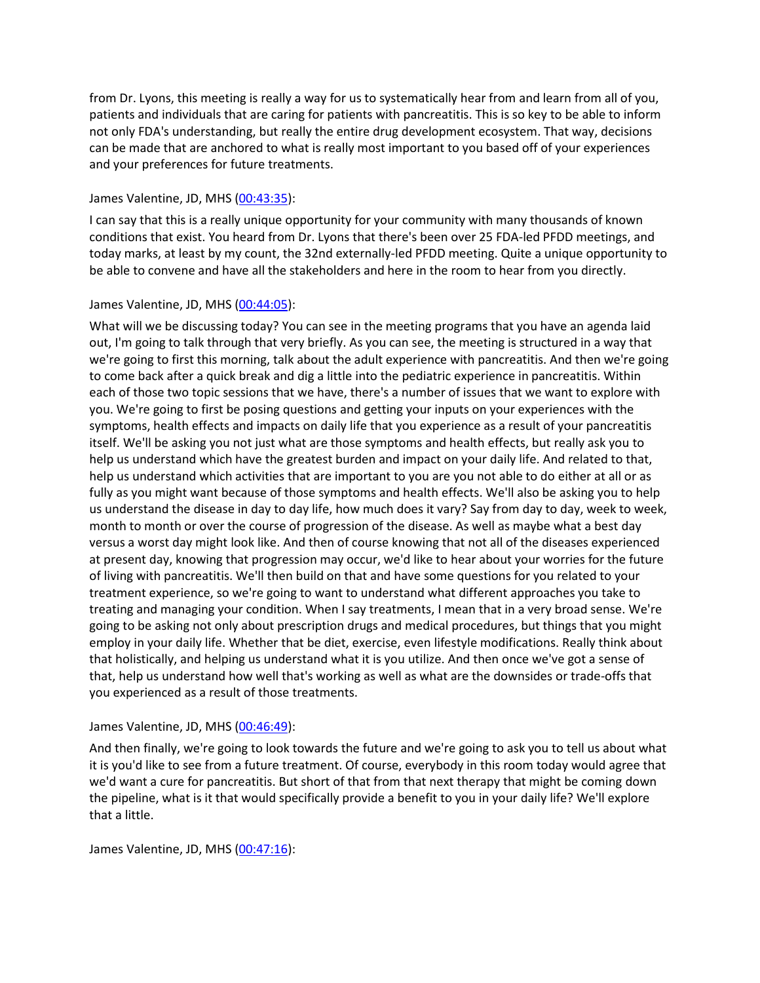from Dr. Lyons, this meeting is really a way for us to systematically hear from and learn from all of you, patients and individuals that are caring for patients with pancreatitis. This is so key to be able to inform not only FDA's understanding, but really the entire drug development ecosystem. That way, decisions can be made that are anchored to what is really most important to you based off of your experiences and your preferences for future treatments.

### James Valentine, JD, MHS [\(00:43:35\)](https://www.rev.com/transcript-editor/Edit?token=s_yI6ctVnGNq7mtZ8I_3xF4Ka5_eFC5rZgGRXJQ5BVN6G26UdQu_so2qFUtkAwicD_AdKEzO4nENWkX_GSGzDjGd0yE&loadFrom=DocumentDeeplink&ts=2615.54):

I can say that this is a really unique opportunity for your community with many thousands of known conditions that exist. You heard from Dr. Lyons that there's been over 25 FDA-led PFDD meetings, and today marks, at least by my count, the 32nd externally-led PFDD meeting. Quite a unique opportunity to be able to convene and have all the stakeholders and here in the room to hear from you directly.

# James Valentine, JD, MHS [\(00:44:05\)](https://www.rev.com/transcript-editor/Edit?token=MaFnOSRyAvHkbvxNr9jcmLChVOR4cHl7STjq79FhzrlayIPfG0GRvYVd6_KKr-fprH-IlbQgRFqwhtNde1wU1Pd2tbI&loadFrom=DocumentDeeplink&ts=2645.69):

What will we be discussing today? You can see in the meeting programs that you have an agenda laid out, I'm going to talk through that very briefly. As you can see, the meeting is structured in a way that we're going to first this morning, talk about the adult experience with pancreatitis. And then we're going to come back after a quick break and dig a little into the pediatric experience in pancreatitis. Within each of those two topic sessions that we have, there's a number of issues that we want to explore with you. We're going to first be posing questions and getting your inputs on your experiences with the symptoms, health effects and impacts on daily life that you experience as a result of your pancreatitis itself. We'll be asking you not just what are those symptoms and health effects, but really ask you to help us understand which have the greatest burden and impact on your daily life. And related to that, help us understand which activities that are important to you are you not able to do either at all or as fully as you might want because of those symptoms and health effects. We'll also be asking you to help us understand the disease in day to day life, how much does it vary? Say from day to day, week to week, month to month or over the course of progression of the disease. As well as maybe what a best day versus a worst day might look like. And then of course knowing that not all of the diseases experienced at present day, knowing that progression may occur, we'd like to hear about your worries for the future of living with pancreatitis. We'll then build on that and have some questions for you related to your treatment experience, so we're going to want to understand what different approaches you take to treating and managing your condition. When I say treatments, I mean that in a very broad sense. We're going to be asking not only about prescription drugs and medical procedures, but things that you might employ in your daily life. Whether that be diet, exercise, even lifestyle modifications. Really think about that holistically, and helping us understand what it is you utilize. And then once we've got a sense of that, help us understand how well that's working as well as what are the downsides or trade-offs that you experienced as a result of those treatments.

# James Valentine, JD, MHS [\(00:46:49\)](https://www.rev.com/transcript-editor/Edit?token=W8RYLRHPNxktkLQJ2mpgMkz68NHkhhotVNGZHcKYIaEibiIAv-TU0_sudayfiwJeAWn63wp88pPEUWlUfj2Vxhw5GgY&loadFrom=DocumentDeeplink&ts=2809.76):

And then finally, we're going to look towards the future and we're going to ask you to tell us about what it is you'd like to see from a future treatment. Of course, everybody in this room today would agree that we'd want a cure for pancreatitis. But short of that from that next therapy that might be coming down the pipeline, what is it that would specifically provide a benefit to you in your daily life? We'll explore that a little.

James Valentine, JD, MHS [\(00:47:16\)](https://www.rev.com/transcript-editor/Edit?token=V9S8x9HPD_rIZT4btGLbfG4cpC_dZ9ylWZWo9q7mzzWW2J4MiQ0s2J_rpGorN_aRkXeQx9mfyCfPu4SB4-diCvemfZ0&loadFrom=DocumentDeeplink&ts=2836.44):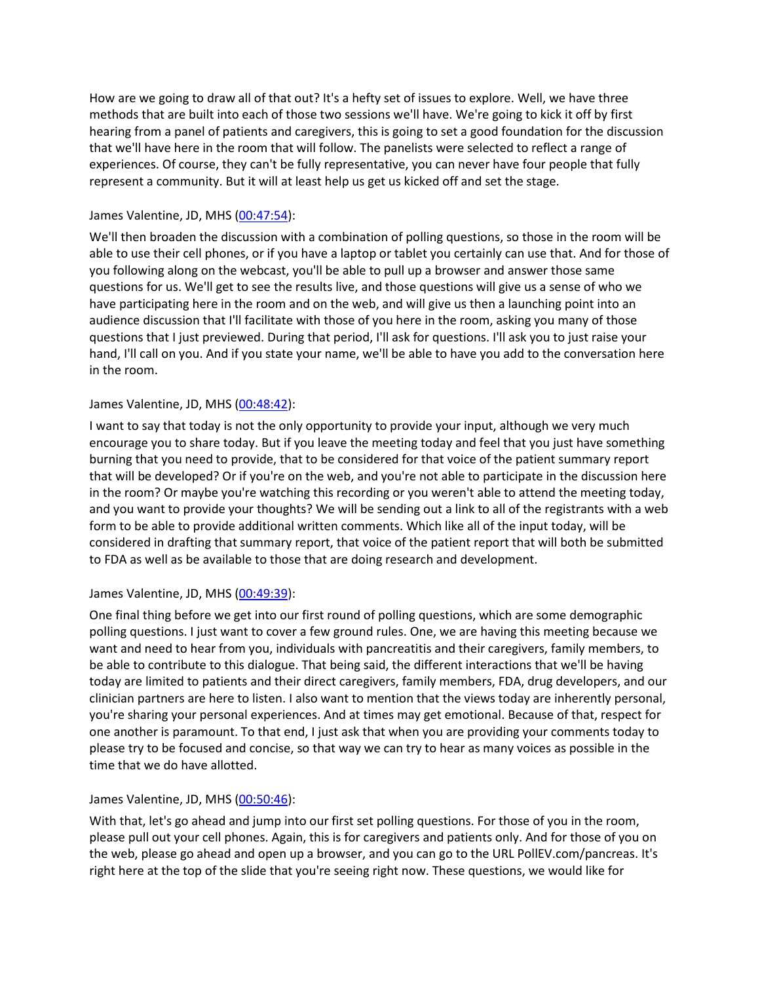How are we going to draw all of that out? It's a hefty set of issues to explore. Well, we have three methods that are built into each of those two sessions we'll have. We're going to kick it off by first hearing from a panel of patients and caregivers, this is going to set a good foundation for the discussion that we'll have here in the room that will follow. The panelists were selected to reflect a range of experiences. Of course, they can't be fully representative, you can never have four people that fully represent a community. But it will at least help us get us kicked off and set the stage.

# James Valentine, JD, MHS [\(00:47:54\)](https://www.rev.com/transcript-editor/Edit?token=b1fa0Wkc91ORlC56NI7GrsyvPeCbFJNrpwNyUWXjNWmDn86ZcNHtdv3Ztw7sFZ7OYzgBVCT6uE4RvW2IUourWokGuH8&loadFrom=DocumentDeeplink&ts=2874.51):

We'll then broaden the discussion with a combination of polling questions, so those in the room will be able to use their cell phones, or if you have a laptop or tablet you certainly can use that. And for those of you following along on the webcast, you'll be able to pull up a browser and answer those same questions for us. We'll get to see the results live, and those questions will give us a sense of who we have participating here in the room and on the web, and will give us then a launching point into an audience discussion that I'll facilitate with those of you here in the room, asking you many of those questions that I just previewed. During that period, I'll ask for questions. I'll ask you to just raise your hand, I'll call on you. And if you state your name, we'll be able to have you add to the conversation here in the room.

### James Valentine, JD, MHS [\(00:48:42\)](https://www.rev.com/transcript-editor/Edit?token=GkEBLmj2Ie8pw8q_YIHsZLLYSVXlo4v0nOJnee1T3EVE3sN7wqYkcxE-Q50Z5BjutCpqMO1xqcwTgeKrvAAr7CL6H6s&loadFrom=DocumentDeeplink&ts=2922.81):

I want to say that today is not the only opportunity to provide your input, although we very much encourage you to share today. But if you leave the meeting today and feel that you just have something burning that you need to provide, that to be considered for that voice of the patient summary report that will be developed? Or if you're on the web, and you're not able to participate in the discussion here in the room? Or maybe you're watching this recording or you weren't able to attend the meeting today, and you want to provide your thoughts? We will be sending out a link to all of the registrants with a web form to be able to provide additional written comments. Which like all of the input today, will be considered in drafting that summary report, that voice of the patient report that will both be submitted to FDA as well as be available to those that are doing research and development.

### James Valentine, JD, MHS [\(00:49:39\)](https://www.rev.com/transcript-editor/Edit?token=2bulxnfQl_74Vfv1Sexh3xXFNQhdBpWj1f3T3gA9-7plEZY7E2gQ8g07TXpwCpNxAHOqA2mjS5tS1rp7OL_GMXgCCzk&loadFrom=DocumentDeeplink&ts=2979.92):

One final thing before we get into our first round of polling questions, which are some demographic polling questions. I just want to cover a few ground rules. One, we are having this meeting because we want and need to hear from you, individuals with pancreatitis and their caregivers, family members, to be able to contribute to this dialogue. That being said, the different interactions that we'll be having today are limited to patients and their direct caregivers, family members, FDA, drug developers, and our clinician partners are here to listen. I also want to mention that the views today are inherently personal, you're sharing your personal experiences. And at times may get emotional. Because of that, respect for one another is paramount. To that end, I just ask that when you are providing your comments today to please try to be focused and concise, so that way we can try to hear as many voices as possible in the time that we do have allotted.

### James Valentine, JD, MHS [\(00:50:46\)](https://www.rev.com/transcript-editor/Edit?token=Uff6N0l-AK0vzIlIkDNj26-rgw2R2ioUTUuiUnRj4aCYf4iXplCLMX9mBneN-UeoCaht3ngPPhfyHOV9FI8W31nQkSQ&loadFrom=DocumentDeeplink&ts=3046.92):

With that, let's go ahead and jump into our first set polling questions. For those of you in the room, please pull out your cell phones. Again, this is for caregivers and patients only. And for those of you on the web, please go ahead and open up a browser, and you can go to the URL PollEV.com/pancreas. It's right here at the top of the slide that you're seeing right now. These questions, we would like for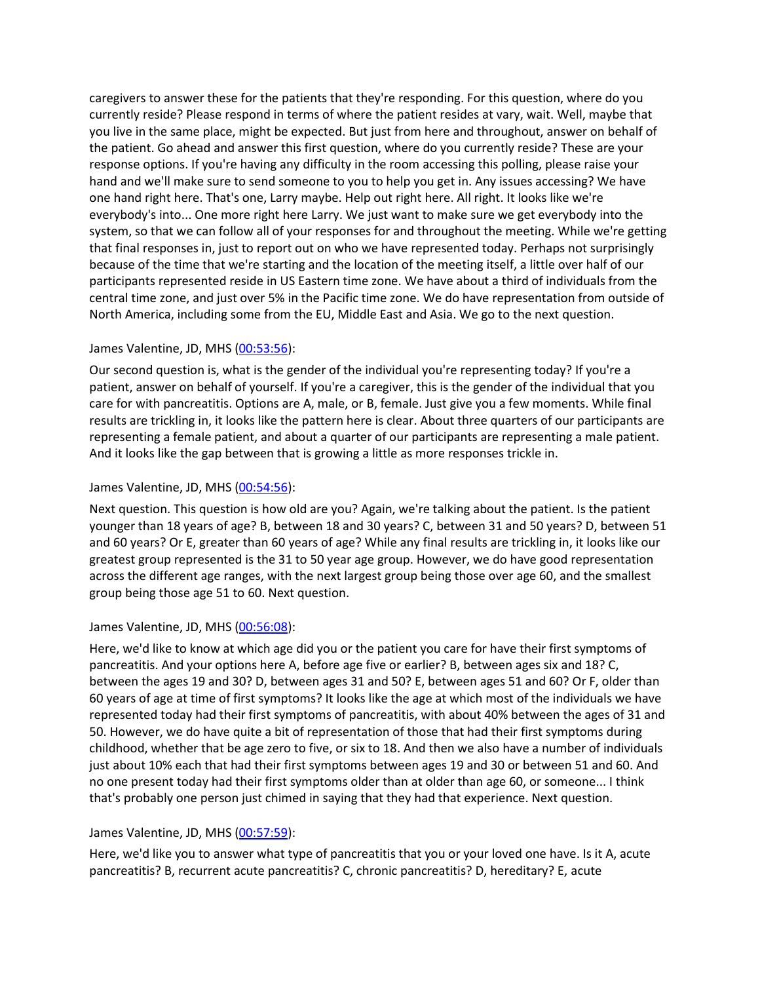caregivers to answer these for the patients that they're responding. For this question, where do you currently reside? Please respond in terms of where the patient resides at vary, wait. Well, maybe that you live in the same place, might be expected. But just from here and throughout, answer on behalf of the patient. Go ahead and answer this first question, where do you currently reside? These are your response options. If you're having any difficulty in the room accessing this polling, please raise your hand and we'll make sure to send someone to you to help you get in. Any issues accessing? We have one hand right here. That's one, Larry maybe. Help out right here. All right. It looks like we're everybody's into... One more right here Larry. We just want to make sure we get everybody into the system, so that we can follow all of your responses for and throughout the meeting. While we're getting that final responses in, just to report out on who we have represented today. Perhaps not surprisingly because of the time that we're starting and the location of the meeting itself, a little over half of our participants represented reside in US Eastern time zone. We have about a third of individuals from the central time zone, and just over 5% in the Pacific time zone. We do have representation from outside of North America, including some from the EU, Middle East and Asia. We go to the next question.

### James Valentine, JD, MHS [\(00:53:56\)](https://www.rev.com/transcript-editor/Edit?token=o-gFmTxtXt07O0__y6hpLBbrWcyU9oTK5WL2ZLTPp9Hf1qgPVeLZuE18AcvdIIml6EaWCNO74IM9TNZmLfQVxMhJdy0&loadFrom=DocumentDeeplink&ts=3236.63):

Our second question is, what is the gender of the individual you're representing today? If you're a patient, answer on behalf of yourself. If you're a caregiver, this is the gender of the individual that you care for with pancreatitis. Options are A, male, or B, female. Just give you a few moments. While final results are trickling in, it looks like the pattern here is clear. About three quarters of our participants are representing a female patient, and about a quarter of our participants are representing a male patient. And it looks like the gap between that is growing a little as more responses trickle in.

#### James Valentine, JD, MHS [\(00:54:56\)](https://www.rev.com/transcript-editor/Edit?token=iYatHKIiTWD9hJm2oqTigjcGDxzJJeSgmUqyg-SMw9LzEw9H8_lsog9KualvbuDShaoEzYV-rsujHTtM-eK6rIgATIA&loadFrom=DocumentDeeplink&ts=3296.19):

Next question. This question is how old are you? Again, we're talking about the patient. Is the patient younger than 18 years of age? B, between 18 and 30 years? C, between 31 and 50 years? D, between 51 and 60 years? Or E, greater than 60 years of age? While any final results are trickling in, it looks like our greatest group represented is the 31 to 50 year age group. However, we do have good representation across the different age ranges, with the next largest group being those over age 60, and the smallest group being those age 51 to 60. Next question.

#### James Valentine, JD, MHS [\(00:56:08\)](https://www.rev.com/transcript-editor/Edit?token=lqFvDOPVA-tufYjMYjUMb4govPJQfb4gg9fIGf6cKmIlzVVPkIML9qvgs2ZdDq3vDq31bn5cKMOPZlWtCe5ym-Ylfao&loadFrom=DocumentDeeplink&ts=3368.64):

Here, we'd like to know at which age did you or the patient you care for have their first symptoms of pancreatitis. And your options here A, before age five or earlier? B, between ages six and 18? C, between the ages 19 and 30? D, between ages 31 and 50? E, between ages 51 and 60? Or F, older than 60 years of age at time of first symptoms? It looks like the age at which most of the individuals we have represented today had their first symptoms of pancreatitis, with about 40% between the ages of 31 and 50. However, we do have quite a bit of representation of those that had their first symptoms during childhood, whether that be age zero to five, or six to 18. And then we also have a number of individuals just about 10% each that had their first symptoms between ages 19 and 30 or between 51 and 60. And no one present today had their first symptoms older than at older than age 60, or someone... I think that's probably one person just chimed in saying that they had that experience. Next question.

#### James Valentine, JD, MHS [\(00:57:59\)](https://www.rev.com/transcript-editor/Edit?token=Xct312nqfYyopM6uZrLqa6uJRe1c8IGd6wIEtQfEEnguo6Ai9LSZRYhO5h7YUpe9DC8zC6JmgqXGG53_PCKLm6FIOng&loadFrom=DocumentDeeplink&ts=3479.36):

Here, we'd like you to answer what type of pancreatitis that you or your loved one have. Is it A, acute pancreatitis? B, recurrent acute pancreatitis? C, chronic pancreatitis? D, hereditary? E, acute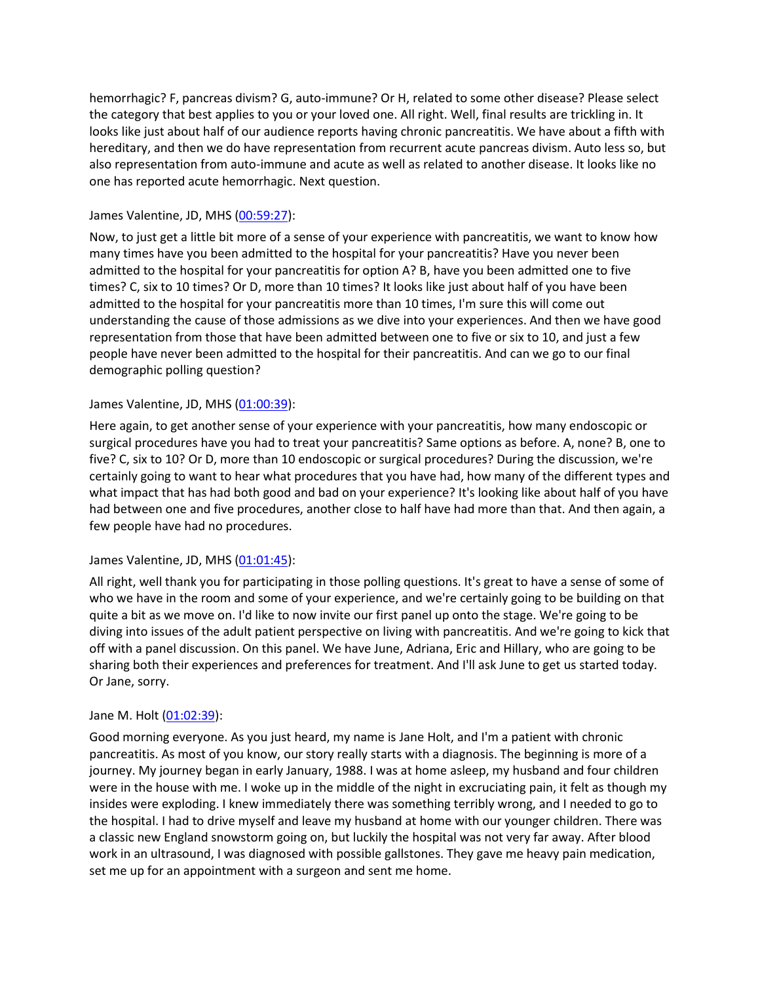hemorrhagic? F, pancreas divism? G, auto-immune? Or H, related to some other disease? Please select the category that best applies to you or your loved one. All right. Well, final results are trickling in. It looks like just about half of our audience reports having chronic pancreatitis. We have about a fifth with hereditary, and then we do have representation from recurrent acute pancreas divism. Auto less so, but also representation from auto-immune and acute as well as related to another disease. It looks like no one has reported acute hemorrhagic. Next question.

### James Valentine, JD, MHS [\(00:59:27\)](https://www.rev.com/transcript-editor/Edit?token=AK7XnLb3A2oKp2SrIiIV_7CPBS-A0vtR7SLh0C1UjIknXKkE3RZs-5CeGOdijX_EY_K3Wlo26nI2FYvRsFlvSxL0Y38&loadFrom=DocumentDeeplink&ts=3567.82):

Now, to just get a little bit more of a sense of your experience with pancreatitis, we want to know how many times have you been admitted to the hospital for your pancreatitis? Have you never been admitted to the hospital for your pancreatitis for option A? B, have you been admitted one to five times? C, six to 10 times? Or D, more than 10 times? It looks like just about half of you have been admitted to the hospital for your pancreatitis more than 10 times, I'm sure this will come out understanding the cause of those admissions as we dive into your experiences. And then we have good representation from those that have been admitted between one to five or six to 10, and just a few people have never been admitted to the hospital for their pancreatitis. And can we go to our final demographic polling question?

### James Valentine, JD, MHS [\(01:00:39\)](https://www.rev.com/transcript-editor/Edit?token=a6EvmXuavfO9KQ15cOsgvahJWpOMXUy4ActLSR2uJr8eDhyuJXV6HA2we0MmlpAF0TRkmG8S1joGvWTTGPXDsXKrQKI&loadFrom=DocumentDeeplink&ts=3639.74):

Here again, to get another sense of your experience with your pancreatitis, how many endoscopic or surgical procedures have you had to treat your pancreatitis? Same options as before. A, none? B, one to five? C, six to 10? Or D, more than 10 endoscopic or surgical procedures? During the discussion, we're certainly going to want to hear what procedures that you have had, how many of the different types and what impact that has had both good and bad on your experience? It's looking like about half of you have had between one and five procedures, another close to half have had more than that. And then again, a few people have had no procedures.

### James Valentine, JD, MHS [\(01:01:45\)](https://www.rev.com/transcript-editor/Edit?token=vdgWj1jdks8J54X1JK3hulywMfFKSpc2vYYnsKw2Df8tsTGBRBdU4EbLPu7hJnzlHiBGXW5thUvRU7uMLnfleFu9rmw&loadFrom=DocumentDeeplink&ts=3705.38):

All right, well thank you for participating in those polling questions. It's great to have a sense of some of who we have in the room and some of your experience, and we're certainly going to be building on that quite a bit as we move on. I'd like to now invite our first panel up onto the stage. We're going to be diving into issues of the adult patient perspective on living with pancreatitis. And we're going to kick that off with a panel discussion. On this panel. We have June, Adriana, Eric and Hillary, who are going to be sharing both their experiences and preferences for treatment. And I'll ask June to get us started today. Or Jane, sorry.

### Jane M. Holt [\(01:02:39\)](https://www.rev.com/transcript-editor/Edit?token=0QaWAPPjCiueedKZaNWoIDL4vmMA86MVrwckN-hc-ZL1YVRc2Z7NU0a6CMf6-wRPIhmuyyeaKrPUxIP3eRKp88aizF0&loadFrom=DocumentDeeplink&ts=3759.27):

Good morning everyone. As you just heard, my name is Jane Holt, and I'm a patient with chronic pancreatitis. As most of you know, our story really starts with a diagnosis. The beginning is more of a journey. My journey began in early January, 1988. I was at home asleep, my husband and four children were in the house with me. I woke up in the middle of the night in excruciating pain, it felt as though my insides were exploding. I knew immediately there was something terribly wrong, and I needed to go to the hospital. I had to drive myself and leave my husband at home with our younger children. There was a classic new England snowstorm going on, but luckily the hospital was not very far away. After blood work in an ultrasound, I was diagnosed with possible gallstones. They gave me heavy pain medication, set me up for an appointment with a surgeon and sent me home.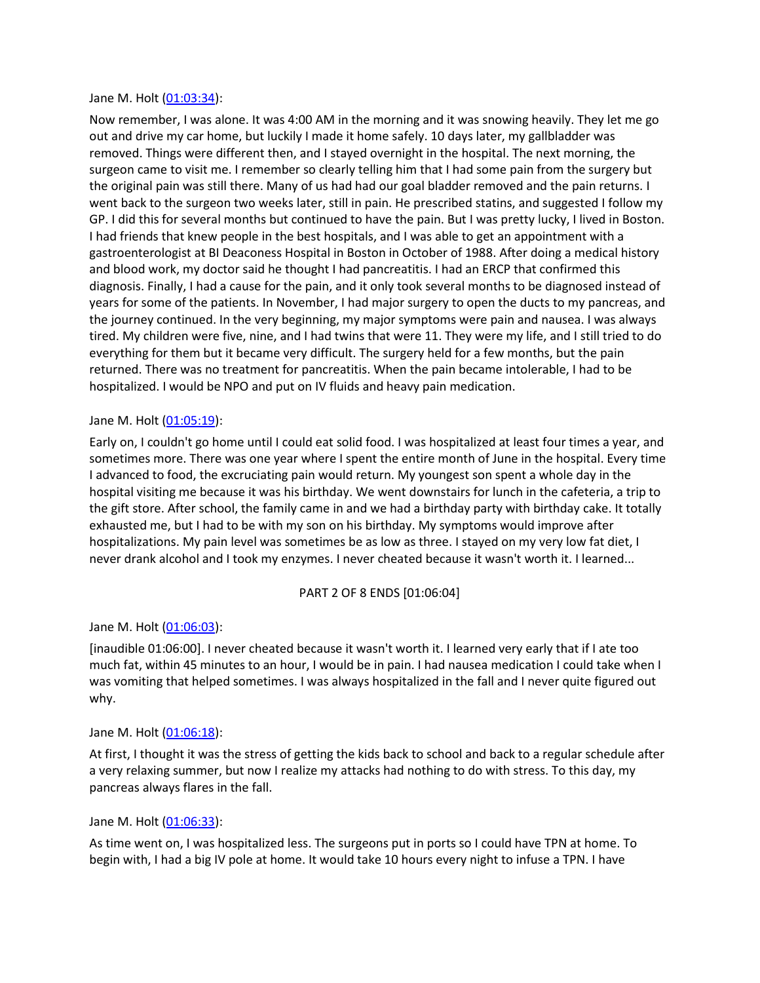#### Jane M. Holt [\(01:03:34\)](https://www.rev.com/transcript-editor/Edit?token=SMzL_YhKGQElgWtIZskLNwTidXbGlD858s1kQ7ASSA5FKXBupJg_IzbRGIyGWwlsmc1EXELjJ9vf-gYdu9uvefxr4bY&loadFrom=DocumentDeeplink&ts=3814):

Now remember, I was alone. It was 4:00 AM in the morning and it was snowing heavily. They let me go out and drive my car home, but luckily I made it home safely. 10 days later, my gallbladder was removed. Things were different then, and I stayed overnight in the hospital. The next morning, the surgeon came to visit me. I remember so clearly telling him that I had some pain from the surgery but the original pain was still there. Many of us had had our goal bladder removed and the pain returns. I went back to the surgeon two weeks later, still in pain. He prescribed statins, and suggested I follow my GP. I did this for several months but continued to have the pain. But I was pretty lucky, I lived in Boston. I had friends that knew people in the best hospitals, and I was able to get an appointment with a gastroenterologist at BI Deaconess Hospital in Boston in October of 1988. After doing a medical history and blood work, my doctor said he thought I had pancreatitis. I had an ERCP that confirmed this diagnosis. Finally, I had a cause for the pain, and it only took several months to be diagnosed instead of years for some of the patients. In November, I had major surgery to open the ducts to my pancreas, and the journey continued. In the very beginning, my major symptoms were pain and nausea. I was always tired. My children were five, nine, and I had twins that were 11. They were my life, and I still tried to do everything for them but it became very difficult. The surgery held for a few months, but the pain returned. There was no treatment for pancreatitis. When the pain became intolerable, I had to be hospitalized. I would be NPO and put on IV fluids and heavy pain medication.

#### Jane M. Holt [\(01:05:19\)](https://www.rev.com/transcript-editor/Edit?token=axWWfgqIcXUvAybrcwxk3IQ8jDfBJRICYOJytAx9UbOh_qWuE1LksCpoeF6qtyPX4rl1ZktVXl_5b5cvSPp72hbwo-g&loadFrom=DocumentDeeplink&ts=3919.38):

Early on, I couldn't go home until I could eat solid food. I was hospitalized at least four times a year, and sometimes more. There was one year where I spent the entire month of June in the hospital. Every time I advanced to food, the excruciating pain would return. My youngest son spent a whole day in the hospital visiting me because it was his birthday. We went downstairs for lunch in the cafeteria, a trip to the gift store. After school, the family came in and we had a birthday party with birthday cake. It totally exhausted me, but I had to be with my son on his birthday. My symptoms would improve after hospitalizations. My pain level was sometimes be as low as three. I stayed on my very low fat diet, I never drank alcohol and I took my enzymes. I never cheated because it wasn't worth it. I learned...

#### PART 2 OF 8 ENDS [01:06:04]

#### Jane M. Holt [\(01:06:03\)](https://www.rev.com/transcript-editor/Edit?token=M9EY9d3q27Q565HSlmM3j8Hz1QyvbKPSQVdwWlQzMjaybyN8okq-ZB4tRq-7_-PTR9qFHNeOz_E9oo-J12O0QNBeBHM&loadFrom=DocumentDeeplink&ts=3963.701):

[inaudible 01:06:00]. I never cheated because it wasn't worth it. I learned very early that if I ate too much fat, within 45 minutes to an hour, I would be in pain. I had nausea medication I could take when I was vomiting that helped sometimes. I was always hospitalized in the fall and I never quite figured out why.

#### Jane M. Holt [\(01:06:18\)](https://www.rev.com/transcript-editor/Edit?token=gm1-WuHMuzmx5XgXYkcJUdhw13uNk-D2FZO-29ehEiQb_-1KQeyILc5MOCD2gcSrG6JJyVlodyyHef5DO-xMCRQJf58&loadFrom=DocumentDeeplink&ts=3978.6):

At first, I thought it was the stress of getting the kids back to school and back to a regular schedule after a very relaxing summer, but now I realize my attacks had nothing to do with stress. To this day, my pancreas always flares in the fall.

#### Jane M. Holt [\(01:06:33\)](https://www.rev.com/transcript-editor/Edit?token=Tmv0iah8zwwNJ9Zpfa50LiR4xrZYisLBZSlA40bjB56MvyPdlbwMSCXX0SpgFAEhguMQWZYzi3XVsqqFudrBvguQ0Go&loadFrom=DocumentDeeplink&ts=3993.04):

As time went on, I was hospitalized less. The surgeons put in ports so I could have TPN at home. To begin with, I had a big IV pole at home. It would take 10 hours every night to infuse a TPN. I have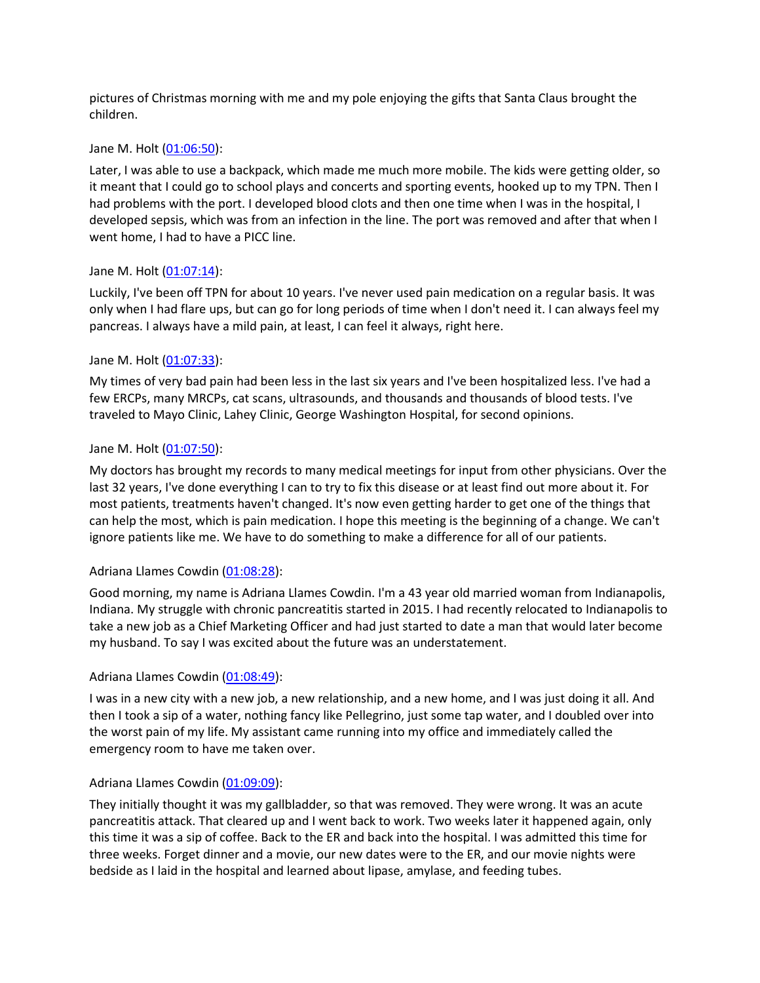pictures of Christmas morning with me and my pole enjoying the gifts that Santa Claus brought the children.

#### Jane M. Holt [\(01:06:50\)](https://www.rev.com/transcript-editor/Edit?token=HBSC_AWqhxtbjTr2LUmw41Be_e109Yg8YMhPqsoAHiMGbAtXYU6lTp7OH6JE2Mrnn7bSrwrpgalgLqfe-D82IqWPmyo&loadFrom=DocumentDeeplink&ts=4010.6):

Later, I was able to use a backpack, which made me much more mobile. The kids were getting older, so it meant that I could go to school plays and concerts and sporting events, hooked up to my TPN. Then I had problems with the port. I developed blood clots and then one time when I was in the hospital, I developed sepsis, which was from an infection in the line. The port was removed and after that when I went home, I had to have a PICC line.

#### Jane M. Holt [\(01:07:14\)](https://www.rev.com/transcript-editor/Edit?token=6fexMUmmJVoUdm3805t-oURpPb5b_h6wy1SgBe6VWhRUKDSN_S7l_Sgi5YtDIPBnbDujMeVgSgEpsit3RIy24YBqqyc&loadFrom=DocumentDeeplink&ts=4034.15):

Luckily, I've been off TPN for about 10 years. I've never used pain medication on a regular basis. It was only when I had flare ups, but can go for long periods of time when I don't need it. I can always feel my pancreas. I always have a mild pain, at least, I can feel it always, right here.

#### Jane M. Holt [\(01:07:33\)](https://www.rev.com/transcript-editor/Edit?token=Bgm5PZo6KtxkVjai9yeGOsB12lo9jJzeH40DYILsfVp4hfORSmM-oKDHdkK-0ernFM0aywNjL0tN_K21pfk7GL4kImk&loadFrom=DocumentDeeplink&ts=4053.29):

My times of very bad pain had been less in the last six years and I've been hospitalized less. I've had a few ERCPs, many MRCPs, cat scans, ultrasounds, and thousands and thousands of blood tests. I've traveled to Mayo Clinic, Lahey Clinic, George Washington Hospital, for second opinions.

#### Jane M. Holt [\(01:07:50\)](https://www.rev.com/transcript-editor/Edit?token=XYguqd_6xoxRaLn76r-WCFyHZ7XTIhaK4Zu5IPd-DRWuKHe5CITNf86f_e2jyNzQYdOsSlQEGRHvIgGPGACitISYLZ8&loadFrom=DocumentDeeplink&ts=4070.29):

My doctors has brought my records to many medical meetings for input from other physicians. Over the last 32 years, I've done everything I can to try to fix this disease or at least find out more about it. For most patients, treatments haven't changed. It's now even getting harder to get one of the things that can help the most, which is pain medication. I hope this meeting is the beginning of a change. We can't ignore patients like me. We have to do something to make a difference for all of our patients.

### Adriana Llames Cowdin [\(01:08:28\)](https://www.rev.com/transcript-editor/Edit?token=1aZW99dby1dMNqjGFflcrzXYO3ty33u6HMU0kF_dZ8c98g9UP5ngBk-n997aj0J8vHQRGa6ssXahsXcBmdqdHp6E-TQ&loadFrom=DocumentDeeplink&ts=4108.5):

Good morning, my name is Adriana Llames Cowdin. I'm a 43 year old married woman from Indianapolis, Indiana. My struggle with chronic pancreatitis started in 2015. I had recently relocated to Indianapolis to take a new job as a Chief Marketing Officer and had just started to date a man that would later become my husband. To say I was excited about the future was an understatement.

### Adriana Llames Cowdin [\(01:08:49\)](https://www.rev.com/transcript-editor/Edit?token=_kBJnp8JLSNkm3VPR9F5kSoTHpCmnVOvULp4XfigsSWG-r2LI1V2fTq7CWmeDwzLJcPixIyMMrWz3umMk5SVf19n4fA&loadFrom=DocumentDeeplink&ts=4129.71):

I was in a new city with a new job, a new relationship, and a new home, and I was just doing it all. And then I took a sip of a water, nothing fancy like Pellegrino, just some tap water, and I doubled over into the worst pain of my life. My assistant came running into my office and immediately called the emergency room to have me taken over.

#### Adriana Llames Cowdin [\(01:09:09\)](https://www.rev.com/transcript-editor/Edit?token=IoC3sljw7oHnVgPLP2ffOGAdzCEIrRXJ7vkgoApIwkcXjL-DxdatlAsx99trB-NdNquYPxST8ZKR0_Zj277HnaN8K04&loadFrom=DocumentDeeplink&ts=4149.81):

They initially thought it was my gallbladder, so that was removed. They were wrong. It was an acute pancreatitis attack. That cleared up and I went back to work. Two weeks later it happened again, only this time it was a sip of coffee. Back to the ER and back into the hospital. I was admitted this time for three weeks. Forget dinner and a movie, our new dates were to the ER, and our movie nights were bedside as I laid in the hospital and learned about lipase, amylase, and feeding tubes.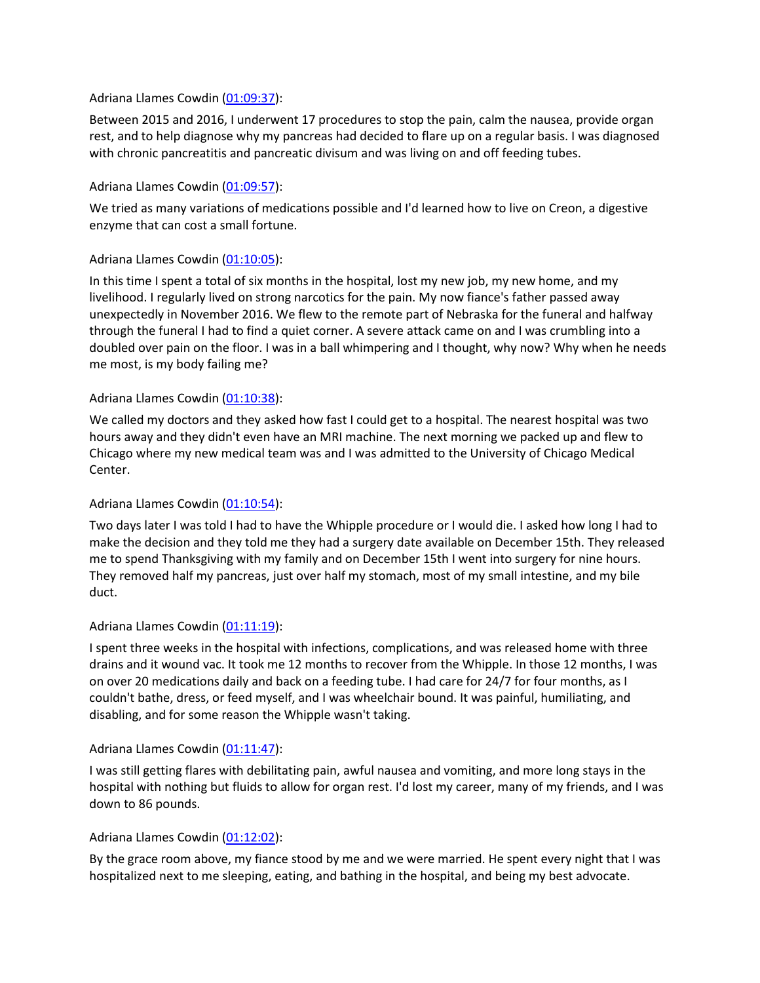### Adriana Llames Cowdin [\(01:09:37\)](https://www.rev.com/transcript-editor/Edit?token=f0wOTzRjCctHx67QJbpZRRKg46illdfzYkVwAV5ovB_Eyk1LyjHYwjErUKrQ6loO2d_MGh7aNl9ca_ehvq03DEVTE2I&loadFrom=DocumentDeeplink&ts=4177.6):

Between 2015 and 2016, I underwent 17 procedures to stop the pain, calm the nausea, provide organ rest, and to help diagnose why my pancreas had decided to flare up on a regular basis. I was diagnosed with chronic pancreatitis and pancreatic divisum and was living on and off feeding tubes.

#### Adriana Llames Cowdin [\(01:09:57\)](https://www.rev.com/transcript-editor/Edit?token=v6x1CXXdNhfmTh4uN3OXpErJgCzkJrEQtQsuioqCHQeFSqagz1dPrYH5GbKamQ4xY_RrLmkKFR0FoZrM0trtq54cXco&loadFrom=DocumentDeeplink&ts=4197.31):

We tried as many variations of medications possible and I'd learned how to live on Creon, a digestive enzyme that can cost a small fortune.

### Adriana Llames Cowdin [\(01:10:05\)](https://www.rev.com/transcript-editor/Edit?token=1TiqLhCyU7sz7_BrRoKLZhacpStkG6xyxpDIC1N5OOZ2xDJXcdJlsziEcY03c7n0ftDRXfsLlsBRZMV1kpgXF6aVx6E&loadFrom=DocumentDeeplink&ts=4205.6):

In this time I spent a total of six months in the hospital, lost my new job, my new home, and my livelihood. I regularly lived on strong narcotics for the pain. My now fiance's father passed away unexpectedly in November 2016. We flew to the remote part of Nebraska for the funeral and halfway through the funeral I had to find a quiet corner. A severe attack came on and I was crumbling into a doubled over pain on the floor. I was in a ball whimpering and I thought, why now? Why when he needs me most, is my body failing me?

### Adriana Llames Cowdin [\(01:10:38\)](https://www.rev.com/transcript-editor/Edit?token=iIi24wNF6FODh9tvSS3VKRBoNd7mNXWYMvvQ-KeGkPNNi0JQG5WLwTXPw5ZeWM45Rg6YHfzWc0ELroYEFbo4HP55ulo&loadFrom=DocumentDeeplink&ts=4238.99):

We called my doctors and they asked how fast I could get to a hospital. The nearest hospital was two hours away and they didn't even have an MRI machine. The next morning we packed up and flew to Chicago where my new medical team was and I was admitted to the University of Chicago Medical Center.

### Adriana Llames Cowdin [\(01:10:54\)](https://www.rev.com/transcript-editor/Edit?token=ZULGO-whhwoDz-pLIPd1hmEVkStJZUf95UaDbvttX_MxO612FqGhL1nt-6VT7DUqvP8bw5qcl-Kz5rdwc0y51QMnc-4&loadFrom=DocumentDeeplink&ts=4254.8):

Two days later I was told I had to have the Whipple procedure or I would die. I asked how long I had to make the decision and they told me they had a surgery date available on December 15th. They released me to spend Thanksgiving with my family and on December 15th I went into surgery for nine hours. They removed half my pancreas, just over half my stomach, most of my small intestine, and my bile duct.

#### Adriana Llames Cowdin [\(01:11:19\)](https://www.rev.com/transcript-editor/Edit?token=oW-2aPrqXwifHaJ3-yFbqx0RYHJXclJBMTLIzA-Hdkw4U9U-ubEHk2puV1QiQLh0qRLRJMJy95nwgwNb15iPZlJn2Xc&loadFrom=DocumentDeeplink&ts=4279.78):

I spent three weeks in the hospital with infections, complications, and was released home with three drains and it wound vac. It took me 12 months to recover from the Whipple. In those 12 months, I was on over 20 medications daily and back on a feeding tube. I had care for 24/7 for four months, as I couldn't bathe, dress, or feed myself, and I was wheelchair bound. It was painful, humiliating, and disabling, and for some reason the Whipple wasn't taking.

#### Adriana Llames Cowdin [\(01:11:47\)](https://www.rev.com/transcript-editor/Edit?token=yxLdRVzD1z_KYPdGOz4DkakLci-EzsOijT-Jb9ybo9JRgljNmZHt-GbggltoEe5Bl22VBRnbFqHWKlRD4qvwXRJ71fs&loadFrom=DocumentDeeplink&ts=4307.63):

I was still getting flares with debilitating pain, awful nausea and vomiting, and more long stays in the hospital with nothing but fluids to allow for organ rest. I'd lost my career, many of my friends, and I was down to 86 pounds.

#### Adriana Llames Cowdin [\(01:12:02\)](https://www.rev.com/transcript-editor/Edit?token=92CQZYh6RI29Zq0VOBPTUkASUSGZIZI5LVqmGN7n5ol-Tcgj1q4NePfpiES7oy-hn5iT2vhL5rypsfqWbS6lLlz_dhc&loadFrom=DocumentDeeplink&ts=4322.15):

By the grace room above, my fiance stood by me and we were married. He spent every night that I was hospitalized next to me sleeping, eating, and bathing in the hospital, and being my best advocate.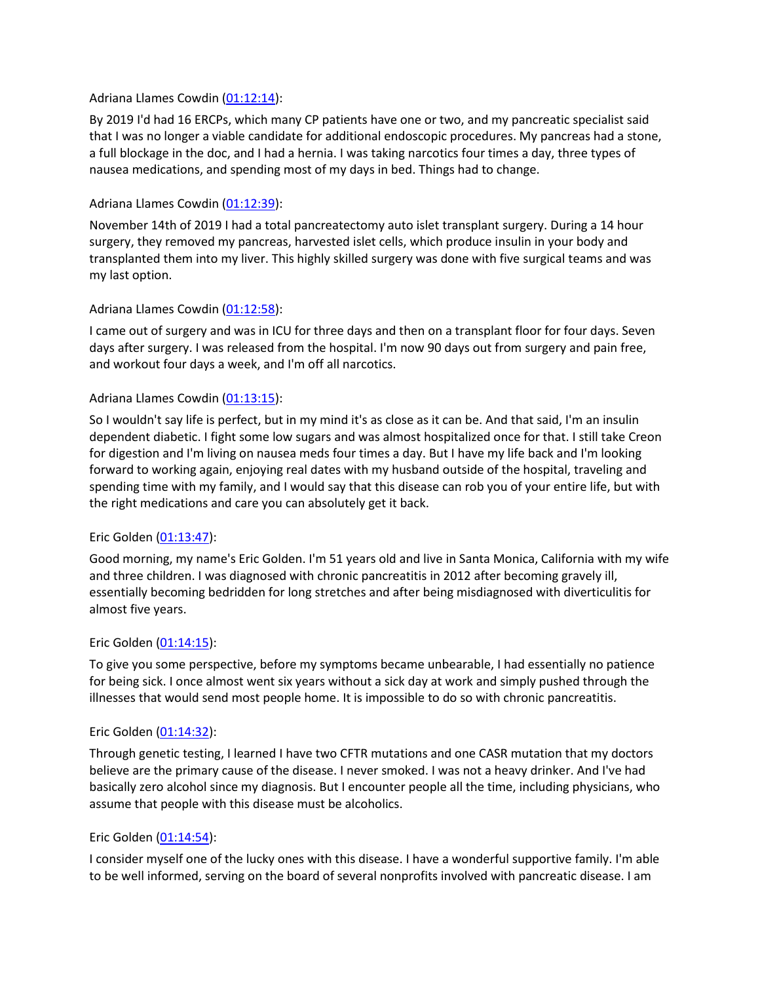#### Adriana Llames Cowdin [\(01:12:14\)](https://www.rev.com/transcript-editor/Edit?token=XQ7Yy10LzXh8WxJzd_6_x8EdDCErjCLGgB-8VXgGpEVJZNtnizYt-ASc1hfzR3S9UyMl8TmnxVDHUo1Ismi1l_36CSc&loadFrom=DocumentDeeplink&ts=4334.26):

By 2019 I'd had 16 ERCPs, which many CP patients have one or two, and my pancreatic specialist said that I was no longer a viable candidate for additional endoscopic procedures. My pancreas had a stone, a full blockage in the doc, and I had a hernia. I was taking narcotics four times a day, three types of nausea medications, and spending most of my days in bed. Things had to change.

#### Adriana Llames Cowdin [\(01:12:39\)](https://www.rev.com/transcript-editor/Edit?token=CN0U_7aXHMnmEKBdLdo46UAnO8C2dF57kNVoI3-oyrQ-zz1ek1nFkL4nl0ON-KweG_UCgUO6DdGB3Xa42siOt-imp-0&loadFrom=DocumentDeeplink&ts=4359.49):

November 14th of 2019 I had a total pancreatectomy auto islet transplant surgery. During a 14 hour surgery, they removed my pancreas, harvested islet cells, which produce insulin in your body and transplanted them into my liver. This highly skilled surgery was done with five surgical teams and was my last option.

#### Adriana Llames Cowdin [\(01:12:58\)](https://www.rev.com/transcript-editor/Edit?token=Yw2n6fppHDTh3IhJmoKGidvGq0bIWDEWNUkqbLKeFfn3qKpxI1XhCqiZYxzSfWevooTMsX9dqBFDpDljn0n2SHgukQs&loadFrom=DocumentDeeplink&ts=4378.94):

I came out of surgery and was in ICU for three days and then on a transplant floor for four days. Seven days after surgery. I was released from the hospital. I'm now 90 days out from surgery and pain free, and workout four days a week, and I'm off all narcotics.

#### Adriana Llames Cowdin [\(01:13:15\)](https://www.rev.com/transcript-editor/Edit?token=VXqcV-vpDXH0bJNHgwAiv9AvYVDj_vf72v_3KElRsWf-RA45NRHDnK82-l6ieLSm8jUt8iIkUCQybeLiS_hfdfoqxPM&loadFrom=DocumentDeeplink&ts=4395.48):

So I wouldn't say life is perfect, but in my mind it's as close as it can be. And that said, I'm an insulin dependent diabetic. I fight some low sugars and was almost hospitalized once for that. I still take Creon for digestion and I'm living on nausea meds four times a day. But I have my life back and I'm looking forward to working again, enjoying real dates with my husband outside of the hospital, traveling and spending time with my family, and I would say that this disease can rob you of your entire life, but with the right medications and care you can absolutely get it back.

#### Eric Golden [\(01:13:47\)](https://www.rev.com/transcript-editor/Edit?token=qBs1SREfaAYiocRSkPc4Z3Xu2OibVBWk9VCqeOOhuF54b5iFFwqSWwNEy4uozo62M238xPwysdrfKl9U2hcjOtpTMk0&loadFrom=DocumentDeeplink&ts=4427.61):

Good morning, my name's Eric Golden. I'm 51 years old and live in Santa Monica, California with my wife and three children. I was diagnosed with chronic pancreatitis in 2012 after becoming gravely ill, essentially becoming bedridden for long stretches and after being misdiagnosed with diverticulitis for almost five years.

#### Eric Golden [\(01:14:15\)](https://www.rev.com/transcript-editor/Edit?token=L2fzOFQlg4zFD2fbA5XnOhbHuvaLn4gZLRLsvkvTDfPn-MrkJDznWPj5vb_rAjBxW6o411mnzM2fwHRaF4DpOUKyRKI&loadFrom=DocumentDeeplink&ts=4455.11):

To give you some perspective, before my symptoms became unbearable, I had essentially no patience for being sick. I once almost went six years without a sick day at work and simply pushed through the illnesses that would send most people home. It is impossible to do so with chronic pancreatitis.

#### Eric Golden [\(01:14:32\)](https://www.rev.com/transcript-editor/Edit?token=8qko-pj5jkt-VdwFTWQwaTWz5PWQSO1KnH0j3ISLIepNRSshfNdVHQX0IOKYh8I7nB6QOnktHj6nVvZFQteOaAqWwS0&loadFrom=DocumentDeeplink&ts=4472.26):

Through genetic testing, I learned I have two CFTR mutations and one CASR mutation that my doctors believe are the primary cause of the disease. I never smoked. I was not a heavy drinker. And I've had basically zero alcohol since my diagnosis. But I encounter people all the time, including physicians, who assume that people with this disease must be alcoholics.

#### Eric Golden [\(01:14:54\)](https://www.rev.com/transcript-editor/Edit?token=PLIoUzE_TSkmZ0XTbtCC30fHqG0efFB9syVM3aXXbQ8uyBYIDohLkaKTt2DCsM6rdbFs3AeBVtxNev45i9BzB-VD8Eg&loadFrom=DocumentDeeplink&ts=4494.28):

I consider myself one of the lucky ones with this disease. I have a wonderful supportive family. I'm able to be well informed, serving on the board of several nonprofits involved with pancreatic disease. I am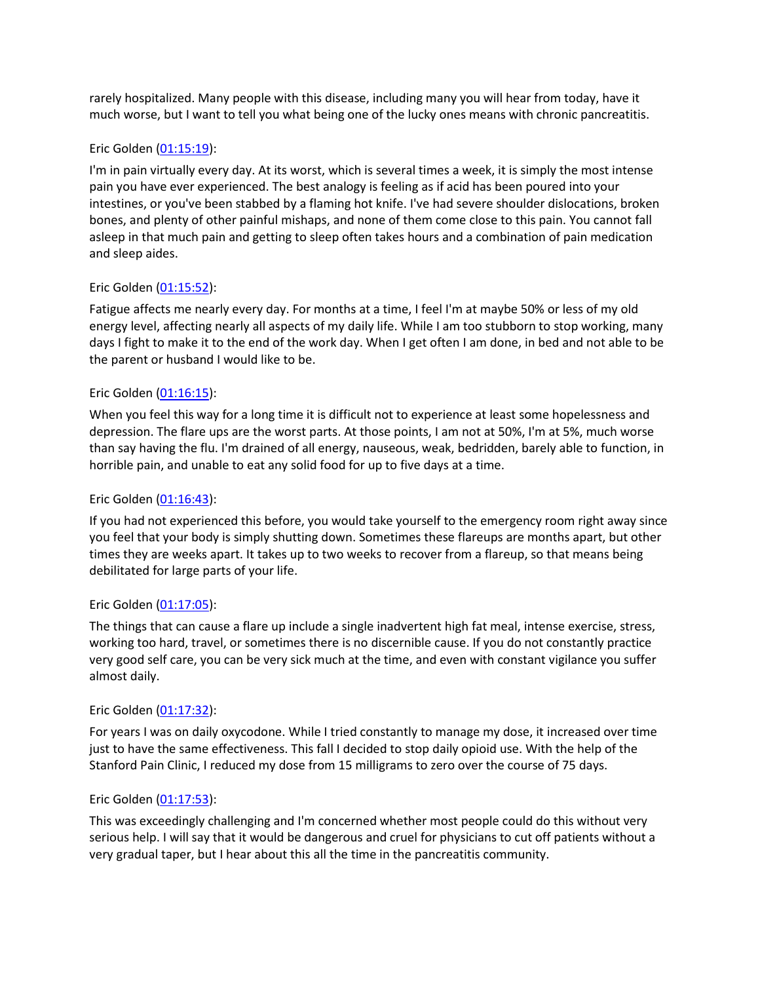rarely hospitalized. Many people with this disease, including many you will hear from today, have it much worse, but I want to tell you what being one of the lucky ones means with chronic pancreatitis.

#### Eric Golden [\(01:15:19\)](https://www.rev.com/transcript-editor/Edit?token=Tz-Eg9sHalbE_TBn0NqrM6f1osgYIpmUXLYYoCgK1gXXoiWMkFypiB4d2UJJBt2vjVl9O3_Gu9hK5On7mw3qmNlCLUM&loadFrom=DocumentDeeplink&ts=4519.33):

I'm in pain virtually every day. At its worst, which is several times a week, it is simply the most intense pain you have ever experienced. The best analogy is feeling as if acid has been poured into your intestines, or you've been stabbed by a flaming hot knife. I've had severe shoulder dislocations, broken bones, and plenty of other painful mishaps, and none of them come close to this pain. You cannot fall asleep in that much pain and getting to sleep often takes hours and a combination of pain medication and sleep aides.

#### Eric Golden [\(01:15:52\)](https://www.rev.com/transcript-editor/Edit?token=hvXkGpZrLQSNC-biPoh8tiMkl7fp1eHFLo4l9lbRa76rZydVuy7b_pLrG06nmNqZd8R07kBYzB0RMoNzEHicC-qi5Z8&loadFrom=DocumentDeeplink&ts=4552.46):

Fatigue affects me nearly every day. For months at a time, I feel I'm at maybe 50% or less of my old energy level, affecting nearly all aspects of my daily life. While I am too stubborn to stop working, many days I fight to make it to the end of the work day. When I get often I am done, in bed and not able to be the parent or husband I would like to be.

#### Eric Golden [\(01:16:15\)](https://www.rev.com/transcript-editor/Edit?token=elneFmQoYXqqS8ELs-kCB-aDPJhOfSdB1SlZMLi2NsFucSNi8Ak2RV1rLq-vU7YAv3hcs4XDFSrlE5Zi5TK52hqGL8E&loadFrom=DocumentDeeplink&ts=4575.5):

When you feel this way for a long time it is difficult not to experience at least some hopelessness and depression. The flare ups are the worst parts. At those points, I am not at 50%, I'm at 5%, much worse than say having the flu. I'm drained of all energy, nauseous, weak, bedridden, barely able to function, in horrible pain, and unable to eat any solid food for up to five days at a time.

#### Eric Golden [\(01:16:43\)](https://www.rev.com/transcript-editor/Edit?token=MVaz17rcvh-5rcscj1tCzzSxn1XdRVKGNuqi4J826Lnbm46wLJSkNxB-tCEnwq1OkofAEP20GVrtL6P2XHg6IKLwZi8&loadFrom=DocumentDeeplink&ts=4603):

If you had not experienced this before, you would take yourself to the emergency room right away since you feel that your body is simply shutting down. Sometimes these flareups are months apart, but other times they are weeks apart. It takes up to two weeks to recover from a flareup, so that means being debilitated for large parts of your life.

#### Eric Golden [\(01:17:05\)](https://www.rev.com/transcript-editor/Edit?token=CE2GNF4N6SakZqKZd_SNcMo7JsBcamM3rJvUiF8xTuGVxNZyetG6xBmjB7hDFVo9PPTutpzasU6sb3LbUNaN9gE7vww&loadFrom=DocumentDeeplink&ts=4625.69):

The things that can cause a flare up include a single inadvertent high fat meal, intense exercise, stress, working too hard, travel, or sometimes there is no discernible cause. If you do not constantly practice very good self care, you can be very sick much at the time, and even with constant vigilance you suffer almost daily.

#### Eric Golden [\(01:17:32\)](https://www.rev.com/transcript-editor/Edit?token=EXtfbCxONFcgFkeY_NAcEz8z8G8Pd2YlHJ2j1KsNTHZ2wWP8EaYb-0sFU3bz-RV0-hoees08ZkE3VFlNXBxHtupzs2g&loadFrom=DocumentDeeplink&ts=4652.67):

For years I was on daily oxycodone. While I tried constantly to manage my dose, it increased over time just to have the same effectiveness. This fall I decided to stop daily opioid use. With the help of the Stanford Pain Clinic, I reduced my dose from 15 milligrams to zero over the course of 75 days.

#### Eric Golden [\(01:17:53\)](https://www.rev.com/transcript-editor/Edit?token=t4d9LaouFqtVA-5EtuZDWAGu5TBY3FlREjOeRRNQKPngBpUewrrWbuwbZT-eYjWFzwZ53TjC2UifYhXuIzoWWE0L178&loadFrom=DocumentDeeplink&ts=4673.08):

This was exceedingly challenging and I'm concerned whether most people could do this without very serious help. I will say that it would be dangerous and cruel for physicians to cut off patients without a very gradual taper, but I hear about this all the time in the pancreatitis community.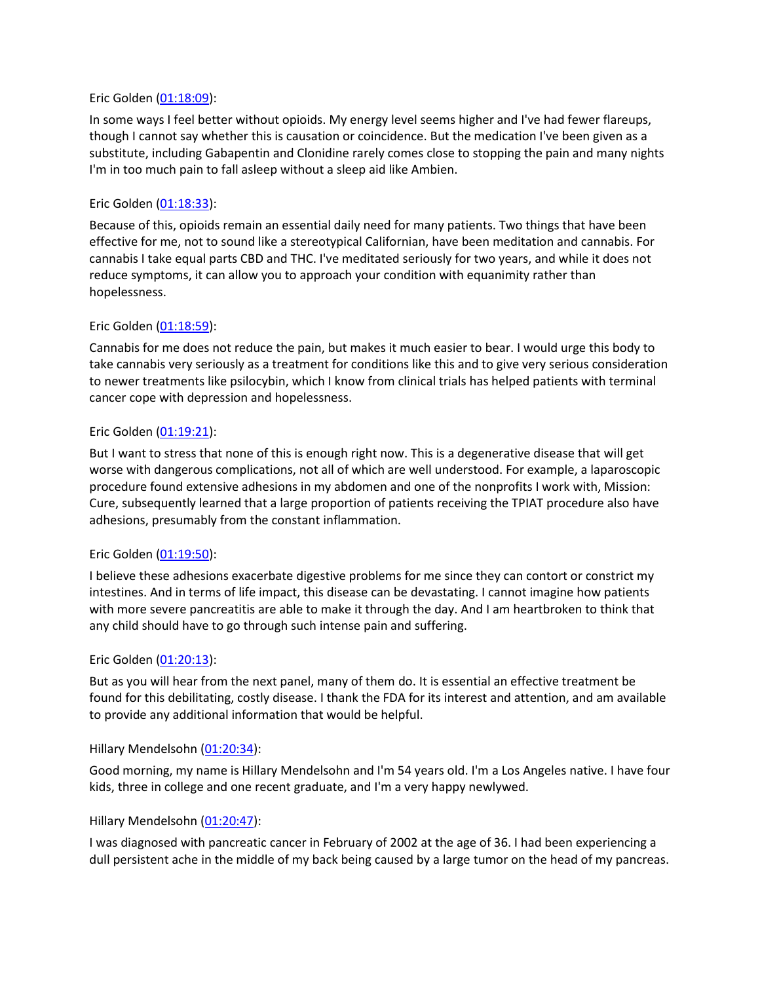#### Eric Golden [\(01:18:09\)](https://www.rev.com/transcript-editor/Edit?token=sREPCH3NlLbhmkPGCi4YOepgvXkcbIN_uxPBWPl5Vi6BtE9VILej9U4ikZGROEQm8FvNJJIFpt3-xUAhz6cBWlro1zQ&loadFrom=DocumentDeeplink&ts=4689.96):

In some ways I feel better without opioids. My energy level seems higher and I've had fewer flareups, though I cannot say whether this is causation or coincidence. But the medication I've been given as a substitute, including Gabapentin and Clonidine rarely comes close to stopping the pain and many nights I'm in too much pain to fall asleep without a sleep aid like Ambien.

#### Eric Golden [\(01:18:33\)](https://www.rev.com/transcript-editor/Edit?token=DK5d_qRZZuBtAeVc72fgaj72QFJvVzzG4djO491CHOUBb38CW5gdcfFipzZuf8IfKMaJxQ4i-wihuV_hy-ZX_o5Ovgw&loadFrom=DocumentDeeplink&ts=4713.03):

Because of this, opioids remain an essential daily need for many patients. Two things that have been effective for me, not to sound like a stereotypical Californian, have been meditation and cannabis. For cannabis I take equal parts CBD and THC. I've meditated seriously for two years, and while it does not reduce symptoms, it can allow you to approach your condition with equanimity rather than hopelessness.

#### Eric Golden [\(01:18:59\)](https://www.rev.com/transcript-editor/Edit?token=qq-0sU_T1AlDAeT7fOhcIEZS2boPIfrSUJ1gDkhoVdTo_hHa_OJvpYHuc6rHsaAhMAW6TjdL3pZwBy5wWCg8uISS_78&loadFrom=DocumentDeeplink&ts=4739.82):

Cannabis for me does not reduce the pain, but makes it much easier to bear. I would urge this body to take cannabis very seriously as a treatment for conditions like this and to give very serious consideration to newer treatments like psilocybin, which I know from clinical trials has helped patients with terminal cancer cope with depression and hopelessness.

#### Eric Golden [\(01:19:21\)](https://www.rev.com/transcript-editor/Edit?token=qBblMtk65RgGjPfjEdAqGNn_RGrS7tiucNzrHXoMpIizEDBh8WN97RKnH6xxXMnevevBOe4_v2WJxImolCcnnPsgvhQ&loadFrom=DocumentDeeplink&ts=4761.76):

But I want to stress that none of this is enough right now. This is a degenerative disease that will get worse with dangerous complications, not all of which are well understood. For example, a laparoscopic procedure found extensive adhesions in my abdomen and one of the nonprofits I work with, Mission: Cure, subsequently learned that a large proportion of patients receiving the TPIAT procedure also have adhesions, presumably from the constant inflammation.

#### Eric Golden [\(01:19:50\)](https://www.rev.com/transcript-editor/Edit?token=NJK_m89GgKFhznGnFpksIpgrnPIdNcxEzxp5rhuJ56fiY2JAZxwWAKaQoW32vyKuSFQBB7rWv38FYof1iwpLMyL4OZE&loadFrom=DocumentDeeplink&ts=4790.43):

I believe these adhesions exacerbate digestive problems for me since they can contort or constrict my intestines. And in terms of life impact, this disease can be devastating. I cannot imagine how patients with more severe pancreatitis are able to make it through the day. And I am heartbroken to think that any child should have to go through such intense pain and suffering.

#### Eric Golden [\(01:20:13\)](https://www.rev.com/transcript-editor/Edit?token=P3hk4oemenaSTNrQvElaESKjgzOBXIEmVW4cB0ZEooDVdWD23XO40uRmufMlFyNQyQ3PSsc0Zsh3n8VyuBhgSfG-Br4&loadFrom=DocumentDeeplink&ts=4813.5):

But as you will hear from the next panel, many of them do. It is essential an effective treatment be found for this debilitating, costly disease. I thank the FDA for its interest and attention, and am available to provide any additional information that would be helpful.

#### Hillary Mendelsohn [\(01:20:34\)](https://www.rev.com/transcript-editor/Edit?token=l9nQcUYy2Z8bvmUZzLXCXeNTooF4mEG-RsnfKtNBD6aW8G92QZ1e7VeLygFCJQFY_DwG9rKIBa5GlA5yjo4MhdNG-Jo&loadFrom=DocumentDeeplink&ts=4834.42):

Good morning, my name is Hillary Mendelsohn and I'm 54 years old. I'm a Los Angeles native. I have four kids, three in college and one recent graduate, and I'm a very happy newlywed.

#### Hillary Mendelsohn [\(01:20:47\)](https://www.rev.com/transcript-editor/Edit?token=RMt-iUMexp2v_oJ6teRxDqikOEuYbzJ81h5LlzT5304UwamFv1pfTSeiCT1L-t2tf5jmk7lFm6edkUYxHnjYA-CZ9Rk&loadFrom=DocumentDeeplink&ts=4847.21):

I was diagnosed with pancreatic cancer in February of 2002 at the age of 36. I had been experiencing a dull persistent ache in the middle of my back being caused by a large tumor on the head of my pancreas.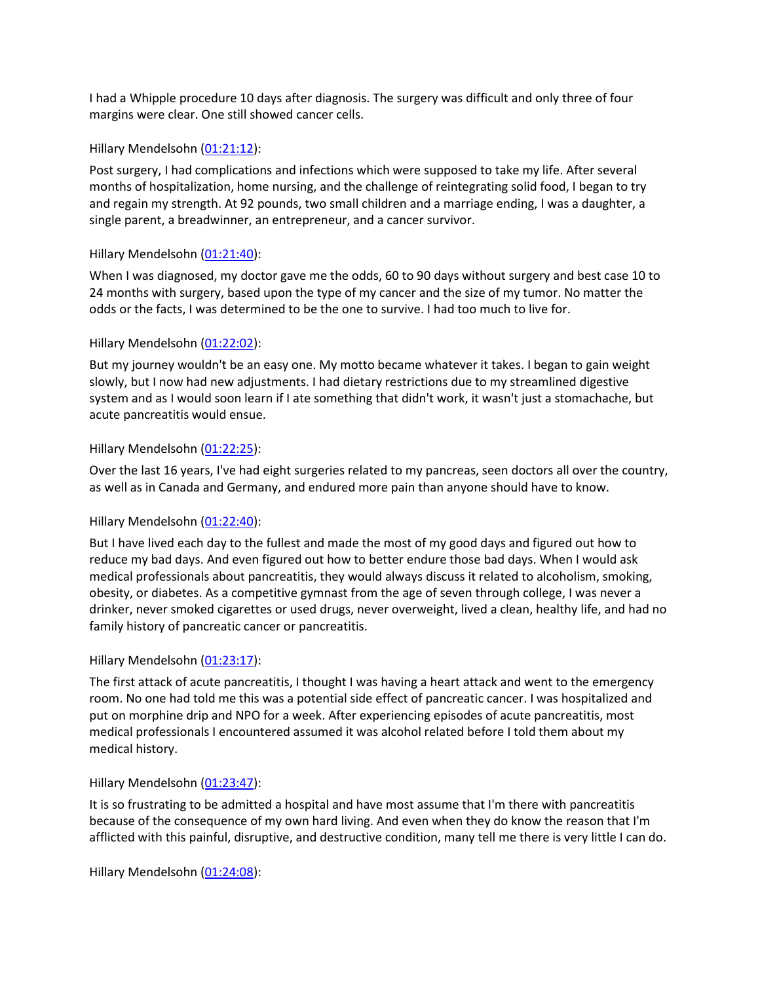I had a Whipple procedure 10 days after diagnosis. The surgery was difficult and only three of four margins were clear. One still showed cancer cells.

## Hillary Mendelsohn [\(01:21:12\)](https://www.rev.com/transcript-editor/Edit?token=DfKjnG4ctH52WQG6T9RJtf9t_2bol0NdfvcJ5Pc1MVRy4ydyKhF2LELur5K31USHi077mwh4Ek1V13icemWx2aIMvF4&loadFrom=DocumentDeeplink&ts=4872.44):

Post surgery, I had complications and infections which were supposed to take my life. After several months of hospitalization, home nursing, and the challenge of reintegrating solid food, I began to try and regain my strength. At 92 pounds, two small children and a marriage ending, I was a daughter, a single parent, a breadwinner, an entrepreneur, and a cancer survivor.

# Hillary Mendelsohn [\(01:21:40\)](https://www.rev.com/transcript-editor/Edit?token=FO59fu6VqEOOalz1KCRlxQ8LCyCri6WGa97CSPkKCvD9peXUcJmmYsXE-ScCi1k4LXIvQ6IZ9ac_L1K0QcEpLF0iWRM&loadFrom=DocumentDeeplink&ts=4900.9):

When I was diagnosed, my doctor gave me the odds, 60 to 90 days without surgery and best case 10 to 24 months with surgery, based upon the type of my cancer and the size of my tumor. No matter the odds or the facts, I was determined to be the one to survive. I had too much to live for.

# Hillary Mendelsohn [\(01:22:02\)](https://www.rev.com/transcript-editor/Edit?token=lpF8Mx57hlbbCllLFZ2duHaKK15wzseaLbIZwSMqzPAxZGK6MaDJA4kk1FKjr-C9sa6qdeqwVgFCgyNyXt1FMDmAljc&loadFrom=DocumentDeeplink&ts=4922.21):

But my journey wouldn't be an easy one. My motto became whatever it takes. I began to gain weight slowly, but I now had new adjustments. I had dietary restrictions due to my streamlined digestive system and as I would soon learn if I ate something that didn't work, it wasn't just a stomachache, but acute pancreatitis would ensue.

# Hillary Mendelsohn [\(01:22:25\)](https://www.rev.com/transcript-editor/Edit?token=2-a1WzvnL25yOxDwdqG2j8lU4VMhfRUu4J6ixa5IlBELIrb8kEDSBUSnlTJvSAGyNwldaW_Q8eyeyfjtJzpc8cblyhU&loadFrom=DocumentDeeplink&ts=4945.81):

Over the last 16 years, I've had eight surgeries related to my pancreas, seen doctors all over the country, as well as in Canada and Germany, and endured more pain than anyone should have to know.

# Hillary Mendelsohn [\(01:22:40\)](https://www.rev.com/transcript-editor/Edit?token=eqz1oP4CUpTvjetRSYREvA338dEQ_Ja4dHv_t3sYoo9Xqu8lftjhYlDf9tchT3v5mzxZhi5UcnhIrBDWaDPV4TLnwAs&loadFrom=DocumentDeeplink&ts=4960.05):

But I have lived each day to the fullest and made the most of my good days and figured out how to reduce my bad days. And even figured out how to better endure those bad days. When I would ask medical professionals about pancreatitis, they would always discuss it related to alcoholism, smoking, obesity, or diabetes. As a competitive gymnast from the age of seven through college, I was never a drinker, never smoked cigarettes or used drugs, never overweight, lived a clean, healthy life, and had no family history of pancreatic cancer or pancreatitis.

# Hillary Mendelsohn [\(01:23:17\)](https://www.rev.com/transcript-editor/Edit?token=FQyBHBCOvMIZyhszbgxs3DyBNImGWW4Nw8AvoK5GpeHP03Ws5t98ZAZbLU3d4JOfQxSIC5rzAbC_FMQWuuaIE6kRwB4&loadFrom=DocumentDeeplink&ts=4997.86):

The first attack of acute pancreatitis, I thought I was having a heart attack and went to the emergency room. No one had told me this was a potential side effect of pancreatic cancer. I was hospitalized and put on morphine drip and NPO for a week. After experiencing episodes of acute pancreatitis, most medical professionals I encountered assumed it was alcohol related before I told them about my medical history.

### Hillary Mendelsohn [\(01:23:47\)](https://www.rev.com/transcript-editor/Edit?token=13DOoSP8o_X8xm0eLXv73ziIm59ynK_VJhxFHjDzKLwP5ZlNsFzUCUou_uFGQ3g-h8FHLtSxbWpbyQiIGq-MprqYU0I&loadFrom=DocumentDeeplink&ts=5027.13):

It is so frustrating to be admitted a hospital and have most assume that I'm there with pancreatitis because of the consequence of my own hard living. And even when they do know the reason that I'm afflicted with this painful, disruptive, and destructive condition, many tell me there is very little I can do.

Hillary Mendelsohn [\(01:24:08\)](https://www.rev.com/transcript-editor/Edit?token=Lz_xyD_v3rBGzw3Cm_MMQYMA4Pru-rtSo2NvRYpmUup3GpT3ILsFpkKcWmnu0vEa_eCXqcaX2exTrlAHQYvfLE9tjSc&loadFrom=DocumentDeeplink&ts=5048.27):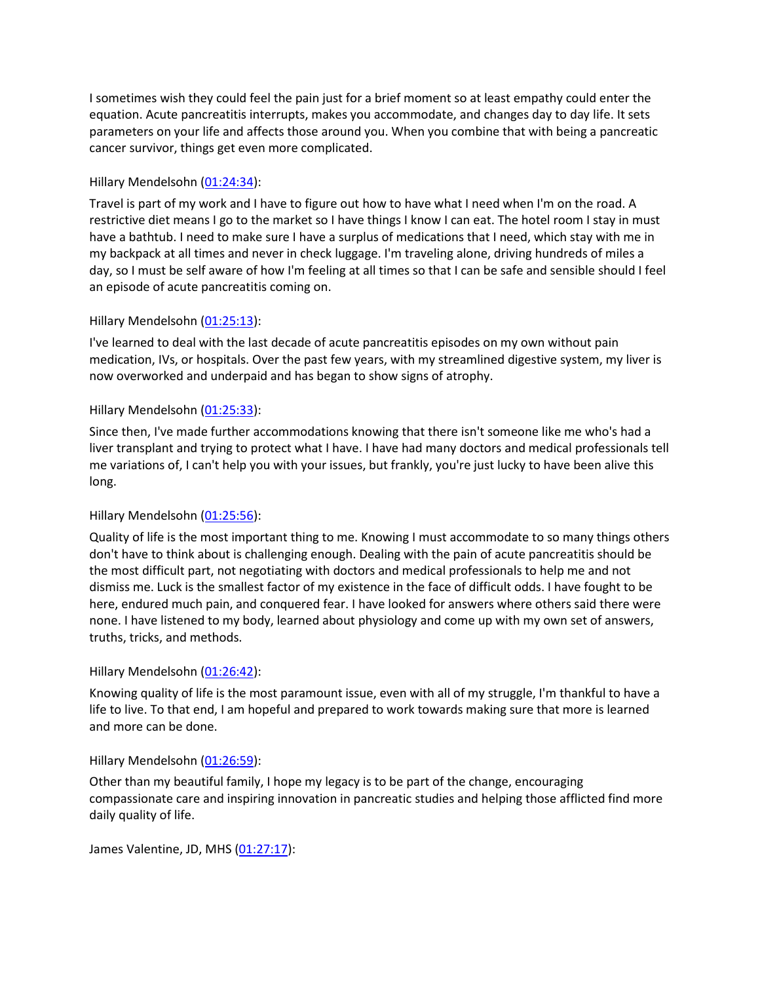I sometimes wish they could feel the pain just for a brief moment so at least empathy could enter the equation. Acute pancreatitis interrupts, makes you accommodate, and changes day to day life. It sets parameters on your life and affects those around you. When you combine that with being a pancreatic cancer survivor, things get even more complicated.

# Hillary Mendelsohn [\(01:24:34\)](https://www.rev.com/transcript-editor/Edit?token=aqrze_BwBUxeIR530wutPTu4onTOP4W1kXXWjcMU7Ane1RhUEWN11LpObmTPHhnZjknaVrfgCk0bHlM_lbYFtcIZtb8&loadFrom=DocumentDeeplink&ts=5074.47):

Travel is part of my work and I have to figure out how to have what I need when I'm on the road. A restrictive diet means I go to the market so I have things I know I can eat. The hotel room I stay in must have a bathtub. I need to make sure I have a surplus of medications that I need, which stay with me in my backpack at all times and never in check luggage. I'm traveling alone, driving hundreds of miles a day, so I must be self aware of how I'm feeling at all times so that I can be safe and sensible should I feel an episode of acute pancreatitis coming on.

### Hillary Mendelsohn [\(01:25:13\)](https://www.rev.com/transcript-editor/Edit?token=2RQbMW7nm0ieug1wX7I0KRZQudSTHw20qz440HNp6MraeCS0pLNapnOFuPEnjl9xdWGtBKTv2QIydGR31yBHiqy21Ag&loadFrom=DocumentDeeplink&ts=5113.87):

I've learned to deal with the last decade of acute pancreatitis episodes on my own without pain medication, IVs, or hospitals. Over the past few years, with my streamlined digestive system, my liver is now overworked and underpaid and has began to show signs of atrophy.

# Hillary Mendelsohn [\(01:25:33\)](https://www.rev.com/transcript-editor/Edit?token=FChncQ74EmDhIGWHO4TWo0CXiA_ngsyRDZ1USp0NJRlkZPwvMTdDbC-fxWd-IX7y57vzVjAJsphvpQhahPogj3LCUNo&loadFrom=DocumentDeeplink&ts=5133.86):

Since then, I've made further accommodations knowing that there isn't someone like me who's had a liver transplant and trying to protect what I have. I have had many doctors and medical professionals tell me variations of, I can't help you with your issues, but frankly, you're just lucky to have been alive this long.

# Hillary Mendelsohn [\(01:25:56\)](https://www.rev.com/transcript-editor/Edit?token=RHFM7EfwSwIk5YJvxuDupmKYzfRkJIwiQwy9dByamyLyeKy269xTRn7vrkF6qnoWj-Q_BNjRqG27teGY4qikZxalpsI&loadFrom=DocumentDeeplink&ts=5156.51):

Quality of life is the most important thing to me. Knowing I must accommodate to so many things others don't have to think about is challenging enough. Dealing with the pain of acute pancreatitis should be the most difficult part, not negotiating with doctors and medical professionals to help me and not dismiss me. Luck is the smallest factor of my existence in the face of difficult odds. I have fought to be here, endured much pain, and conquered fear. I have looked for answers where others said there were none. I have listened to my body, learned about physiology and come up with my own set of answers, truths, tricks, and methods.

### Hillary Mendelsohn [\(01:26:42\)](https://www.rev.com/transcript-editor/Edit?token=L3I8H56WcbP36YVMgZx6MJvqqGUSSnTJp2FcyiFoScnhQZPAA_CkvnqB3dr-x_8yj4h86d6s8kBe1b3MCh1ECc7LsxA&loadFrom=DocumentDeeplink&ts=5202.02):

Knowing quality of life is the most paramount issue, even with all of my struggle, I'm thankful to have a life to live. To that end, I am hopeful and prepared to work towards making sure that more is learned and more can be done.

### Hillary Mendelsohn [\(01:26:59\)](https://www.rev.com/transcript-editor/Edit?token=I6ZBCakuQ5fsYC8BhPEKcl5U7yKYOdbfBhvcYjDGWXJy4YiYc9kMXNMUo5ROk1PR4pjc9F28IqZ09jTwYGx6KTV0RJY&loadFrom=DocumentDeeplink&ts=5219.57):

Other than my beautiful family, I hope my legacy is to be part of the change, encouraging compassionate care and inspiring innovation in pancreatic studies and helping those afflicted find more daily quality of life.

James Valentine, JD, MHS [\(01:27:17\)](https://www.rev.com/transcript-editor/Edit?token=5cr086VFIuusUhjRWbpUk54jF4onO_23KW1BCXBlb3dg6kgBAbbDDy9Cju5Afh1lYRLaVPqHu8W_0bREcIZPODf56-A&loadFrom=DocumentDeeplink&ts=5237.76):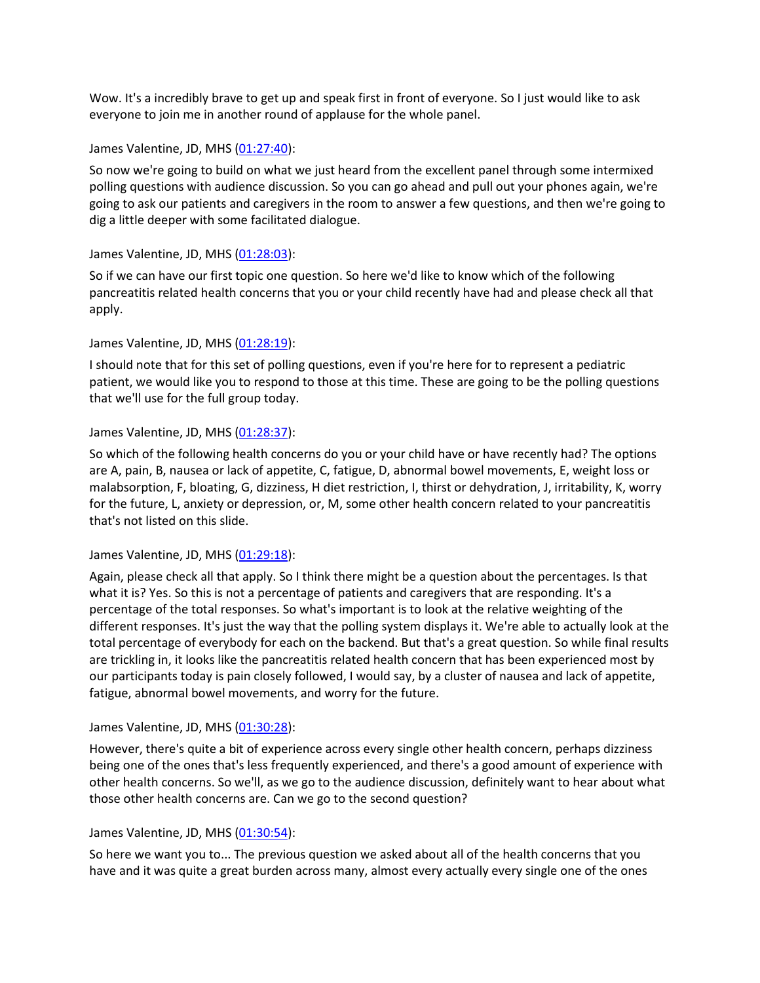Wow. It's a incredibly brave to get up and speak first in front of everyone. So I just would like to ask everyone to join me in another round of applause for the whole panel.

#### James Valentine, JD, MHS [\(01:27:40\)](https://www.rev.com/transcript-editor/Edit?token=vs23uoZdLA93vZ8hCZFWVN2IbvNSO2zxYMNeq9MBf-rL0rhlF6394GIbQhxHVZtO9FB8yHoZLHUhuysPmEEjg0ExuEQ&loadFrom=DocumentDeeplink&ts=5260.24):

So now we're going to build on what we just heard from the excellent panel through some intermixed polling questions with audience discussion. So you can go ahead and pull out your phones again, we're going to ask our patients and caregivers in the room to answer a few questions, and then we're going to dig a little deeper with some facilitated dialogue.

### James Valentine, JD, MHS [\(01:28:03\)](https://www.rev.com/transcript-editor/Edit?token=6K9S28UAILW943Gau6DiaEmVFzGbLIhr6eS9o-Yh1Z29-yQC-i7_3DzHlCVdL94zyK5VHV37A_kIOWEq159gQZqObs0&loadFrom=DocumentDeeplink&ts=5283.64):

So if we can have our first topic one question. So here we'd like to know which of the following pancreatitis related health concerns that you or your child recently have had and please check all that apply.

### James Valentine, JD, MHS [\(01:28:19\)](https://www.rev.com/transcript-editor/Edit?token=MwbLYbgS0RS9T_1JjJfkM9u4AIHSryE1PVTHbHLvf9zrw9YW0uo21FEfums19kuWfzWw1xzvd1SAxCgTWgSZTsDxfoE&loadFrom=DocumentDeeplink&ts=5299.42):

I should note that for this set of polling questions, even if you're here for to represent a pediatric patient, we would like you to respond to those at this time. These are going to be the polling questions that we'll use for the full group today.

#### James Valentine, JD, MHS [\(01:28:37\)](https://www.rev.com/transcript-editor/Edit?token=YlxIJdVly9r7lRsGxdsnDATRB1IOXvLVc9q1qkRsRqKb1qE2-LU3fRFSmbWcvJnS9-YsIjOZruWpw0lhO8drjRMonYY&loadFrom=DocumentDeeplink&ts=5317.23):

So which of the following health concerns do you or your child have or have recently had? The options are A, pain, B, nausea or lack of appetite, C, fatigue, D, abnormal bowel movements, E, weight loss or malabsorption, F, bloating, G, dizziness, H diet restriction, I, thirst or dehydration, J, irritability, K, worry for the future, L, anxiety or depression, or, M, some other health concern related to your pancreatitis that's not listed on this slide.

#### James Valentine, JD, MHS [\(01:29:18\)](https://www.rev.com/transcript-editor/Edit?token=iHGk84wq-Ayr0aB0WpbAGOvMjLgJL70H7_TNzqo1qpe01TERxPzlZZNKuVRV7lQJtz7sDZ0K9MA9aFfKIdN0moT1Cjs&loadFrom=DocumentDeeplink&ts=5358.1):

Again, please check all that apply. So I think there might be a question about the percentages. Is that what it is? Yes. So this is not a percentage of patients and caregivers that are responding. It's a percentage of the total responses. So what's important is to look at the relative weighting of the different responses. It's just the way that the polling system displays it. We're able to actually look at the total percentage of everybody for each on the backend. But that's a great question. So while final results are trickling in, it looks like the pancreatitis related health concern that has been experienced most by our participants today is pain closely followed, I would say, by a cluster of nausea and lack of appetite, fatigue, abnormal bowel movements, and worry for the future.

### James Valentine, JD, MHS [\(01:30:28\)](https://www.rev.com/transcript-editor/Edit?token=lJmpqZCr_taJEbwTmuF2qYDpkMGz3iWYfFyvja1MGDebzGmJNV3gwO6WAy2Ish7lNxaPOH4GlfxoVMBU-65111DWH4E&loadFrom=DocumentDeeplink&ts=5428.39):

However, there's quite a bit of experience across every single other health concern, perhaps dizziness being one of the ones that's less frequently experienced, and there's a good amount of experience with other health concerns. So we'll, as we go to the audience discussion, definitely want to hear about what those other health concerns are. Can we go to the second question?

#### James Valentine, JD, MHS [\(01:30:54\)](https://www.rev.com/transcript-editor/Edit?token=xNOnfNZBOw8p2xSdl9NaA-zRQKfSechHqxlDff5QTQW4761gpdBOmwn_K4qWVv5S6Cmg0m6tUbN_-BgZnXWzyOYcB-Y&loadFrom=DocumentDeeplink&ts=5454.77):

So here we want you to... The previous question we asked about all of the health concerns that you have and it was quite a great burden across many, almost every actually every single one of the ones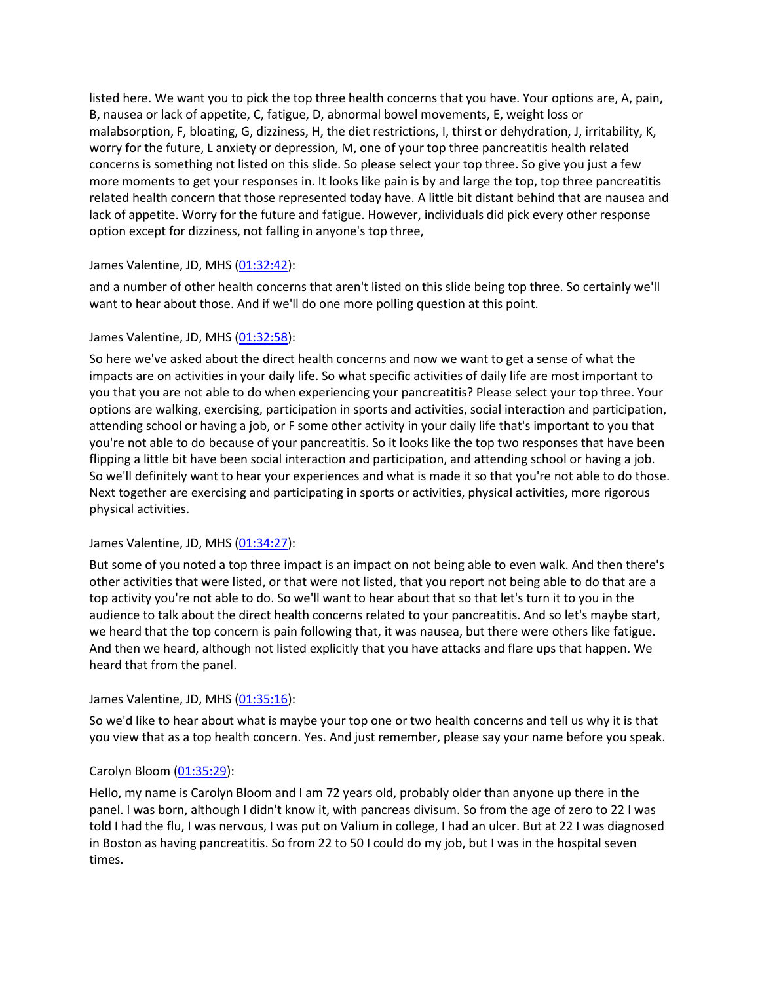listed here. We want you to pick the top three health concerns that you have. Your options are, A, pain, B, nausea or lack of appetite, C, fatigue, D, abnormal bowel movements, E, weight loss or malabsorption, F, bloating, G, dizziness, H, the diet restrictions, I, thirst or dehydration, J, irritability, K, worry for the future, L anxiety or depression, M, one of your top three pancreatitis health related concerns is something not listed on this slide. So please select your top three. So give you just a few more moments to get your responses in. It looks like pain is by and large the top, top three pancreatitis related health concern that those represented today have. A little bit distant behind that are nausea and lack of appetite. Worry for the future and fatigue. However, individuals did pick every other response option except for dizziness, not falling in anyone's top three,

# James Valentine, JD, MHS [\(01:32:42\)](https://www.rev.com/transcript-editor/Edit?token=RZgHfq8UtPTu9kFkwFxXL9Ix0kyowxIUs70THAeDw-skrOzkYKuRxf95VtUAWfNrHuUZoEFwbM77Rv7KfnhjoGtdSzI&loadFrom=DocumentDeeplink&ts=5562.67):

and a number of other health concerns that aren't listed on this slide being top three. So certainly we'll want to hear about those. And if we'll do one more polling question at this point.

# James Valentine, JD, MHS [\(01:32:58\)](https://www.rev.com/transcript-editor/Edit?token=HqA6SqJAG5goaMx7wJSVZX8ierzSE5dMNPBBL16Tk4ktmCBFG71HcXLsUGHSkASc5KJEZ33ApWX54v60Ghak8LKeW4A&loadFrom=DocumentDeeplink&ts=5578.79):

So here we've asked about the direct health concerns and now we want to get a sense of what the impacts are on activities in your daily life. So what specific activities of daily life are most important to you that you are not able to do when experiencing your pancreatitis? Please select your top three. Your options are walking, exercising, participation in sports and activities, social interaction and participation, attending school or having a job, or F some other activity in your daily life that's important to you that you're not able to do because of your pancreatitis. So it looks like the top two responses that have been flipping a little bit have been social interaction and participation, and attending school or having a job. So we'll definitely want to hear your experiences and what is made it so that you're not able to do those. Next together are exercising and participating in sports or activities, physical activities, more rigorous physical activities.

# James Valentine, JD, MHS [\(01:34:27\)](https://www.rev.com/transcript-editor/Edit?token=Y3e_s4WyOPJ5FmmMyTOyJMY-xs3-ggCK4UDM5-tmY7VL3Pd2emYzi-iKb8wSLs7AC39R9ciuPbZEH6A0zna4wINykFE&loadFrom=DocumentDeeplink&ts=5667.63):

But some of you noted a top three impact is an impact on not being able to even walk. And then there's other activities that were listed, or that were not listed, that you report not being able to do that are a top activity you're not able to do. So we'll want to hear about that so that let's turn it to you in the audience to talk about the direct health concerns related to your pancreatitis. And so let's maybe start, we heard that the top concern is pain following that, it was nausea, but there were others like fatigue. And then we heard, although not listed explicitly that you have attacks and flare ups that happen. We heard that from the panel.

### James Valentine, JD, MHS [\(01:35:16\)](https://www.rev.com/transcript-editor/Edit?token=x1kJsV0jMGpVqSzucGBzWzM7vPsI_4O08NIw6zlJVJoZFL_Eg3KHSgKHhM10X5MhfBD6_KKW9MM-UyWn_5kTTRU_b6A&loadFrom=DocumentDeeplink&ts=5716.51):

So we'd like to hear about what is maybe your top one or two health concerns and tell us why it is that you view that as a top health concern. Yes. And just remember, please say your name before you speak.

# Carolyn Bloom [\(01:35:29\)](https://www.rev.com/transcript-editor/Edit?token=4PAFp6y6YhXriNnUur3C4wdoiU988uq-0eP336M_v7593uV6htuKM8gDfrVVjegcz_2Ya0qgvIcDbY2dnINEjul7G6M&loadFrom=DocumentDeeplink&ts=5729.26):

Hello, my name is Carolyn Bloom and I am 72 years old, probably older than anyone up there in the panel. I was born, although I didn't know it, with pancreas divisum. So from the age of zero to 22 I was told I had the flu, I was nervous, I was put on Valium in college, I had an ulcer. But at 22 I was diagnosed in Boston as having pancreatitis. So from 22 to 50 I could do my job, but I was in the hospital seven times.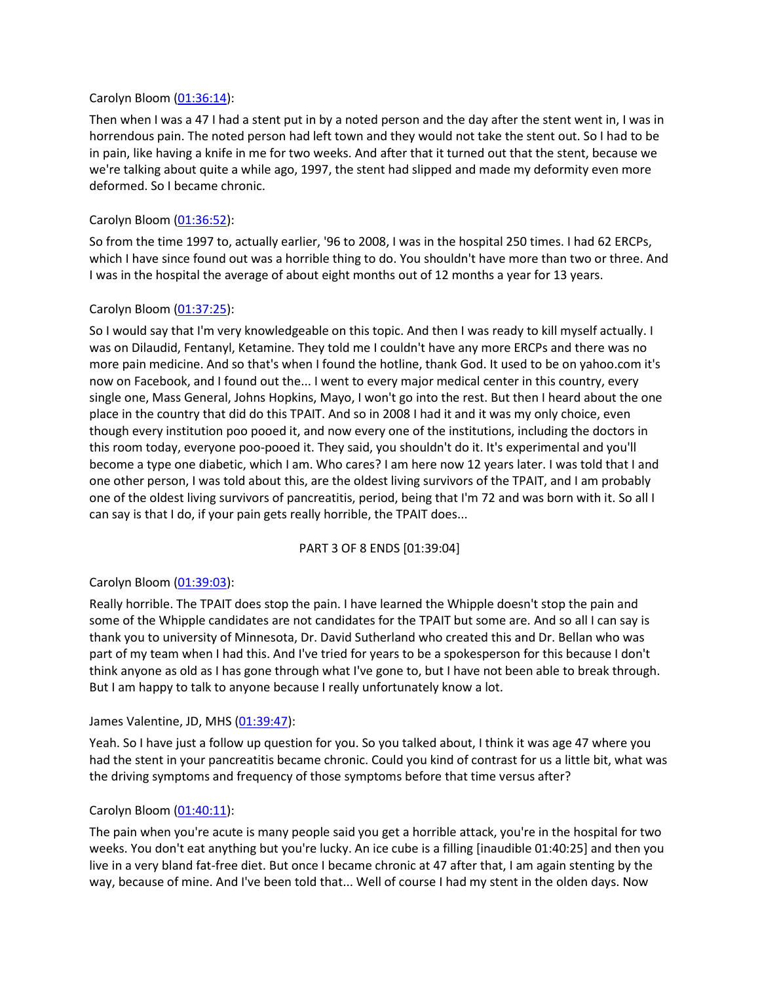#### Carolyn Bloom [\(01:36:14\)](https://www.rev.com/transcript-editor/Edit?token=99-LVl7-xgME31YPcpcR_yMth36hMeLl_MUpU3u7UEaPFrZw8y4fBsAbelibDXttG_4B4MYbDV00RtL1cgtq5MYErgA&loadFrom=DocumentDeeplink&ts=5774.39):

Then when I was a 47 I had a stent put in by a noted person and the day after the stent went in, I was in horrendous pain. The noted person had left town and they would not take the stent out. So I had to be in pain, like having a knife in me for two weeks. And after that it turned out that the stent, because we we're talking about quite a while ago, 1997, the stent had slipped and made my deformity even more deformed. So I became chronic.

#### Carolyn Bloom [\(01:36:52\)](https://www.rev.com/transcript-editor/Edit?token=kr9GKmNi5YPljkCmKcXMOZdhaRoU923SagmNvqaNEIJkaKBSIhTwR6pP1XMB0-MNO3dTRqBvatMdi-df5y7sP7hZhkg&loadFrom=DocumentDeeplink&ts=5812.67):

So from the time 1997 to, actually earlier, '96 to 2008, I was in the hospital 250 times. I had 62 ERCPs, which I have since found out was a horrible thing to do. You shouldn't have more than two or three. And I was in the hospital the average of about eight months out of 12 months a year for 13 years.

#### Carolyn Bloom [\(01:37:25\)](https://www.rev.com/transcript-editor/Edit?token=Fff8nUW_fOJgSaadmxSofvKzKpFnwnk4uZUkm5ZDnSMUVqoov5XSjLwJJob9APlSlNP0ZJlwIWxKm6Zi8mQodcdvA1M&loadFrom=DocumentDeeplink&ts=5845.03):

So I would say that I'm very knowledgeable on this topic. And then I was ready to kill myself actually. I was on Dilaudid, Fentanyl, Ketamine. They told me I couldn't have any more ERCPs and there was no more pain medicine. And so that's when I found the hotline, thank God. It used to be on yahoo.com it's now on Facebook, and I found out the... I went to every major medical center in this country, every single one, Mass General, Johns Hopkins, Mayo, I won't go into the rest. But then I heard about the one place in the country that did do this TPAIT. And so in 2008 I had it and it was my only choice, even though every institution poo pooed it, and now every one of the institutions, including the doctors in this room today, everyone poo-pooed it. They said, you shouldn't do it. It's experimental and you'll become a type one diabetic, which I am. Who cares? I am here now 12 years later. I was told that I and one other person, I was told about this, are the oldest living survivors of the TPAIT, and I am probably one of the oldest living survivors of pancreatitis, period, being that I'm 72 and was born with it. So all I can say is that I do, if your pain gets really horrible, the TPAIT does...

### PART 3 OF 8 ENDS [01:39:04]

### Carolyn Bloom [\(01:39:03\)](https://www.rev.com/transcript-editor/Edit?token=ce8llxz7dk-6lXm0oCdiowIyxQ5qt5-Ncqiy7ENIQoSUfI5EqbZrTDkHrtuFsUhnQy9XOwHyrQd3zJHEzD_-5d3HYtY&loadFrom=DocumentDeeplink&ts=5943.55):

Really horrible. The TPAIT does stop the pain. I have learned the Whipple doesn't stop the pain and some of the Whipple candidates are not candidates for the TPAIT but some are. And so all I can say is thank you to university of Minnesota, Dr. David Sutherland who created this and Dr. Bellan who was part of my team when I had this. And I've tried for years to be a spokesperson for this because I don't think anyone as old as I has gone through what I've gone to, but I have not been able to break through. But I am happy to talk to anyone because I really unfortunately know a lot.

#### James Valentine, JD, MHS [\(01:39:47\)](https://www.rev.com/transcript-editor/Edit?token=_DYMOyT0DRXInsAgReAUHqapz__l6lx0whmdQY08L-dFvmsWt2HTtyR-5H48NAPsgaSx3LpkU2J8pNhX5NY3nwmMBvE&loadFrom=DocumentDeeplink&ts=5987.05):

Yeah. So I have just a follow up question for you. So you talked about, I think it was age 47 where you had the stent in your pancreatitis became chronic. Could you kind of contrast for us a little bit, what was the driving symptoms and frequency of those symptoms before that time versus after?

#### Carolyn Bloom [\(01:40:11\)](https://www.rev.com/transcript-editor/Edit?token=UK1LaJwZoZ4Awnn-ODTrV0o9eyR588KUZ8ceBFgkTOdb22Snt5Y3sYsLosbmlyt6vFNbsHoYHKf_Rg39WuUAL6KFhWE&loadFrom=DocumentDeeplink&ts=6011.69):

The pain when you're acute is many people said you get a horrible attack, you're in the hospital for two weeks. You don't eat anything but you're lucky. An ice cube is a filling [inaudible 01:40:25] and then you live in a very bland fat-free diet. But once I became chronic at 47 after that, I am again stenting by the way, because of mine. And I've been told that... Well of course I had my stent in the olden days. Now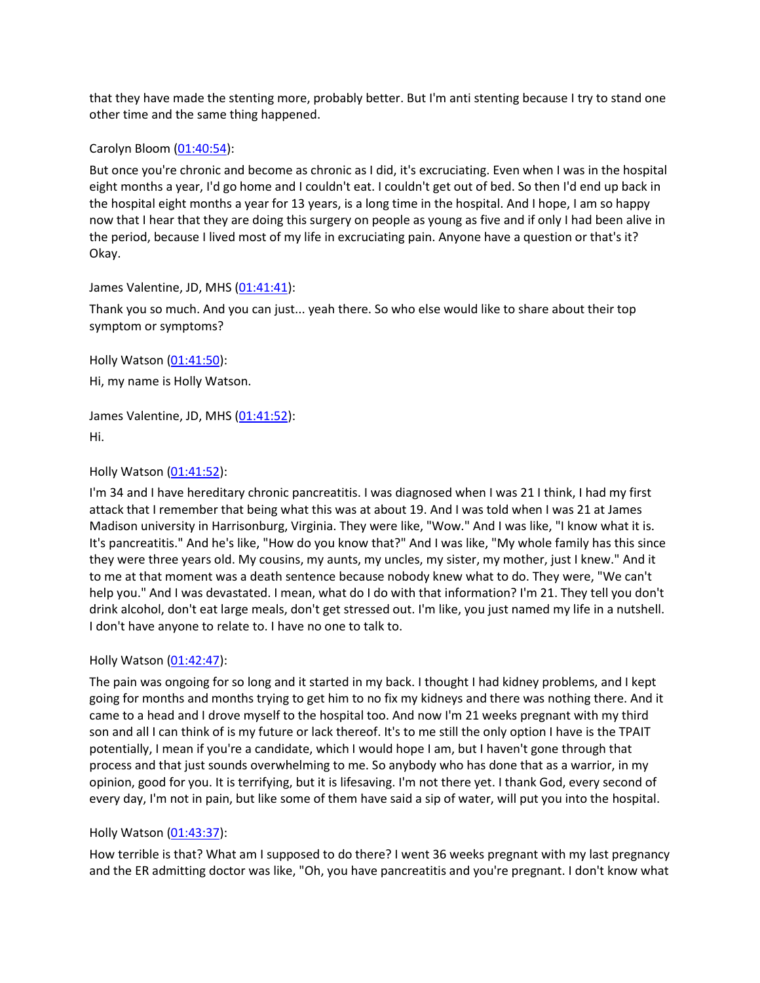that they have made the stenting more, probably better. But I'm anti stenting because I try to stand one other time and the same thing happened.

#### Carolyn Bloom [\(01:40:54\)](https://www.rev.com/transcript-editor/Edit?token=2jubDoYTtj7rFDKaypqFRXVVPJ0-mtfSmUYPJZHzVYjy-qKm3BGwzqigmb_gGVAv5qZGU1muLtgDzkmLWXXe8l-n-Ew&loadFrom=DocumentDeeplink&ts=6054.92):

But once you're chronic and become as chronic as I did, it's excruciating. Even when I was in the hospital eight months a year, I'd go home and I couldn't eat. I couldn't get out of bed. So then I'd end up back in the hospital eight months a year for 13 years, is a long time in the hospital. And I hope, I am so happy now that I hear that they are doing this surgery on people as young as five and if only I had been alive in the period, because I lived most of my life in excruciating pain. Anyone have a question or that's it? Okay.

#### James Valentine, JD, MHS [\(01:41:41\)](https://www.rev.com/transcript-editor/Edit?token=pzHxdGPfWlh10uTqpAirShGQA9e4LR99Ghygb-zpbv4e_2Ddn7mNBcI6Jgmzz344YI9YpIJZSFZjYJlSHPiS7oXuLcU&loadFrom=DocumentDeeplink&ts=6101.12):

Thank you so much. And you can just... yeah there. So who else would like to share about their top symptom or symptoms?

Holly Watson [\(01:41:50\)](https://www.rev.com/transcript-editor/Edit?token=znrKvbqIOvJK8xLvHyl2u1try7RCMs6lq5sqggRP2meGofI--cbaz9mDiV5I87dSYrjJO0z2ERQ27dxqpOpclXiS0X0&loadFrom=DocumentDeeplink&ts=6110.96):

Hi, my name is Holly Watson.

James Valentine, JD, MHS [\(01:41:52\)](https://www.rev.com/transcript-editor/Edit?token=IxpFlo_NkQuUPUm-qfMVlAtdNaGxBcF2iXCYdlnHiOcSAmRXmE1sywu4Q7xcrHODJAuQxjw5w7GWIF-R_pwrqvKExbk&loadFrom=DocumentDeeplink&ts=6112.78): Hi.

### Holly Watson [\(01:41:52\)](https://www.rev.com/transcript-editor/Edit?token=Gel1UBjtWYS-ctXBB_enkajOS9x6282WjWzyxTFr2QKLN9x_RB9Zju_EVsTw9qYWgsIPWUUXjvpF5osPUoWDKVSh8jM&loadFrom=DocumentDeeplink&ts=6112.86):

I'm 34 and I have hereditary chronic pancreatitis. I was diagnosed when I was 21 I think, I had my first attack that I remember that being what this was at about 19. And I was told when I was 21 at James Madison university in Harrisonburg, Virginia. They were like, "Wow." And I was like, "I know what it is. It's pancreatitis." And he's like, "How do you know that?" And I was like, "My whole family has this since they were three years old. My cousins, my aunts, my uncles, my sister, my mother, just I knew." And it to me at that moment was a death sentence because nobody knew what to do. They were, "We can't help you." And I was devastated. I mean, what do I do with that information? I'm 21. They tell you don't drink alcohol, don't eat large meals, don't get stressed out. I'm like, you just named my life in a nutshell. I don't have anyone to relate to. I have no one to talk to.

### Holly Watson [\(01:42:47\)](https://www.rev.com/transcript-editor/Edit?token=zy4uLMwcqG64IzdPjmBgBVg2v_Rjh0nKlv3uAnLjclv9_0o_-4I87eisE9PNQHUe_31g81LJ1AVjcp1-cBfn5HfNmNk&loadFrom=DocumentDeeplink&ts=6167.6):

The pain was ongoing for so long and it started in my back. I thought I had kidney problems, and I kept going for months and months trying to get him to no fix my kidneys and there was nothing there. And it came to a head and I drove myself to the hospital too. And now I'm 21 weeks pregnant with my third son and all I can think of is my future or lack thereof. It's to me still the only option I have is the TPAIT potentially, I mean if you're a candidate, which I would hope I am, but I haven't gone through that process and that just sounds overwhelming to me. So anybody who has done that as a warrior, in my opinion, good for you. It is terrifying, but it is lifesaving. I'm not there yet. I thank God, every second of every day, I'm not in pain, but like some of them have said a sip of water, will put you into the hospital.

### Holly Watson [\(01:43:37\)](https://www.rev.com/transcript-editor/Edit?token=KvRzsIqwCfSy7fkMYCmrQOuTXYI4vwjbXYtVb45gUm4Ah4DzsN3Bt9WvvLAI5Rycb_ltSn7hNlmNLTaXs0dc122r6vI&loadFrom=DocumentDeeplink&ts=6217.87):

How terrible is that? What am I supposed to do there? I went 36 weeks pregnant with my last pregnancy and the ER admitting doctor was like, "Oh, you have pancreatitis and you're pregnant. I don't know what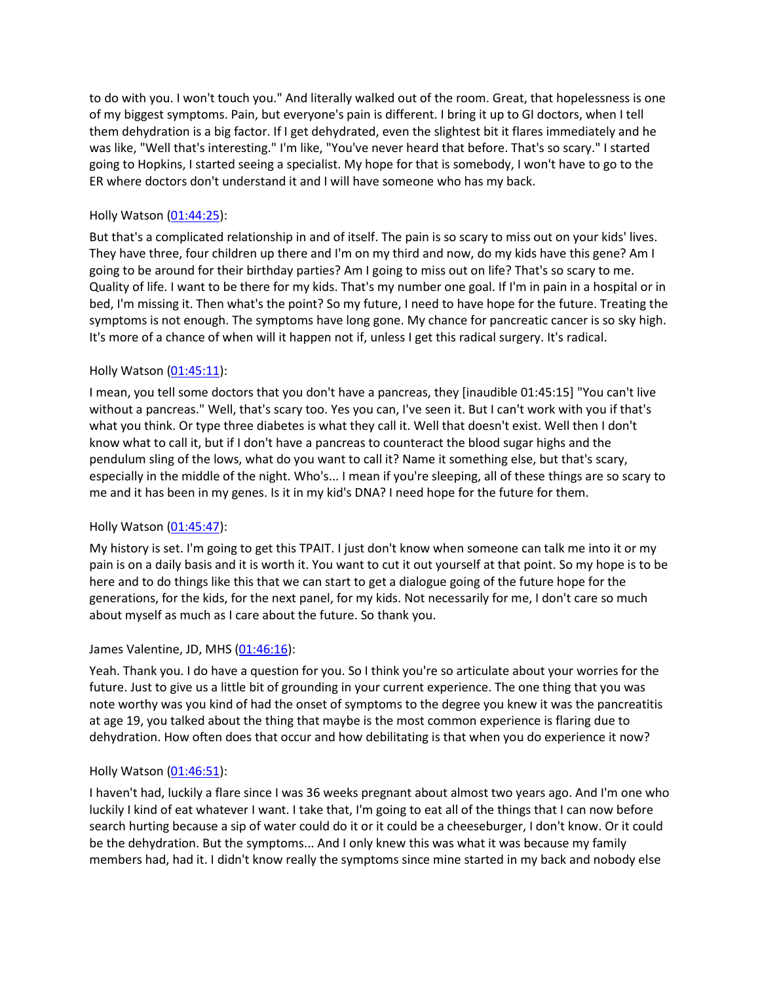to do with you. I won't touch you." And literally walked out of the room. Great, that hopelessness is one of my biggest symptoms. Pain, but everyone's pain is different. I bring it up to GI doctors, when I tell them dehydration is a big factor. If I get dehydrated, even the slightest bit it flares immediately and he was like, "Well that's interesting." I'm like, "You've never heard that before. That's so scary." I started going to Hopkins, I started seeing a specialist. My hope for that is somebody, I won't have to go to the ER where doctors don't understand it and I will have someone who has my back.

## Holly Watson [\(01:44:25\)](https://www.rev.com/transcript-editor/Edit?token=_9zkT_XVrArCovDkjSOfn7RSeK0L1CEZ4dojSg5StN0umXf5-6PdcfJWaWUK3M-odM-e5QRlGcknu62Hw4J6O68batg&loadFrom=DocumentDeeplink&ts=6265.27):

But that's a complicated relationship in and of itself. The pain is so scary to miss out on your kids' lives. They have three, four children up there and I'm on my third and now, do my kids have this gene? Am I going to be around for their birthday parties? Am I going to miss out on life? That's so scary to me. Quality of life. I want to be there for my kids. That's my number one goal. If I'm in pain in a hospital or in bed, I'm missing it. Then what's the point? So my future, I need to have hope for the future. Treating the symptoms is not enough. The symptoms have long gone. My chance for pancreatic cancer is so sky high. It's more of a chance of when will it happen not if, unless I get this radical surgery. It's radical.

# Holly Watson [\(01:45:11\)](https://www.rev.com/transcript-editor/Edit?token=GZ0OMW3RwI-xlTJhgcMaGbAsnzY4p0AdjJJe9a4KdK-AthHyfBnBDrxp6w97jrpYXCHTW6LHn-VuLX0nDoZIcNjnVSY&loadFrom=DocumentDeeplink&ts=6311.87):

I mean, you tell some doctors that you don't have a pancreas, they [inaudible 01:45:15] "You can't live without a pancreas." Well, that's scary too. Yes you can, I've seen it. But I can't work with you if that's what you think. Or type three diabetes is what they call it. Well that doesn't exist. Well then I don't know what to call it, but if I don't have a pancreas to counteract the blood sugar highs and the pendulum sling of the lows, what do you want to call it? Name it something else, but that's scary, especially in the middle of the night. Who's... I mean if you're sleeping, all of these things are so scary to me and it has been in my genes. Is it in my kid's DNA? I need hope for the future for them.

### Holly Watson [\(01:45:47\)](https://www.rev.com/transcript-editor/Edit?token=YW7vMwvJ7sDvJiug42yy3wFpxgmxaeEfTwYskFw63JBkY1Mh9MhBpwXjzgi6PpTGFlQTlA-9AygqSzjMFren0IOOk84&loadFrom=DocumentDeeplink&ts=6347.63):

My history is set. I'm going to get this TPAIT. I just don't know when someone can talk me into it or my pain is on a daily basis and it is worth it. You want to cut it out yourself at that point. So my hope is to be here and to do things like this that we can start to get a dialogue going of the future hope for the generations, for the kids, for the next panel, for my kids. Not necessarily for me, I don't care so much about myself as much as I care about the future. So thank you.

### James Valentine, JD, MHS [\(01:46:16\)](https://www.rev.com/transcript-editor/Edit?token=FKgHMV_AAF-_cmEPizS_apaSRl2Bem50ciH8GWFyqMuC8J7qs8NiUISxxgA0GPXy1hbQCJ4WovCwvG19507rz-qlAfM&loadFrom=DocumentDeeplink&ts=6376.95):

Yeah. Thank you. I do have a question for you. So I think you're so articulate about your worries for the future. Just to give us a little bit of grounding in your current experience. The one thing that you was note worthy was you kind of had the onset of symptoms to the degree you knew it was the pancreatitis at age 19, you talked about the thing that maybe is the most common experience is flaring due to dehydration. How often does that occur and how debilitating is that when you do experience it now?

### Holly Watson [\(01:46:51\)](https://www.rev.com/transcript-editor/Edit?token=H9H6AeHuQLq8V6WhdTwAnYAXGTBlrQk2CpX9jKRhg2INv1WvltP0UHvwLMfiMZ8oVbu-GVLMQ7Hjiseo7QGVNsBGPhM&loadFrom=DocumentDeeplink&ts=6411.85):

I haven't had, luckily a flare since I was 36 weeks pregnant about almost two years ago. And I'm one who luckily I kind of eat whatever I want. I take that, I'm going to eat all of the things that I can now before search hurting because a sip of water could do it or it could be a cheeseburger, I don't know. Or it could be the dehydration. But the symptoms... And I only knew this was what it was because my family members had, had it. I didn't know really the symptoms since mine started in my back and nobody else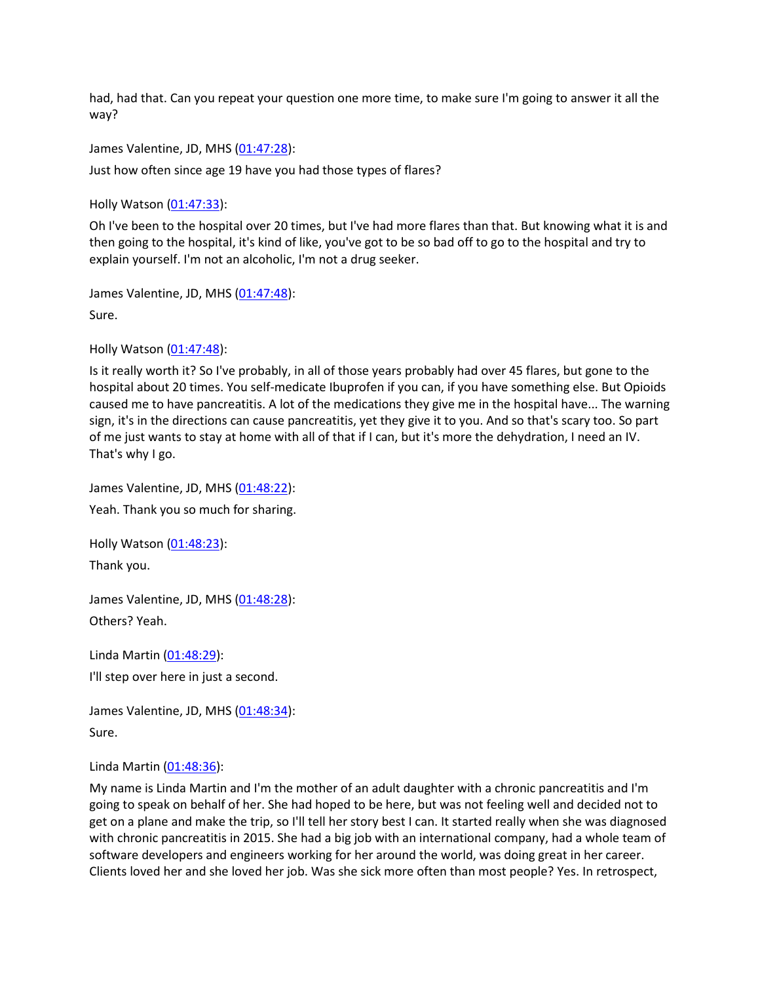had, had that. Can you repeat your question one more time, to make sure I'm going to answer it all the way?

James Valentine, JD, MHS [\(01:47:28\)](https://www.rev.com/transcript-editor/Edit?token=za35cjhYimmrBtjGLjdc4RxSEHyH0pyrVm9scT12yxNoAvQymjdAPQV6rnMFV4f_wqihR0HopecEDIwDIGqmlF7udvg&loadFrom=DocumentDeeplink&ts=6448.93):

Just how often since age 19 have you had those types of flares?

Holly Watson [\(01:47:33\)](https://www.rev.com/transcript-editor/Edit?token=4k6pibjE_qi3_rkUua84FhDAh3GWAg-6uoxwLI1CDiAD8ib7A421DYaARDylq8HR4qYhquljOrq4kaIDQhahEVxmyWE&loadFrom=DocumentDeeplink&ts=6453.75):

Oh I've been to the hospital over 20 times, but I've had more flares than that. But knowing what it is and then going to the hospital, it's kind of like, you've got to be so bad off to go to the hospital and try to explain yourself. I'm not an alcoholic, I'm not a drug seeker.

James Valentine, JD, MHS [\(01:47:48\)](https://www.rev.com/transcript-editor/Edit?token=BLJe4nSqrXy1QqDKID-tkwlpY5xpRZzqMApb931-FqmgNAQSluJptKLaM_Dnj47zQGwrSeDUAAYVXIT5zgsGLL--yWk&loadFrom=DocumentDeeplink&ts=6468.17): Sure.

Holly Watson [\(01:47:48\)](https://www.rev.com/transcript-editor/Edit?token=sJVXn3xQ_lxgTuQ9Ccp9iZP8SKrmPeKtdtB3ZCkVjrVV8Q0GJ_9xfUBExTX7Oy8rRllH4ETnTtTUZkCvaKTnWjsUo9A&loadFrom=DocumentDeeplink&ts=6468.4):

Is it really worth it? So I've probably, in all of those years probably had over 45 flares, but gone to the hospital about 20 times. You self-medicate Ibuprofen if you can, if you have something else. But Opioids caused me to have pancreatitis. A lot of the medications they give me in the hospital have... The warning sign, it's in the directions can cause pancreatitis, yet they give it to you. And so that's scary too. So part of me just wants to stay at home with all of that if I can, but it's more the dehydration, I need an IV. That's why I go.

James Valentine, JD, MHS [\(01:48:22\)](https://www.rev.com/transcript-editor/Edit?token=NqSDmlw48TxX9sOxeQOxa9uuCnSC-5UbPGHTCVezUhGgl7S9Zv6KWBwxk0AmnsAgWY6DzBYg9ypMrOdJGBaLtYpIVlg&loadFrom=DocumentDeeplink&ts=6502.22): Yeah. Thank you so much for sharing.

Holly Watson [\(01:48:23\)](https://www.rev.com/transcript-editor/Edit?token=WTaNEyvW_o7sy0GkaONhaRXzIo__VWQ0IMDbG2xuFr0ldedtHE0kHg0j9gCTKUX9YJsVPb8uSXXNMzcG179GM6hnks8&loadFrom=DocumentDeeplink&ts=6503.8): Thank you.

James Valentine, JD, MHS [\(01:48:28\)](https://www.rev.com/transcript-editor/Edit?token=1FCoX5Kk2_dL5_FWt68AP1OZXoW2bX-LZtQQ9ivyR_e7g922yZbJgpi1YcH60-U0lCHVgQoiUn43qzqrEsn3NLEEVJE&loadFrom=DocumentDeeplink&ts=6508.38): Others? Yeah.

Linda Martin [\(01:48:29\)](https://www.rev.com/transcript-editor/Edit?token=MA4QSp-bfqxoqtRvlcQrTwPagLWiaZ5_ELzKSaSqB9dgL0davVHZULrm448vHMJxOTQqWMYyHZVcT7Zjmq-Yk7MhQf8&loadFrom=DocumentDeeplink&ts=6509.54): I'll step over here in just a second.

James Valentine, JD, MHS [\(01:48:34\)](https://www.rev.com/transcript-editor/Edit?token=nWbtr1Bnt8hZBQaJ1m8FxgX8EL4gSsMdLq0yAvkcT0pcr1WZ2lG1yYdhDAsWe4qgpU8sF_VPmV8kMp0BSkvP8V89VMo&loadFrom=DocumentDeeplink&ts=6514.29): Sure.

Linda Martin [\(01:48:36\)](https://www.rev.com/transcript-editor/Edit?token=q7LQGKatnb6qV6SGjheCegMyAvQFgOCCt3d4xse0SjjDTshBW7j2PQQg6nKBmKEcnC3NzFmvCmV03E3I3PtETu0wNcI&loadFrom=DocumentDeeplink&ts=6516.25):

My name is Linda Martin and I'm the mother of an adult daughter with a chronic pancreatitis and I'm going to speak on behalf of her. She had hoped to be here, but was not feeling well and decided not to get on a plane and make the trip, so I'll tell her story best I can. It started really when she was diagnosed with chronic pancreatitis in 2015. She had a big job with an international company, had a whole team of software developers and engineers working for her around the world, was doing great in her career. Clients loved her and she loved her job. Was she sick more often than most people? Yes. In retrospect,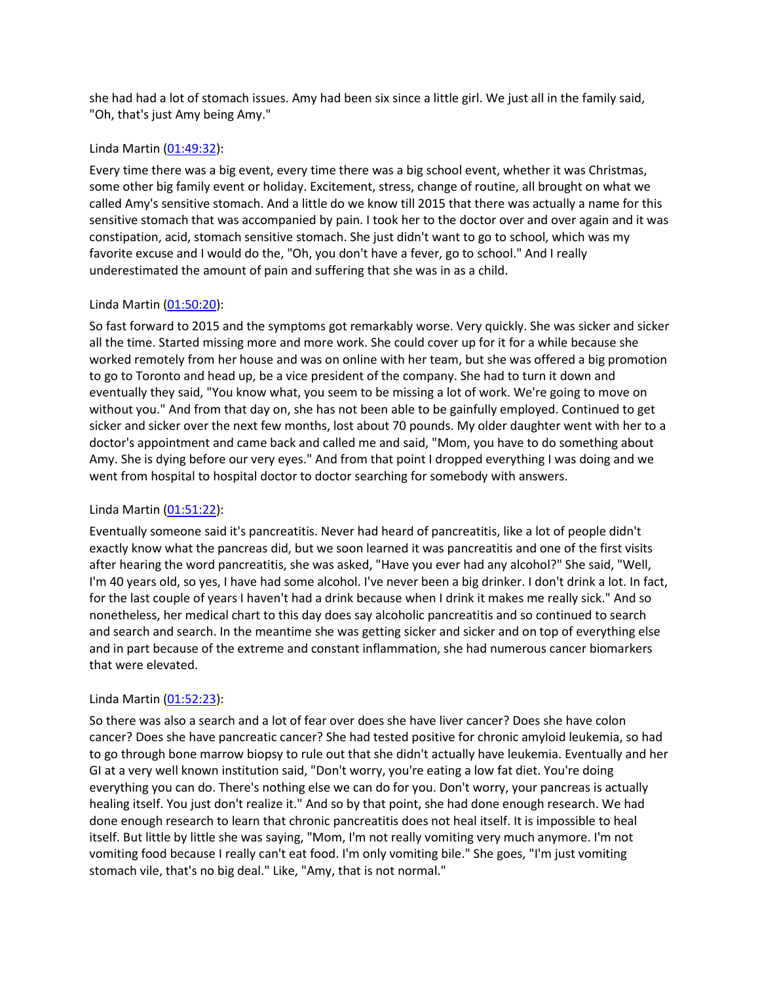she had had a lot of stomach issues. Amy had been six since a little girl. We just all in the family said, "Oh, that's just Amy being Amy."

### Linda Martin [\(01:49:32\)](https://www.rev.com/transcript-editor/Edit?token=DrPSdfcnFM11rzhgtPK350o8dDzXPtbPlbsHP2cCV7vMBDxAsk-m531ExGHXFqnmpVCyGxJSP3a42iIzgVUHd9YBxAU&loadFrom=DocumentDeeplink&ts=6572.54):

Every time there was a big event, every time there was a big school event, whether it was Christmas, some other big family event or holiday. Excitement, stress, change of routine, all brought on what we called Amy's sensitive stomach. And a little do we know till 2015 that there was actually a name for this sensitive stomach that was accompanied by pain. I took her to the doctor over and over again and it was constipation, acid, stomach sensitive stomach. She just didn't want to go to school, which was my favorite excuse and I would do the, "Oh, you don't have a fever, go to school." And I really underestimated the amount of pain and suffering that she was in as a child.

#### Linda Martin [\(01:50:20\)](https://www.rev.com/transcript-editor/Edit?token=Y_SXZ2YVh6MLc764gQHP_VYBTcDfC_jIRFTuxI31MJBwtNcTP3__K4C686mDskUDGg3_1GFE85ltklG4d_0P9WdJtfk&loadFrom=DocumentDeeplink&ts=6620.42):

So fast forward to 2015 and the symptoms got remarkably worse. Very quickly. She was sicker and sicker all the time. Started missing more and more work. She could cover up for it for a while because she worked remotely from her house and was on online with her team, but she was offered a big promotion to go to Toronto and head up, be a vice president of the company. She had to turn it down and eventually they said, "You know what, you seem to be missing a lot of work. We're going to move on without you." And from that day on, she has not been able to be gainfully employed. Continued to get sicker and sicker over the next few months, lost about 70 pounds. My older daughter went with her to a doctor's appointment and came back and called me and said, "Mom, you have to do something about Amy. She is dying before our very eyes." And from that point I dropped everything I was doing and we went from hospital to hospital doctor to doctor searching for somebody with answers.

### Linda Martin [\(01:51:22\)](https://www.rev.com/transcript-editor/Edit?token=zlyXPw93GTu-_6Cs9nVk56yoJ_ypLn-1Lb_xr1OBbVZ8-Lldv7zzMuYobaIYUsfwm0BvzwtztwSrfyebkB4Ydr6e4fY&loadFrom=DocumentDeeplink&ts=6682.31):

Eventually someone said it's pancreatitis. Never had heard of pancreatitis, like a lot of people didn't exactly know what the pancreas did, but we soon learned it was pancreatitis and one of the first visits after hearing the word pancreatitis, she was asked, "Have you ever had any alcohol?" She said, "Well, I'm 40 years old, so yes, I have had some alcohol. I've never been a big drinker. I don't drink a lot. In fact, for the last couple of years I haven't had a drink because when I drink it makes me really sick." And so nonetheless, her medical chart to this day does say alcoholic pancreatitis and so continued to search and search and search. In the meantime she was getting sicker and sicker and on top of everything else and in part because of the extreme and constant inflammation, she had numerous cancer biomarkers that were elevated.

### Linda Martin [\(01:52:23\)](https://www.rev.com/transcript-editor/Edit?token=0fWHr6wUH-lcgFC9S-psmrP_TiJv3zmTOompprBHQ0JfxgN78EZ0N9-aAoKNhcRtmyTgxPfcfgv2amO31JmmVCFNQpQ&loadFrom=DocumentDeeplink&ts=6743.82):

So there was also a search and a lot of fear over does she have liver cancer? Does she have colon cancer? Does she have pancreatic cancer? She had tested positive for chronic amyloid leukemia, so had to go through bone marrow biopsy to rule out that she didn't actually have leukemia. Eventually and her GI at a very well known institution said, "Don't worry, you're eating a low fat diet. You're doing everything you can do. There's nothing else we can do for you. Don't worry, your pancreas is actually healing itself. You just don't realize it." And so by that point, she had done enough research. We had done enough research to learn that chronic pancreatitis does not heal itself. It is impossible to heal itself. But little by little she was saying, "Mom, I'm not really vomiting very much anymore. I'm not vomiting food because I really can't eat food. I'm only vomiting bile." She goes, "I'm just vomiting stomach vile, that's no big deal." Like, "Amy, that is not normal."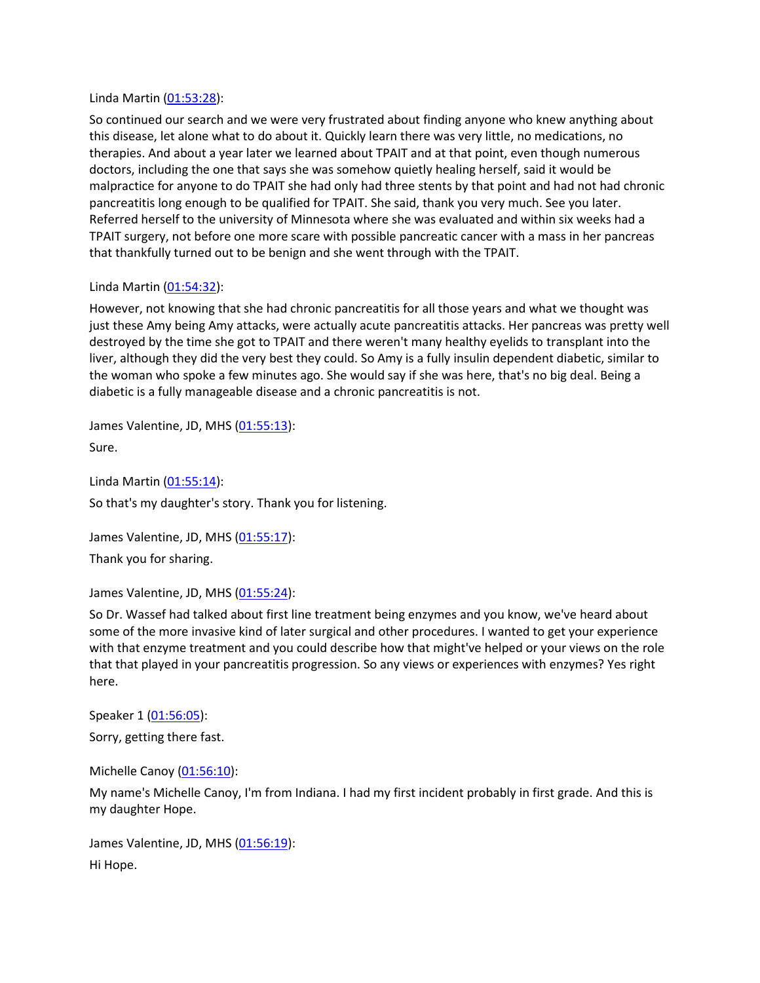#### Linda Martin [\(01:53:28\)](https://www.rev.com/transcript-editor/Edit?token=3hqtJi_FOyq2dIEty6wyAzWCwz5QYpGaff1ojRNpBqCXgFiKU-CISJqz4FwVpbndx6OeZqHTqgjTIOVj3wTD6SZA9Jw&loadFrom=DocumentDeeplink&ts=6808.99):

So continued our search and we were very frustrated about finding anyone who knew anything about this disease, let alone what to do about it. Quickly learn there was very little, no medications, no therapies. And about a year later we learned about TPAIT and at that point, even though numerous doctors, including the one that says she was somehow quietly healing herself, said it would be malpractice for anyone to do TPAIT she had only had three stents by that point and had not had chronic pancreatitis long enough to be qualified for TPAIT. She said, thank you very much. See you later. Referred herself to the university of Minnesota where she was evaluated and within six weeks had a TPAIT surgery, not before one more scare with possible pancreatic cancer with a mass in her pancreas that thankfully turned out to be benign and she went through with the TPAIT.

### Linda Martin [\(01:54:32\)](https://www.rev.com/transcript-editor/Edit?token=zCEVXKa3ROf4ZaHr6vKj3fZ8wOGCugq1xaBWroqE0M_lsCYTvcY0Nqma-BU-05Mu0ZEG48Ga29tuKxFF49cfGGOApJE&loadFrom=DocumentDeeplink&ts=6872.89):

However, not knowing that she had chronic pancreatitis for all those years and what we thought was just these Amy being Amy attacks, were actually acute pancreatitis attacks. Her pancreas was pretty well destroyed by the time she got to TPAIT and there weren't many healthy eyelids to transplant into the liver, although they did the very best they could. So Amy is a fully insulin dependent diabetic, similar to the woman who spoke a few minutes ago. She would say if she was here, that's no big deal. Being a diabetic is a fully manageable disease and a chronic pancreatitis is not.

James Valentine, JD, MHS [\(01:55:13\)](https://www.rev.com/transcript-editor/Edit?token=RT51uA5yO3HV11zY_GCSBz_RsC0hVzFZtOKjq-pz1TgJTxTIHf2g5ZyllqRZBesniXA4IvuBwc-Draz9D7DhA_r4Ngs&loadFrom=DocumentDeeplink&ts=6913.94):

Sure.

Linda Martin [\(01:55:14\)](https://www.rev.com/transcript-editor/Edit?token=wRri5e6jwMPIrwrXBjF3QxB7wLZYQxqOdIpaLVzxCLcpwQDRcJ5HaSGOhZ8GSJvckdvmaTt34pxbwmuHiSV7QNrY_Ck&loadFrom=DocumentDeeplink&ts=6914.67): So that's my daughter's story. Thank you for listening.

James Valentine, JD, MHS [\(01:55:17\)](https://www.rev.com/transcript-editor/Edit?token=9Xxhs3S9EN46SjoFM-Jjjb21NqzxlMp_yajqzGr96oDKZIR63_NH9_n1c6gipVnc_23tSD5uqlSj2ESbvOyFlS0A4og&loadFrom=DocumentDeeplink&ts=6917.49):

Thank you for sharing.

James Valentine, JD, MHS [\(01:55:24\)](https://www.rev.com/transcript-editor/Edit?token=4BtmLRIg3j-RMx-z9iQoMfpm2ztgpVASzmWsYkX_F_M9UUftMktEXU1y4UnNtckjvxD8_PvF4X1jraxaDbHaBShmgIw&loadFrom=DocumentDeeplink&ts=6924.29):

So Dr. Wassef had talked about first line treatment being enzymes and you know, we've heard about some of the more invasive kind of later surgical and other procedures. I wanted to get your experience with that enzyme treatment and you could describe how that might've helped or your views on the role that that played in your pancreatitis progression. So any views or experiences with enzymes? Yes right here.

Speaker 1 [\(01:56:05\)](https://www.rev.com/transcript-editor/Edit?token=x2lps4aHbdOF4JeO4WhZgErYidvCX67McAjimWcT8TNIIf7HYONYah07hqd-CjhTT5F_a9P6cMch5Jg-p25GtEmJgag&loadFrom=DocumentDeeplink&ts=6965.65): Sorry, getting there fast.

Michelle Canoy [\(01:56:10\)](https://www.rev.com/transcript-editor/Edit?token=EyuJsNdcCH47K-p_A57eSFijOmxZqW5_nUE0lH8pdpZ8mdDRSwQI-GHWVfKSpQW44N_903dPvnoYyvdg5BwrTMNSGfY&loadFrom=DocumentDeeplink&ts=6970.36):

My name's Michelle Canoy, I'm from Indiana. I had my first incident probably in first grade. And this is my daughter Hope.

James Valentine, JD, MHS [\(01:56:19\)](https://www.rev.com/transcript-editor/Edit?token=NXjEQNXA0ryPELGp2YqmlIyVISFafW4NlJf0HStxBHzigKeaWepF-rbBnwohHPXpAOmjQ5V5eAQStvtwnRBT3yIIYwU&loadFrom=DocumentDeeplink&ts=6979.43): Hi Hope.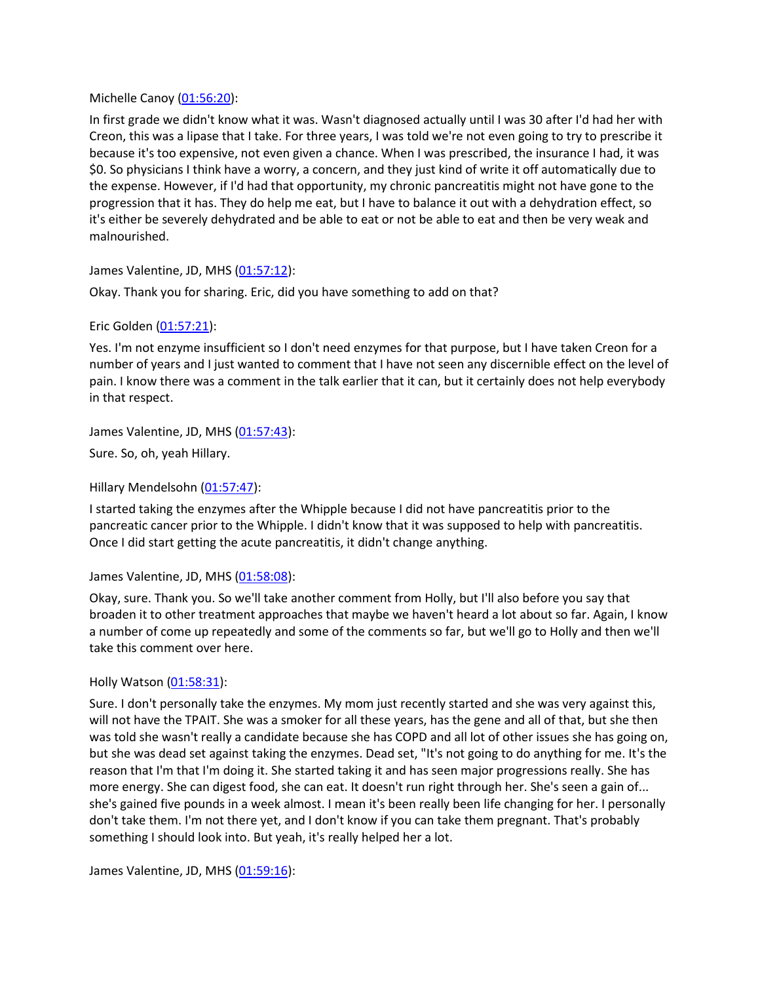Michelle Canoy [\(01:56:20\)](https://www.rev.com/transcript-editor/Edit?token=oIanZ7MfN_jrjzcTlbIV-jGMOLZrHmvLn37vccUDiuPQlBAr3eXuCyHWleRsgJbzvJbHDJp8HvMUPsy2NbeUNkAqSNY&loadFrom=DocumentDeeplink&ts=6980.16):

In first grade we didn't know what it was. Wasn't diagnosed actually until I was 30 after I'd had her with Creon, this was a lipase that I take. For three years, I was told we're not even going to try to prescribe it because it's too expensive, not even given a chance. When I was prescribed, the insurance I had, it was \$0. So physicians I think have a worry, a concern, and they just kind of write it off automatically due to the expense. However, if I'd had that opportunity, my chronic pancreatitis might not have gone to the progression that it has. They do help me eat, but I have to balance it out with a dehydration effect, so it's either be severely dehydrated and be able to eat or not be able to eat and then be very weak and malnourished.

James Valentine, JD, MHS [\(01:57:12\)](https://www.rev.com/transcript-editor/Edit?token=3_Q2CnNMTGwgF91rVWCrf-dSS-48pSQvSyG5zVOgR3gebhlckJkSrIZk3g0QhK8WYyG4QX8zTpITz6aplVlmo1JP8ok&loadFrom=DocumentDeeplink&ts=7032.84):

Okay. Thank you for sharing. Eric, did you have something to add on that?

#### Eric Golden [\(01:57:21\)](https://www.rev.com/transcript-editor/Edit?token=GcZZJGfqYToL7XPjq_UoyJQ3UZfBrw4OK6YF-QpkvifTH41RShflC03t1XB4pcFgUurmym-SWEqedACF-DHS0vqH6f4&loadFrom=DocumentDeeplink&ts=7041.79):

Yes. I'm not enzyme insufficient so I don't need enzymes for that purpose, but I have taken Creon for a number of years and I just wanted to comment that I have not seen any discernible effect on the level of pain. I know there was a comment in the talk earlier that it can, but it certainly does not help everybody in that respect.

James Valentine, JD, MHS [\(01:57:43\)](https://www.rev.com/transcript-editor/Edit?token=TRtcRtsYjLWO4vHxZglIpNPIJwwcZCVh1ZJiR8TeptATiecvHyXOmDpKdtUbzO_sAP6Vf1XT8Q1HVHiZlMZRYIfYWoo&loadFrom=DocumentDeeplink&ts=7063.12):

Sure. So, oh, yeah Hillary.

Hillary Mendelsohn [\(01:57:47\)](https://www.rev.com/transcript-editor/Edit?token=e2CO015xP9cj-E_yrZ2b4JKUx-wnIXnss__UTtguTRPnHXsuM25aS_a5aLMGbJoOdSeQvKLPftZB6kgI_PBCX_AoOO8&loadFrom=DocumentDeeplink&ts=7067.61):

I started taking the enzymes after the Whipple because I did not have pancreatitis prior to the pancreatic cancer prior to the Whipple. I didn't know that it was supposed to help with pancreatitis. Once I did start getting the acute pancreatitis, it didn't change anything.

#### James Valentine, JD, MHS [\(01:58:08\)](https://www.rev.com/transcript-editor/Edit?token=kPqQrLok7pPWDLdzbJklFAAvi7RCWHMbd0tQ9w2hHJtM1SuGlR3PTFJLYd-MfNfO6zf0e1zTfU2zyMfN2b-4WmEa8Js&loadFrom=DocumentDeeplink&ts=7088.97):

Okay, sure. Thank you. So we'll take another comment from Holly, but I'll also before you say that broaden it to other treatment approaches that maybe we haven't heard a lot about so far. Again, I know a number of come up repeatedly and some of the comments so far, but we'll go to Holly and then we'll take this comment over here.

### Holly Watson [\(01:58:31\)](https://www.rev.com/transcript-editor/Edit?token=4Jo7dSfUSaDeCbn5FIzxh5d52wi00PU0f5J0hfP1ismai6Et6rYOBxsJus_frR2iitEJrUfD_RfQCMI4vSwvFtnGWO4&loadFrom=DocumentDeeplink&ts=7111.48):

Sure. I don't personally take the enzymes. My mom just recently started and she was very against this, will not have the TPAIT. She was a smoker for all these years, has the gene and all of that, but she then was told she wasn't really a candidate because she has COPD and all lot of other issues she has going on, but she was dead set against taking the enzymes. Dead set, "It's not going to do anything for me. It's the reason that I'm that I'm doing it. She started taking it and has seen major progressions really. She has more energy. She can digest food, she can eat. It doesn't run right through her. She's seen a gain of... she's gained five pounds in a week almost. I mean it's been really been life changing for her. I personally don't take them. I'm not there yet, and I don't know if you can take them pregnant. That's probably something I should look into. But yeah, it's really helped her a lot.

James Valentine, JD, MHS [\(01:59:16\)](https://www.rev.com/transcript-editor/Edit?token=V_kMAgBImyZN6FJbCLcmHU3bkfe3t01-MKsaNJ_7uC9qqVCmH0MWy8czL8ztatd7kCqMWAt2onNJOBxjeajVnGk-z1Q&loadFrom=DocumentDeeplink&ts=7156.02):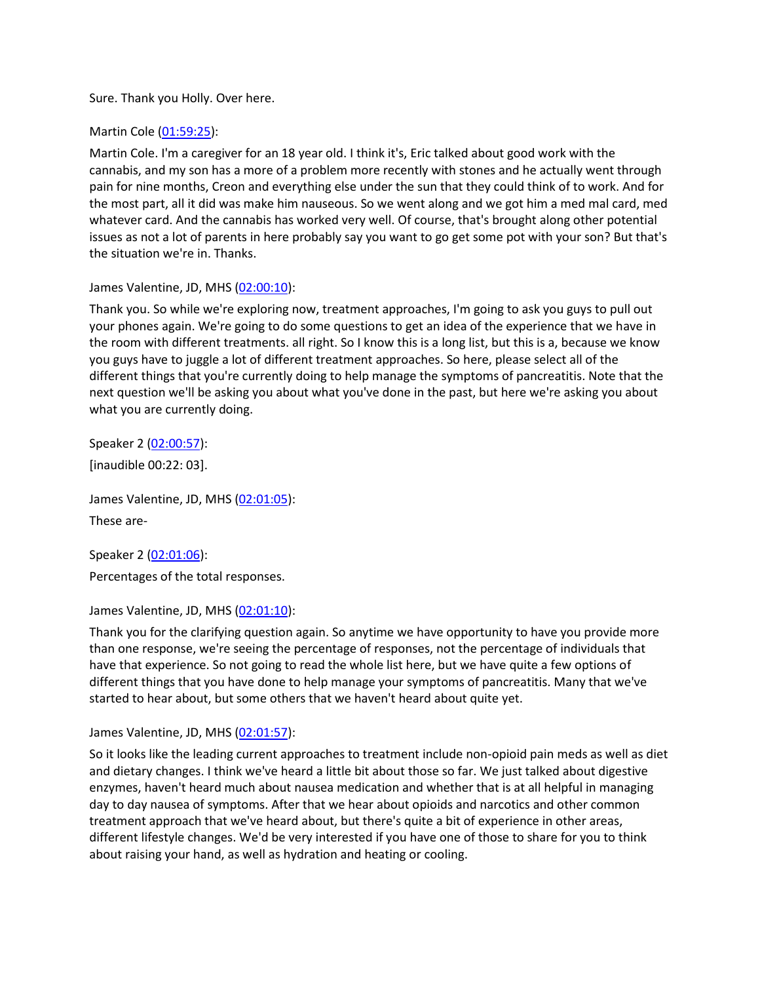Sure. Thank you Holly. Over here.

Martin Cole [\(01:59:25\)](https://www.rev.com/transcript-editor/Edit?token=0sVVM5pEU2Qg4EfynH6FbDzD0wpknGsJwpwLBbPdK86ugll_gyNRDhlNcVv5L2MHi31bnBmyo_y1ZhHrdHL_UV753lU&loadFrom=DocumentDeeplink&ts=7165.7):

Martin Cole. I'm a caregiver for an 18 year old. I think it's, Eric talked about good work with the cannabis, and my son has a more of a problem more recently with stones and he actually went through pain for nine months, Creon and everything else under the sun that they could think of to work. And for the most part, all it did was make him nauseous. So we went along and we got him a med mal card, med whatever card. And the cannabis has worked very well. Of course, that's brought along other potential issues as not a lot of parents in here probably say you want to go get some pot with your son? But that's the situation we're in. Thanks.

### James Valentine, JD, MHS [\(02:00:10\)](https://www.rev.com/transcript-editor/Edit?token=UfAFQtUXY_4D0t6FWoN-cqX80VQIspj14IGWOASZMqmPXdILw5QhB0XJm8UqEraerIVt8gMw7CIpzU9pZc9TlM-pee4&loadFrom=DocumentDeeplink&ts=7210.33):

Thank you. So while we're exploring now, treatment approaches, I'm going to ask you guys to pull out your phones again. We're going to do some questions to get an idea of the experience that we have in the room with different treatments. all right. So I know this is a long list, but this is a, because we know you guys have to juggle a lot of different treatment approaches. So here, please select all of the different things that you're currently doing to help manage the symptoms of pancreatitis. Note that the next question we'll be asking you about what you've done in the past, but here we're asking you about what you are currently doing.

Speaker 2 [\(02:00:57\)](https://www.rev.com/transcript-editor/Edit?token=m3IixR1iLUOO4Lu_gCPxAzyXIPzh6ml4HdBg7lFZrQnVzj7kPOtwTJsQ-NDMlr9Ed8OHUgs69_1muXMS9mS06IpXgPk&loadFrom=DocumentDeeplink&ts=7257.02): [inaudible 00:22: 03].

James Valentine, JD, MHS [\(02:01:05\)](https://www.rev.com/transcript-editor/Edit?token=XTvnnJqejwfJSftGHyQhREQmsIu7rlKCHWLtuwc5-o9V-loCcsltTZ_dwkZMg7AemDziVtvSNnad1TZ_P_rcXjpeiVU&loadFrom=DocumentDeeplink&ts=7265.53): These are-

Speaker 2 [\(02:01:06\)](https://www.rev.com/transcript-editor/Edit?token=NT4dksCgPcS3UVy7_vF74o6KEZzc8Qp9pPxlWVAK72LWRZJsAMd2cRIiOqYiWDrjwMp5YXJ1DRFGYOqdwBr43sikaJU&loadFrom=DocumentDeeplink&ts=7266.28): Percentages of the total responses.

James Valentine, JD, MHS [\(02:01:10\)](https://www.rev.com/transcript-editor/Edit?token=YYvrctGI0iaB2qDAW5O2daZuncz4s_sy8HN5DLZ6nVFpi03Escsl6RH6mrRtwM0C0FLEEosjOIvAAUWMpc47En3yT44&loadFrom=DocumentDeeplink&ts=7270.62):

Thank you for the clarifying question again. So anytime we have opportunity to have you provide more than one response, we're seeing the percentage of responses, not the percentage of individuals that have that experience. So not going to read the whole list here, but we have quite a few options of different things that you have done to help manage your symptoms of pancreatitis. Many that we've started to hear about, but some others that we haven't heard about quite yet.

James Valentine, JD, MHS [\(02:01:57\)](https://www.rev.com/transcript-editor/Edit?token=0yi-z7sPcYJtwQ1_MZFDLKemNLkjRBESJ28NcT-HjFvc9m9UcM0RNmudn73qtzTnq91vObIMeuqO55TTwtIdgsJWd34&loadFrom=DocumentDeeplink&ts=7317.3):

So it looks like the leading current approaches to treatment include non-opioid pain meds as well as diet and dietary changes. I think we've heard a little bit about those so far. We just talked about digestive enzymes, haven't heard much about nausea medication and whether that is at all helpful in managing day to day nausea of symptoms. After that we hear about opioids and narcotics and other common treatment approach that we've heard about, but there's quite a bit of experience in other areas, different lifestyle changes. We'd be very interested if you have one of those to share for you to think about raising your hand, as well as hydration and heating or cooling.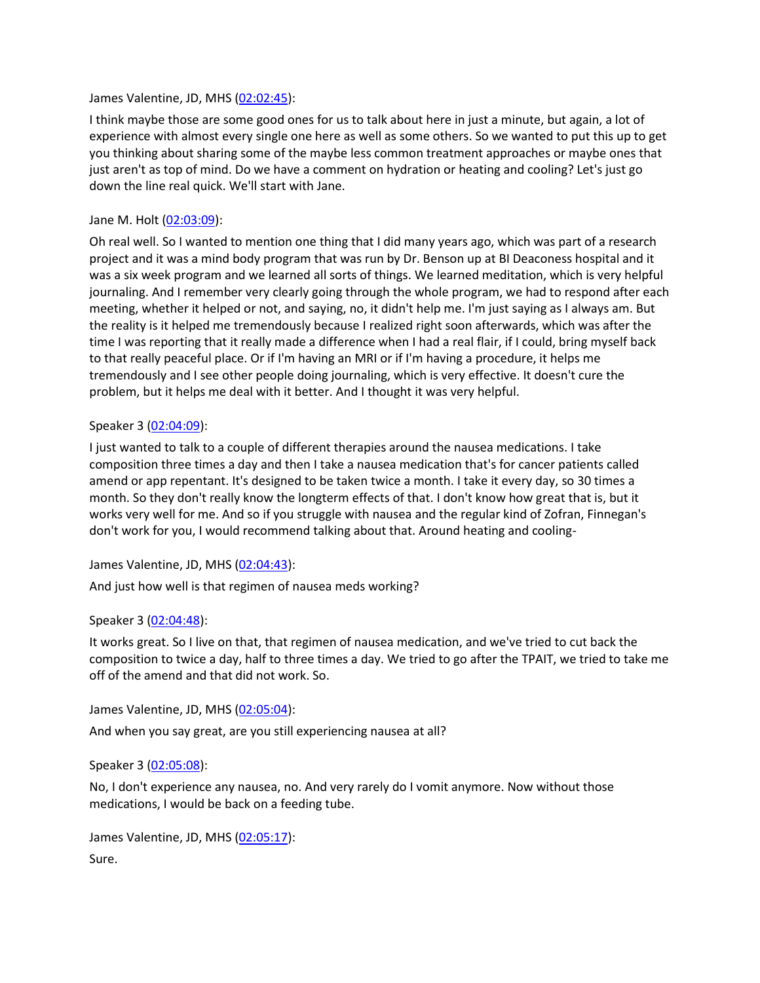#### James Valentine, JD, MHS [\(02:02:45\)](https://www.rev.com/transcript-editor/Edit?token=dYd34T7AZNGsVXsYLWypDurnUH9hr3Q0sBUiTcyRCp5-ySId3euVurPjZ8hp2zRetHKXghwtziBtmpwAU5Qpb8wF3T8&loadFrom=DocumentDeeplink&ts=7365.86):

I think maybe those are some good ones for us to talk about here in just a minute, but again, a lot of experience with almost every single one here as well as some others. So we wanted to put this up to get you thinking about sharing some of the maybe less common treatment approaches or maybe ones that just aren't as top of mind. Do we have a comment on hydration or heating and cooling? Let's just go down the line real quick. We'll start with Jane.

#### Jane M. Holt [\(02:03:09\)](https://www.rev.com/transcript-editor/Edit?token=cZQb7zePK4GBRjT-7dMTfhWLHJX2G2USYu87uZz04S0jY1H6MYqKV-p4gEwuxDVKeVWh9AGB9srLbOYi6NYosJjlkXw&loadFrom=DocumentDeeplink&ts=7389.94):

Oh real well. So I wanted to mention one thing that I did many years ago, which was part of a research project and it was a mind body program that was run by Dr. Benson up at BI Deaconess hospital and it was a six week program and we learned all sorts of things. We learned meditation, which is very helpful journaling. And I remember very clearly going through the whole program, we had to respond after each meeting, whether it helped or not, and saying, no, it didn't help me. I'm just saying as I always am. But the reality is it helped me tremendously because I realized right soon afterwards, which was after the time I was reporting that it really made a difference when I had a real flair, if I could, bring myself back to that really peaceful place. Or if I'm having an MRI or if I'm having a procedure, it helps me tremendously and I see other people doing journaling, which is very effective. It doesn't cure the problem, but it helps me deal with it better. And I thought it was very helpful.

#### Speaker 3 [\(02:04:09\)](https://www.rev.com/transcript-editor/Edit?token=VuwKwlz4MYZQRJYBu9_dUT0fsNpvdHCVYaaus_Q39L94Z5fd-Ep3BaesS5xPXrg66Y_6Yae6Vuh4dkFafWGdCnTdov4&loadFrom=DocumentDeeplink&ts=7449.69):

I just wanted to talk to a couple of different therapies around the nausea medications. I take composition three times a day and then I take a nausea medication that's for cancer patients called amend or app repentant. It's designed to be taken twice a month. I take it every day, so 30 times a month. So they don't really know the longterm effects of that. I don't know how great that is, but it works very well for me. And so if you struggle with nausea and the regular kind of Zofran, Finnegan's don't work for you, I would recommend talking about that. Around heating and cooling-

James Valentine, JD, MHS [\(02:04:43\)](https://www.rev.com/transcript-editor/Edit?token=ZUyP6wgX0PozJ1w-7RcqdPYgY4XLTKOoQMzRj3-KvkADH95hu_Y_Y63sGy0q6hRgWtz00pdNNmecsQKHAIIQmS4HYYU&loadFrom=DocumentDeeplink&ts=7483.32):

And just how well is that regimen of nausea meds working?

### Speaker 3 [\(02:04:48\)](https://www.rev.com/transcript-editor/Edit?token=a2kDXSZ_YiqmoSh9n8L2Uu089Nj2Q11i853bqpdDby2OVPcKa8NdMgACDaX8XGy_ASff1XHsnh160pDpLVqKJRyeznY&loadFrom=DocumentDeeplink&ts=7488.22):

It works great. So I live on that, that regimen of nausea medication, and we've tried to cut back the composition to twice a day, half to three times a day. We tried to go after the TPAIT, we tried to take me off of the amend and that did not work. So.

James Valentine, JD, MHS [\(02:05:04\)](https://www.rev.com/transcript-editor/Edit?token=yNW08kMf28rilCTFWk1J-2LZY4XJYF_vEYqTb51leMe_PJLXSZmAZkjXuuDyXoTx9ZFsizaBeGvQvjsGgLRth_LhOuc&loadFrom=DocumentDeeplink&ts=7504.22):

And when you say great, are you still experiencing nausea at all?

### Speaker 3 [\(02:05:08\)](https://www.rev.com/transcript-editor/Edit?token=1baE5B8kYrN7oSeCYJ6D_qHLqNs-dxHFmGHU24ze3US9DiwXu4LT-9iNC7_fSFFR0m6n_6opOz_UXnBnrjiRm6R2q1o&loadFrom=DocumentDeeplink&ts=7508.26):

No, I don't experience any nausea, no. And very rarely do I vomit anymore. Now without those medications, I would be back on a feeding tube.

James Valentine, JD, MHS [\(02:05:17\)](https://www.rev.com/transcript-editor/Edit?token=5U2vhNFI5gnYnSaIvs6CzU-zjPUfo2IG8Z7Jzk3QoXXByknplad9L_TZ6RJ5R9DMZA1CTUqTNH7UWdFaW0PGt9nQPlM&loadFrom=DocumentDeeplink&ts=7517.22): Sure.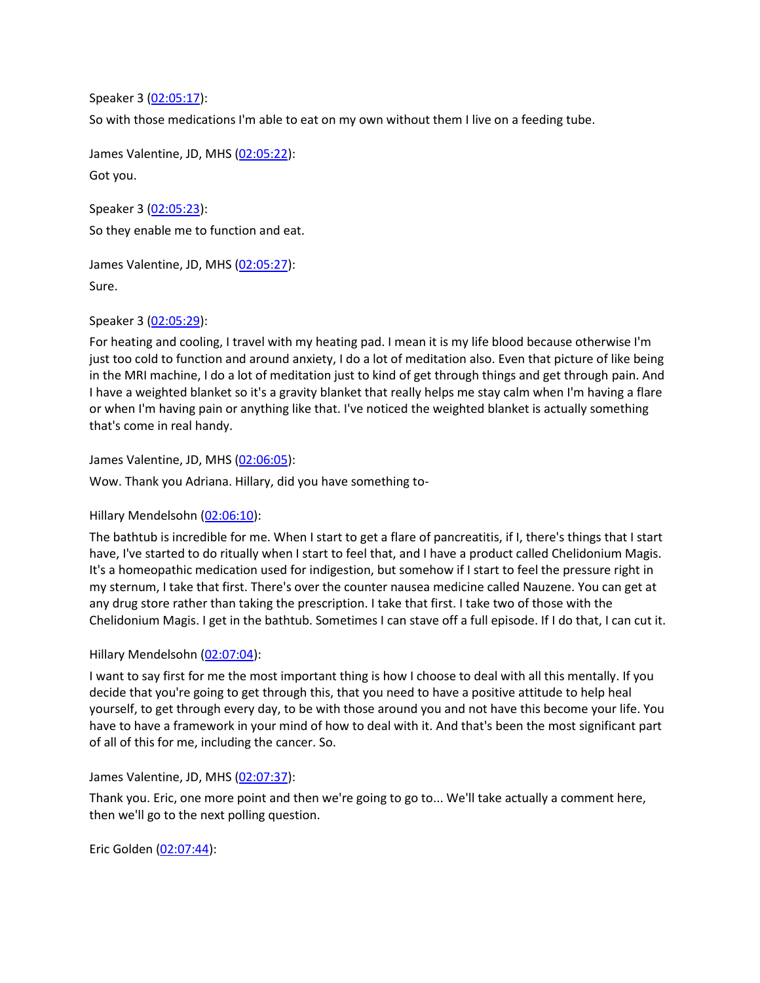Speaker 3 [\(02:05:17\)](https://www.rev.com/transcript-editor/Edit?token=_ugKOqET4FOgzQxKIhZBJgHlPMx-IIvifFpZUeNiF9s6hYZvnU8Cs3gW5ejRxIAxsKjZrOW_9Z4KPlGTvf-LTNcU-d8&loadFrom=DocumentDeeplink&ts=7517.61):

So with those medications I'm able to eat on my own without them I live on a feeding tube.

James Valentine, JD, MHS [\(02:05:22\)](https://www.rev.com/transcript-editor/Edit?token=pcWWyoR3K_jEBDvQ2ym9TqjeL02KEAPooKaAZHG_rNqytBB2FdGrIRZIa5_PGdLIr4t-xZnywXFNaZESX-_ilqyDJr4&loadFrom=DocumentDeeplink&ts=7522.87): Got you.

Speaker 3 [\(02:05:23\)](https://www.rev.com/transcript-editor/Edit?token=5VjKTqFMe3dZyvoZtdShEZUU6hv52KTceAUIUzHvSF7YGF1SVmkDChlChdUAZRDzeeD0VDgdCaHhl2JWBbORYZcdvMk&loadFrom=DocumentDeeplink&ts=7523.5): So they enable me to function and eat.

James Valentine, JD, MHS [\(02:05:27\)](https://www.rev.com/transcript-editor/Edit?token=_NMWbT_BQZ_kULs21hZWwJb1OnEbXKuTC2zxg2OeAa6lgDHMdfHHm20QSUX9isDDZuGHlcfsUZX_RZgrPJUBNZWQJZI&loadFrom=DocumentDeeplink&ts=7527.11):

Sure.

Speaker 3 [\(02:05:29\)](https://www.rev.com/transcript-editor/Edit?token=5MjZlVUcym0GUQfYuQtDi97gtLMGn5tR1abhls52mdVLk7FbiTfNwxVMFTcW3zNEY-bZ2wOUl68fmMd4RoO_GbczY94&loadFrom=DocumentDeeplink&ts=7529.38):

For heating and cooling, I travel with my heating pad. I mean it is my life blood because otherwise I'm just too cold to function and around anxiety, I do a lot of meditation also. Even that picture of like being in the MRI machine, I do a lot of meditation just to kind of get through things and get through pain. And I have a weighted blanket so it's a gravity blanket that really helps me stay calm when I'm having a flare or when I'm having pain or anything like that. I've noticed the weighted blanket is actually something that's come in real handy.

James Valentine, JD, MHS [\(02:06:05\)](https://www.rev.com/transcript-editor/Edit?token=r29_W5peB8WVaqiICxpCxlvAmHIDb_nHn5-xW4GehT2_p_cyFbkQzh9XdEwHSehh56VQVwjOtXEHcWTq6kYPCCqu2Cg&loadFrom=DocumentDeeplink&ts=7565.77):

Wow. Thank you Adriana. Hillary, did you have something to-

Hillary Mendelsohn [\(02:06:10\)](https://www.rev.com/transcript-editor/Edit?token=Wyv1K9qKFhCfRCoVnPTUg90PM6woaI3JjBifpP6bDUT7oJ7DtZUv6nnPVhGyWFaHa_1HGuGXdmaMcRzlrVj3kjBkcSM&loadFrom=DocumentDeeplink&ts=7570.95):

The bathtub is incredible for me. When I start to get a flare of pancreatitis, if I, there's things that I start have, I've started to do ritually when I start to feel that, and I have a product called Chelidonium Magis. It's a homeopathic medication used for indigestion, but somehow if I start to feel the pressure right in my sternum, I take that first. There's over the counter nausea medicine called Nauzene. You can get at any drug store rather than taking the prescription. I take that first. I take two of those with the Chelidonium Magis. I get in the bathtub. Sometimes I can stave off a full episode. If I do that, I can cut it.

Hillary Mendelsohn [\(02:07:04\)](https://www.rev.com/transcript-editor/Edit?token=9wJBz_cOy_BHBzkvOy9uD04hmRIoNh6IGZmcqgG0_VOJanhSeiEiTMzgTt4u2EDenkd4bGpldSK3uXxgaX-XFbqPC4w&loadFrom=DocumentDeeplink&ts=7624.08):

I want to say first for me the most important thing is how I choose to deal with all this mentally. If you decide that you're going to get through this, that you need to have a positive attitude to help heal yourself, to get through every day, to be with those around you and not have this become your life. You have to have a framework in your mind of how to deal with it. And that's been the most significant part of all of this for me, including the cancer. So.

James Valentine, JD, MHS [\(02:07:37\)](https://www.rev.com/transcript-editor/Edit?token=YP_wRLdKFCg6QMN0IHaGxCPXoy1jaQt2PYVFoNYmB3GKq1Rc_f2ZbNDW5i5RAgWKeQ4avjpZlFAEFDL-OLq0hqS5OGk&loadFrom=DocumentDeeplink&ts=7657.48):

Thank you. Eric, one more point and then we're going to go to... We'll take actually a comment here, then we'll go to the next polling question.

Eric Golden [\(02:07:44\)](https://www.rev.com/transcript-editor/Edit?token=9sVOwKAjMNFRtnamG1HFoSd9YvzdYgdNF3SpG4AMKBDuygfzFYFt7jg6E8MJhTUyPoYLZmtzBCGBT9pcrFjdmpHikzs&loadFrom=DocumentDeeplink&ts=7664.67):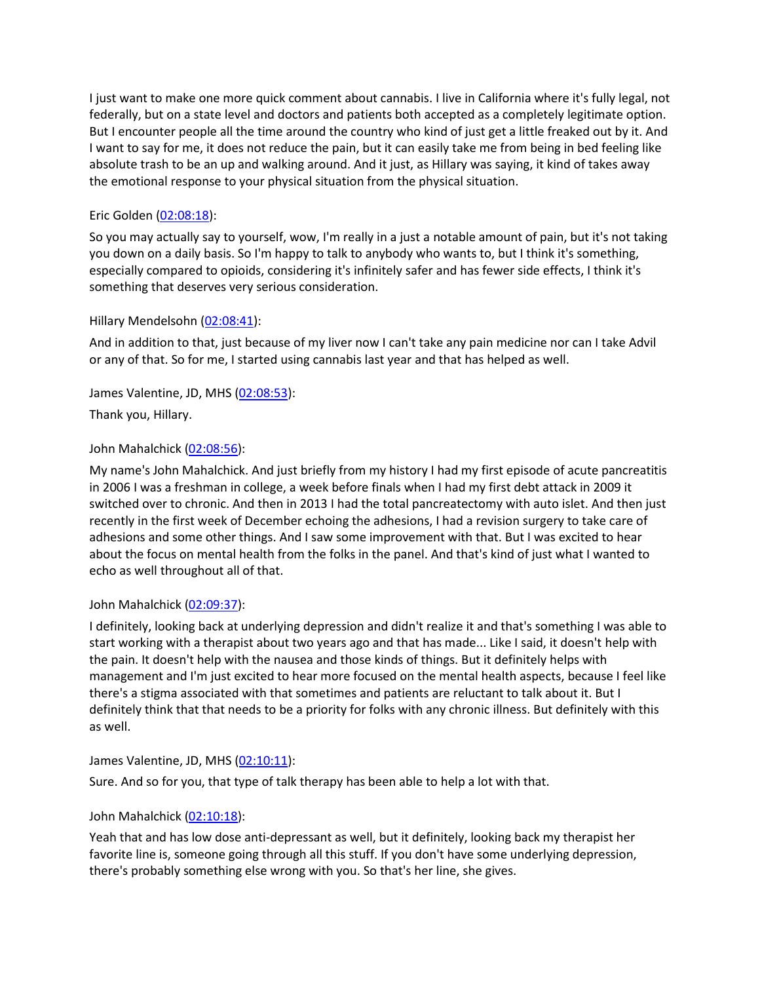I just want to make one more quick comment about cannabis. I live in California where it's fully legal, not federally, but on a state level and doctors and patients both accepted as a completely legitimate option. But I encounter people all the time around the country who kind of just get a little freaked out by it. And I want to say for me, it does not reduce the pain, but it can easily take me from being in bed feeling like absolute trash to be an up and walking around. And it just, as Hillary was saying, it kind of takes away the emotional response to your physical situation from the physical situation.

# Eric Golden [\(02:08:18\)](https://www.rev.com/transcript-editor/Edit?token=W2O9NGOlwN_AivnNqPNYO-cPdOuW4s706JdU9ATYiYdI9jbu291xBImPXqaGXMvjDV-_cPeRucY7V6ls3RehWZJnhgw&loadFrom=DocumentDeeplink&ts=7698.58):

So you may actually say to yourself, wow, I'm really in a just a notable amount of pain, but it's not taking you down on a daily basis. So I'm happy to talk to anybody who wants to, but I think it's something, especially compared to opioids, considering it's infinitely safer and has fewer side effects, I think it's something that deserves very serious consideration.

### Hillary Mendelsohn [\(02:08:41\)](https://www.rev.com/transcript-editor/Edit?token=g1gSw6-bBPYGQbHhF0HXanMOZAg3rryfvRrre0Ah8LQPBphVUmMM4n2E42ywFQA-94NsXPvk_DDWLr7heg1KHZ4r-Wg&loadFrom=DocumentDeeplink&ts=7721.36):

And in addition to that, just because of my liver now I can't take any pain medicine nor can I take Advil or any of that. So for me, I started using cannabis last year and that has helped as well.

James Valentine, JD, MHS [\(02:08:53\)](https://www.rev.com/transcript-editor/Edit?token=DgIgZU7bYEMz3o2PCArVLgoBuZuBDgSUepN0GNROgMimS9BaooB7KtLm5HKxP7vVqXwlEcyztXdv68-eghBNH4Sp9jI&loadFrom=DocumentDeeplink&ts=7733.87):

Thank you, Hillary.

# John Mahalchick [\(02:08:56\)](https://www.rev.com/transcript-editor/Edit?token=4VWhPIxyoY34TkuprQWKuomigN7_8o-vbkv9gf1ANKlxx8vJRyF7cnIt_LGK7rsDtsdFwwoYBhJI-tQUK-6kVrZDqdg&loadFrom=DocumentDeeplink&ts=7736.11):

My name's John Mahalchick. And just briefly from my history I had my first episode of acute pancreatitis in 2006 I was a freshman in college, a week before finals when I had my first debt attack in 2009 it switched over to chronic. And then in 2013 I had the total pancreatectomy with auto islet. And then just recently in the first week of December echoing the adhesions, I had a revision surgery to take care of adhesions and some other things. And I saw some improvement with that. But I was excited to hear about the focus on mental health from the folks in the panel. And that's kind of just what I wanted to echo as well throughout all of that.

### John Mahalchick [\(02:09:37\)](https://www.rev.com/transcript-editor/Edit?token=GeTziKVqPdRdRaf1K8qH2b0wVBAX-qV8GlvntgUp2ElwuY9Q9X3l4LVkln9206rCsSrKgs05MEfAu0NwLR0doOOYDDo&loadFrom=DocumentDeeplink&ts=7777.38):

I definitely, looking back at underlying depression and didn't realize it and that's something I was able to start working with a therapist about two years ago and that has made... Like I said, it doesn't help with the pain. It doesn't help with the nausea and those kinds of things. But it definitely helps with management and I'm just excited to hear more focused on the mental health aspects, because I feel like there's a stigma associated with that sometimes and patients are reluctant to talk about it. But I definitely think that that needs to be a priority for folks with any chronic illness. But definitely with this as well.

### James Valentine, JD, MHS [\(02:10:11\)](https://www.rev.com/transcript-editor/Edit?token=4GVAhEAXddSLG0LGUZcQpuv3Z4YWq-AzIWQOJ_M41rzKSgCY0n1Y_VmoWM0K7Joei7d5Bw_FwdbUPI7pEcD-ROmT5KQ&loadFrom=DocumentDeeplink&ts=7811.71):

Sure. And so for you, that type of talk therapy has been able to help a lot with that.

### John Mahalchick [\(02:10:18\)](https://www.rev.com/transcript-editor/Edit?token=EVrDk4iwL7AJuxlRDfvDeUcBEQO43RLC87cfOyHWRlZTXNLOYBW7agVXlVXlIMPlKWCx0qB9FoFb56bTGOs4IPBIDQw&loadFrom=DocumentDeeplink&ts=7818):

Yeah that and has low dose anti-depressant as well, but it definitely, looking back my therapist her favorite line is, someone going through all this stuff. If you don't have some underlying depression, there's probably something else wrong with you. So that's her line, she gives.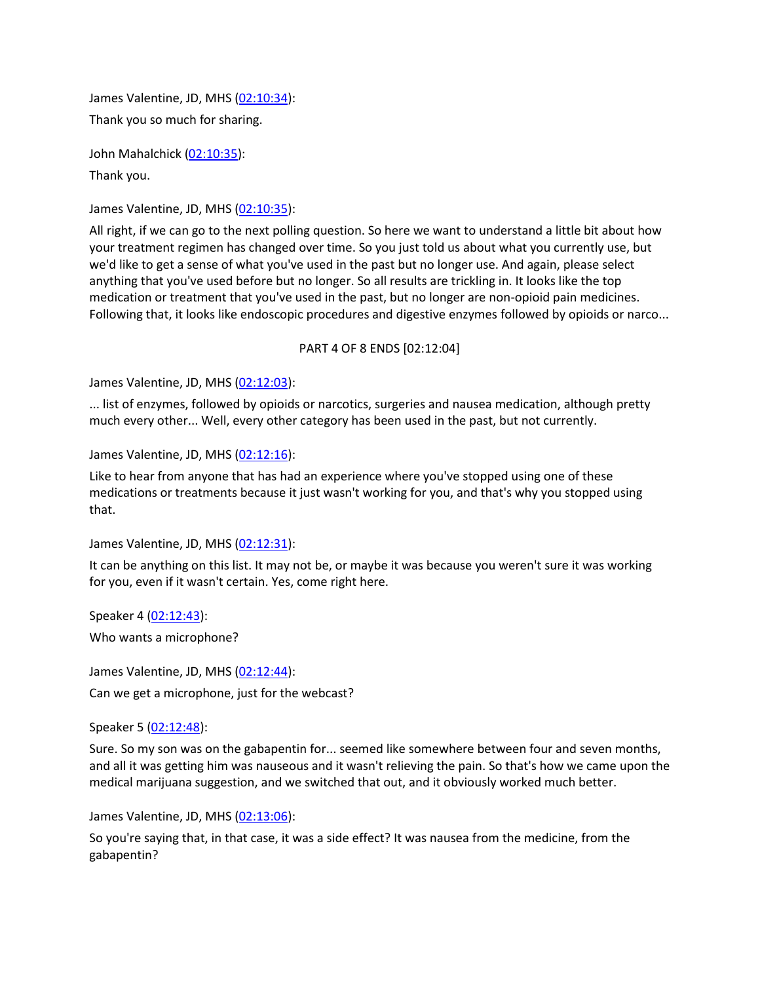James Valentine, JD, MHS [\(02:10:34\)](https://www.rev.com/transcript-editor/Edit?token=tW8mAaRZ0pAPik-iAWFRjVcNJVuMCKNQOhXuKIjY4SISlMNsOoMgqNRQVKr7bqXynKDFcyfGETCgj6EkA6P9nfVoyUk&loadFrom=DocumentDeeplink&ts=7834.3): Thank you so much for sharing.

John Mahalchick [\(02:10:35\)](https://www.rev.com/transcript-editor/Edit?token=J91dmuRXiltligT9VAmQ-xKXRgwDsRTwZTCoCPJfSrOGKsdnd-vv6KSQAoYukrELEvF-FpyuE5sQsk3LKytGrEd9DOU&loadFrom=DocumentDeeplink&ts=7835.36): Thank you.

James Valentine, JD, MHS [\(02:10:35\)](https://www.rev.com/transcript-editor/Edit?token=eYxhy9vt53KgZiXtHrrWTFadEObKESg1HMy_VLeoNDzrB5qruO5XyP5bFIl_NXtANOmeSfVH25mZ7lYdkFuK-7ZUK-M&loadFrom=DocumentDeeplink&ts=7835.92):

All right, if we can go to the next polling question. So here we want to understand a little bit about how your treatment regimen has changed over time. So you just told us about what you currently use, but we'd like to get a sense of what you've used in the past but no longer use. And again, please select anything that you've used before but no longer. So all results are trickling in. It looks like the top medication or treatment that you've used in the past, but no longer are non-opioid pain medicines. Following that, it looks like endoscopic procedures and digestive enzymes followed by opioids or narco...

#### PART 4 OF 8 ENDS [02:12:04]

James Valentine, JD, MHS [\(02:12:03\)](https://www.rev.com/transcript-editor/Edit?token=3cd4Un9BGpVM-74WDXjx44BwArjypz9bGsyk7QqF8w6UGuvLpA1Yrr3_chl1Jz3gpqQREqFbkDsZBeT0pw0VA_UB-g8&loadFrom=DocumentDeeplink&ts=7923.541):

... list of enzymes, followed by opioids or narcotics, surgeries and nausea medication, although pretty much every other... Well, every other category has been used in the past, but not currently.

James Valentine, JD, MHS [\(02:12:16\)](https://www.rev.com/transcript-editor/Edit?token=HxL45PXZNr3nPrSLbHC7EEyqcmLbu9iqR7i_jh-R7PWnCowTIoQAtJxqvcrek0PIJEKbuK7SdlJ_B7Oxha9fz8Q-XXs&loadFrom=DocumentDeeplink&ts=7936.93):

Like to hear from anyone that has had an experience where you've stopped using one of these medications or treatments because it just wasn't working for you, and that's why you stopped using that.

James Valentine, JD, MHS [\(02:12:31\)](https://www.rev.com/transcript-editor/Edit?token=GTvJnWuLRJpp1JUZuXJCSyZk4Dwb0Hx6YL_SwHiBEgDCt7iujKQI6uP0bI6u4RQSUumW_VqqO27SU6QXSvJ8GgzphVA&loadFrom=DocumentDeeplink&ts=7951.83):

It can be anything on this list. It may not be, or maybe it was because you weren't sure it was working for you, even if it wasn't certain. Yes, come right here.

Speaker 4 [\(02:12:43\)](https://www.rev.com/transcript-editor/Edit?token=AyZy-XgDFl10s7SWTOsmDIxvstUfLrc15YOSIo181dbq-cTFRhsW0aci-m25htlyFgW3Ih2s9aYBqFIk5KgnIo--T00&loadFrom=DocumentDeeplink&ts=7963.15):

Who wants a microphone?

James Valentine, JD, MHS [\(02:12:44\)](https://www.rev.com/transcript-editor/Edit?token=VJp49HAk33iddbc_UjzS-KVaFfVvdK8Zr_0yED49dt7i5At2FmP9b4V9uadBbFxJqUuS2mHKjfeN3nNrlb-KAVoEquM&loadFrom=DocumentDeeplink&ts=7964.24):

Can we get a microphone, just for the webcast?

Speaker 5 [\(02:12:48\)](https://www.rev.com/transcript-editor/Edit?token=zoXfWFdJvBpA2nczEH6N7BIy_jWWMtrurxBnIAAqwmzfE2hIm6wpsPcgMFEHuUun-cskUk5Em7IIRNxjjpIen7uR91U&loadFrom=DocumentDeeplink&ts=7968.81):

Sure. So my son was on the gabapentin for... seemed like somewhere between four and seven months, and all it was getting him was nauseous and it wasn't relieving the pain. So that's how we came upon the medical marijuana suggestion, and we switched that out, and it obviously worked much better.

James Valentine, JD, MHS [\(02:13:06\)](https://www.rev.com/transcript-editor/Edit?token=os1tzm54ZFKwDUr3VL3b8HtgE0_BfdZSte-pivYQjfI-4VBlcUBZ__jBtuRCqICfbkfja2h3aGKqteaoP3oR093Jixw&loadFrom=DocumentDeeplink&ts=7986.89):

So you're saying that, in that case, it was a side effect? It was nausea from the medicine, from the gabapentin?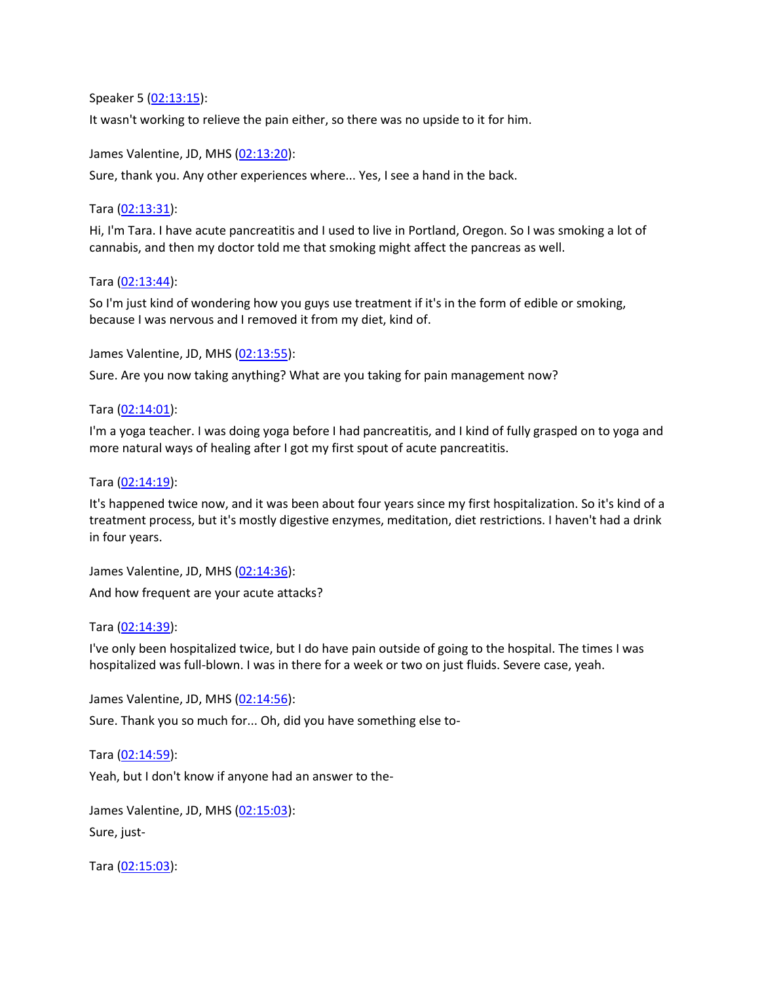Speaker 5 [\(02:13:15\)](https://www.rev.com/transcript-editor/Edit?token=-yX-1A8DWFzI0PzWwnLoE_YHk88oTxULlX_M-M2WRFaI5paRrYsvu4uVP9OWFTRIBr2hAjzfv1L2yHl8nT5kWg1cELo&loadFrom=DocumentDeeplink&ts=7995.55):

It wasn't working to relieve the pain either, so there was no upside to it for him.

James Valentine, JD, MHS [\(02:13:20\)](https://www.rev.com/transcript-editor/Edit?token=sgfN1Rlw1zrYbTEFhT1FaxgR7M-r_6GCwF13unIAEJPIaxfi23JLLhlSrqlKbF3C5k9w9Y7gjyHX8qaXL2ZgWHZiG4U&loadFrom=DocumentDeeplink&ts=8000.41):

Sure, thank you. Any other experiences where... Yes, I see a hand in the back.

#### Tara [\(02:13:31\)](https://www.rev.com/transcript-editor/Edit?token=IuSDuNGsWdqIWn2x__Esid6oVoO55sNW1rkEvD3B6KB-pquwFYxqm_BlaAy5pVkcnePCUow92fnxyQz3xMD0QO0mHQo&loadFrom=DocumentDeeplink&ts=8011.11):

Hi, I'm Tara. I have acute pancreatitis and I used to live in Portland, Oregon. So I was smoking a lot of cannabis, and then my doctor told me that smoking might affect the pancreas as well.

Tara [\(02:13:44\)](https://www.rev.com/transcript-editor/Edit?token=fvTMgt45uwOW6GyBTepaTgvbHPDTp3QO9G5AZyzRFtOXkIksHCFfcTYmjilcMcR5VEEOydhQQfZfRcczI8HSBsmnJWk&loadFrom=DocumentDeeplink&ts=8024.61):

So I'm just kind of wondering how you guys use treatment if it's in the form of edible or smoking, because I was nervous and I removed it from my diet, kind of.

James Valentine, JD, MHS [\(02:13:55\)](https://www.rev.com/transcript-editor/Edit?token=zVDCmwFk0fR830yHO-fkw1yR9FJ7IChJyCuH-zjMNBK2V1JZWWbEArZZCFMyHx15p2QuVoOIZGV2hoEEwBEw2Ozi90s&loadFrom=DocumentDeeplink&ts=8035.52):

Sure. Are you now taking anything? What are you taking for pain management now?

Tara [\(02:14:01\)](https://www.rev.com/transcript-editor/Edit?token=0vxS1RhWEx2S-fVCjZ_JMlTEjV3yiMI1DPfWsV2bVbnxvFEbJEB9wiyq-AlU8vjfCD53F_-s8LolhtGdjHH8gu8yl6A&loadFrom=DocumentDeeplink&ts=8041.97):

I'm a yoga teacher. I was doing yoga before I had pancreatitis, and I kind of fully grasped on to yoga and more natural ways of healing after I got my first spout of acute pancreatitis.

Tara [\(02:14:19\)](https://www.rev.com/transcript-editor/Edit?token=OlsAxrK_R0zBG2vtj2j4RMwHXlMJc8_d4sv0FdTcUs2li-uKdLBMupFWklDrgHbLIpee9ObZhHjOBHVBypfvNzpomI8&loadFrom=DocumentDeeplink&ts=8059.45):

It's happened twice now, and it was been about four years since my first hospitalization. So it's kind of a treatment process, but it's mostly digestive enzymes, meditation, diet restrictions. I haven't had a drink in four years.

James Valentine, JD, MHS [\(02:14:36\)](https://www.rev.com/transcript-editor/Edit?token=-z2aul7gxBVfNSuvmaI-dww2ISqq4P7_MjuQoJn1Ws0gdiYz0_fuXPYIWNj7ayMLPEwt2mP_lL0f2RB_P6E9zUVLGn0&loadFrom=DocumentDeeplink&ts=8076.69): And how frequent are your acute attacks?

Tara [\(02:14:39\)](https://www.rev.com/transcript-editor/Edit?token=0pF1AajOCihktHcYsLmxosnpk6gIjdkyRb3w-V0cxntKMLCw6gg13pljsdu2oRR2BqwL4U-MStfYvLYgaJVGBYm-LoA&loadFrom=DocumentDeeplink&ts=8079.57):

I've only been hospitalized twice, but I do have pain outside of going to the hospital. The times I was hospitalized was full-blown. I was in there for a week or two on just fluids. Severe case, yeah.

James Valentine, JD, MHS [\(02:14:56\)](https://www.rev.com/transcript-editor/Edit?token=6Jju52VOTwqtP6kXmtcFnVpKZGOsIlbbD_U5CIkYZRRjexJIi0iQgNqrtd4lnrxZEBY8wvZaVbPOHyVMy6ZBELA3HD8&loadFrom=DocumentDeeplink&ts=8096.56):

Sure. Thank you so much for... Oh, did you have something else to-

Tara [\(02:14:59\)](https://www.rev.com/transcript-editor/Edit?token=BOImFRBel3odPs1XbGyPI-wFS-z2RxWRay9tjilU4jKW80sKR7iXx-0sD28flCqOZT15MwtjHp8zQz22Osc719k8i_o&loadFrom=DocumentDeeplink&ts=8099.92):

Yeah, but I don't know if anyone had an answer to the-

James Valentine, JD, MHS [\(02:15:03\)](https://www.rev.com/transcript-editor/Edit?token=768ApiGmBGwfQmvCgA3bh7Uv1VKWr69kIz-T7pBMe-lJ-4l75c_uyYw10u-ZYQ9eV6BfKmyYFfWyDgTnWMNmHQ9Ky6Q&loadFrom=DocumentDeeplink&ts=8103.24):

Sure, just-

Tara [\(02:15:03\)](https://www.rev.com/transcript-editor/Edit?token=FvbMCltIYACkM3J_Ri-YHN3Z_jqRMDCnxewJlY2c2vWANsWVJq7ZSFIfSKoteSI5sYRDEL-AMthpaq5i3wUgIv1BJh4&loadFrom=DocumentDeeplink&ts=8103.88):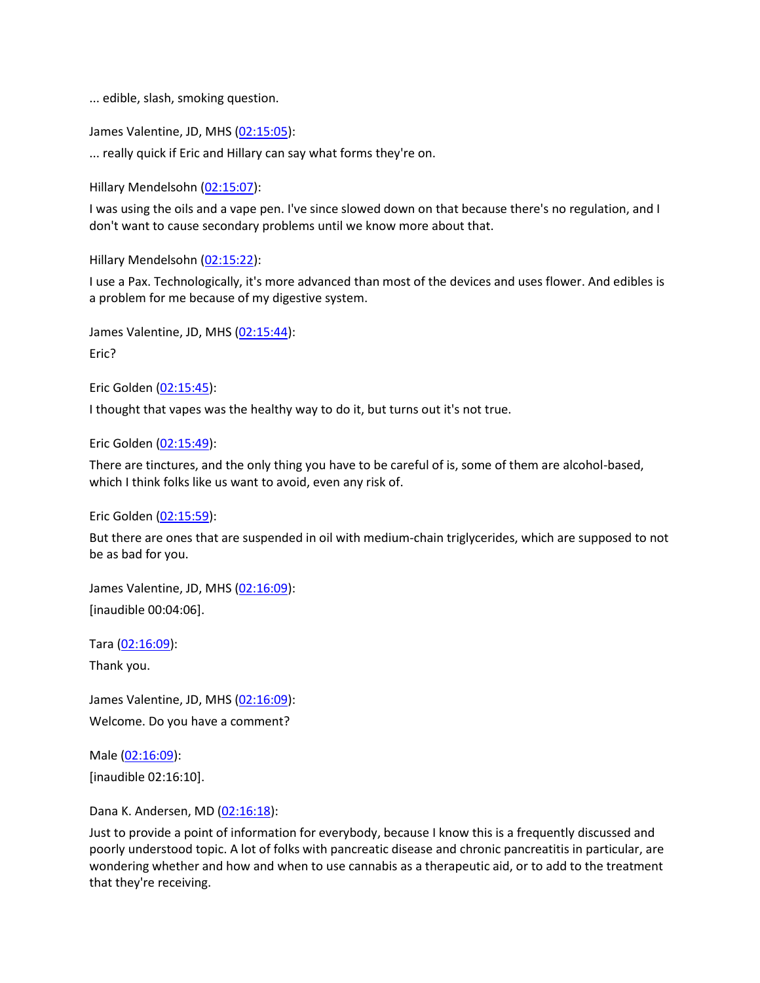... edible, slash, smoking question.

James Valentine, JD, MHS [\(02:15:05\)](https://www.rev.com/transcript-editor/Edit?token=xfWz6od6-Is6vbfycemiNh06pPQusFCSsGuB4odXFE5a9x2wqCWcAkgZoZd_jTYGWJJGGMkGDh5TL39uGmtRtv8rdPo&loadFrom=DocumentDeeplink&ts=8105.06):

... really quick if Eric and Hillary can say what forms they're on.

Hillary Mendelsohn [\(02:15:07\)](https://www.rev.com/transcript-editor/Edit?token=TrL95uCNOUikc33DdYgr5hGiRgqB8LdUatZcT_-00UJHsYvU_M2DR78dsqHkdkFAZ3_5CQlHntVadIpf_G2CCcSLRNI&loadFrom=DocumentDeeplink&ts=8107.5):

I was using the oils and a vape pen. I've since slowed down on that because there's no regulation, and I don't want to cause secondary problems until we know more about that.

Hillary Mendelsohn [\(02:15:22\)](https://www.rev.com/transcript-editor/Edit?token=CQ24-ekzgiA__y2fTjvqNZoLwr2AHLnzrkrJj2hl4xvHg1-udsRszP8r5daw0GTukCSxDyLYqGqgWpHy711bkgwbnK8&loadFrom=DocumentDeeplink&ts=8122.9):

I use a Pax. Technologically, it's more advanced than most of the devices and uses flower. And edibles is a problem for me because of my digestive system.

James Valentine, JD, MHS [\(02:15:44\)](https://www.rev.com/transcript-editor/Edit?token=G_b5UIpvnPObST64KFNGlfRREzRE9zIZFmdiLUr3jp5K4zrNbnfUd-X66A1Fm-rgUnwoh7qOUsNZ7T0kRBOwX7Y7m9A&loadFrom=DocumentDeeplink&ts=8144.73):

Eric?

Eric Golden [\(02:15:45\)](https://www.rev.com/transcript-editor/Edit?token=BtMml6N8gXvkJxNYrkAcUf5brJyvXd7V-QbIqHnU5uXvzmwSL-8ZUf5rEEIpzsjvC_Jj1T1tvyACZK8MVscAQ8CX0P4&loadFrom=DocumentDeeplink&ts=8145.95):

I thought that vapes was the healthy way to do it, but turns out it's not true.

Eric Golden [\(02:15:49\)](https://www.rev.com/transcript-editor/Edit?token=rmPwRGkegPygjvX3j5nWP8Ybh4KdC5lba6oTtIfou57Y8fvVD_n-f_g11fn-QdLgpBwjL_wbT6F7QQ1DvNODJZLnYCY&loadFrom=DocumentDeeplink&ts=8149.39):

There are tinctures, and the only thing you have to be careful of is, some of them are alcohol-based, which I think folks like us want to avoid, even any risk of.

Eric Golden [\(02:15:59\)](https://www.rev.com/transcript-editor/Edit?token=k3U8D_swPE157zsaMxAIFBDZ_lHPZSsxVhC6OhUY8AoHdf9BIWKAl0Hyr_YZilIbwFYqnIGsQOaF28JO9XWAuSvU2Hc&loadFrom=DocumentDeeplink&ts=8159.4):

But there are ones that are suspended in oil with medium-chain triglycerides, which are supposed to not be as bad for you.

James Valentine, JD, MHS [\(02:16:09\)](https://www.rev.com/transcript-editor/Edit?token=syVSA5vJQa4SrVAQ2VyTIr9HxUOUyK-YPsREZ9MqSYNKpyRbNrTaTmCH--Eyg4ML4ldOq5cB9B9XzcwNueA6JjBVoWA&loadFrom=DocumentDeeplink&ts=8169.83): [inaudible 00:04:06].

Tara [\(02:16:09\)](https://www.rev.com/transcript-editor/Edit?token=nX2jHSHCDl2dLlpLJgrZbheADT-EwaOTPy5NzA91ufAs7hIb7UKVZPX9dGTU42Rr_K30-HIBsJQtL3VzOLY-x43ZFp8&loadFrom=DocumentDeeplink&ts=8169.85):

Thank you.

James Valentine, JD, MHS [\(02:16:09\)](https://www.rev.com/transcript-editor/Edit?token=Dhzx0cOAZfY75auBi9ZLwDwCXQx2LxckoIkkyXlVF2Awdx_VmkeBPOoKuNmKKTsF3vObDlp_ha9gYZqvYBs8uFwnfvY&loadFrom=DocumentDeeplink&ts=8169.92): Welcome. Do you have a comment?

Male [\(02:16:09\)](https://www.rev.com/transcript-editor/Edit?token=uPzqe5KtxPJV4L28ykPZC41KN448BlwXk0CSHqVMfv1fUU7Ro9kD6N7uhFybRsEIc8znespJ_9HRc7_p8G0J-wbawWc&loadFrom=DocumentDeeplink&ts=8169.98): [inaudible 02:16:10].

Dana K. Andersen, MD [\(02:16:18\)](https://www.rev.com/transcript-editor/Edit?token=2oZI8aYAhOD497mmOlyxsh-stu6IMprvU0fU9q3z-2-uuEDZOy2xP8DUnsIp6r7R7drgpTWt8dGBuBj4zY3XAl0wr1Q&loadFrom=DocumentDeeplink&ts=8178.24):

Just to provide a point of information for everybody, because I know this is a frequently discussed and poorly understood topic. A lot of folks with pancreatic disease and chronic pancreatitis in particular, are wondering whether and how and when to use cannabis as a therapeutic aid, or to add to the treatment that they're receiving.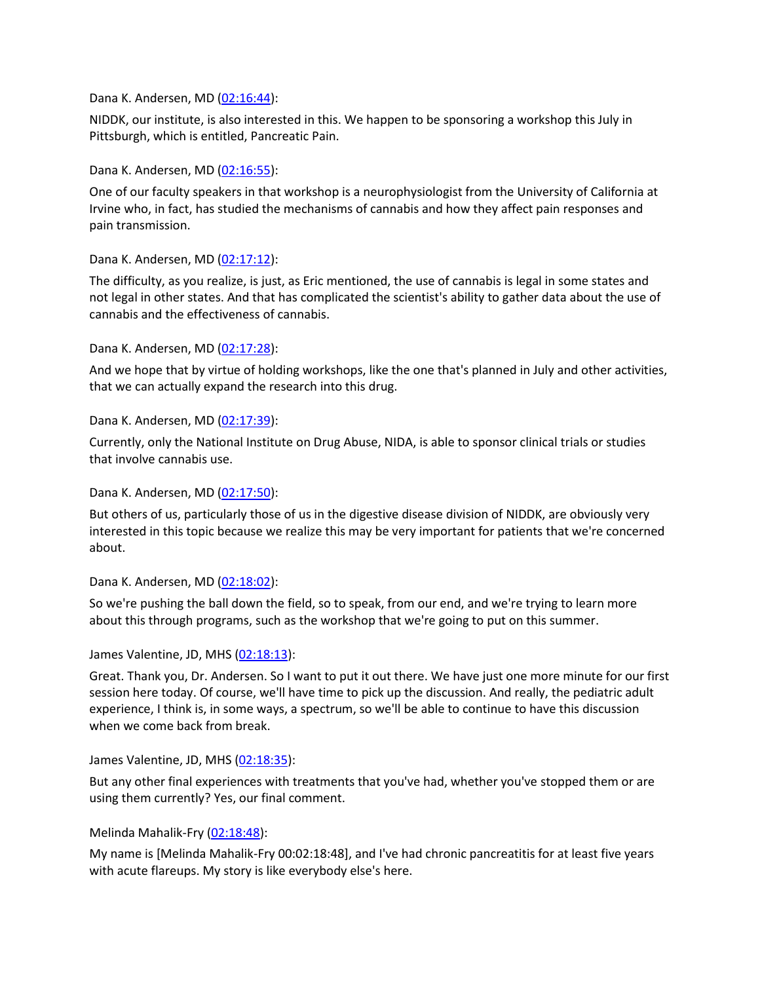#### Dana K. Andersen, MD [\(02:16:44\)](https://www.rev.com/transcript-editor/Edit?token=jMsgr2MwOmIy2JLvgegm4ELok3nKEZoJgAjIeFgObWQSJ90NLYotvNEB9U4yhFoao-1UMC3LJ3ij1RVf_zMR6GTka-Q&loadFrom=DocumentDeeplink&ts=8204.25):

NIDDK, our institute, is also interested in this. We happen to be sponsoring a workshop this July in Pittsburgh, which is entitled, Pancreatic Pain.

#### Dana K. Andersen, MD [\(02:16:55\)](https://www.rev.com/transcript-editor/Edit?token=UMJOPELOw71PghBXKhrkCKKcDMU1lLrb5anCKg_io6WrnBzue1DIdYWKlAn__0hvy9TROLXsoic3B5-z3YBcxuIfIZE&loadFrom=DocumentDeeplink&ts=8215.24):

One of our faculty speakers in that workshop is a neurophysiologist from the University of California at Irvine who, in fact, has studied the mechanisms of cannabis and how they affect pain responses and pain transmission.

### Dana K. Andersen, MD [\(02:17:12\)](https://www.rev.com/transcript-editor/Edit?token=-mHg8pZhuUwtPW5JXdhhtROisUWjsM9_oR59LLuHlx46ff5J20kBYCXrjbsDxGNkiyEeiyT_yqNvo9KmLGXOf0jiySo&loadFrom=DocumentDeeplink&ts=8232.48):

The difficulty, as you realize, is just, as Eric mentioned, the use of cannabis is legal in some states and not legal in other states. And that has complicated the scientist's ability to gather data about the use of cannabis and the effectiveness of cannabis.

#### Dana K. Andersen, MD [\(02:17:28\)](https://www.rev.com/transcript-editor/Edit?token=_CzzDJW4pI7ardVrW09u8PH9s5W8h7Qagux5_FDfIX9oe2MMh5TxkzAStV8MtCPsXxLlDxsSdmRzVW5UAtwijdQHDwc&loadFrom=DocumentDeeplink&ts=8248.22):

And we hope that by virtue of holding workshops, like the one that's planned in July and other activities, that we can actually expand the research into this drug.

#### Dana K. Andersen, MD [\(02:17:39\)](https://www.rev.com/transcript-editor/Edit?token=7NIIunyidciwGTBKUs2IIRvH11LFAHpkf3NL75II7IOc9Wl2p3wf5uLAUFZ1SOWl5uby-PnYk7PXzP_pUe_QhOK9onc&loadFrom=DocumentDeeplink&ts=8259.24):

Currently, only the National Institute on Drug Abuse, NIDA, is able to sponsor clinical trials or studies that involve cannabis use.

#### Dana K. Andersen, MD [\(02:17:50\)](https://www.rev.com/transcript-editor/Edit?token=6829CuTHOPjdzn08Jswn6FwSJnnEGi4H_flq0_bwByYl1fAiKWZgMDir3j9AfK6f561ijl4MLXw34vFpwHH11UaNHj8&loadFrom=DocumentDeeplink&ts=8270.14):

But others of us, particularly those of us in the digestive disease division of NIDDK, are obviously very interested in this topic because we realize this may be very important for patients that we're concerned about.

#### Dana K. Andersen, MD [\(02:18:02\)](https://www.rev.com/transcript-editor/Edit?token=0Um7T7pDld8BExzwCOnGeeHBKaxwYxsBL3f2DPzlx0VMa0JVovGD_P2WZ5P6nmE9BvGLVSkIvKIiGUpdOIZwHSlkRag&loadFrom=DocumentDeeplink&ts=8282.64):

So we're pushing the ball down the field, so to speak, from our end, and we're trying to learn more about this through programs, such as the workshop that we're going to put on this summer.

#### James Valentine, JD, MHS [\(02:18:13\)](https://www.rev.com/transcript-editor/Edit?token=xNIK74k37DwTxnU72LhxMjRAVEBBWS3MnFGLEwRm49L56IaK9CInmmauBFZbv8mUysKm1iSCiGgEK6hnlNUxdb4CUKE&loadFrom=DocumentDeeplink&ts=8293.05):

Great. Thank you, Dr. Andersen. So I want to put it out there. We have just one more minute for our first session here today. Of course, we'll have time to pick up the discussion. And really, the pediatric adult experience, I think is, in some ways, a spectrum, so we'll be able to continue to have this discussion when we come back from break.

James Valentine, JD, MHS [\(02:18:35\)](https://www.rev.com/transcript-editor/Edit?token=_5Lao8h2EIrNk6Da1dP0DUKCq_-4QOhkpmdDrAaQbo0JYrEdlmTQ3RpN5FmXGTeLmwdnOMlPX2KvHgS85NaDsOA96yc&loadFrom=DocumentDeeplink&ts=8315.48):

But any other final experiences with treatments that you've had, whether you've stopped them or are using them currently? Yes, our final comment.

#### Melinda Mahalik-Fry [\(02:18:48\)](https://www.rev.com/transcript-editor/Edit?token=M-IgGBhL1Gtg3SsyZYNrvu2SG8ymPeLVXGB_37s2sPdPUeRxwP6c5WiZhOOFIE4y8LbIn-yoRwesI7ddW9TNNTKKuOE&loadFrom=DocumentDeeplink&ts=8328.8):

My name is [Melinda Mahalik-Fry 00:02:18:48], and I've had chronic pancreatitis for at least five years with acute flareups. My story is like everybody else's here.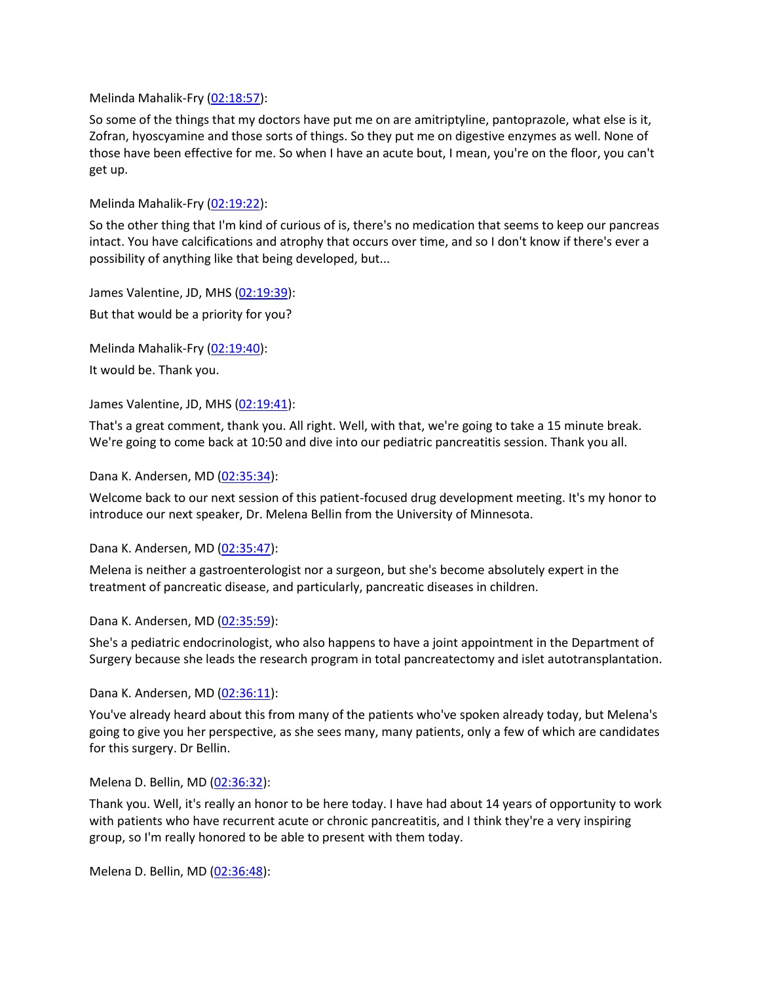Melinda Mahalik-Fry [\(02:18:57\)](https://www.rev.com/transcript-editor/Edit?token=H0-3QcJ7VoliMss59osv2Rm9031QLDZzQgk5tcRKCUHUFC4pGhqAJwGJhh3jQOaij1b86s3rcEt6lrL9veIOUiWhTy0&loadFrom=DocumentDeeplink&ts=8337.91):

So some of the things that my doctors have put me on are amitriptyline, pantoprazole, what else is it, Zofran, hyoscyamine and those sorts of things. So they put me on digestive enzymes as well. None of those have been effective for me. So when I have an acute bout, I mean, you're on the floor, you can't get up.

Melinda Mahalik-Fry [\(02:19:22\)](https://www.rev.com/transcript-editor/Edit?token=m35-3GLG1UVbjJpzNnhTDO0UdzZJ7RwMYYy7a4Jvha-iBDfvhk3xUR5nWeS3ATMQ-2CrjqSfGTFI4nc6SkbkZ43UgbY&loadFrom=DocumentDeeplink&ts=8362.55):

So the other thing that I'm kind of curious of is, there's no medication that seems to keep our pancreas intact. You have calcifications and atrophy that occurs over time, and so I don't know if there's ever a possibility of anything like that being developed, but...

James Valentine, JD, MHS [\(02:19:39\)](https://www.rev.com/transcript-editor/Edit?token=kpAXW-q2HJuN8L5T2C3wd8uVmtnsjQdtI2EfUwhhe7YstcUufpFK3yvtoP9b5gOeg28P2xuu9o4LSWGyYpRLdiG0Big&loadFrom=DocumentDeeplink&ts=8379.2): But that would be a priority for you?

Melinda Mahalik-Fry [\(02:19:40\)](https://www.rev.com/transcript-editor/Edit?token=hym7bdg_ksI2ZdLhDFqzoi7Jsgl19PKkqc5bmeybelorfEdY7pw_v5ag1K4nAZcSWJ1mBFcLHlI0NhXgsgGs8e5vDno&loadFrom=DocumentDeeplink&ts=8380.81): It would be. Thank you.

James Valentine, JD, MHS [\(02:19:41\)](https://www.rev.com/transcript-editor/Edit?token=WiJ2_O18iJAtKTOL_Vqrl3U11DDoVMHH60Fis-DkaGiHCbHhFlZrNzRHp--Do7oDefo_uAPI8lhJuodHCYtxeP8Prv8&loadFrom=DocumentDeeplink&ts=8381.37):

That's a great comment, thank you. All right. Well, with that, we're going to take a 15 minute break. We're going to come back at 10:50 and dive into our pediatric pancreatitis session. Thank you all.

Dana K. Andersen, MD [\(02:35:34\)](https://www.rev.com/transcript-editor/Edit?token=mqhlbE6Jk8qBMrdvDPyKjbX7SvkgNQGm4Ei_a2vUymeGByaenDvct4cJeac5yYyt6qeYq2j1E7dEHCGnLIkeSE_S5Dk&loadFrom=DocumentDeeplink&ts=9334.38):

Welcome back to our next session of this patient-focused drug development meeting. It's my honor to introduce our next speaker, Dr. Melena Bellin from the University of Minnesota.

Dana K. Andersen, MD [\(02:35:47\)](https://www.rev.com/transcript-editor/Edit?token=xydHdYGs0beh5RF_d-DjGBfLMFTJPxbKCt-mpyoLXUNorNXNFAMdSwJBhlf-GZsgJKJM7HVQHWeBk1BCSdT4dSdv7Ys&loadFrom=DocumentDeeplink&ts=9347.49):

Melena is neither a gastroenterologist nor a surgeon, but she's become absolutely expert in the treatment of pancreatic disease, and particularly, pancreatic diseases in children.

Dana K. Andersen, MD [\(02:35:59\)](https://www.rev.com/transcript-editor/Edit?token=LBDSpW2YpBzhn6CZsP2ljmPLk2lCnn_M69McAx5JjUWaqOoqWnk8tkToiXKi6fIzTx_hF3btRes3krEpnnm1GpkhD6U&loadFrom=DocumentDeeplink&ts=9359.13):

She's a pediatric endocrinologist, who also happens to have a joint appointment in the Department of Surgery because she leads the research program in total pancreatectomy and islet autotransplantation.

Dana K. Andersen, MD [\(02:36:11\)](https://www.rev.com/transcript-editor/Edit?token=dWaw3e6JC-Cw6JULEOHr_2II_SB1Zpj4QadIpLrhvphTsa0efOc-6Evj2TnTotCk58h7YkUTOSR10jwO57B9Zj1pejQ&loadFrom=DocumentDeeplink&ts=9371.47):

You've already heard about this from many of the patients who've spoken already today, but Melena's going to give you her perspective, as she sees many, many patients, only a few of which are candidates for this surgery. Dr Bellin.

Melena D. Bellin, MD [\(02:36:32\)](https://www.rev.com/transcript-editor/Edit?token=xJI_N6uaR1mQgrkz02MyR_5Wxyjp_3UFeyKCsS-wkz85rdqtzSQA_pTLEj9Crrwh3uEUL1s6lkNuvlGUktxJgvozfZs&loadFrom=DocumentDeeplink&ts=9392.65):

Thank you. Well, it's really an honor to be here today. I have had about 14 years of opportunity to work with patients who have recurrent acute or chronic pancreatitis, and I think they're a very inspiring group, so I'm really honored to be able to present with them today.

Melena D. Bellin, MD [\(02:36:48\)](https://www.rev.com/transcript-editor/Edit?token=pjSY2WeC-tsBHq35q7K99MMyjfXNOCQFKqz5FxgCmNqkzCHYBbsEyATMzNka15kgmzwuKwGblm3q9UTIE37O-iEVWj0&loadFrom=DocumentDeeplink&ts=9408.13):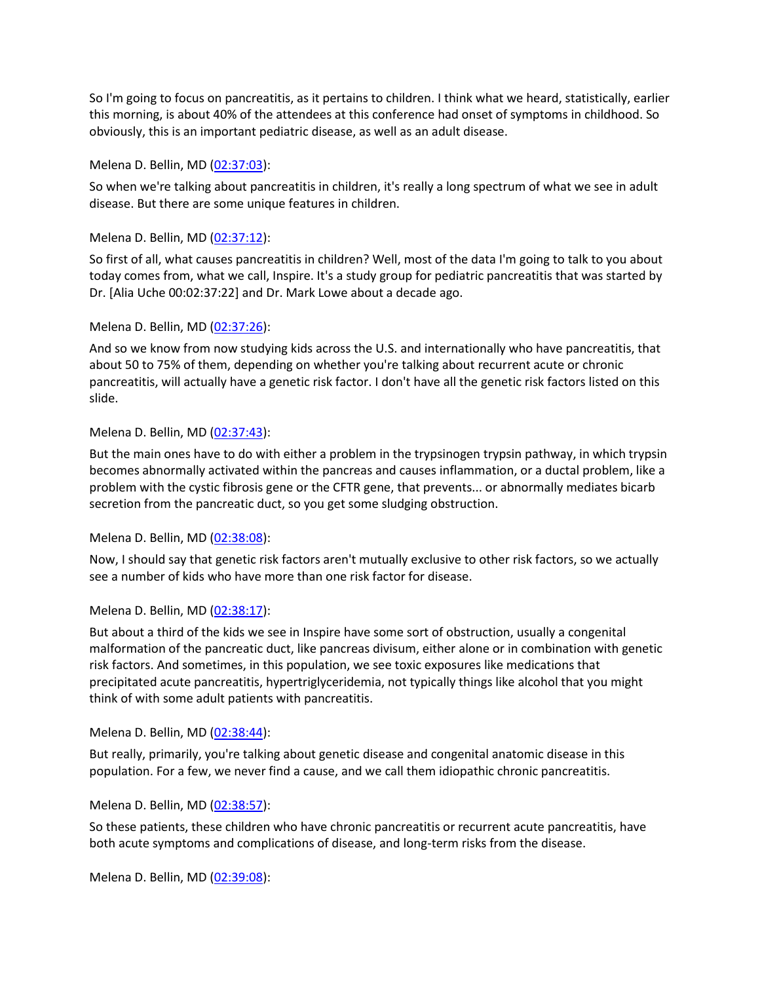So I'm going to focus on pancreatitis, as it pertains to children. I think what we heard, statistically, earlier this morning, is about 40% of the attendees at this conference had onset of symptoms in childhood. So obviously, this is an important pediatric disease, as well as an adult disease.

### Melena D. Bellin, MD [\(02:37:03\)](https://www.rev.com/transcript-editor/Edit?token=eaQ5GFxTKdlGRbeGYfbuNTOhowp3APjfc6OBwizkH8Hn0xP8-pC2If0heoRFKNN_Hbpg_f8UTnm0DZ1FKhQBsdtXLps&loadFrom=DocumentDeeplink&ts=9423.96):

So when we're talking about pancreatitis in children, it's really a long spectrum of what we see in adult disease. But there are some unique features in children.

#### Melena D. Bellin, MD [\(02:37:12\)](https://www.rev.com/transcript-editor/Edit?token=JglXVO8IlRRycHZVBfhy5moywOT_2FYZUyuBcVQrb3GmXEn6yaxpA7_PbIgEdVZuOj6jbO9kMXqsSfu0ZA7-w8p2I8s&loadFrom=DocumentDeeplink&ts=9432.75):

So first of all, what causes pancreatitis in children? Well, most of the data I'm going to talk to you about today comes from, what we call, Inspire. It's a study group for pediatric pancreatitis that was started by Dr. [Alia Uche 00:02:37:22] and Dr. Mark Lowe about a decade ago.

#### Melena D. Bellin, MD [\(02:37:26\)](https://www.rev.com/transcript-editor/Edit?token=7gUOpnisQmEIzhs_l2GmzPl74aPRanSUzffnPHE7ceahcTLmRNIQv5CtLPK6w_xycE2drWGFjdhyqCSBGEkcHKzHFP8&loadFrom=DocumentDeeplink&ts=9446.08):

And so we know from now studying kids across the U.S. and internationally who have pancreatitis, that about 50 to 75% of them, depending on whether you're talking about recurrent acute or chronic pancreatitis, will actually have a genetic risk factor. I don't have all the genetic risk factors listed on this slide.

#### Melena D. Bellin, MD [\(02:37:43\)](https://www.rev.com/transcript-editor/Edit?token=cCTwrRdDRWJjPKrK7SzJYvrU7xQjHznRmNBs5NZ98OiuiW_ohiyVpnOg2Rqe8r3tIE32GSEqmdxRuK9a5a_LMx1ICtQ&loadFrom=DocumentDeeplink&ts=9463.44):

But the main ones have to do with either a problem in the trypsinogen trypsin pathway, in which trypsin becomes abnormally activated within the pancreas and causes inflammation, or a ductal problem, like a problem with the cystic fibrosis gene or the CFTR gene, that prevents... or abnormally mediates bicarb secretion from the pancreatic duct, so you get some sludging obstruction.

### Melena D. Bellin, MD [\(02:38:08\)](https://www.rev.com/transcript-editor/Edit?token=WlXREBzAwqMYvfqoa7zkjmKHeuXNmOr7pkQNSYPtZX1BeL5Rhr5ba6MVNqFGgMrEs05NaxP3m6x412fIijuvClQ4AHg&loadFrom=DocumentDeeplink&ts=9488.89):

Now, I should say that genetic risk factors aren't mutually exclusive to other risk factors, so we actually see a number of kids who have more than one risk factor for disease.

### Melena D. Bellin, MD [\(02:38:17\)](https://www.rev.com/transcript-editor/Edit?token=OvUnNq-2UonekhDSuFqj0dd3aP5H_IYR2G1E8Tws3LHblFVcf5yoaac-U18wpZYnXRaTa0dt0PjziwFbA0Pd86buu-I&loadFrom=DocumentDeeplink&ts=9497.37):

But about a third of the kids we see in Inspire have some sort of obstruction, usually a congenital malformation of the pancreatic duct, like pancreas divisum, either alone or in combination with genetic risk factors. And sometimes, in this population, we see toxic exposures like medications that precipitated acute pancreatitis, hypertriglyceridemia, not typically things like alcohol that you might think of with some adult patients with pancreatitis.

#### Melena D. Bellin, MD [\(02:38:44\)](https://www.rev.com/transcript-editor/Edit?token=vSD08bJgcpSqtfMbnSiFYynv5TyD3YrVwMApk9GbfeTQ8RL7aNYro3ziE6MQ728PF9qQeKuTFhnmdJjckRky5zv-6u4&loadFrom=DocumentDeeplink&ts=9524.4):

But really, primarily, you're talking about genetic disease and congenital anatomic disease in this population. For a few, we never find a cause, and we call them idiopathic chronic pancreatitis.

### Melena D. Bellin, MD [\(02:38:57\)](https://www.rev.com/transcript-editor/Edit?token=2MMW1yffZi7K26OJknIeFOigNMrWmRdZQpqWyMoyvMX4d402Sr3ZdNgTdS4gCGh_D_x_5CN_8YuJBE5OpD9GfvVd51M&loadFrom=DocumentDeeplink&ts=9537.35):

So these patients, these children who have chronic pancreatitis or recurrent acute pancreatitis, have both acute symptoms and complications of disease, and long-term risks from the disease.

Melena D. Bellin, MD [\(02:39:08\)](https://www.rev.com/transcript-editor/Edit?token=ooIa95EeAbSasVF4XwNMZlWUXNom7JluXOkwzn8Q7xVXU-BDvcUzhQCZa04C8hX9G5WJqv6xqGp_4fYLm0JUqnC10Pc&loadFrom=DocumentDeeplink&ts=9548.81):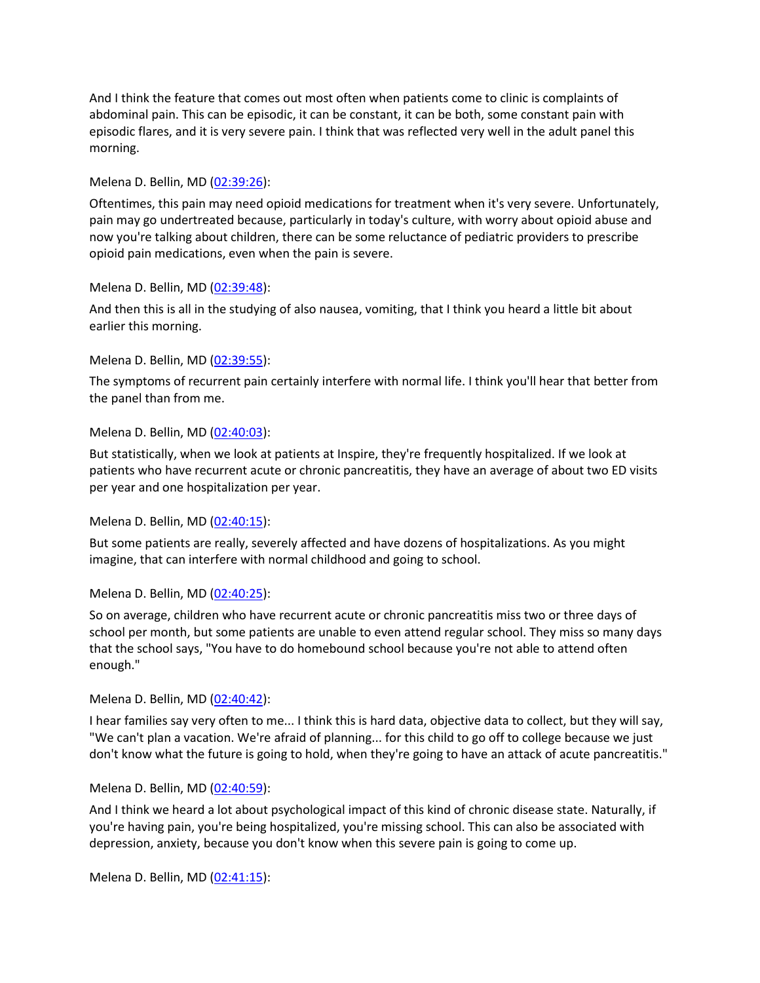And I think the feature that comes out most often when patients come to clinic is complaints of abdominal pain. This can be episodic, it can be constant, it can be both, some constant pain with episodic flares, and it is very severe pain. I think that was reflected very well in the adult panel this morning.

#### Melena D. Bellin, MD [\(02:39:26\)](https://www.rev.com/transcript-editor/Edit?token=YaY7AW0GeedLea7mZ2-oHVm_KWI1-zoE9obPtrdn8iZcAs_o_1Xi7s00o7eucP4wbNAC_DOluZeg5kPWuW2lYaIgsUw&loadFrom=DocumentDeeplink&ts=9566.51):

Oftentimes, this pain may need opioid medications for treatment when it's very severe. Unfortunately, pain may go undertreated because, particularly in today's culture, with worry about opioid abuse and now you're talking about children, there can be some reluctance of pediatric providers to prescribe opioid pain medications, even when the pain is severe.

#### Melena D. Bellin, MD [\(02:39:48\)](https://www.rev.com/transcript-editor/Edit?token=JfceD_zlsTDnHMMnQPJCqPbPDqkbD1yJUI8_MODIiyRUSEkxdhis50rtlFnqQrNuy3_ANSAHqQTErxxqhHlcREPOYLI&loadFrom=DocumentDeeplink&ts=9588.98):

And then this is all in the studying of also nausea, vomiting, that I think you heard a little bit about earlier this morning.

#### Melena D. Bellin, MD [\(02:39:55\)](https://www.rev.com/transcript-editor/Edit?token=4HXgR-cQAoACEX5LLpcbvEWEh1zR2xaGsSijlPPI3VVzqNUM-ADP_Y8LTQ2sG3SZv9_N2fVpWDTerozDMiQK1HPgG6M&loadFrom=DocumentDeeplink&ts=9595.64):

The symptoms of recurrent pain certainly interfere with normal life. I think you'll hear that better from the panel than from me.

#### Melena D. Bellin, MD [\(02:40:03\)](https://www.rev.com/transcript-editor/Edit?token=MOp3c5TdXTj_S0hxhS5l0IyEhtQhABTISH8_fWVa83qMjxMeAfzrZSU47LAcjU9lldWRk7uuTeiJLi9HPRrfVyHBOII&loadFrom=DocumentDeeplink&ts=9603.78):

But statistically, when we look at patients at Inspire, they're frequently hospitalized. If we look at patients who have recurrent acute or chronic pancreatitis, they have an average of about two ED visits per year and one hospitalization per year.

#### Melena D. Bellin, MD [\(02:40:15\)](https://www.rev.com/transcript-editor/Edit?token=SEXFJW8dQQdaiyo4-1GwJ8qFx13l-BXnh64-5gZMJXGWuZpIkq5UatSKI2bi6DLbZ4iZ-vKbyqgaCtAn0NBfsuN271o&loadFrom=DocumentDeeplink&ts=9615.62):

But some patients are really, severely affected and have dozens of hospitalizations. As you might imagine, that can interfere with normal childhood and going to school.

### Melena D. Bellin, MD [\(02:40:25\)](https://www.rev.com/transcript-editor/Edit?token=L1PiXAxMDf3mKT8i52R5-eD2HmGX0uP6dntHNJe_y1z3KZ_39gB4UfXdTHG_ry0_Ut82Iqa7bqs0jnLAOkg5dxjhfZI&loadFrom=DocumentDeeplink&ts=9625.54):

So on average, children who have recurrent acute or chronic pancreatitis miss two or three days of school per month, but some patients are unable to even attend regular school. They miss so many days that the school says, "You have to do homebound school because you're not able to attend often enough."

#### Melena D. Bellin, MD [\(02:40:42\)](https://www.rev.com/transcript-editor/Edit?token=XRYNnGKTB7jAbWfbpdZE6PQCxRJZFBMpxiahrr2D-_Djr-cpa0i-7dG0Ppszn3jtUxKZ9S6JSJqYM4ZwZObyJjGenNg&loadFrom=DocumentDeeplink&ts=9642.57):

I hear families say very often to me... I think this is hard data, objective data to collect, but they will say, "We can't plan a vacation. We're afraid of planning... for this child to go off to college because we just don't know what the future is going to hold, when they're going to have an attack of acute pancreatitis."

### Melena D. Bellin, MD [\(02:40:59\)](https://www.rev.com/transcript-editor/Edit?token=oYAES1Hs0n8rOrcKB5Zxd5OPWumtmL5etOkK7B1EZWDDXeIf6S54HgitJQCy8bIlLrccbebOJNStK7iL1XkIIzf0-nI&loadFrom=DocumentDeeplink&ts=9659.73):

And I think we heard a lot about psychological impact of this kind of chronic disease state. Naturally, if you're having pain, you're being hospitalized, you're missing school. This can also be associated with depression, anxiety, because you don't know when this severe pain is going to come up.

Melena D. Bellin, MD [\(02:41:15\)](https://www.rev.com/transcript-editor/Edit?token=tpxUrbe-I8rY09r0a4Ccf0pXp7LNpQdtH87mzHRMy0nTB-hgVlSHZ0m-EN3Y9c0MXeDBzOhLXJwcQmo4EzpuL20TSiU&loadFrom=DocumentDeeplink&ts=9675.47):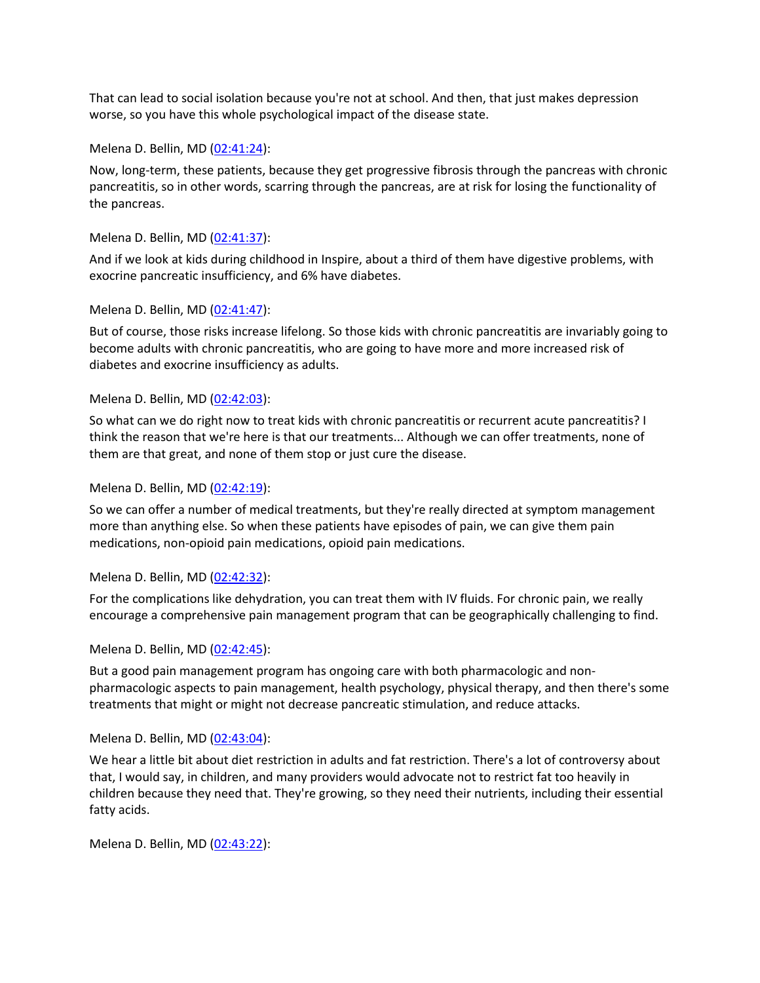That can lead to social isolation because you're not at school. And then, that just makes depression worse, so you have this whole psychological impact of the disease state.

Melena D. Bellin, MD [\(02:41:24\)](https://www.rev.com/transcript-editor/Edit?token=ZyyHJ5ViAwPPkCIFN98iqSCqDxagPsEhuTPGm5MCEzBD_KbnNC1-OstDNNptN9y8gtTCO5O46oRsReriy1nZax01j74&loadFrom=DocumentDeeplink&ts=9684.83):

Now, long-term, these patients, because they get progressive fibrosis through the pancreas with chronic pancreatitis, so in other words, scarring through the pancreas, are at risk for losing the functionality of the pancreas.

Melena D. Bellin, MD [\(02:41:37\)](https://www.rev.com/transcript-editor/Edit?token=n0KudXi6Qf4JR1PZuU9UPAh5e_qbgw9nvFU8w2vSy8ncvwl7vXSvJC2m6IMvDy5W10VLppEapjdAuuCgfYMGBQlUN_I&loadFrom=DocumentDeeplink&ts=9697.51):

And if we look at kids during childhood in Inspire, about a third of them have digestive problems, with exocrine pancreatic insufficiency, and 6% have diabetes.

Melena D. Bellin, MD [\(02:41:47\)](https://www.rev.com/transcript-editor/Edit?token=VYlS-VU_pG1Kn37ihrFbe4gsVFS92uVLnCWjM0iw4KZo8DM3rN5s6a0_8VfnZzoYDKS4c3aHHq6Vxa2Jp49J_OfUpT0&loadFrom=DocumentDeeplink&ts=9707.48):

But of course, those risks increase lifelong. So those kids with chronic pancreatitis are invariably going to become adults with chronic pancreatitis, who are going to have more and more increased risk of diabetes and exocrine insufficiency as adults.

Melena D. Bellin, MD [\(02:42:03\)](https://www.rev.com/transcript-editor/Edit?token=rqxrEb-pHh1SIdJk3TFwbjtsKdjyzxDUj5ab3jI1dB9gMcVA-vXCJwm4Diyw8w0RKoxmZjwNtjXfet-fUlaSYWtQ2BU&loadFrom=DocumentDeeplink&ts=9723.56):

So what can we do right now to treat kids with chronic pancreatitis or recurrent acute pancreatitis? I think the reason that we're here is that our treatments... Although we can offer treatments, none of them are that great, and none of them stop or just cure the disease.

Melena D. Bellin, MD [\(02:42:19\)](https://www.rev.com/transcript-editor/Edit?token=mDH0KRxJagLUXPcZ24HAQLih6oa9ynwPdSaKp_JolSZrL8AzbkficzIlmEzQq1p08UUHAi433rqtuTlqpza0EAsChBo&loadFrom=DocumentDeeplink&ts=9739.74):

So we can offer a number of medical treatments, but they're really directed at symptom management more than anything else. So when these patients have episodes of pain, we can give them pain medications, non-opioid pain medications, opioid pain medications.

Melena D. Bellin, MD [\(02:42:32\)](https://www.rev.com/transcript-editor/Edit?token=epL56pRLL5lY3K6fLFVMLmKnpF4KCzyEmroChui9s53WuN2qmN2qXpFHRvaf4Ve8D2ltEnmVpWHk3HdhP5aPYQD2mpQ&loadFrom=DocumentDeeplink&ts=9752.89):

For the complications like dehydration, you can treat them with IV fluids. For chronic pain, we really encourage a comprehensive pain management program that can be geographically challenging to find.

Melena D. Bellin, MD [\(02:42:45\)](https://www.rev.com/transcript-editor/Edit?token=pzX_CjGUYnD0FK9w44Ze9muzgMuvC9ZaowCB60RFiILHxeEeazX1JOx48PiXqzgG6GcnmRqQyWCy-dSqODkID3ojOi8&loadFrom=DocumentDeeplink&ts=9765.77):

But a good pain management program has ongoing care with both pharmacologic and nonpharmacologic aspects to pain management, health psychology, physical therapy, and then there's some treatments that might or might not decrease pancreatic stimulation, and reduce attacks.

Melena D. Bellin, MD [\(02:43:04\)](https://www.rev.com/transcript-editor/Edit?token=c8ELz0Qx77XXrahIREwUqoemeOR8MxG7R03NvRXgQqEobwTdfzgNxLC5FZuslXcpidnC2R6OVLpwwvMeWAYQqXPzQxI&loadFrom=DocumentDeeplink&ts=9784.42):

We hear a little bit about diet restriction in adults and fat restriction. There's a lot of controversy about that, I would say, in children, and many providers would advocate not to restrict fat too heavily in children because they need that. They're growing, so they need their nutrients, including their essential fatty acids.

Melena D. Bellin, MD [\(02:43:22\)](https://www.rev.com/transcript-editor/Edit?token=6DuJDn2c0IuLiglI946QuTV_gZnwlvZDTjNIzce117zhwyUtmTDXEgX3mHfZvglvXOTlUNpslV9Cq9YBjaxMp8rznOo&loadFrom=DocumentDeeplink&ts=9802.06):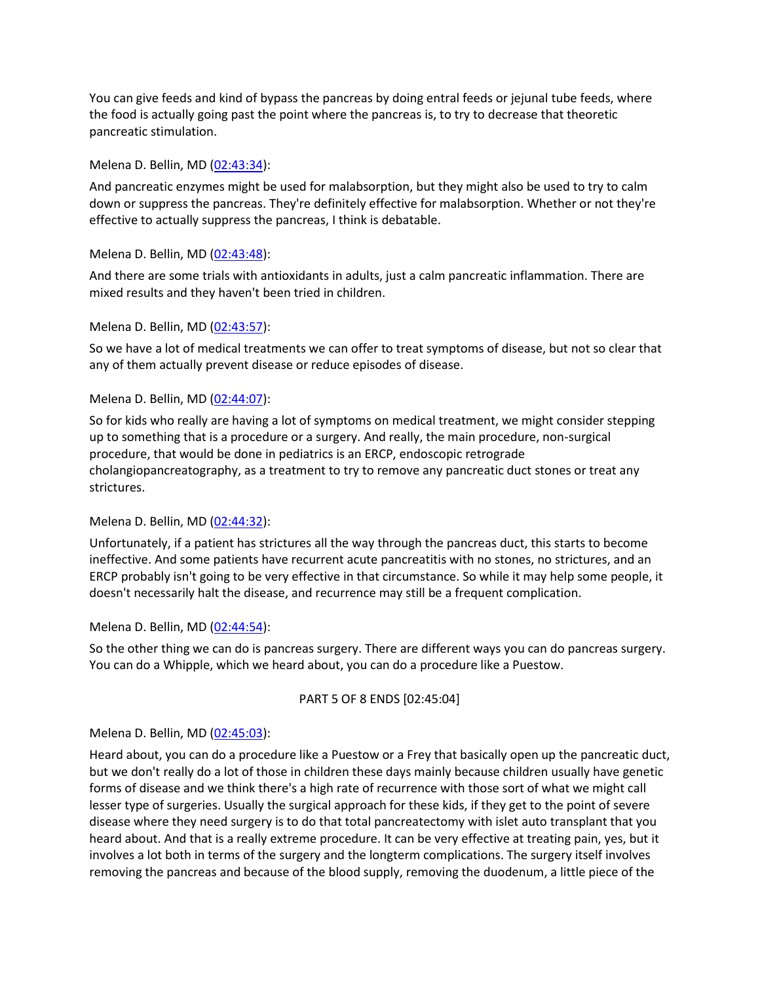You can give feeds and kind of bypass the pancreas by doing entral feeds or jejunal tube feeds, where the food is actually going past the point where the pancreas is, to try to decrease that theoretic pancreatic stimulation.

#### Melena D. Bellin, MD [\(02:43:34\)](https://www.rev.com/transcript-editor/Edit?token=pudKzA944YD2UoL-zvIIYRV9iXKqZmIFmb_k55MRcIHbhRa6dZHAhVUzDups3Q0BHI5m0RiX6Lkgpmr0kf11_Wl18HU&loadFrom=DocumentDeeplink&ts=9814.56):

And pancreatic enzymes might be used for malabsorption, but they might also be used to try to calm down or suppress the pancreas. They're definitely effective for malabsorption. Whether or not they're effective to actually suppress the pancreas, I think is debatable.

#### Melena D. Bellin, MD [\(02:43:48\)](https://www.rev.com/transcript-editor/Edit?token=RqGIBqg-gOSYiYp6OV5OecVYver3aW3j6v-gjuBn82QCSdzW95QW0Zc_aCSmHUSlyolbJw9hgKXob58P7X_vp4Bu0jE&loadFrom=DocumentDeeplink&ts=9828.61):

And there are some trials with antioxidants in adults, just a calm pancreatic inflammation. There are mixed results and they haven't been tried in children.

#### Melena D. Bellin, MD [\(02:43:57\)](https://www.rev.com/transcript-editor/Edit?token=CISivsoPeHR4P5AjG5ZMW11XcMXUPWXQhbBH5nKngYoHmVMDI1TxNkgH_RsSanxWoJ8Z8hrhlod79hfXRhWHtULan9k&loadFrom=DocumentDeeplink&ts=9837.48):

So we have a lot of medical treatments we can offer to treat symptoms of disease, but not so clear that any of them actually prevent disease or reduce episodes of disease.

### Melena D. Bellin, MD [\(02:44:07\)](https://www.rev.com/transcript-editor/Edit?token=Su80zp8QBgrODKTX3CxkDgHRUoDInKSm__vsRXZ_c3_crswOHj3oZeMP6SYcdHqweHtS3dCKnAI8_76z6WmyK8JfErw&loadFrom=DocumentDeeplink&ts=9847.58):

So for kids who really are having a lot of symptoms on medical treatment, we might consider stepping up to something that is a procedure or a surgery. And really, the main procedure, non-surgical procedure, that would be done in pediatrics is an ERCP, endoscopic retrograde cholangiopancreatography, as a treatment to try to remove any pancreatic duct stones or treat any strictures.

#### Melena D. Bellin, MD [\(02:44:32\)](https://www.rev.com/transcript-editor/Edit?token=Ne6Qtamc7q9dX4e38NDM2mPA74i6FtwBUO7DUapfHpMYS_Jyt74-IAoBIImd3kYo-_bM8kHwNGGjb1wxjPzAI5Mu3ZA&loadFrom=DocumentDeeplink&ts=9872.02):

Unfortunately, if a patient has strictures all the way through the pancreas duct, this starts to become ineffective. And some patients have recurrent acute pancreatitis with no stones, no strictures, and an ERCP probably isn't going to be very effective in that circumstance. So while it may help some people, it doesn't necessarily halt the disease, and recurrence may still be a frequent complication.

#### Melena D. Bellin, MD [\(02:44:54\)](https://www.rev.com/transcript-editor/Edit?token=w5usxVUOijKN9uyPsZFZh9VNJ2bJLE3LMztrlSk0ChFZ3477FX2sq9Uga3kBSFM8_Kl8caKT9qM_z6Kc0QOWMzLnP4g&loadFrom=DocumentDeeplink&ts=9894.01):

So the other thing we can do is pancreas surgery. There are different ways you can do pancreas surgery. You can do a Whipple, which we heard about, you can do a procedure like a Puestow.

#### PART 5 OF 8 ENDS [02:45:04]

### Melena D. Bellin, MD [\(02:45:03\)](https://www.rev.com/transcript-editor/Edit?token=HMdBHOxfJPZbgzWZ1EHxKifMjeA9mZyW4PRyy8yaGbi51M-xswPRsrSzxtS1ba_IYZoN6EbPHNl5Y-vD-4T1AMGc24Q&loadFrom=DocumentDeeplink&ts=9903.07):

Heard about, you can do a procedure like a Puestow or a Frey that basically open up the pancreatic duct, but we don't really do a lot of those in children these days mainly because children usually have genetic forms of disease and we think there's a high rate of recurrence with those sort of what we might call lesser type of surgeries. Usually the surgical approach for these kids, if they get to the point of severe disease where they need surgery is to do that total pancreatectomy with islet auto transplant that you heard about. And that is a really extreme procedure. It can be very effective at treating pain, yes, but it involves a lot both in terms of the surgery and the longterm complications. The surgery itself involves removing the pancreas and because of the blood supply, removing the duodenum, a little piece of the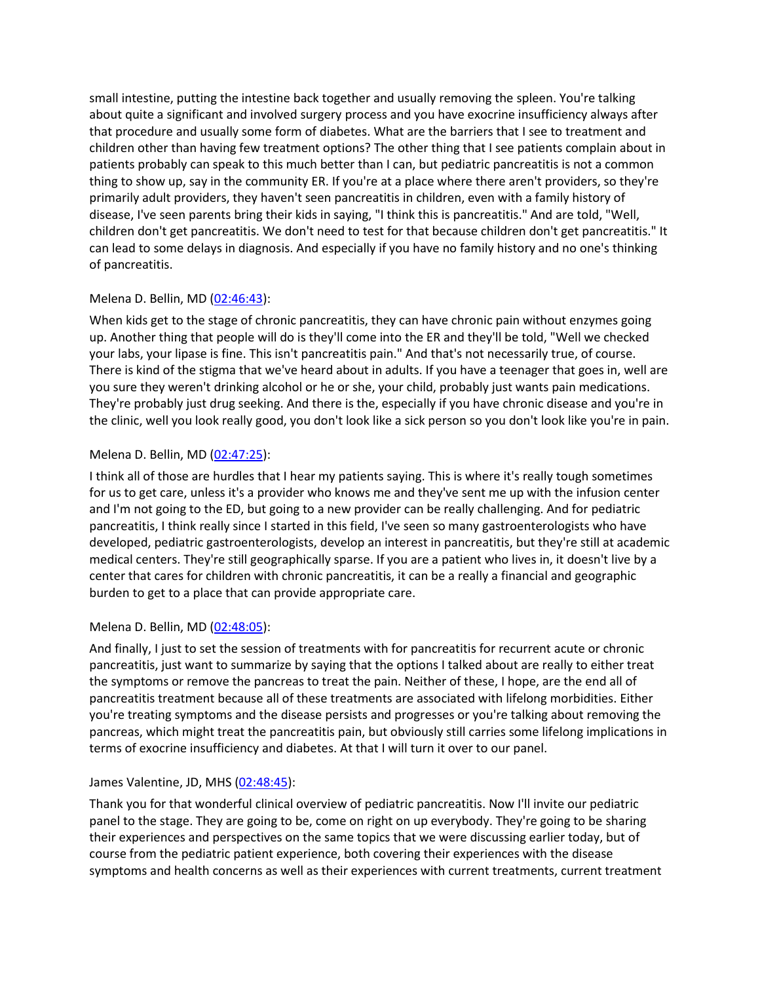small intestine, putting the intestine back together and usually removing the spleen. You're talking about quite a significant and involved surgery process and you have exocrine insufficiency always after that procedure and usually some form of diabetes. What are the barriers that I see to treatment and children other than having few treatment options? The other thing that I see patients complain about in patients probably can speak to this much better than I can, but pediatric pancreatitis is not a common thing to show up, say in the community ER. If you're at a place where there aren't providers, so they're primarily adult providers, they haven't seen pancreatitis in children, even with a family history of disease, I've seen parents bring their kids in saying, "I think this is pancreatitis." And are told, "Well, children don't get pancreatitis. We don't need to test for that because children don't get pancreatitis." It can lead to some delays in diagnosis. And especially if you have no family history and no one's thinking of pancreatitis.

### Melena D. Bellin, MD [\(02:46:43\)](https://www.rev.com/transcript-editor/Edit?token=8ZAUsJwNLyAZsePM8i-RRhbLdZvhW6L_ecM-VnmPtwGFcDTe1pLbtHd5x3dm1SbzRe9EkCv_79l251rmy_6Cw0NJvoc&loadFrom=DocumentDeeplink&ts=10003.34):

When kids get to the stage of chronic pancreatitis, they can have chronic pain without enzymes going up. Another thing that people will do is they'll come into the ER and they'll be told, "Well we checked your labs, your lipase is fine. This isn't pancreatitis pain." And that's not necessarily true, of course. There is kind of the stigma that we've heard about in adults. If you have a teenager that goes in, well are you sure they weren't drinking alcohol or he or she, your child, probably just wants pain medications. They're probably just drug seeking. And there is the, especially if you have chronic disease and you're in the clinic, well you look really good, you don't look like a sick person so you don't look like you're in pain.

# Melena D. Bellin, MD [\(02:47:25\)](https://www.rev.com/transcript-editor/Edit?token=pjxlfVVkDGdxju4_1xEvuKmUOAl4MWghxYHEEgehBPsVQGdj2gtI_2GZR-w3vIBsd-YV7oZiVZAwiA_W2j0N5dX2QyQ&loadFrom=DocumentDeeplink&ts=10045.08):

I think all of those are hurdles that I hear my patients saying. This is where it's really tough sometimes for us to get care, unless it's a provider who knows me and they've sent me up with the infusion center and I'm not going to the ED, but going to a new provider can be really challenging. And for pediatric pancreatitis, I think really since I started in this field, I've seen so many gastroenterologists who have developed, pediatric gastroenterologists, develop an interest in pancreatitis, but they're still at academic medical centers. They're still geographically sparse. If you are a patient who lives in, it doesn't live by a center that cares for children with chronic pancreatitis, it can be a really a financial and geographic burden to get to a place that can provide appropriate care.

### Melena D. Bellin, MD [\(02:48:05\)](https://www.rev.com/transcript-editor/Edit?token=1C-QKi5-yDG4xmqgoL1ab9A-uRtm_PBYSEjUMxb0VvyveDVERMCJBm_zax4FAC18Djn2fC8tR-zeYSRfIf2-mFgt8Tc&loadFrom=DocumentDeeplink&ts=10085.97):

And finally, I just to set the session of treatments with for pancreatitis for recurrent acute or chronic pancreatitis, just want to summarize by saying that the options I talked about are really to either treat the symptoms or remove the pancreas to treat the pain. Neither of these, I hope, are the end all of pancreatitis treatment because all of these treatments are associated with lifelong morbidities. Either you're treating symptoms and the disease persists and progresses or you're talking about removing the pancreas, which might treat the pancreatitis pain, but obviously still carries some lifelong implications in terms of exocrine insufficiency and diabetes. At that I will turn it over to our panel.

### James Valentine, JD, MHS [\(02:48:45\)](https://www.rev.com/transcript-editor/Edit?token=Rl59gtR5gq3i0d9nsCLMA_JtT4zc4PVC1tH88bF7hrghaJ55E8O1AEkWUOtqN8aRRzwpLDsRsgmHtU6hReb9zZTy0Bk&loadFrom=DocumentDeeplink&ts=10125.87):

Thank you for that wonderful clinical overview of pediatric pancreatitis. Now I'll invite our pediatric panel to the stage. They are going to be, come on right on up everybody. They're going to be sharing their experiences and perspectives on the same topics that we were discussing earlier today, but of course from the pediatric patient experience, both covering their experiences with the disease symptoms and health concerns as well as their experiences with current treatments, current treatment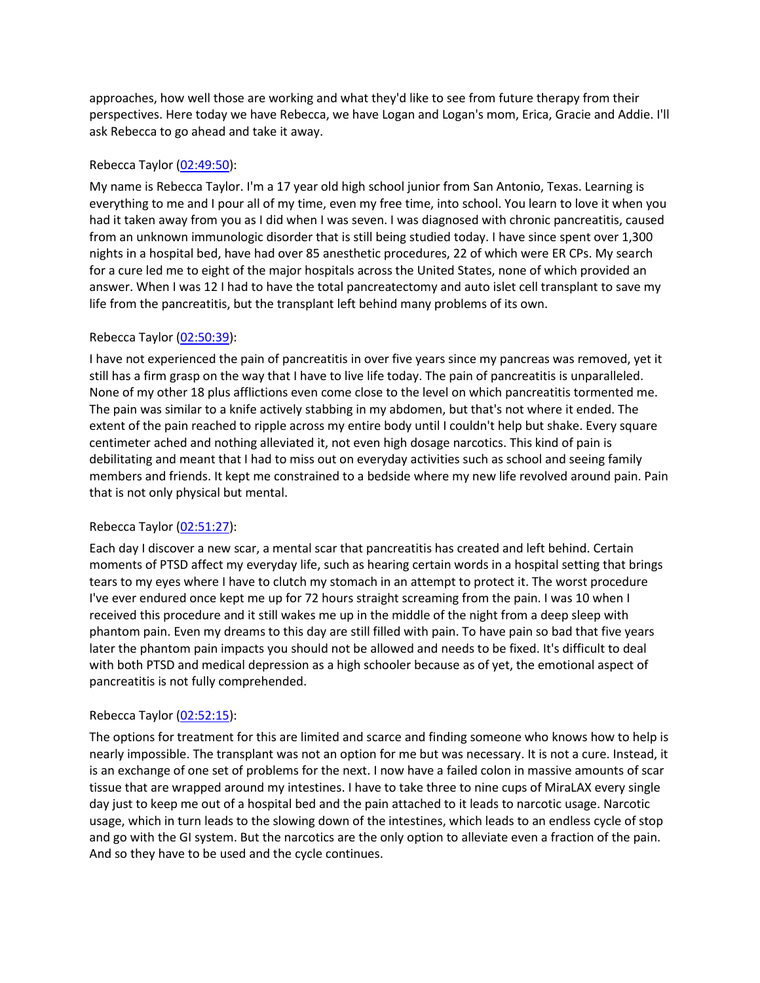approaches, how well those are working and what they'd like to see from future therapy from their perspectives. Here today we have Rebecca, we have Logan and Logan's mom, Erica, Gracie and Addie. I'll ask Rebecca to go ahead and take it away.

## Rebecca Taylor [\(02:49:50\)](https://www.rev.com/transcript-editor/Edit?token=el3o5buX7sspEggmckiim--o-pmTtm2Rm-rY_iOvchjWy0YDFIufH-DhZ3g_hBSKC4L8p16u6b4kkRABmyr6OdF8rKM&loadFrom=DocumentDeeplink&ts=10190.07):

My name is Rebecca Taylor. I'm a 17 year old high school junior from San Antonio, Texas. Learning is everything to me and I pour all of my time, even my free time, into school. You learn to love it when you had it taken away from you as I did when I was seven. I was diagnosed with chronic pancreatitis, caused from an unknown immunologic disorder that is still being studied today. I have since spent over 1,300 nights in a hospital bed, have had over 85 anesthetic procedures, 22 of which were ER CPs. My search for a cure led me to eight of the major hospitals across the United States, none of which provided an answer. When I was 12 I had to have the total pancreatectomy and auto islet cell transplant to save my life from the pancreatitis, but the transplant left behind many problems of its own.

# Rebecca Taylor [\(02:50:39\)](https://www.rev.com/transcript-editor/Edit?token=yNXaYz6huWLmb_JjNuo9dadU_oH6rOUYsojQoJBQ1AN1yMax3qQSKR9t0W0UlK2uvLqMZx40se5sQ_KPRV0HLtKG4wE&loadFrom=DocumentDeeplink&ts=10239.39):

I have not experienced the pain of pancreatitis in over five years since my pancreas was removed, yet it still has a firm grasp on the way that I have to live life today. The pain of pancreatitis is unparalleled. None of my other 18 plus afflictions even come close to the level on which pancreatitis tormented me. The pain was similar to a knife actively stabbing in my abdomen, but that's not where it ended. The extent of the pain reached to ripple across my entire body until I couldn't help but shake. Every square centimeter ached and nothing alleviated it, not even high dosage narcotics. This kind of pain is debilitating and meant that I had to miss out on everyday activities such as school and seeing family members and friends. It kept me constrained to a bedside where my new life revolved around pain. Pain that is not only physical but mental.

### Rebecca Taylor [\(02:51:27\)](https://www.rev.com/transcript-editor/Edit?token=N54WyRxZ_nf4mLV7XiA6fJFXzBMuk7v32KHGT3uH3kj9cA_EUvqOOEMVtjshIETXX-GS1By0xOYwqBaSa4czWvrsUH8&loadFrom=DocumentDeeplink&ts=10287.75):

Each day I discover a new scar, a mental scar that pancreatitis has created and left behind. Certain moments of PTSD affect my everyday life, such as hearing certain words in a hospital setting that brings tears to my eyes where I have to clutch my stomach in an attempt to protect it. The worst procedure I've ever endured once kept me up for 72 hours straight screaming from the pain. I was 10 when I received this procedure and it still wakes me up in the middle of the night from a deep sleep with phantom pain. Even my dreams to this day are still filled with pain. To have pain so bad that five years later the phantom pain impacts you should not be allowed and needs to be fixed. It's difficult to deal with both PTSD and medical depression as a high schooler because as of yet, the emotional aspect of pancreatitis is not fully comprehended.

### Rebecca Taylor [\(02:52:15\)](https://www.rev.com/transcript-editor/Edit?token=PatuGxV6f2udaEbmhyRqSV810RXA-f6YVf0SVdBMIbNgtIO5c1JwTp1-86IokaNa65oK6hbqEKtne4XY2SIpQOrHJ1c&loadFrom=DocumentDeeplink&ts=10335.44):

The options for treatment for this are limited and scarce and finding someone who knows how to help is nearly impossible. The transplant was not an option for me but was necessary. It is not a cure. Instead, it is an exchange of one set of problems for the next. I now have a failed colon in massive amounts of scar tissue that are wrapped around my intestines. I have to take three to nine cups of MiraLAX every single day just to keep me out of a hospital bed and the pain attached to it leads to narcotic usage. Narcotic usage, which in turn leads to the slowing down of the intestines, which leads to an endless cycle of stop and go with the GI system. But the narcotics are the only option to alleviate even a fraction of the pain. And so they have to be used and the cycle continues.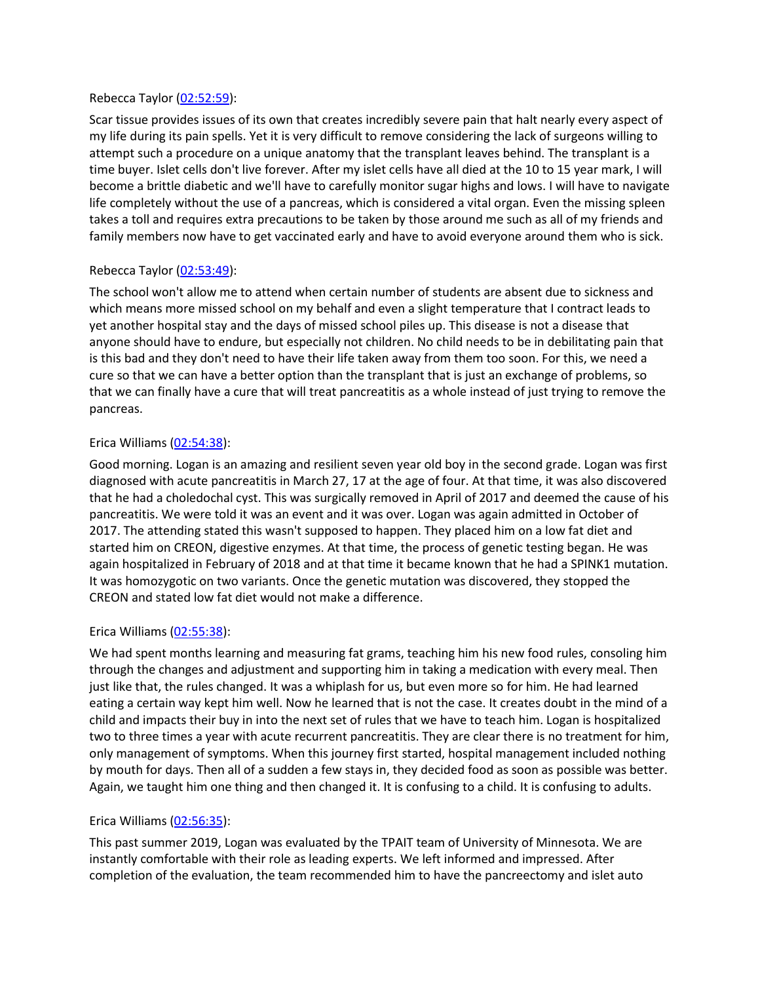#### Rebecca Taylor [\(02:52:59\)](https://www.rev.com/transcript-editor/Edit?token=pnCL20PqLKv6p4008aCVsyTaDgIHtQt_lSPDF1FQZVHDLP8YFWlupUb-3LwSQ-0RQJRpJoEwjn0jhihVdB6PRINFKKs&loadFrom=DocumentDeeplink&ts=10379.66):

Scar tissue provides issues of its own that creates incredibly severe pain that halt nearly every aspect of my life during its pain spells. Yet it is very difficult to remove considering the lack of surgeons willing to attempt such a procedure on a unique anatomy that the transplant leaves behind. The transplant is a time buyer. Islet cells don't live forever. After my islet cells have all died at the 10 to 15 year mark, I will become a brittle diabetic and we'll have to carefully monitor sugar highs and lows. I will have to navigate life completely without the use of a pancreas, which is considered a vital organ. Even the missing spleen takes a toll and requires extra precautions to be taken by those around me such as all of my friends and family members now have to get vaccinated early and have to avoid everyone around them who is sick.

# Rebecca Taylor [\(02:53:49\)](https://www.rev.com/transcript-editor/Edit?token=uCGCWpvPA7qR0Yza16-DDG5z9dYQm77dDcguG-pZkLXiERnO2ITsgD4dMn9yl8_41BX7HX-FJ7nSNiy-v1q11Eh3Tt8&loadFrom=DocumentDeeplink&ts=10429.29):

The school won't allow me to attend when certain number of students are absent due to sickness and which means more missed school on my behalf and even a slight temperature that I contract leads to yet another hospital stay and the days of missed school piles up. This disease is not a disease that anyone should have to endure, but especially not children. No child needs to be in debilitating pain that is this bad and they don't need to have their life taken away from them too soon. For this, we need a cure so that we can have a better option than the transplant that is just an exchange of problems, so that we can finally have a cure that will treat pancreatitis as a whole instead of just trying to remove the pancreas.

### Erica Williams [\(02:54:38\)](https://www.rev.com/transcript-editor/Edit?token=WQlOHOH_D_V6yZE8KggeppiFxxWwwUbffsliwXnP2x-JnbPkws2SrGpW2pk-YhwVudhoJUR8u0MjsYyaV7CVuQvxOds&loadFrom=DocumentDeeplink&ts=10478.72):

Good morning. Logan is an amazing and resilient seven year old boy in the second grade. Logan was first diagnosed with acute pancreatitis in March 27, 17 at the age of four. At that time, it was also discovered that he had a choledochal cyst. This was surgically removed in April of 2017 and deemed the cause of his pancreatitis. We were told it was an event and it was over. Logan was again admitted in October of 2017. The attending stated this wasn't supposed to happen. They placed him on a low fat diet and started him on CREON, digestive enzymes. At that time, the process of genetic testing began. He was again hospitalized in February of 2018 and at that time it became known that he had a SPINK1 mutation. It was homozygotic on two variants. Once the genetic mutation was discovered, they stopped the CREON and stated low fat diet would not make a difference.

### Erica Williams [\(02:55:38\)](https://www.rev.com/transcript-editor/Edit?token=7Nq_52WF1yLLBwxdRDZcffMGo_70IUxellPkvUZlgCZyqCaikTKYB5Dfk-suDg8E2FophHlcYi0bfY58lATpwhcFt58&loadFrom=DocumentDeeplink&ts=10538.15):

We had spent months learning and measuring fat grams, teaching him his new food rules, consoling him through the changes and adjustment and supporting him in taking a medication with every meal. Then just like that, the rules changed. It was a whiplash for us, but even more so for him. He had learned eating a certain way kept him well. Now he learned that is not the case. It creates doubt in the mind of a child and impacts their buy in into the next set of rules that we have to teach him. Logan is hospitalized two to three times a year with acute recurrent pancreatitis. They are clear there is no treatment for him, only management of symptoms. When this journey first started, hospital management included nothing by mouth for days. Then all of a sudden a few stays in, they decided food as soon as possible was better. Again, we taught him one thing and then changed it. It is confusing to a child. It is confusing to adults.

### Erica Williams [\(02:56:35\)](https://www.rev.com/transcript-editor/Edit?token=aYM_qeTtKNmFxrMxA29K33gczoVbRoMWlnwWj73-_WbqtTHwFmzAs7uALaC5WvnM0guOnTZZRW4ZXlrFaxWDVXzR0Uo&loadFrom=DocumentDeeplink&ts=10595.61):

This past summer 2019, Logan was evaluated by the TPAIT team of University of Minnesota. We are instantly comfortable with their role as leading experts. We left informed and impressed. After completion of the evaluation, the team recommended him to have the pancreectomy and islet auto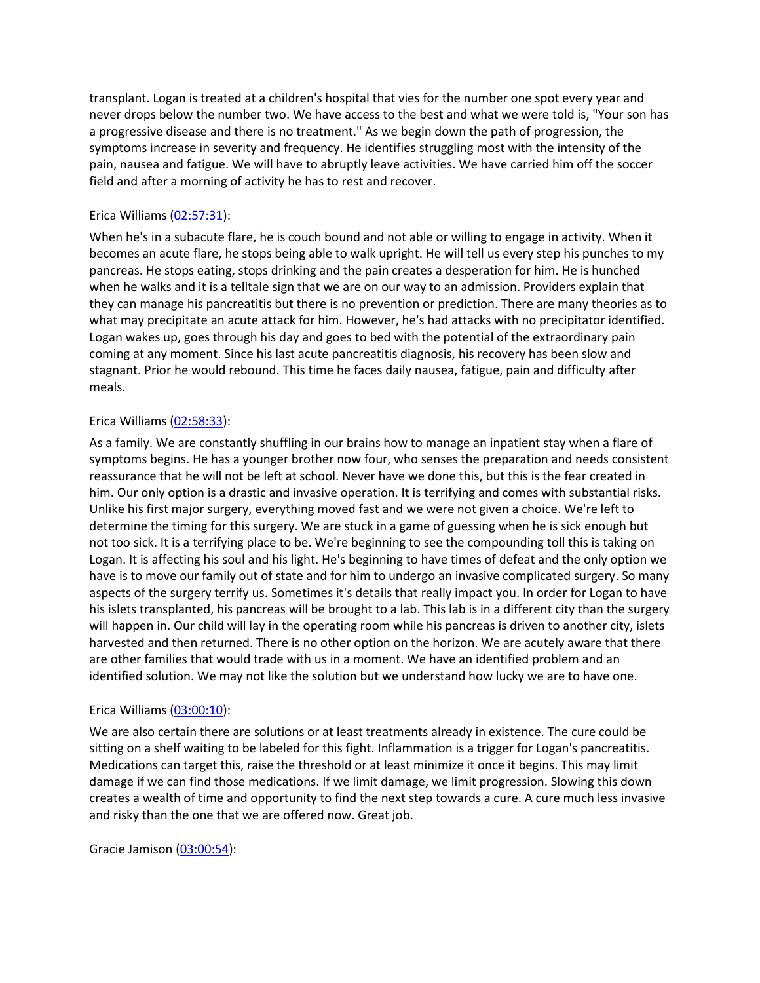transplant. Logan is treated at a children's hospital that vies for the number one spot every year and never drops below the number two. We have access to the best and what we were told is, "Your son has a progressive disease and there is no treatment." As we begin down the path of progression, the symptoms increase in severity and frequency. He identifies struggling most with the intensity of the pain, nausea and fatigue. We will have to abruptly leave activities. We have carried him off the soccer field and after a morning of activity he has to rest and recover.

## Erica Williams [\(02:57:31\)](https://www.rev.com/transcript-editor/Edit?token=Ohv_orj3u3WLnfbcGWIpkXt2AoemCsnInzBcvgVz8yEt8EouRC5eMI5tp4JL1-Eavw17UqCPdsVEq_AZLqf9TMBQYVo&loadFrom=DocumentDeeplink&ts=10651.44):

When he's in a subacute flare, he is couch bound and not able or willing to engage in activity. When it becomes an acute flare, he stops being able to walk upright. He will tell us every step his punches to my pancreas. He stops eating, stops drinking and the pain creates a desperation for him. He is hunched when he walks and it is a telltale sign that we are on our way to an admission. Providers explain that they can manage his pancreatitis but there is no prevention or prediction. There are many theories as to what may precipitate an acute attack for him. However, he's had attacks with no precipitator identified. Logan wakes up, goes through his day and goes to bed with the potential of the extraordinary pain coming at any moment. Since his last acute pancreatitis diagnosis, his recovery has been slow and stagnant. Prior he would rebound. This time he faces daily nausea, fatigue, pain and difficulty after meals.

### Erica Williams [\(02:58:33\)](https://www.rev.com/transcript-editor/Edit?token=XkvM0b43TPDsIfgLw3qVl-RJu4dilZW5aLcfZfo0N6WuppLFUIZobptoN43DCV74-LjC9q3ZJzM-ec0di5plXVXYzU0&loadFrom=DocumentDeeplink&ts=10713.21):

As a family. We are constantly shuffling in our brains how to manage an inpatient stay when a flare of symptoms begins. He has a younger brother now four, who senses the preparation and needs consistent reassurance that he will not be left at school. Never have we done this, but this is the fear created in him. Our only option is a drastic and invasive operation. It is terrifying and comes with substantial risks. Unlike his first major surgery, everything moved fast and we were not given a choice. We're left to determine the timing for this surgery. We are stuck in a game of guessing when he is sick enough but not too sick. It is a terrifying place to be. We're beginning to see the compounding toll this is taking on Logan. It is affecting his soul and his light. He's beginning to have times of defeat and the only option we have is to move our family out of state and for him to undergo an invasive complicated surgery. So many aspects of the surgery terrify us. Sometimes it's details that really impact you. In order for Logan to have his islets transplanted, his pancreas will be brought to a lab. This lab is in a different city than the surgery will happen in. Our child will lay in the operating room while his pancreas is driven to another city, islets harvested and then returned. There is no other option on the horizon. We are acutely aware that there are other families that would trade with us in a moment. We have an identified problem and an identified solution. We may not like the solution but we understand how lucky we are to have one.

### Erica Williams [\(03:00:10\)](https://www.rev.com/transcript-editor/Edit?token=d8QcUFJnDdGk1aZUnNpgPSLQFyXfg4VOyD6214YY30W35DAcnw83CFXOU8P5zffSY0yLJhXgqv1FBlggEItFZI0KEDY&loadFrom=DocumentDeeplink&ts=10810.12):

We are also certain there are solutions or at least treatments already in existence. The cure could be sitting on a shelf waiting to be labeled for this fight. Inflammation is a trigger for Logan's pancreatitis. Medications can target this, raise the threshold or at least minimize it once it begins. This may limit damage if we can find those medications. If we limit damage, we limit progression. Slowing this down creates a wealth of time and opportunity to find the next step towards a cure. A cure much less invasive and risky than the one that we are offered now. Great job.

Gracie Jamison [\(03:00:54\)](https://www.rev.com/transcript-editor/Edit?token=UOHlquVye3FP7CSC7JO49p8ANDtAXmKggaOi8QrbtY4_MNL-CR23kp0lyMcTqL6z53MaYAuTXCD-Ijyln4w4i6iaX9g&loadFrom=DocumentDeeplink&ts=10854.36):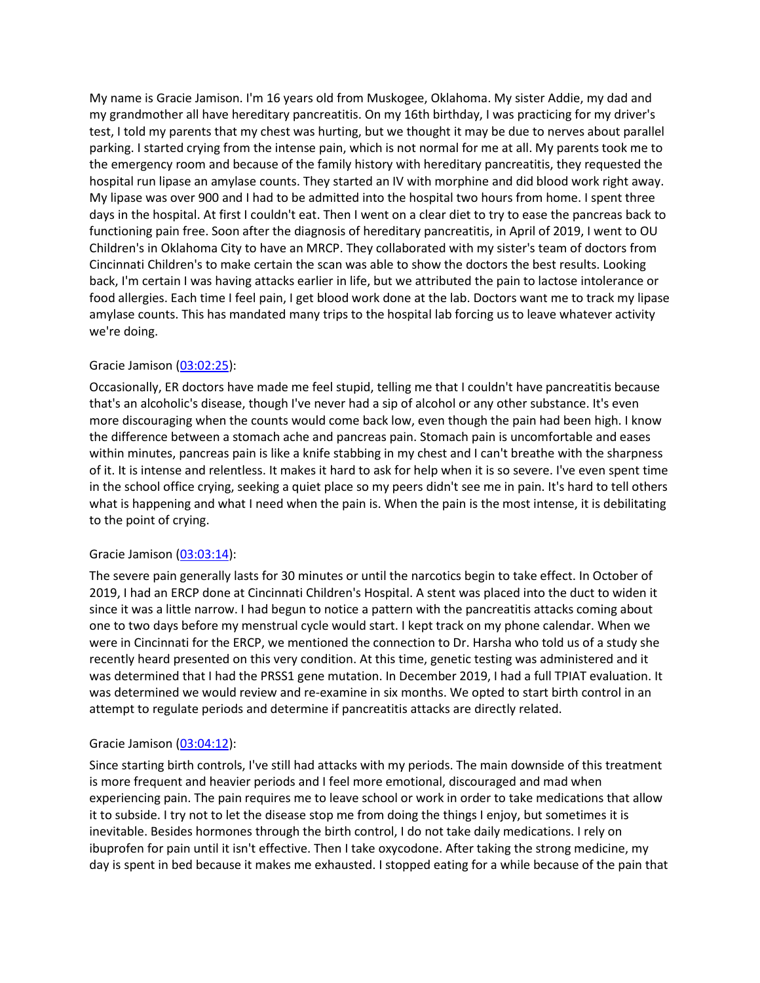My name is Gracie Jamison. I'm 16 years old from Muskogee, Oklahoma. My sister Addie, my dad and my grandmother all have hereditary pancreatitis. On my 16th birthday, I was practicing for my driver's test, I told my parents that my chest was hurting, but we thought it may be due to nerves about parallel parking. I started crying from the intense pain, which is not normal for me at all. My parents took me to the emergency room and because of the family history with hereditary pancreatitis, they requested the hospital run lipase an amylase counts. They started an IV with morphine and did blood work right away. My lipase was over 900 and I had to be admitted into the hospital two hours from home. I spent three days in the hospital. At first I couldn't eat. Then I went on a clear diet to try to ease the pancreas back to functioning pain free. Soon after the diagnosis of hereditary pancreatitis, in April of 2019, I went to OU Children's in Oklahoma City to have an MRCP. They collaborated with my sister's team of doctors from Cincinnati Children's to make certain the scan was able to show the doctors the best results. Looking back, I'm certain I was having attacks earlier in life, but we attributed the pain to lactose intolerance or food allergies. Each time I feel pain, I get blood work done at the lab. Doctors want me to track my lipase amylase counts. This has mandated many trips to the hospital lab forcing us to leave whatever activity we're doing.

### Gracie Jamison [\(03:02:25\)](https://www.rev.com/transcript-editor/Edit?token=ZSozA4VsC6DhUDE_4DdOme54sw9BpHwYSaLywXp-YKab2Nknnq46bDXbOzimv6Ttb05RCuaRJltuoqhRkR_1n6E48UM&loadFrom=DocumentDeeplink&ts=10945.62):

Occasionally, ER doctors have made me feel stupid, telling me that I couldn't have pancreatitis because that's an alcoholic's disease, though I've never had a sip of alcohol or any other substance. It's even more discouraging when the counts would come back low, even though the pain had been high. I know the difference between a stomach ache and pancreas pain. Stomach pain is uncomfortable and eases within minutes, pancreas pain is like a knife stabbing in my chest and I can't breathe with the sharpness of it. It is intense and relentless. It makes it hard to ask for help when it is so severe. I've even spent time in the school office crying, seeking a quiet place so my peers didn't see me in pain. It's hard to tell others what is happening and what I need when the pain is. When the pain is the most intense, it is debilitating to the point of crying.

#### Gracie Jamison [\(03:03:14\)](https://www.rev.com/transcript-editor/Edit?token=G6QzhRb9SOC9YKI969fMtgzWnkKiuZXHSSRtyNU0em-ZSKsLbZpxCBYpPjNEnew_sCcxkXCTFk_ORMy9AVz1F02DEuE&loadFrom=DocumentDeeplink&ts=10994.05):

The severe pain generally lasts for 30 minutes or until the narcotics begin to take effect. In October of 2019, I had an ERCP done at Cincinnati Children's Hospital. A stent was placed into the duct to widen it since it was a little narrow. I had begun to notice a pattern with the pancreatitis attacks coming about one to two days before my menstrual cycle would start. I kept track on my phone calendar. When we were in Cincinnati for the ERCP, we mentioned the connection to Dr. Harsha who told us of a study she recently heard presented on this very condition. At this time, genetic testing was administered and it was determined that I had the PRSS1 gene mutation. In December 2019, I had a full TPIAT evaluation. It was determined we would review and re-examine in six months. We opted to start birth control in an attempt to regulate periods and determine if pancreatitis attacks are directly related.

#### Gracie Jamison [\(03:04:12\)](https://www.rev.com/transcript-editor/Edit?token=47y5d0KF8chaP7wB3ersYvSFHymDhpRIkXOW4BJV-MiGm0P5yic_grT8lrgkyNuaJ7Adk-fLUH6SejP-xZJGg2M4beo&loadFrom=DocumentDeeplink&ts=11052.42):

Since starting birth controls, I've still had attacks with my periods. The main downside of this treatment is more frequent and heavier periods and I feel more emotional, discouraged and mad when experiencing pain. The pain requires me to leave school or work in order to take medications that allow it to subside. I try not to let the disease stop me from doing the things I enjoy, but sometimes it is inevitable. Besides hormones through the birth control, I do not take daily medications. I rely on ibuprofen for pain until it isn't effective. Then I take oxycodone. After taking the strong medicine, my day is spent in bed because it makes me exhausted. I stopped eating for a while because of the pain that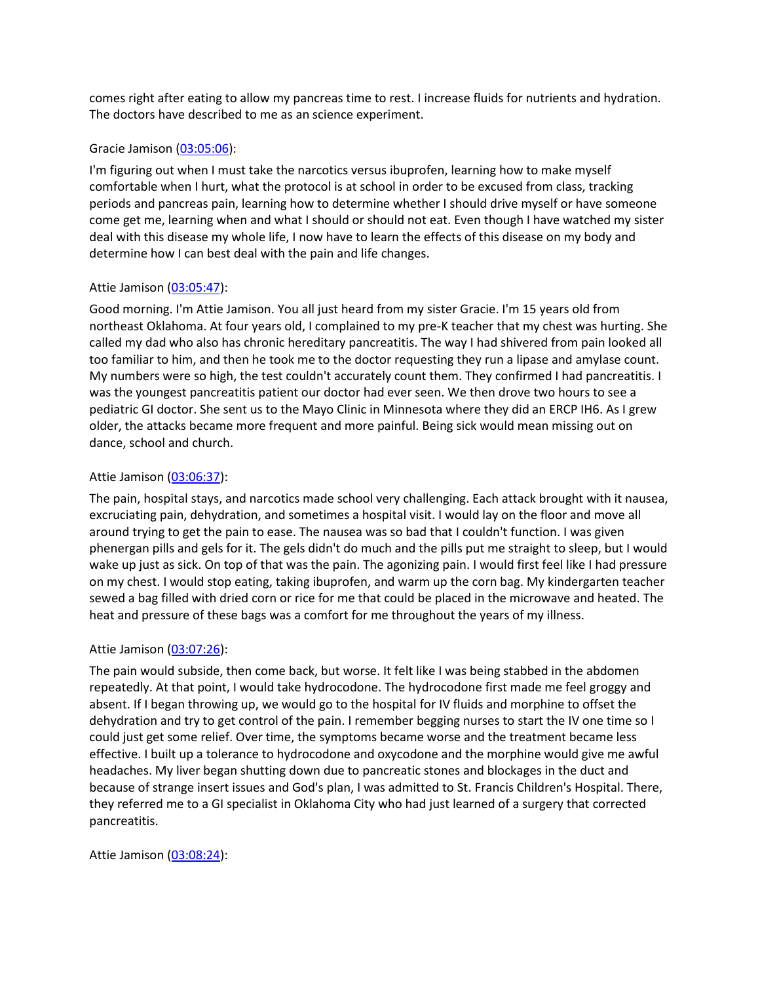comes right after eating to allow my pancreas time to rest. I increase fluids for nutrients and hydration. The doctors have described to me as an science experiment.

#### Gracie Jamison [\(03:05:06\)](https://www.rev.com/transcript-editor/Edit?token=BiTi0muZyExVWFupMUvNiuav0g6CjZKsQv2mbNzF0CygOqiwp2KSZEIqATNHi8BqOGqyKZzfScN4gipGn3pnylUNjlA&loadFrom=DocumentDeeplink&ts=11106.24):

I'm figuring out when I must take the narcotics versus ibuprofen, learning how to make myself comfortable when I hurt, what the protocol is at school in order to be excused from class, tracking periods and pancreas pain, learning how to determine whether I should drive myself or have someone come get me, learning when and what I should or should not eat. Even though I have watched my sister deal with this disease my whole life, I now have to learn the effects of this disease on my body and determine how I can best deal with the pain and life changes.

### Attie Jamison [\(03:05:47\)](https://www.rev.com/transcript-editor/Edit?token=Za0bDuokNgK7SH8fJJoZzcWQ1IlTUUiZJtgmr3WsjHq23eMwljBfUlnd0fdtBxp8o_mVQ-JmyIpyC-8lyJuibvu12aw&loadFrom=DocumentDeeplink&ts=11147.32):

Good morning. I'm Attie Jamison. You all just heard from my sister Gracie. I'm 15 years old from northeast Oklahoma. At four years old, I complained to my pre-K teacher that my chest was hurting. She called my dad who also has chronic hereditary pancreatitis. The way I had shivered from pain looked all too familiar to him, and then he took me to the doctor requesting they run a lipase and amylase count. My numbers were so high, the test couldn't accurately count them. They confirmed I had pancreatitis. I was the youngest pancreatitis patient our doctor had ever seen. We then drove two hours to see a pediatric GI doctor. She sent us to the Mayo Clinic in Minnesota where they did an ERCP IH6. As I grew older, the attacks became more frequent and more painful. Being sick would mean missing out on dance, school and church.

#### Attie Jamison [\(03:06:37\)](https://www.rev.com/transcript-editor/Edit?token=fyXL5SKsP9tM5GtuoUPW2aQkFhNMoNWgvp9v0YtxCNkTVDuRfbFtm8eZb4RNUNT0QJsr9gBCPvdLsRjKuGn18SD44Go&loadFrom=DocumentDeeplink&ts=11197.08):

The pain, hospital stays, and narcotics made school very challenging. Each attack brought with it nausea, excruciating pain, dehydration, and sometimes a hospital visit. I would lay on the floor and move all around trying to get the pain to ease. The nausea was so bad that I couldn't function. I was given phenergan pills and gels for it. The gels didn't do much and the pills put me straight to sleep, but I would wake up just as sick. On top of that was the pain. The agonizing pain. I would first feel like I had pressure on my chest. I would stop eating, taking ibuprofen, and warm up the corn bag. My kindergarten teacher sewed a bag filled with dried corn or rice for me that could be placed in the microwave and heated. The heat and pressure of these bags was a comfort for me throughout the years of my illness.

### Attie Jamison [\(03:07:26\)](https://www.rev.com/transcript-editor/Edit?token=84jfV52z24FDevTey8XwDA-CK3hp_ZenetSZoqgDJxUu2XbbQMW4ZXYYaojwLDILDvjxyrZz_2N84Ub_kG8CtMjAeMY&loadFrom=DocumentDeeplink&ts=11246.52):

The pain would subside, then come back, but worse. It felt like I was being stabbed in the abdomen repeatedly. At that point, I would take hydrocodone. The hydrocodone first made me feel groggy and absent. If I began throwing up, we would go to the hospital for IV fluids and morphine to offset the dehydration and try to get control of the pain. I remember begging nurses to start the IV one time so I could just get some relief. Over time, the symptoms became worse and the treatment became less effective. I built up a tolerance to hydrocodone and oxycodone and the morphine would give me awful headaches. My liver began shutting down due to pancreatic stones and blockages in the duct and because of strange insert issues and God's plan, I was admitted to St. Francis Children's Hospital. There, they referred me to a GI specialist in Oklahoma City who had just learned of a surgery that corrected pancreatitis.

Attie Jamison [\(03:08:24\)](https://www.rev.com/transcript-editor/Edit?token=SqB3FK5r-p_7HnJM-HqPzYLFnGSz4Z4Y4OoEyhPZ3i-hTd--aG7nJtpSuigmxBBMF-MoxpHn929LVXF8dqKx15qLKqw&loadFrom=DocumentDeeplink&ts=11304.94):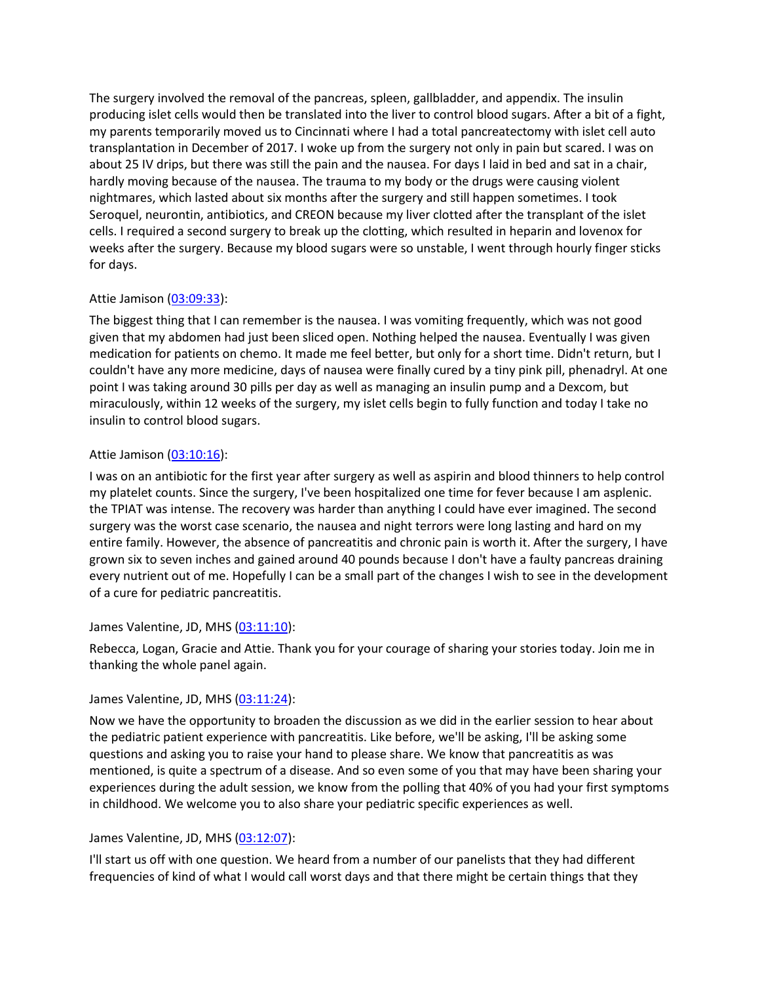The surgery involved the removal of the pancreas, spleen, gallbladder, and appendix. The insulin producing islet cells would then be translated into the liver to control blood sugars. After a bit of a fight, my parents temporarily moved us to Cincinnati where I had a total pancreatectomy with islet cell auto transplantation in December of 2017. I woke up from the surgery not only in pain but scared. I was on about 25 IV drips, but there was still the pain and the nausea. For days I laid in bed and sat in a chair, hardly moving because of the nausea. The trauma to my body or the drugs were causing violent nightmares, which lasted about six months after the surgery and still happen sometimes. I took Seroquel, neurontin, antibiotics, and CREON because my liver clotted after the transplant of the islet cells. I required a second surgery to break up the clotting, which resulted in heparin and lovenox for weeks after the surgery. Because my blood sugars were so unstable, I went through hourly finger sticks for days.

# Attie Jamison [\(03:09:33\)](https://www.rev.com/transcript-editor/Edit?token=i6OdxOmTWKmAzn67JNV_8Uemv0yVsLH1F3Fu-m3WP1LvxsKm-ovMvn7Wsa29M3by4bANr534cBbv2X_sUQACeoA7Dro&loadFrom=DocumentDeeplink&ts=11373.4):

The biggest thing that I can remember is the nausea. I was vomiting frequently, which was not good given that my abdomen had just been sliced open. Nothing helped the nausea. Eventually I was given medication for patients on chemo. It made me feel better, but only for a short time. Didn't return, but I couldn't have any more medicine, days of nausea were finally cured by a tiny pink pill, phenadryl. At one point I was taking around 30 pills per day as well as managing an insulin pump and a Dexcom, but miraculously, within 12 weeks of the surgery, my islet cells begin to fully function and today I take no insulin to control blood sugars.

# Attie Jamison [\(03:10:16\)](https://www.rev.com/transcript-editor/Edit?token=3jLKO00PHLXtQChS-Os6RODgzXko6-SuQ4IRPaa6de2EOaBfn_HrWGtgZ8mWsQHWF7Q5OTVSL1HYYuOkCSjSAxFJmaE&loadFrom=DocumentDeeplink&ts=11416.47):

I was on an antibiotic for the first year after surgery as well as aspirin and blood thinners to help control my platelet counts. Since the surgery, I've been hospitalized one time for fever because I am asplenic. the TPIAT was intense. The recovery was harder than anything I could have ever imagined. The second surgery was the worst case scenario, the nausea and night terrors were long lasting and hard on my entire family. However, the absence of pancreatitis and chronic pain is worth it. After the surgery, I have grown six to seven inches and gained around 40 pounds because I don't have a faulty pancreas draining every nutrient out of me. Hopefully I can be a small part of the changes I wish to see in the development of a cure for pediatric pancreatitis.

### James Valentine, JD, MHS [\(03:11:10\)](https://www.rev.com/transcript-editor/Edit?token=aMe1p_5dn_v1PmnqULf-Bs2gh5j-AEGiU7dyH0yS8cYedG3pIIb8HX_G-apLvQVbZ_C2PQPCMBG-km44OEIQN9P8GxI&loadFrom=DocumentDeeplink&ts=11470.22):

Rebecca, Logan, Gracie and Attie. Thank you for your courage of sharing your stories today. Join me in thanking the whole panel again.

### James Valentine, JD, MHS [\(03:11:24\)](https://www.rev.com/transcript-editor/Edit?token=MG1iC-FhPzjf3sarY8JEDCCvzPBo0Q_K5RYlSQThBO_NAg1nZMS-pedJbPlQP3xSsrQijaKM8m60a5PFvlMNqATW5ts&loadFrom=DocumentDeeplink&ts=11484.49):

Now we have the opportunity to broaden the discussion as we did in the earlier session to hear about the pediatric patient experience with pancreatitis. Like before, we'll be asking, I'll be asking some questions and asking you to raise your hand to please share. We know that pancreatitis as was mentioned, is quite a spectrum of a disease. And so even some of you that may have been sharing your experiences during the adult session, we know from the polling that 40% of you had your first symptoms in childhood. We welcome you to also share your pediatric specific experiences as well.

### James Valentine, JD, MHS [\(03:12:07\)](https://www.rev.com/transcript-editor/Edit?token=lqymhoMj9NwX9g6-bSDns0DG5yqrAeaInKgI1jcTMaW7h24iXnFIK-FXtpOucChMTn-s1XJ2DLatDyq1h2PILORbmXc&loadFrom=DocumentDeeplink&ts=11527.41):

I'll start us off with one question. We heard from a number of our panelists that they had different frequencies of kind of what I would call worst days and that there might be certain things that they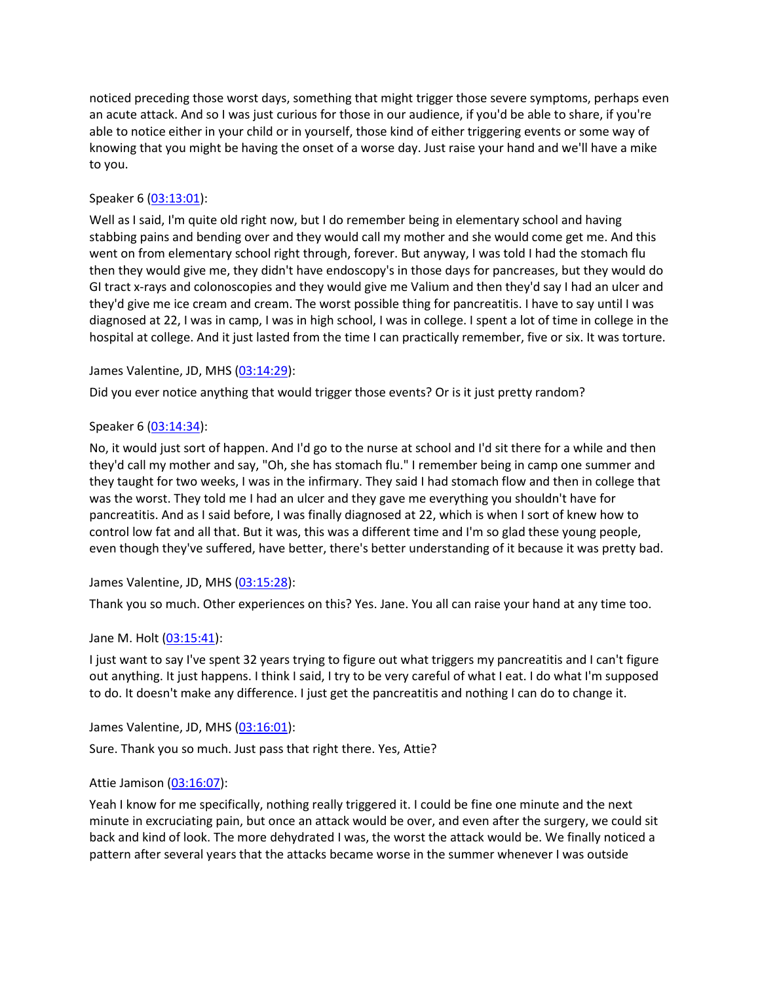noticed preceding those worst days, something that might trigger those severe symptoms, perhaps even an acute attack. And so I was just curious for those in our audience, if you'd be able to share, if you're able to notice either in your child or in yourself, those kind of either triggering events or some way of knowing that you might be having the onset of a worse day. Just raise your hand and we'll have a mike to you.

# Speaker 6 [\(03:13:01\)](https://www.rev.com/transcript-editor/Edit?token=Ofh-i3OcKTqFcX12Mk_MvRUlUXrORCOHOOeZaSwibriE55lizw1sZumC5UtoWjsXmTyp-5wXSlMbkBwDF129bF-hTH0&loadFrom=DocumentDeeplink&ts=11581.62):

Well as I said, I'm quite old right now, but I do remember being in elementary school and having stabbing pains and bending over and they would call my mother and she would come get me. And this went on from elementary school right through, forever. But anyway, I was told I had the stomach flu then they would give me, they didn't have endoscopy's in those days for pancreases, but they would do GI tract x-rays and colonoscopies and they would give me Valium and then they'd say I had an ulcer and they'd give me ice cream and cream. The worst possible thing for pancreatitis. I have to say until I was diagnosed at 22, I was in camp, I was in high school, I was in college. I spent a lot of time in college in the hospital at college. And it just lasted from the time I can practically remember, five or six. It was torture.

# James Valentine, JD, MHS [\(03:14:29\)](https://www.rev.com/transcript-editor/Edit?token=qKHpAYOLjnYpWxQG67Fa8GgBk3ETLV6LgLZhAZr0lFQWnTog91EFFsm8LZtZz1SFR0xlpWVxU_7kRMWtiraCNvowcc8&loadFrom=DocumentDeeplink&ts=11669.56):

Did you ever notice anything that would trigger those events? Or is it just pretty random?

# Speaker 6 [\(03:14:34\)](https://www.rev.com/transcript-editor/Edit?token=DNw8hyJ26Lx1M8UA2CDWQ5NNYQlndY6iWN-v3I66fk0GodcAgHjoeSm7z3ypEeKj6L7TVZ8wg_S9RJS8okqLlFCX11k&loadFrom=DocumentDeeplink&ts=11674.29):

No, it would just sort of happen. And I'd go to the nurse at school and I'd sit there for a while and then they'd call my mother and say, "Oh, she has stomach flu." I remember being in camp one summer and they taught for two weeks, I was in the infirmary. They said I had stomach flow and then in college that was the worst. They told me I had an ulcer and they gave me everything you shouldn't have for pancreatitis. And as I said before, I was finally diagnosed at 22, which is when I sort of knew how to control low fat and all that. But it was, this was a different time and I'm so glad these young people, even though they've suffered, have better, there's better understanding of it because it was pretty bad.

James Valentine, JD, MHS [\(03:15:28\)](https://www.rev.com/transcript-editor/Edit?token=nSkrU9JN8HNEE5BYUBmTQjrH7Xeil2CF4Rm5meCza_2EMh2_DuHXk94sb9mZGmCJn-FVS9vW1lBMa3zxNMMVeHxMoA4&loadFrom=DocumentDeeplink&ts=11728.02):

Thank you so much. Other experiences on this? Yes. Jane. You all can raise your hand at any time too.

# Jane M. Holt [\(03:15:41\)](https://www.rev.com/transcript-editor/Edit?token=lFFR5-AAaTGi5nVR69tHuGxmltOryXSnPtq3rcvzofbH5BluDeV9hkXgGXafV_A2rpk7qD2RRXgrLRMiyxkzbCPz9AI&loadFrom=DocumentDeeplink&ts=11741.41):

I just want to say I've spent 32 years trying to figure out what triggers my pancreatitis and I can't figure out anything. It just happens. I think I said, I try to be very careful of what I eat. I do what I'm supposed to do. It doesn't make any difference. I just get the pancreatitis and nothing I can do to change it.

James Valentine, JD, MHS [\(03:16:01\)](https://www.rev.com/transcript-editor/Edit?token=VgQUEexVKubIc3T_OkoJppe8jzc0W_QGDvalBkqJSveH_fCx8TIW01vYT20IBX5TXnxY_WuUrY2h9q9TE2-NUiDwUtA&loadFrom=DocumentDeeplink&ts=11761.35):

Sure. Thank you so much. Just pass that right there. Yes, Attie?

# Attie Jamison [\(03:16:07\)](https://www.rev.com/transcript-editor/Edit?token=5-gav9jAfdTl9eonsbxf8hrwNKQZEom4GV1iKeVEoNjfS3M0rvCt9vhvwrzvKo-s8HW8MPwSAbkm8Fc0y9rSQkSTzzQ&loadFrom=DocumentDeeplink&ts=11767.45):

Yeah I know for me specifically, nothing really triggered it. I could be fine one minute and the next minute in excruciating pain, but once an attack would be over, and even after the surgery, we could sit back and kind of look. The more dehydrated I was, the worst the attack would be. We finally noticed a pattern after several years that the attacks became worse in the summer whenever I was outside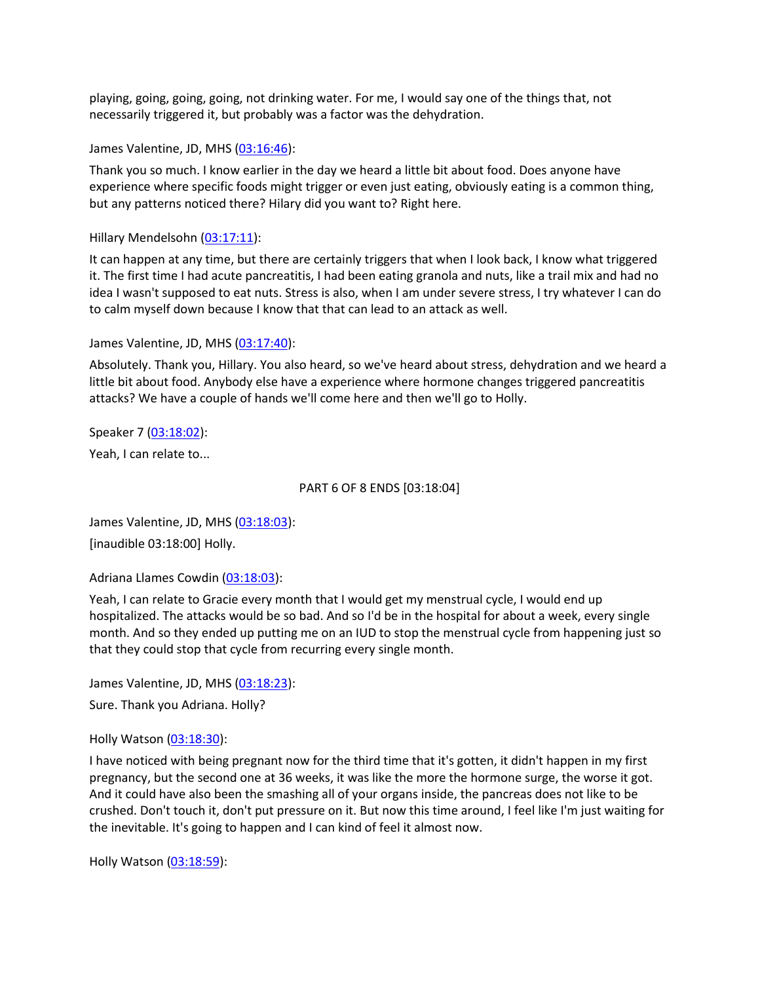playing, going, going, going, not drinking water. For me, I would say one of the things that, not necessarily triggered it, but probably was a factor was the dehydration.

James Valentine, JD, MHS [\(03:16:46\)](https://www.rev.com/transcript-editor/Edit?token=3Ni8M9Xn2sU4L63Wn2-I-BBRamDnVw8IY5QYN1ipFHTSs7jB109BX_fqNoMznd1bEFUu1yhw4lYEqCoRMqHJxF4AwP8&loadFrom=DocumentDeeplink&ts=11806.37):

Thank you so much. I know earlier in the day we heard a little bit about food. Does anyone have experience where specific foods might trigger or even just eating, obviously eating is a common thing, but any patterns noticed there? Hilary did you want to? Right here.

Hillary Mendelsohn [\(03:17:11\)](https://www.rev.com/transcript-editor/Edit?token=4Ju4S9XWc9UL4eyt7LiUdeqVfadLLSH8c4QxA2Di089S-5s9jGTyEUZx8epwFt6QBtjUtkGfnqNLG1kIV4WgqTvaRus&loadFrom=DocumentDeeplink&ts=11831.91):

It can happen at any time, but there are certainly triggers that when I look back, I know what triggered it. The first time I had acute pancreatitis, I had been eating granola and nuts, like a trail mix and had no idea I wasn't supposed to eat nuts. Stress is also, when I am under severe stress, I try whatever I can do to calm myself down because I know that that can lead to an attack as well.

James Valentine, JD, MHS [\(03:17:40\)](https://www.rev.com/transcript-editor/Edit?token=D4HfC69MawgdfS9Pn33c8a0fSvSae82b3WROstZ1hlhWfcNDDkBXUvM82TnMZvc9Qe3gRAsBp9qp_4__RIMPtP-hHws&loadFrom=DocumentDeeplink&ts=11860.12):

Absolutely. Thank you, Hillary. You also heard, so we've heard about stress, dehydration and we heard a little bit about food. Anybody else have a experience where hormone changes triggered pancreatitis attacks? We have a couple of hands we'll come here and then we'll go to Holly.

Speaker 7 [\(03:18:02\)](https://www.rev.com/transcript-editor/Edit?token=69gTMSFwJoN1Ymn-o0612zGddjPsNT_-Xujk_byHm2fpPGwYacqtDfdvNLr_rVJVmMyvMDTE_6hIQBXZw_36mFT7aY4&loadFrom=DocumentDeeplink&ts=11882.89): Yeah, I can relate to...

#### PART 6 OF 8 ENDS [03:18:04]

James Valentine, JD, MHS [\(03:18:03\)](https://www.rev.com/transcript-editor/Edit?token=8c2s3dM2ieDCjlfgrxOwi5zu8OrPHqcMgerE5yMoDXasaaNUoDV8uz6X1IAdlb5BuQWq9RjOOYkPWimSlNdvOJFaLZ0&loadFrom=DocumentDeeplink&ts=11883.781): [inaudible 03:18:00] Holly.

Adriana Llames Cowdin [\(03:18:03\)](https://www.rev.com/transcript-editor/Edit?token=41gD6NG_2tg13XYyXbP5G47cvSoCVZdirWSwHzb376v4nLbcRZAFZI8ID-N3vCxRTC6zJwbPlb58mL30BuMqTdPQ-TE&loadFrom=DocumentDeeplink&ts=11883.781):

Yeah, I can relate to Gracie every month that I would get my menstrual cycle, I would end up hospitalized. The attacks would be so bad. And so I'd be in the hospital for about a week, every single month. And so they ended up putting me on an IUD to stop the menstrual cycle from happening just so that they could stop that cycle from recurring every single month.

James Valentine, JD, MHS [\(03:18:23\)](https://www.rev.com/transcript-editor/Edit?token=EW2QDCTAQnYebMZe4sf0mrWycAgZkFQDiyMnBb8k6wwy6DX-bm12jcMau4ZFxgfCfKD6hHU5eZHyyyKgeLOAB4bu1lo&loadFrom=DocumentDeeplink&ts=11903.81):

Sure. Thank you Adriana. Holly?

Holly Watson [\(03:18:30\)](https://www.rev.com/transcript-editor/Edit?token=mNIQ0C9hJxhGVl5m5EqoU5zZTWGJ79h6LJxtOTXHuzwSNtoFNnnsQ7AqBelM3BhOs5cQTqr_nId6iQBi7dsTFWazVGo&loadFrom=DocumentDeeplink&ts=11910.33):

I have noticed with being pregnant now for the third time that it's gotten, it didn't happen in my first pregnancy, but the second one at 36 weeks, it was like the more the hormone surge, the worse it got. And it could have also been the smashing all of your organs inside, the pancreas does not like to be crushed. Don't touch it, don't put pressure on it. But now this time around, I feel like I'm just waiting for the inevitable. It's going to happen and I can kind of feel it almost now.

Holly Watson [\(03:18:59\)](https://www.rev.com/transcript-editor/Edit?token=e431mXGQ46ksx9t2CLX8gWc-9_Q9I4PvMPRnG-1YnC5FjnS-vgd55gm2oP1t5i_NUCIIdrRt4efmYdCaJ1HWvh9DukE&loadFrom=DocumentDeeplink&ts=11939.05):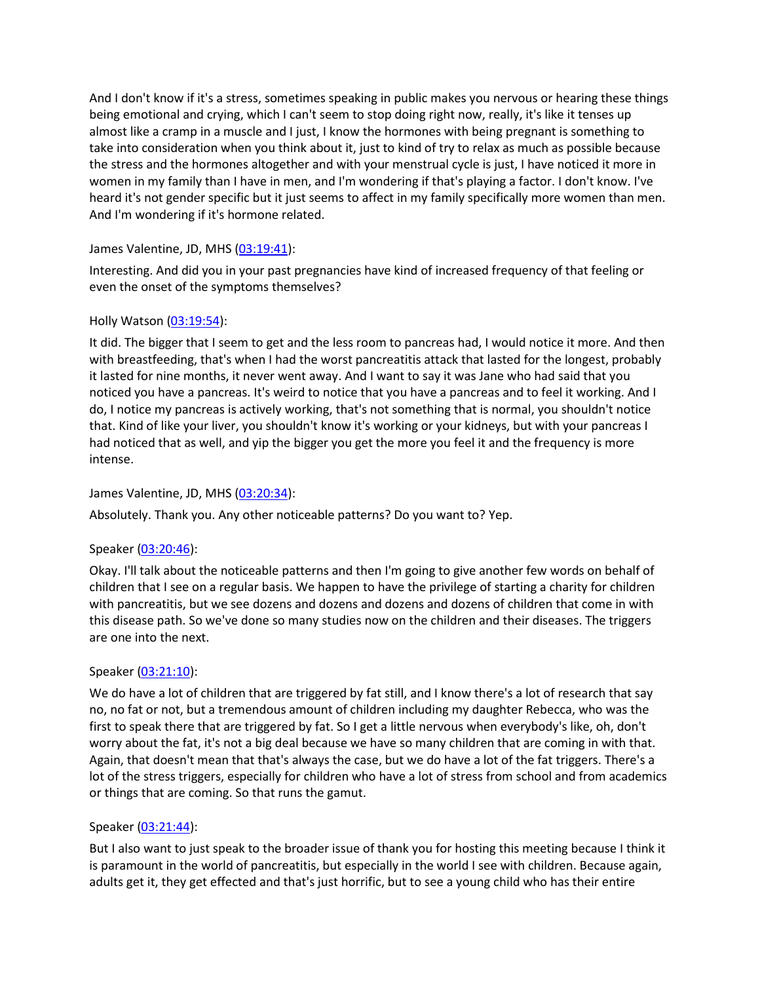And I don't know if it's a stress, sometimes speaking in public makes you nervous or hearing these things being emotional and crying, which I can't seem to stop doing right now, really, it's like it tenses up almost like a cramp in a muscle and I just, I know the hormones with being pregnant is something to take into consideration when you think about it, just to kind of try to relax as much as possible because the stress and the hormones altogether and with your menstrual cycle is just, I have noticed it more in women in my family than I have in men, and I'm wondering if that's playing a factor. I don't know. I've heard it's not gender specific but it just seems to affect in my family specifically more women than men. And I'm wondering if it's hormone related.

# James Valentine, JD, MHS [\(03:19:41\)](https://www.rev.com/transcript-editor/Edit?token=jSSMRrSegZhmipG310CzW0Qaa2Ods2xHD3kvQdllAWCBWVpNgA6gF2FA3IFRNa9MoJg8HxMnL4VDl0gVfFfxVJCkR2w&loadFrom=DocumentDeeplink&ts=11981.1):

Interesting. And did you in your past pregnancies have kind of increased frequency of that feeling or even the onset of the symptoms themselves?

# Holly Watson [\(03:19:54\)](https://www.rev.com/transcript-editor/Edit?token=KTbUzGScU64hrMgypXVgApAJh6rgKJ0YKn2FmncYhlOuaAoLe6cO1JbiJqptYJ8h6UExKz1FvxBNCvQNyhWmSOPaGLc&loadFrom=DocumentDeeplink&ts=11994.37):

It did. The bigger that I seem to get and the less room to pancreas had, I would notice it more. And then with breastfeeding, that's when I had the worst pancreatitis attack that lasted for the longest, probably it lasted for nine months, it never went away. And I want to say it was Jane who had said that you noticed you have a pancreas. It's weird to notice that you have a pancreas and to feel it working. And I do, I notice my pancreas is actively working, that's not something that is normal, you shouldn't notice that. Kind of like your liver, you shouldn't know it's working or your kidneys, but with your pancreas I had noticed that as well, and yip the bigger you get the more you feel it and the frequency is more intense.

## James Valentine, JD, MHS [\(03:20:34\)](https://www.rev.com/transcript-editor/Edit?token=0HDZ3ChTpjyQU4pZuyTeuAHHotYOnHp2GqBYm9bZGxJ1Qpzspjjx1nOO592DBeexoQuh2wXDMc-couNbALRwKLSnkNU&loadFrom=DocumentDeeplink&ts=12034.38):

Absolutely. Thank you. Any other noticeable patterns? Do you want to? Yep.

### Speaker [\(03:20:46\)](https://www.rev.com/transcript-editor/Edit?token=6i2hy4gJcWXfXwN1Q9-oaeWZRwLR0Jc0SS9se3yxq0DyOFNdjjKHppcryzZSahqmiWe-omqkEmYT1HVSMJ6zR0p-1nE&loadFrom=DocumentDeeplink&ts=12046.46):

Okay. I'll talk about the noticeable patterns and then I'm going to give another few words on behalf of children that I see on a regular basis. We happen to have the privilege of starting a charity for children with pancreatitis, but we see dozens and dozens and dozens and dozens of children that come in with this disease path. So we've done so many studies now on the children and their diseases. The triggers are one into the next.

### Speaker [\(03:21:10\)](https://www.rev.com/transcript-editor/Edit?token=RxOCvrqFOqHs5BpS2Ud6JOqyyxDRHjXNzuiBTMM20X4GNDTz9bSoQyfHStg44Uty1pd8Xe3bYhzw2qkoLm0N1E_sE9k&loadFrom=DocumentDeeplink&ts=12070.35):

We do have a lot of children that are triggered by fat still, and I know there's a lot of research that say no, no fat or not, but a tremendous amount of children including my daughter Rebecca, who was the first to speak there that are triggered by fat. So I get a little nervous when everybody's like, oh, don't worry about the fat, it's not a big deal because we have so many children that are coming in with that. Again, that doesn't mean that that's always the case, but we do have a lot of the fat triggers. There's a lot of the stress triggers, especially for children who have a lot of stress from school and from academics or things that are coming. So that runs the gamut.

### Speaker [\(03:21:44\)](https://www.rev.com/transcript-editor/Edit?token=2sJJozORJJsEbRRxWSMubtMrqtQADuoHQg8lAv1KosLVFHTVL6dghzPed8LWU4CZbCnj69dBNMDLEg_AWFluqAH0wuo&loadFrom=DocumentDeeplink&ts=12104.53):

But I also want to just speak to the broader issue of thank you for hosting this meeting because I think it is paramount in the world of pancreatitis, but especially in the world I see with children. Because again, adults get it, they get effected and that's just horrific, but to see a young child who has their entire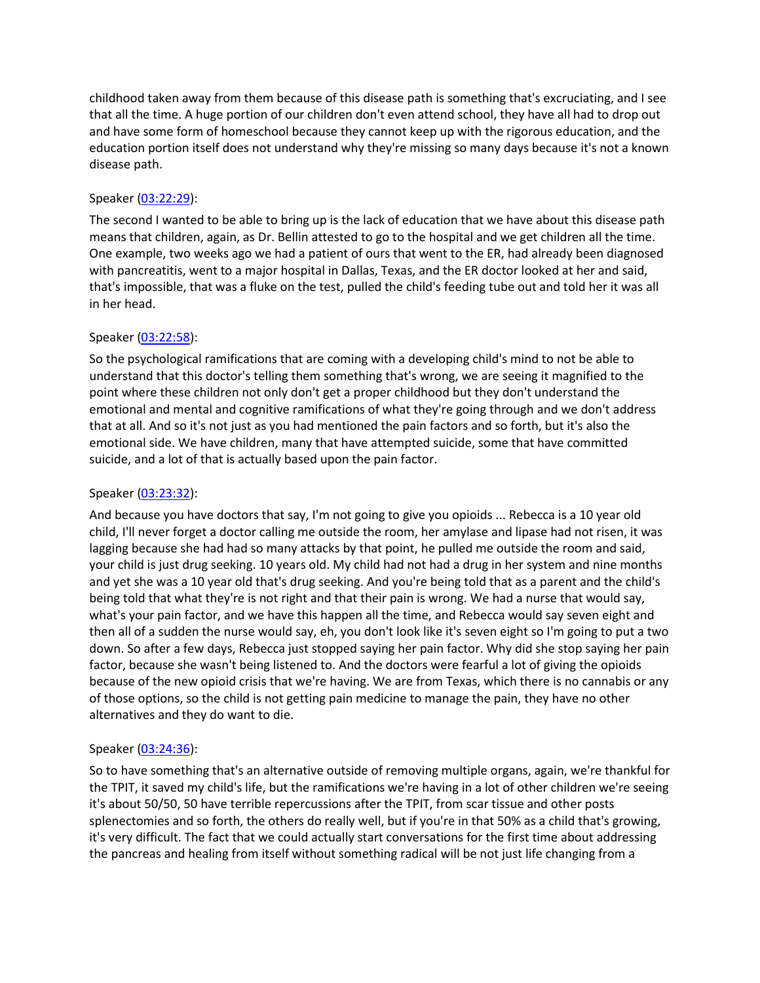childhood taken away from them because of this disease path is something that's excruciating, and I see that all the time. A huge portion of our children don't even attend school, they have all had to drop out and have some form of homeschool because they cannot keep up with the rigorous education, and the education portion itself does not understand why they're missing so many days because it's not a known disease path.

## Speaker [\(03:22:29\)](https://www.rev.com/transcript-editor/Edit?token=GK5Q_BAF0FqqG5IFKi96_KJwLTpuEnIkJfVoetL3tGQ8YMhPdjjaA-gTdKaBnn9_Nu63vbju7MerHYQCBjbFcU-m8fg&loadFrom=DocumentDeeplink&ts=12149.15):

The second I wanted to be able to bring up is the lack of education that we have about this disease path means that children, again, as Dr. Bellin attested to go to the hospital and we get children all the time. One example, two weeks ago we had a patient of ours that went to the ER, had already been diagnosed with pancreatitis, went to a major hospital in Dallas, Texas, and the ER doctor looked at her and said, that's impossible, that was a fluke on the test, pulled the child's feeding tube out and told her it was all in her head.

# Speaker [\(03:22:58\)](https://www.rev.com/transcript-editor/Edit?token=GxPvX-n_y28D3pPCin5GOM8j_6bLG8pi8xYMqWpo8lArGdbU6bCI8swrZV9sXWPlm4rZE3z8Sa68MgaoxWM7lKczgw8&loadFrom=DocumentDeeplink&ts=12178.16):

So the psychological ramifications that are coming with a developing child's mind to not be able to understand that this doctor's telling them something that's wrong, we are seeing it magnified to the point where these children not only don't get a proper childhood but they don't understand the emotional and mental and cognitive ramifications of what they're going through and we don't address that at all. And so it's not just as you had mentioned the pain factors and so forth, but it's also the emotional side. We have children, many that have attempted suicide, some that have committed suicide, and a lot of that is actually based upon the pain factor.

# Speaker [\(03:23:32\)](https://www.rev.com/transcript-editor/Edit?token=KkvfnmM8k2AVjPcCTIq4tWZeDKWqncEPXtqLlAcq1QkGFH-7wU46nmzUVbZSeSutFuOQbMUSq0VXmAo1m39ZclHUG1k&loadFrom=DocumentDeeplink&ts=12212.66):

And because you have doctors that say, I'm not going to give you opioids ... Rebecca is a 10 year old child, I'll never forget a doctor calling me outside the room, her amylase and lipase had not risen, it was lagging because she had had so many attacks by that point, he pulled me outside the room and said, your child is just drug seeking. 10 years old. My child had not had a drug in her system and nine months and yet she was a 10 year old that's drug seeking. And you're being told that as a parent and the child's being told that what they're is not right and that their pain is wrong. We had a nurse that would say, what's your pain factor, and we have this happen all the time, and Rebecca would say seven eight and then all of a sudden the nurse would say, eh, you don't look like it's seven eight so I'm going to put a two down. So after a few days, Rebecca just stopped saying her pain factor. Why did she stop saying her pain factor, because she wasn't being listened to. And the doctors were fearful a lot of giving the opioids because of the new opioid crisis that we're having. We are from Texas, which there is no cannabis or any of those options, so the child is not getting pain medicine to manage the pain, they have no other alternatives and they do want to die.

### Speaker [\(03:24:36\)](https://www.rev.com/transcript-editor/Edit?token=tuMkmOEgekO2QBbkN5jOYcnVZqbUJv5QuccBwN_K70B2Vokixi23fCuv4KD6vxSKbvzJtXL08-oJngeae2fX1eqtaBE&loadFrom=DocumentDeeplink&ts=12276.24):

So to have something that's an alternative outside of removing multiple organs, again, we're thankful for the TPIT, it saved my child's life, but the ramifications we're having in a lot of other children we're seeing it's about 50/50, 50 have terrible repercussions after the TPIT, from scar tissue and other posts splenectomies and so forth, the others do really well, but if you're in that 50% as a child that's growing, it's very difficult. The fact that we could actually start conversations for the first time about addressing the pancreas and healing from itself without something radical will be not just life changing from a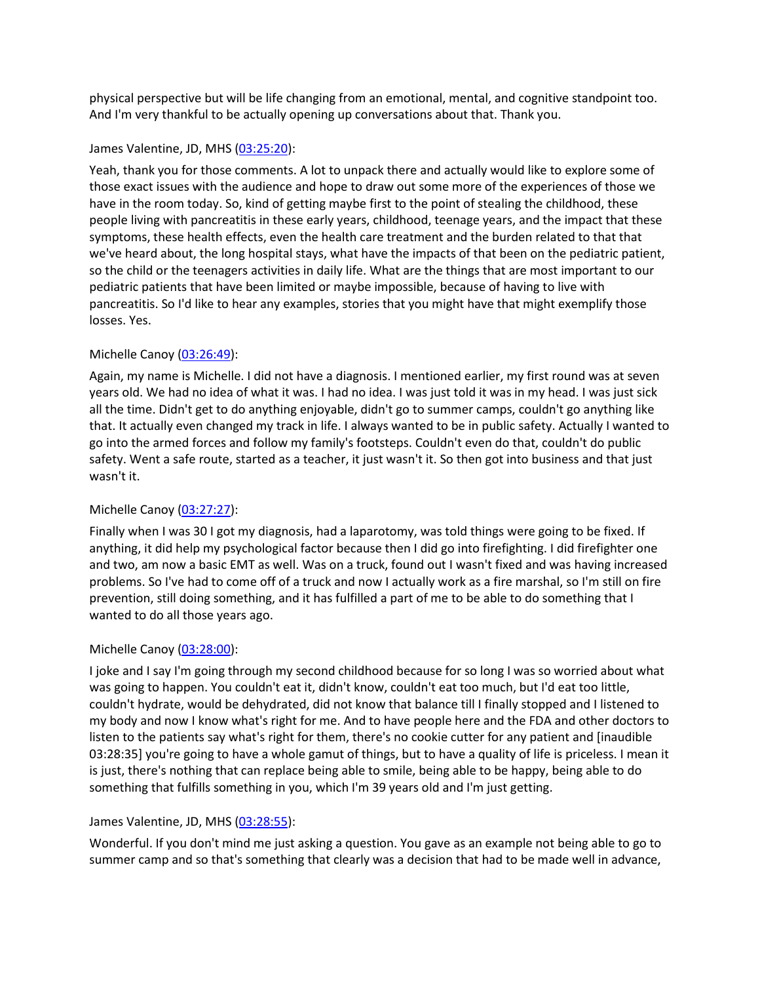physical perspective but will be life changing from an emotional, mental, and cognitive standpoint too. And I'm very thankful to be actually opening up conversations about that. Thank you.

### James Valentine, JD, MHS [\(03:25:20\)](https://www.rev.com/transcript-editor/Edit?token=MdEFX653PojGwT2Xf2S_l7BSF55kOYqRSmZZuhdr8jwT17yQkDVbUQYBUxOcn_gvZpuXlCG56Z4Tb1i9f41GPvhy3WQ&loadFrom=DocumentDeeplink&ts=12320.25):

Yeah, thank you for those comments. A lot to unpack there and actually would like to explore some of those exact issues with the audience and hope to draw out some more of the experiences of those we have in the room today. So, kind of getting maybe first to the point of stealing the childhood, these people living with pancreatitis in these early years, childhood, teenage years, and the impact that these symptoms, these health effects, even the health care treatment and the burden related to that that we've heard about, the long hospital stays, what have the impacts of that been on the pediatric patient, so the child or the teenagers activities in daily life. What are the things that are most important to our pediatric patients that have been limited or maybe impossible, because of having to live with pancreatitis. So I'd like to hear any examples, stories that you might have that might exemplify those losses. Yes.

### Michelle Canoy [\(03:26:49\)](https://www.rev.com/transcript-editor/Edit?token=x2bkE0rCuXBuxM_724lplMtb4AGDSKwsgQi9fg7PjeQ338f8trWmoOXp3c1p7xE8_XP5n0BhzUCjo3o0iW6biKM-75I&loadFrom=DocumentDeeplink&ts=12409.01):

Again, my name is Michelle. I did not have a diagnosis. I mentioned earlier, my first round was at seven years old. We had no idea of what it was. I had no idea. I was just told it was in my head. I was just sick all the time. Didn't get to do anything enjoyable, didn't go to summer camps, couldn't go anything like that. It actually even changed my track in life. I always wanted to be in public safety. Actually I wanted to go into the armed forces and follow my family's footsteps. Couldn't even do that, couldn't do public safety. Went a safe route, started as a teacher, it just wasn't it. So then got into business and that just wasn't it.

### Michelle Canoy [\(03:27:27\)](https://www.rev.com/transcript-editor/Edit?token=oTKKKCITijq9dN8wprbC96MGigMp68or1qzCV1z8FZrFzamJw6RaK1qDr64hW7TW7GIzvVbZUPV-obD2CfnI_QOOlpk&loadFrom=DocumentDeeplink&ts=12447.36):

Finally when I was 30 I got my diagnosis, had a laparotomy, was told things were going to be fixed. If anything, it did help my psychological factor because then I did go into firefighting. I did firefighter one and two, am now a basic EMT as well. Was on a truck, found out I wasn't fixed and was having increased problems. So I've had to come off of a truck and now I actually work as a fire marshal, so I'm still on fire prevention, still doing something, and it has fulfilled a part of me to be able to do something that I wanted to do all those years ago.

### Michelle Canoy [\(03:28:00\)](https://www.rev.com/transcript-editor/Edit?token=hgnjTnSu64j1IlGCCJQQso5DaNbK2QFE2Vd_qzmpU5iUP8DtCP3bt0hyJE6a1AuGghaOai8Bs6l9Rx-GdkrGXfOr0eE&loadFrom=DocumentDeeplink&ts=12480.96):

I joke and I say I'm going through my second childhood because for so long I was so worried about what was going to happen. You couldn't eat it, didn't know, couldn't eat too much, but I'd eat too little, couldn't hydrate, would be dehydrated, did not know that balance till I finally stopped and I listened to my body and now I know what's right for me. And to have people here and the FDA and other doctors to listen to the patients say what's right for them, there's no cookie cutter for any patient and [inaudible 03:28:35] you're going to have a whole gamut of things, but to have a quality of life is priceless. I mean it is just, there's nothing that can replace being able to smile, being able to be happy, being able to do something that fulfills something in you, which I'm 39 years old and I'm just getting.

### James Valentine, JD, MHS [\(03:28:55\)](https://www.rev.com/transcript-editor/Edit?token=p9D_9fWlPOzqazQSYBpz8VdlkLSrmuse_ZZtWUP1hmK78J61891CluXQMiwzv4KDKBeqkSK2IDNwtsm00lqSX-fFKh8&loadFrom=DocumentDeeplink&ts=12535.72):

Wonderful. If you don't mind me just asking a question. You gave as an example not being able to go to summer camp and so that's something that clearly was a decision that had to be made well in advance,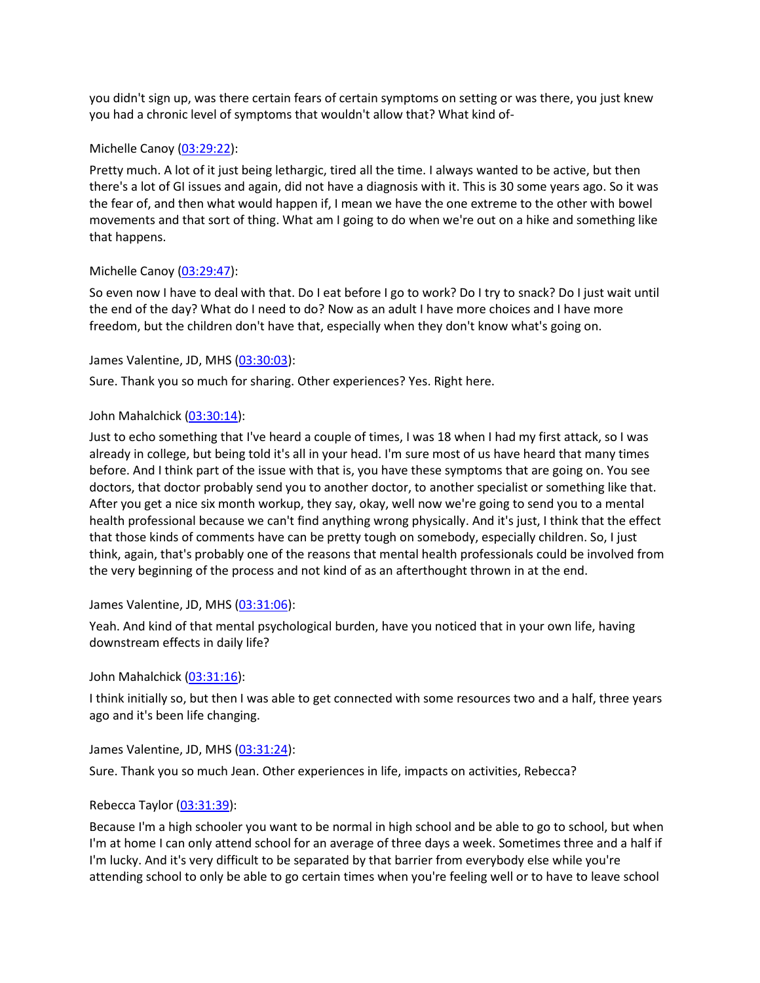you didn't sign up, was there certain fears of certain symptoms on setting or was there, you just knew you had a chronic level of symptoms that wouldn't allow that? What kind of-

#### Michelle Canoy [\(03:29:22\)](https://www.rev.com/transcript-editor/Edit?token=t0_px0B8DtI2Xafg_XMIqnQEUlDPulcy49QhclpNmokLEKfl7Nke8wihx-YiFRQ2dZfhOkAN3nfHM_NWQBfdInlwg4c&loadFrom=DocumentDeeplink&ts=12562.72):

Pretty much. A lot of it just being lethargic, tired all the time. I always wanted to be active, but then there's a lot of GI issues and again, did not have a diagnosis with it. This is 30 some years ago. So it was the fear of, and then what would happen if, I mean we have the one extreme to the other with bowel movements and that sort of thing. What am I going to do when we're out on a hike and something like that happens.

#### Michelle Canoy [\(03:29:47\)](https://www.rev.com/transcript-editor/Edit?token=__ule6qzqTwy9LqFP5kwLwYGq4EmVK9eknyPiZad8lUtMU13pihIZQnhyn_YV6vaOKEPVO_g9FKswLwdYZ-iEyW1zrA&loadFrom=DocumentDeeplink&ts=12587.01):

So even now I have to deal with that. Do I eat before I go to work? Do I try to snack? Do I just wait until the end of the day? What do I need to do? Now as an adult I have more choices and I have more freedom, but the children don't have that, especially when they don't know what's going on.

#### James Valentine, JD, MHS [\(03:30:03\)](https://www.rev.com/transcript-editor/Edit?token=0HGT6dsIQMxvEzWTNImqLFiIhnJ7Mglm5cPfjHOxt9V9wq8WXq5A07yrTQDbSIDYWA81Ni05jAFOy7gzcsqUFEfKt04&loadFrom=DocumentDeeplink&ts=12603.23):

Sure. Thank you so much for sharing. Other experiences? Yes. Right here.

#### John Mahalchick [\(03:30:14\)](https://www.rev.com/transcript-editor/Edit?token=q4Ztq73HtqL9KJ0kJ6DN_mlog7pUwtIhVdaaI88JXJtEYt-A2BDsPd878RQALEKV9548BjgnP42E4qpHSUkVbGwgq_s&loadFrom=DocumentDeeplink&ts=12614.55):

Just to echo something that I've heard a couple of times, I was 18 when I had my first attack, so I was already in college, but being told it's all in your head. I'm sure most of us have heard that many times before. And I think part of the issue with that is, you have these symptoms that are going on. You see doctors, that doctor probably send you to another doctor, to another specialist or something like that. After you get a nice six month workup, they say, okay, well now we're going to send you to a mental health professional because we can't find anything wrong physically. And it's just, I think that the effect that those kinds of comments have can be pretty tough on somebody, especially children. So, I just think, again, that's probably one of the reasons that mental health professionals could be involved from the very beginning of the process and not kind of as an afterthought thrown in at the end.

#### James Valentine, JD, MHS [\(03:31:06\)](https://www.rev.com/transcript-editor/Edit?token=XxH23oDlaFZpngb3QRi2UYnn4kx8q-7UeuQbgzBL1PmP9aFEenjSgxEVzYGaHY0FPIRuRPjKx6WxUa1OBna7ab5Bm44&loadFrom=DocumentDeeplink&ts=12666.27):

Yeah. And kind of that mental psychological burden, have you noticed that in your own life, having downstream effects in daily life?

#### John Mahalchick [\(03:31:16\)](https://www.rev.com/transcript-editor/Edit?token=RLC_WgiTxY7DmFOLK_g4b5ZkgcBGlaXgBQ51KcAxfNjY_lk6RomTLMFvxrrG_GeF-pmpaUhvV8WNhJjkeMmG5folp0w&loadFrom=DocumentDeeplink&ts=12676.23):

I think initially so, but then I was able to get connected with some resources two and a half, three years ago and it's been life changing.

#### James Valentine, JD, MHS [\(03:31:24\)](https://www.rev.com/transcript-editor/Edit?token=1VeKQrz5mOt5QN0970vhp82J3B8V2nAv2pdAh72LLtWWGpD-SnkrYt9c8pCD1N62EQQK4duzdp6kOFBYVfA6kEDxC5U&loadFrom=DocumentDeeplink&ts=12684.52):

Sure. Thank you so much Jean. Other experiences in life, impacts on activities, Rebecca?

### Rebecca Taylor [\(03:31:39\)](https://www.rev.com/transcript-editor/Edit?token=WHvn1Wj8VKtI73jXVUpEIbb0BE1aAQiAnciINXhf6FYuWujmTmCFJN-y_W49nMP2OXe7a5dNrCMjPOElpnyaJ5Vp7-8&loadFrom=DocumentDeeplink&ts=12699.57):

Because I'm a high schooler you want to be normal in high school and be able to go to school, but when I'm at home I can only attend school for an average of three days a week. Sometimes three and a half if I'm lucky. And it's very difficult to be separated by that barrier from everybody else while you're attending school to only be able to go certain times when you're feeling well or to have to leave school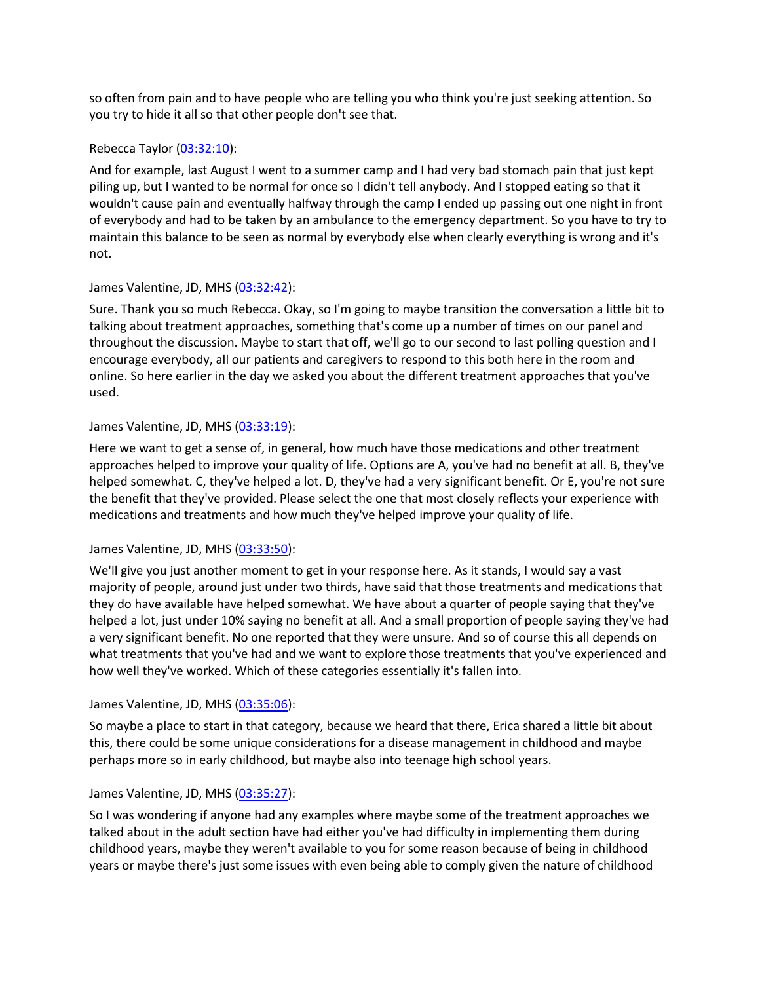so often from pain and to have people who are telling you who think you're just seeking attention. So you try to hide it all so that other people don't see that.

### Rebecca Taylor [\(03:32:10\)](https://www.rev.com/transcript-editor/Edit?token=R5fTzbe1zyN9sTo62-fBlYlh_MHdWfYRunjW9uEKLASVEI8gpYCXhua8l3NcObtRXJ-2hB0oU1Qa1XtQTq3c2ZgkvUQ&loadFrom=DocumentDeeplink&ts=12730.39):

And for example, last August I went to a summer camp and I had very bad stomach pain that just kept piling up, but I wanted to be normal for once so I didn't tell anybody. And I stopped eating so that it wouldn't cause pain and eventually halfway through the camp I ended up passing out one night in front of everybody and had to be taken by an ambulance to the emergency department. So you have to try to maintain this balance to be seen as normal by everybody else when clearly everything is wrong and it's not.

# James Valentine, JD, MHS [\(03:32:42\)](https://www.rev.com/transcript-editor/Edit?token=FbBKFIfETjAt0mryavqvFtcjUrjKYugPrk718nlafDGRFN-yzmxUrCUYcqYiFaRGbZwngkkIOa6kKdiUzbkPRpg_dbI&loadFrom=DocumentDeeplink&ts=12762.23):

Sure. Thank you so much Rebecca. Okay, so I'm going to maybe transition the conversation a little bit to talking about treatment approaches, something that's come up a number of times on our panel and throughout the discussion. Maybe to start that off, we'll go to our second to last polling question and I encourage everybody, all our patients and caregivers to respond to this both here in the room and online. So here earlier in the day we asked you about the different treatment approaches that you've used.

# James Valentine, JD, MHS [\(03:33:19\)](https://www.rev.com/transcript-editor/Edit?token=2RjKjq4CsF_4Nu0my0Lkc3QsF2t-kmlQFRkQP06-4FN-SrC8bZtcws2qNl9JyMZup4Znh6hmkWIXvPxhudMUCaJJVP4&loadFrom=DocumentDeeplink&ts=12799.16):

Here we want to get a sense of, in general, how much have those medications and other treatment approaches helped to improve your quality of life. Options are A, you've had no benefit at all. B, they've helped somewhat. C, they've helped a lot. D, they've had a very significant benefit. Or E, you're not sure the benefit that they've provided. Please select the one that most closely reflects your experience with medications and treatments and how much they've helped improve your quality of life.

# James Valentine, JD, MHS [\(03:33:50\)](https://www.rev.com/transcript-editor/Edit?token=gKbAD7dRXhztJpdtZt5SPY2kwZpDdRo-8mQ7Q66CgB3kFXuyGBigFJv8eqVUHpgsiRbFLP21uH9jyjW0x5oy0LDlA7k&loadFrom=DocumentDeeplink&ts=12830.41):

We'll give you just another moment to get in your response here. As it stands, I would say a vast majority of people, around just under two thirds, have said that those treatments and medications that they do have available have helped somewhat. We have about a quarter of people saying that they've helped a lot, just under 10% saying no benefit at all. And a small proportion of people saying they've had a very significant benefit. No one reported that they were unsure. And so of course this all depends on what treatments that you've had and we want to explore those treatments that you've experienced and how well they've worked. Which of these categories essentially it's fallen into.

### James Valentine, JD, MHS [\(03:35:06\)](https://www.rev.com/transcript-editor/Edit?token=tpSY8WiFlNl_cQPntEDUo-UmnWatgNGnnhDDOhWDcdDDh8ByehPdANDzWDEiNQb7dh9AfYgO7HWr8T10yKdjFhU6D0k&loadFrom=DocumentDeeplink&ts=12906.22):

So maybe a place to start in that category, because we heard that there, Erica shared a little bit about this, there could be some unique considerations for a disease management in childhood and maybe perhaps more so in early childhood, but maybe also into teenage high school years.

# James Valentine, JD, MHS [\(03:35:27\)](https://www.rev.com/transcript-editor/Edit?token=tcT-4CSLR7knj_TbRsYXqt7B2V_uIbnMjIDqvtIQZtQbtzRqD2tlaRQATtkJP386sLMVmv27WszxsvYoXz1maOlRgqs&loadFrom=DocumentDeeplink&ts=12927.9):

So I was wondering if anyone had any examples where maybe some of the treatment approaches we talked about in the adult section have had either you've had difficulty in implementing them during childhood years, maybe they weren't available to you for some reason because of being in childhood years or maybe there's just some issues with even being able to comply given the nature of childhood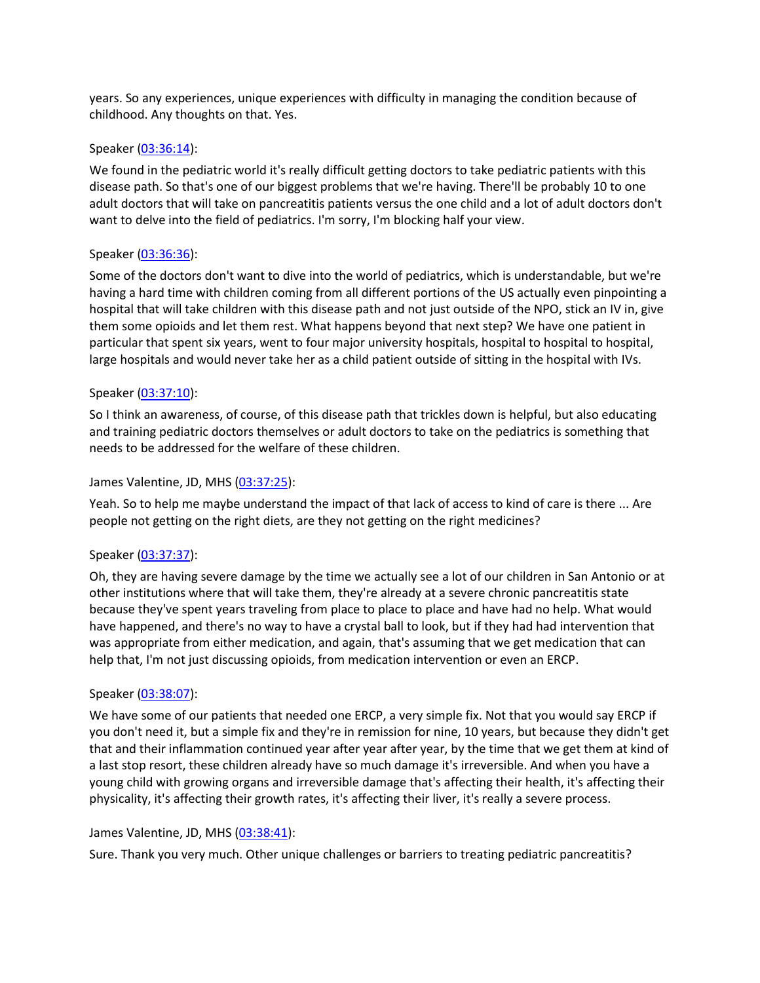years. So any experiences, unique experiences with difficulty in managing the condition because of childhood. Any thoughts on that. Yes.

#### Speaker [\(03:36:14\)](https://www.rev.com/transcript-editor/Edit?token=JtUKvE3iIFKF7_f4P7lwSR8pwcW9WQA_iN8WZMAB4EVKfMCWjzlxnCuGyK0iL08SimtJExkJm9wsa3QAnWyYJc5Ckfc&loadFrom=DocumentDeeplink&ts=12974.09):

We found in the pediatric world it's really difficult getting doctors to take pediatric patients with this disease path. So that's one of our biggest problems that we're having. There'll be probably 10 to one adult doctors that will take on pancreatitis patients versus the one child and a lot of adult doctors don't want to delve into the field of pediatrics. I'm sorry, I'm blocking half your view.

#### Speaker [\(03:36:36\)](https://www.rev.com/transcript-editor/Edit?token=A_sjlLWVPxjHGRWmdGSEF_iHiRs4UqWle7ZtFJWrl3Jqe8JW--SnSfCGsCRjorJbxsKrIYgQSVoHdTrLBHtgyWiKJik&loadFrom=DocumentDeeplink&ts=12996.81):

Some of the doctors don't want to dive into the world of pediatrics, which is understandable, but we're having a hard time with children coming from all different portions of the US actually even pinpointing a hospital that will take children with this disease path and not just outside of the NPO, stick an IV in, give them some opioids and let them rest. What happens beyond that next step? We have one patient in particular that spent six years, went to four major university hospitals, hospital to hospital to hospital, large hospitals and would never take her as a child patient outside of sitting in the hospital with IVs.

#### Speaker [\(03:37:10\)](https://www.rev.com/transcript-editor/Edit?token=msQne29MehVtMN-a6xPbgkOfnfOW-_t5o20iESHrqs1ZqjtIq7NeEAVE-rXkNhA3SKott1YmCIMM9Hvz78JfYIU8-nE&loadFrom=DocumentDeeplink&ts=13030.89):

So I think an awareness, of course, of this disease path that trickles down is helpful, but also educating and training pediatric doctors themselves or adult doctors to take on the pediatrics is something that needs to be addressed for the welfare of these children.

#### James Valentine, JD, MHS [\(03:37:25\)](https://www.rev.com/transcript-editor/Edit?token=sUm9cI5tA4-eNZ3ZuSS64PdvAfYRi2gNtZBX5zuWsC34qFEZ3kJoGv0Z0eKGjPma5cnM2Qd87ttAef0ekO47Cz4SmgA&loadFrom=DocumentDeeplink&ts=13045.19):

Yeah. So to help me maybe understand the impact of that lack of access to kind of care is there ... Are people not getting on the right diets, are they not getting on the right medicines?

#### Speaker [\(03:37:37\)](https://www.rev.com/transcript-editor/Edit?token=U1cW4V7590nNSsajz8pQ02tTBVto2auTpmya7Uh8LA9C0cZDUX4C015afv8MSl4VzjJfs2PLSk0A6TRpgLUUd68-qFs&loadFrom=DocumentDeeplink&ts=13057.23):

Oh, they are having severe damage by the time we actually see a lot of our children in San Antonio or at other institutions where that will take them, they're already at a severe chronic pancreatitis state because they've spent years traveling from place to place to place and have had no help. What would have happened, and there's no way to have a crystal ball to look, but if they had had intervention that was appropriate from either medication, and again, that's assuming that we get medication that can help that, I'm not just discussing opioids, from medication intervention or even an ERCP.

### Speaker [\(03:38:07\)](https://www.rev.com/transcript-editor/Edit?token=qxnIKCwgYM6Y-M9KRtH16TiJXTJv5BRwla2kRwlWelz4PTW1Y-jN-n-aVHsx2wI7FzcFtQbO5iPx3b6hlxazLj2cV8g&loadFrom=DocumentDeeplink&ts=13087.98):

We have some of our patients that needed one ERCP, a very simple fix. Not that you would say ERCP if you don't need it, but a simple fix and they're in remission for nine, 10 years, but because they didn't get that and their inflammation continued year after year after year, by the time that we get them at kind of a last stop resort, these children already have so much damage it's irreversible. And when you have a young child with growing organs and irreversible damage that's affecting their health, it's affecting their physicality, it's affecting their growth rates, it's affecting their liver, it's really a severe process.

#### James Valentine, JD, MHS [\(03:38:41\)](https://www.rev.com/transcript-editor/Edit?token=3KeeJZYCwkMwn89oKftqtqSDJ9cvGKrNrCPxgTw-LKYncKCeoBx9q9_YcseIKqkX8feZoUQksd6tagBPpAlXgw21Fwk&loadFrom=DocumentDeeplink&ts=13121.25):

Sure. Thank you very much. Other unique challenges or barriers to treating pediatric pancreatitis?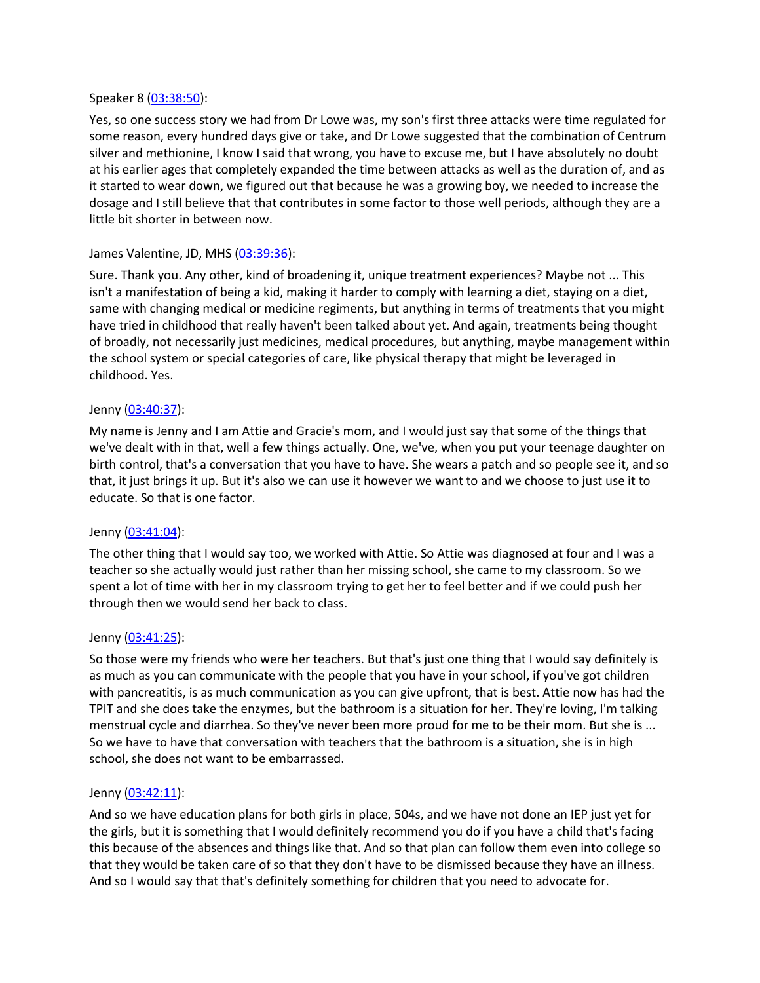#### Speaker 8 [\(03:38:50\)](https://www.rev.com/transcript-editor/Edit?token=EVJhPG9mosKyt5t4rhb9Eu44lRpyg-5Nc3heCFdKTRv--_MxwtXk02C891z7RNKDgURsVBM97ViBvyY0fuT2wUO-B1Q&loadFrom=DocumentDeeplink&ts=13130.63):

Yes, so one success story we had from Dr Lowe was, my son's first three attacks were time regulated for some reason, every hundred days give or take, and Dr Lowe suggested that the combination of Centrum silver and methionine, I know I said that wrong, you have to excuse me, but I have absolutely no doubt at his earlier ages that completely expanded the time between attacks as well as the duration of, and as it started to wear down, we figured out that because he was a growing boy, we needed to increase the dosage and I still believe that that contributes in some factor to those well periods, although they are a little bit shorter in between now.

#### James Valentine, JD, MHS [\(03:39:36\)](https://www.rev.com/transcript-editor/Edit?token=kfgitOSoHEHYExhs2uBCyVlxHOMgDDpsjK8mdPT9wbPLO2IYuewh5t0_u7ZLIkZEt2bdzZ4l9ZrsRyKRLQVEQkYn7ss&loadFrom=DocumentDeeplink&ts=13176.23):

Sure. Thank you. Any other, kind of broadening it, unique treatment experiences? Maybe not ... This isn't a manifestation of being a kid, making it harder to comply with learning a diet, staying on a diet, same with changing medical or medicine regiments, but anything in terms of treatments that you might have tried in childhood that really haven't been talked about yet. And again, treatments being thought of broadly, not necessarily just medicines, medical procedures, but anything, maybe management within the school system or special categories of care, like physical therapy that might be leveraged in childhood. Yes.

#### Jenny [\(03:40:37\)](https://www.rev.com/transcript-editor/Edit?token=xO7DbHcbaOzapAN5pELWujWFmrH_BhrQlhoFVDH1A2T4kkvxjlvtKe8eFA2Bcxk2KI3Y5Mv_It4mLhNFYuALTjYHgXo&loadFrom=DocumentDeeplink&ts=13237.5):

My name is Jenny and I am Attie and Gracie's mom, and I would just say that some of the things that we've dealt with in that, well a few things actually. One, we've, when you put your teenage daughter on birth control, that's a conversation that you have to have. She wears a patch and so people see it, and so that, it just brings it up. But it's also we can use it however we want to and we choose to just use it to educate. So that is one factor.

#### Jenny [\(03:41:04\)](https://www.rev.com/transcript-editor/Edit?token=nXR0-rcY3N485OXP6zFzy6xzQcf1JrXJ0x0-lC0by38SCvBUxhHGRiytuI4Ey64j-wgcWw0lLX2u1o8nDfF_utUlmBY&loadFrom=DocumentDeeplink&ts=13264.43):

The other thing that I would say too, we worked with Attie. So Attie was diagnosed at four and I was a teacher so she actually would just rather than her missing school, she came to my classroom. So we spent a lot of time with her in my classroom trying to get her to feel better and if we could push her through then we would send her back to class.

#### Jenny [\(03:41:25\)](https://www.rev.com/transcript-editor/Edit?token=_sJer8ExMcYDl9yznN7hOG1ZP3TgtcPvivhJQpaC9HE7nQ-iLrLSJbKwFUCEVpV6nlrxb9iOwnUKbfDHmzcJmU4VP0U&loadFrom=DocumentDeeplink&ts=13285.4):

So those were my friends who were her teachers. But that's just one thing that I would say definitely is as much as you can communicate with the people that you have in your school, if you've got children with pancreatitis, is as much communication as you can give upfront, that is best. Attie now has had the TPIT and she does take the enzymes, but the bathroom is a situation for her. They're loving, I'm talking menstrual cycle and diarrhea. So they've never been more proud for me to be their mom. But she is ... So we have to have that conversation with teachers that the bathroom is a situation, she is in high school, she does not want to be embarrassed.

#### Jenny [\(03:42:11\)](https://www.rev.com/transcript-editor/Edit?token=qxHUtzNb7XFaHftOztJINKdC-SzxAzAqZ_LeBPFjRRpnAeSIcv6GtmpDBHwwRS8WyaOrryBJVlOApjgAQHCYbOk39ek&loadFrom=DocumentDeeplink&ts=13331.73):

And so we have education plans for both girls in place, 504s, and we have not done an IEP just yet for the girls, but it is something that I would definitely recommend you do if you have a child that's facing this because of the absences and things like that. And so that plan can follow them even into college so that they would be taken care of so that they don't have to be dismissed because they have an illness. And so I would say that that's definitely something for children that you need to advocate for.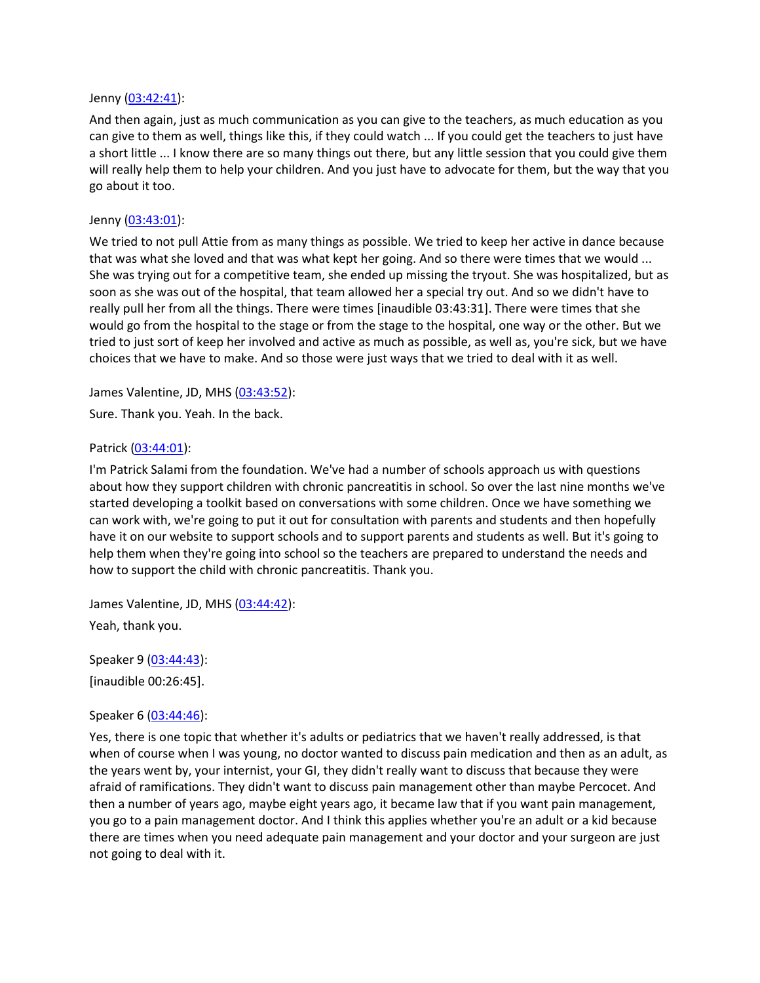#### Jenny [\(03:42:41\)](https://www.rev.com/transcript-editor/Edit?token=n24lYEGDBTHsnqr9cQrQ3hIRVABa1J3_u4xvCtlJgCBlRDLlyINI1Xo4n_N21rb7RE4nUfXEs0e5sjJ2Unj-0Ntp2v8&loadFrom=DocumentDeeplink&ts=13361.34):

And then again, just as much communication as you can give to the teachers, as much education as you can give to them as well, things like this, if they could watch ... If you could get the teachers to just have a short little ... I know there are so many things out there, but any little session that you could give them will really help them to help your children. And you just have to advocate for them, but the way that you go about it too.

#### Jenny [\(03:43:01\)](https://www.rev.com/transcript-editor/Edit?token=iQRmx_d7x7uQT3m1O3aB-852zcmyvmijISrXzYs0jFCyOwkmT0AjDXIo3IFClydRUl1EiWdaDex09lH0qZZ3z1wX2eI&loadFrom=DocumentDeeplink&ts=13381.68):

We tried to not pull Attie from as many things as possible. We tried to keep her active in dance because that was what she loved and that was what kept her going. And so there were times that we would ... She was trying out for a competitive team, she ended up missing the tryout. She was hospitalized, but as soon as she was out of the hospital, that team allowed her a special try out. And so we didn't have to really pull her from all the things. There were times [inaudible 03:43:31]. There were times that she would go from the hospital to the stage or from the stage to the hospital, one way or the other. But we tried to just sort of keep her involved and active as much as possible, as well as, you're sick, but we have choices that we have to make. And so those were just ways that we tried to deal with it as well.

James Valentine, JD, MHS [\(03:43:52\)](https://www.rev.com/transcript-editor/Edit?token=MpGsCUf9jyQkSedSSJM_iwW5cRRejmOHTw7HfzwcgtmV2of_RYKiOhU5qCKEIsSh9wH_j0P0zc5G3IHfLFZbRme-WJY&loadFrom=DocumentDeeplink&ts=13432.24):

Sure. Thank you. Yeah. In the back.

#### Patrick [\(03:44:01\)](https://www.rev.com/transcript-editor/Edit?token=xgArJQswJ-9kdneJBUjVlRjg0GSub0WRwD9Q1PvBbrIVb6RHLr_HwVM4BGT21JYRdgvQ4pE0sqV2vnZGhBuFf7tReEw&loadFrom=DocumentDeeplink&ts=13441.79):

I'm Patrick Salami from the foundation. We've had a number of schools approach us with questions about how they support children with chronic pancreatitis in school. So over the last nine months we've started developing a toolkit based on conversations with some children. Once we have something we can work with, we're going to put it out for consultation with parents and students and then hopefully have it on our website to support schools and to support parents and students as well. But it's going to help them when they're going into school so the teachers are prepared to understand the needs and how to support the child with chronic pancreatitis. Thank you.

James Valentine, JD, MHS [\(03:44:42\)](https://www.rev.com/transcript-editor/Edit?token=aOGZ1LQ8dtBq0av6tKfKIjUahZfpInjFuzrUOvA0HOpo3cmjupmt6Kek-WXkoQQTQV1sgDXDPlCGsZewXZU2k-e8zUo&loadFrom=DocumentDeeplink&ts=13482.69): Yeah, thank you.

Speaker 9 [\(03:44:43\)](https://www.rev.com/transcript-editor/Edit?token=k5CqaPjPMXDTpD8jVuRFyJyhNzd3oN48TUEkNusPm7UCIiOYhtDMFEEu58mN-8BtpUFRuL6leU1-xTeJ04i3pDQPjgk&loadFrom=DocumentDeeplink&ts=13483.32): [inaudible 00:26:45].

### Speaker 6 [\(03:44:46\)](https://www.rev.com/transcript-editor/Edit?token=_Q80UrQnbqMIDcEVDLdmbXFIPokwRPPTUwxCVodXb9LE_p031ubiN0FfsHEy78yg7EXScQrp6_-UBbPlsp4y6axu0Jw&loadFrom=DocumentDeeplink&ts=13486.49):

Yes, there is one topic that whether it's adults or pediatrics that we haven't really addressed, is that when of course when I was young, no doctor wanted to discuss pain medication and then as an adult, as the years went by, your internist, your GI, they didn't really want to discuss that because they were afraid of ramifications. They didn't want to discuss pain management other than maybe Percocet. And then a number of years ago, maybe eight years ago, it became law that if you want pain management, you go to a pain management doctor. And I think this applies whether you're an adult or a kid because there are times when you need adequate pain management and your doctor and your surgeon are just not going to deal with it.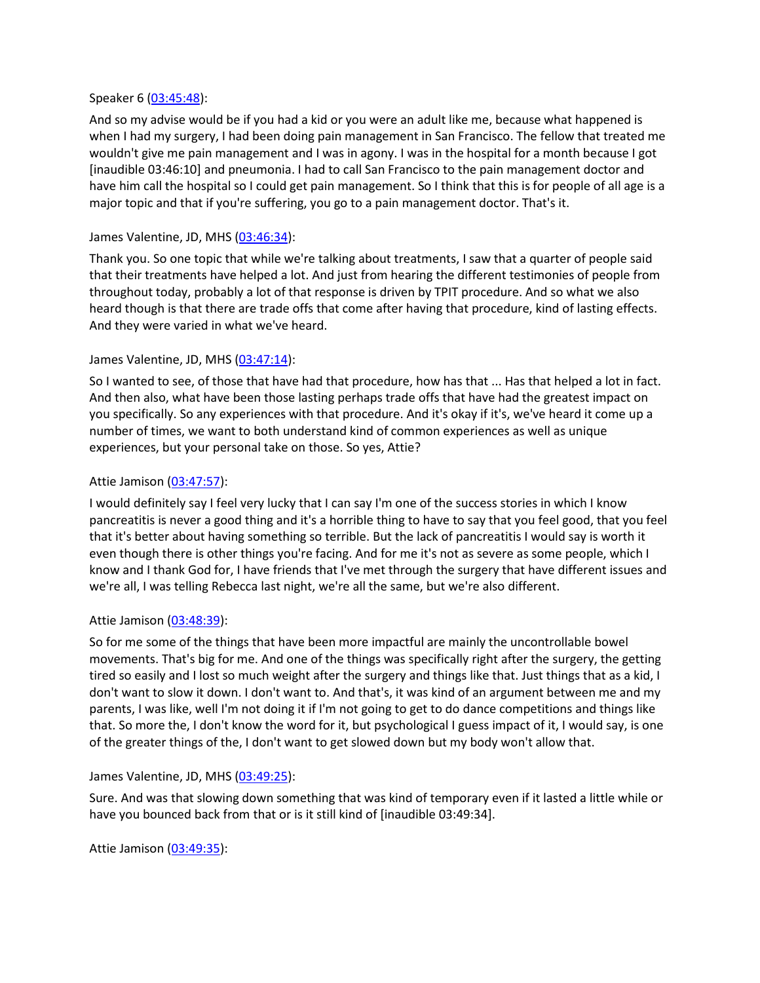#### Speaker 6 [\(03:45:48\)](https://www.rev.com/transcript-editor/Edit?token=8ZWMkRz_SfHL3NFfs9dza2IgkPBIKpiCDbaS0QutmPCq-jG2aKYNl_0nA-bkO8gc4sZ2WlZLVSVcHZu_Frq6Va9eSd0&loadFrom=DocumentDeeplink&ts=13548.29):

And so my advise would be if you had a kid or you were an adult like me, because what happened is when I had my surgery, I had been doing pain management in San Francisco. The fellow that treated me wouldn't give me pain management and I was in agony. I was in the hospital for a month because I got [inaudible 03:46:10] and pneumonia. I had to call San Francisco to the pain management doctor and have him call the hospital so I could get pain management. So I think that this is for people of all age is a major topic and that if you're suffering, you go to a pain management doctor. That's it.

#### James Valentine, JD, MHS [\(03:46:34\)](https://www.rev.com/transcript-editor/Edit?token=_FCEVsPWRZCQK6EqEo0BeZnT4RCU6DCKR7RO2N0UM2yj-xNJ9Ui-eBq1mHUMVrH3IKhKu1UiRUsht4kla2aClMVyjis&loadFrom=DocumentDeeplink&ts=13594.99):

Thank you. So one topic that while we're talking about treatments, I saw that a quarter of people said that their treatments have helped a lot. And just from hearing the different testimonies of people from throughout today, probably a lot of that response is driven by TPIT procedure. And so what we also heard though is that there are trade offs that come after having that procedure, kind of lasting effects. And they were varied in what we've heard.

#### James Valentine, JD, MHS [\(03:47:14\)](https://www.rev.com/transcript-editor/Edit?token=LTKM7Y4j3fQQxbH_1imE0DLg41Ug-Y5_WzbaBOZTQtfuWw_qZpYOrFtGOG0tuu6qCql6bIbITxZhfCh0eO16cUjMo7E&loadFrom=DocumentDeeplink&ts=13634.78):

So I wanted to see, of those that have had that procedure, how has that ... Has that helped a lot in fact. And then also, what have been those lasting perhaps trade offs that have had the greatest impact on you specifically. So any experiences with that procedure. And it's okay if it's, we've heard it come up a number of times, we want to both understand kind of common experiences as well as unique experiences, but your personal take on those. So yes, Attie?

#### Attie Jamison [\(03:47:57\)](https://www.rev.com/transcript-editor/Edit?token=qeB_vQ2QlmCZIEpuTCLKrvYNThfIY3jH_h-g1UDCuzLZ_fxH9tbmXE43zUE4IybIEmpTmUpqjXtCsOe8VvKv1Z8QQlI&loadFrom=DocumentDeeplink&ts=13677):

I would definitely say I feel very lucky that I can say I'm one of the success stories in which I know pancreatitis is never a good thing and it's a horrible thing to have to say that you feel good, that you feel that it's better about having something so terrible. But the lack of pancreatitis I would say is worth it even though there is other things you're facing. And for me it's not as severe as some people, which I know and I thank God for, I have friends that I've met through the surgery that have different issues and we're all, I was telling Rebecca last night, we're all the same, but we're also different.

### Attie Jamison [\(03:48:39\)](https://www.rev.com/transcript-editor/Edit?token=JslauSnuYNqwVHowzvzwvvA2iH7WscY-oPzhnhKwuKedkRIsni1A9bQB8caR6r2wZwwkR8l-SvceVVNb16I5slbWU5Y&loadFrom=DocumentDeeplink&ts=13719.33):

So for me some of the things that have been more impactful are mainly the uncontrollable bowel movements. That's big for me. And one of the things was specifically right after the surgery, the getting tired so easily and I lost so much weight after the surgery and things like that. Just things that as a kid, I don't want to slow it down. I don't want to. And that's, it was kind of an argument between me and my parents, I was like, well I'm not doing it if I'm not going to get to do dance competitions and things like that. So more the, I don't know the word for it, but psychological I guess impact of it, I would say, is one of the greater things of the, I don't want to get slowed down but my body won't allow that.

#### James Valentine, JD, MHS [\(03:49:25\)](https://www.rev.com/transcript-editor/Edit?token=0LjQtYfZ1D4CckpYsu1zLbgPLJfAZHYOEa1641RfKwf8yq0lIXlqzuzQ5NdnObU4yOZsM5ciAPxNOfR459tuJ8gLg4Y&loadFrom=DocumentDeeplink&ts=13765.01):

Sure. And was that slowing down something that was kind of temporary even if it lasted a little while or have you bounced back from that or is it still kind of [inaudible 03:49:34].

Attie Jamison [\(03:49:35\)](https://www.rev.com/transcript-editor/Edit?token=P8Pz00EgqRAAacAGZExnBkf7j-IukQ0t1USCKP8mbDCLAYKL-xbMRMQv0TBMZMB8ec90TKfvc3O2QVyq-jHtQj87foA&loadFrom=DocumentDeeplink&ts=13775.73):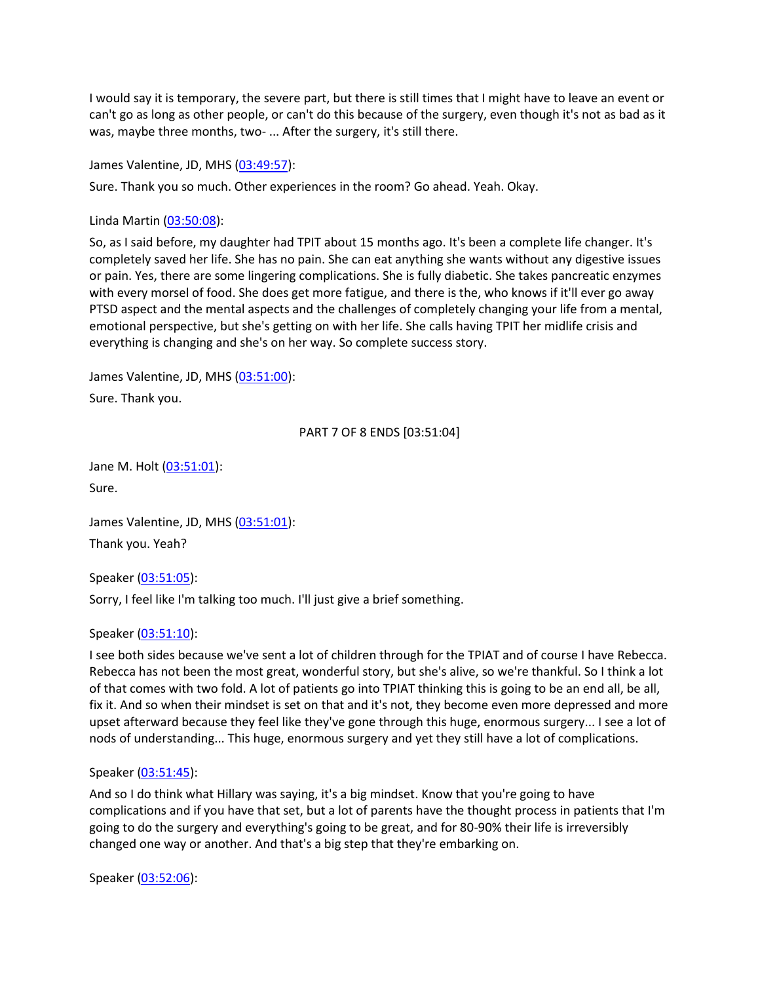I would say it is temporary, the severe part, but there is still times that I might have to leave an event or can't go as long as other people, or can't do this because of the surgery, even though it's not as bad as it was, maybe three months, two- ... After the surgery, it's still there.

James Valentine, JD, MHS [\(03:49:57\)](https://www.rev.com/transcript-editor/Edit?token=GMBdqrUWzANSWJwVp3OuJmL7Dt1MiV8kF6tcUdx7r9owi_c8TAV4JdS7Hucxwv_Iw0cav2uz-6YHfT6hhtVu5w0TgAc&loadFrom=DocumentDeeplink&ts=13797.64):

Sure. Thank you so much. Other experiences in the room? Go ahead. Yeah. Okay.

Linda Martin [\(03:50:08\)](https://www.rev.com/transcript-editor/Edit?token=aRc2T_dzBPNQ9ltnXfV5u7a8m6hf90EFUD-5ru0NSaYjqYiiIh0CRvsHpdaVO_uUTrJ5DD1Hxm2Thks4H8a6L0Lw57Q&loadFrom=DocumentDeeplink&ts=13808.18):

So, as I said before, my daughter had TPIT about 15 months ago. It's been a complete life changer. It's completely saved her life. She has no pain. She can eat anything she wants without any digestive issues or pain. Yes, there are some lingering complications. She is fully diabetic. She takes pancreatic enzymes with every morsel of food. She does get more fatigue, and there is the, who knows if it'll ever go away PTSD aspect and the mental aspects and the challenges of completely changing your life from a mental, emotional perspective, but she's getting on with her life. She calls having TPIT her midlife crisis and everything is changing and she's on her way. So complete success story.

James Valentine, JD, MHS [\(03:51:00\)](https://www.rev.com/transcript-editor/Edit?token=ADguvB7RBRzdhmEpv8F_dSDNQIwvRx_yAJZXX-I8FOf91-3WoaeT93cKEXXVcLBKA4E8oiSy1b4IFWDRMvR7IAuckSU&loadFrom=DocumentDeeplink&ts=13860.51):

Sure. Thank you.

PART 7 OF 8 ENDS [03:51:04]

Jane M. Holt [\(03:51:01\)](https://www.rev.com/transcript-editor/Edit?token=bG_u95rbCVqjiOCQO9ac2WMox52k2aA4y-vvKgZAcpA5FUwBVFpRiA1N64L6NYPSEmUypnpJYfBGqQW0zEq8WHLdYbY&loadFrom=DocumentDeeplink&ts=13861.55): Sure.

James Valentine, JD, MHS [\(03:51:01\)](https://www.rev.com/transcript-editor/Edit?token=lbT0Opcij-8Auxn_msUhyqnsh5aXBlPNV5_bUJufRFjgXJv6f1olk6eKJffJ-OQ9ar2OtZSUYXQYg2XPZRrin1QnvBQ&loadFrom=DocumentDeeplink&ts=13861.55): Thank you. Yeah?

Speaker [\(03:51:05\)](https://www.rev.com/transcript-editor/Edit?token=T5r6Gaa68qu1Ny-520DcIl5Z2xHP86upbaDIgtDuHMaorwiHQ9w-sYtTrk_xAxrLaZwPc2cq_HX3kw3HotrgTOj-gIk&loadFrom=DocumentDeeplink&ts=13865.93):

Sorry, I feel like I'm talking too much. I'll just give a brief something.

### Speaker [\(03:51:10\)](https://www.rev.com/transcript-editor/Edit?token=3pcgei-LIFFLbk4JVtu0FkaKvQugfB3m_Bj2DRPsKOy6DQma247JjD1B1TMnlWLE4QlSBd5adPnPAKerrHOr-gNpqcI&loadFrom=DocumentDeeplink&ts=13870.35):

I see both sides because we've sent a lot of children through for the TPIAT and of course I have Rebecca. Rebecca has not been the most great, wonderful story, but she's alive, so we're thankful. So I think a lot of that comes with two fold. A lot of patients go into TPIAT thinking this is going to be an end all, be all, fix it. And so when their mindset is set on that and it's not, they become even more depressed and more upset afterward because they feel like they've gone through this huge, enormous surgery... I see a lot of nods of understanding... This huge, enormous surgery and yet they still have a lot of complications.

#### Speaker [\(03:51:45\)](https://www.rev.com/transcript-editor/Edit?token=pVuPEveKHM1saYEige5E6Vmf_XlSjX9b4YvIyekh_EQsDTMbtRaW6o57eA0ozXFIajTCNpWLKiXsz41yFn2Y5faJQ0c&loadFrom=DocumentDeeplink&ts=13905.94):

And so I do think what Hillary was saying, it's a big mindset. Know that you're going to have complications and if you have that set, but a lot of parents have the thought process in patients that I'm going to do the surgery and everything's going to be great, and for 80-90% their life is irreversibly changed one way or another. And that's a big step that they're embarking on.

Speaker [\(03:52:06\)](https://www.rev.com/transcript-editor/Edit?token=A4b_lTyyP4yPx1ACOG9rcytVKJk7E-YIW0MU1aHsziVJD5pupp3J1c2340PLHx0i3iBSD50wuh7Gp3PzdtLVh2S-W2o&loadFrom=DocumentDeeplink&ts=13926.94):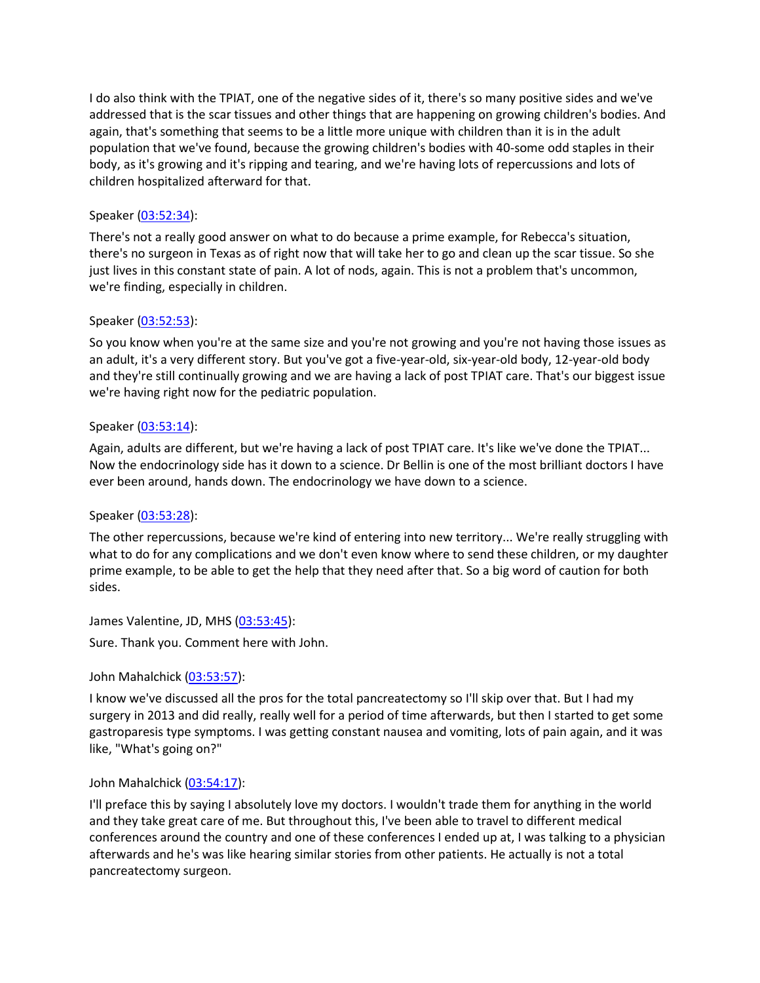I do also think with the TPIAT, one of the negative sides of it, there's so many positive sides and we've addressed that is the scar tissues and other things that are happening on growing children's bodies. And again, that's something that seems to be a little more unique with children than it is in the adult population that we've found, because the growing children's bodies with 40-some odd staples in their body, as it's growing and it's ripping and tearing, and we're having lots of repercussions and lots of children hospitalized afterward for that.

### Speaker [\(03:52:34\)](https://www.rev.com/transcript-editor/Edit?token=FADUkah8fawHQWBzrCVAcVGDaoF_QrIXtrl0EvGrhmjLypHnzDjzB_Fd6qjVDpbG-iR2E6B21T0G4axEgAn-sc4xR2o&loadFrom=DocumentDeeplink&ts=13954.35):

There's not a really good answer on what to do because a prime example, for Rebecca's situation, there's no surgeon in Texas as of right now that will take her to go and clean up the scar tissue. So she just lives in this constant state of pain. A lot of nods, again. This is not a problem that's uncommon, we're finding, especially in children.

#### Speaker [\(03:52:53\)](https://www.rev.com/transcript-editor/Edit?token=wHBG9U1kTuhEorQq2u_CBz2UHU45V_kmf8EACUzA0kBSsSL5MONeTA1zUxk10oro3wkz8kt0chg0sCYTB7GnzH37ghg&loadFrom=DocumentDeeplink&ts=13973.58):

So you know when you're at the same size and you're not growing and you're not having those issues as an adult, it's a very different story. But you've got a five-year-old, six-year-old body, 12-year-old body and they're still continually growing and we are having a lack of post TPIAT care. That's our biggest issue we're having right now for the pediatric population.

#### Speaker [\(03:53:14\)](https://www.rev.com/transcript-editor/Edit?token=U0IKoomoWHb1_5RdyZgFgvKa299qUO0y6M3gixmPx-qpZNvBeR_SLqgmAT60lG7XT6own1PKBn5YlDCPnJeTOqaVDdI&loadFrom=DocumentDeeplink&ts=13994.81):

Again, adults are different, but we're having a lack of post TPIAT care. It's like we've done the TPIAT... Now the endocrinology side has it down to a science. Dr Bellin is one of the most brilliant doctors I have ever been around, hands down. The endocrinology we have down to a science.

#### Speaker [\(03:53:28\)](https://www.rev.com/transcript-editor/Edit?token=25_kwuIqJCIwc04wAirqxOOZKPMhmZUGRsU2E071rY5jkn4yEvAeBUwyLiPpHChKgAeIzPtNr3dZEtYS8rkLB5OTPBo&loadFrom=DocumentDeeplink&ts=14008.96):

The other repercussions, because we're kind of entering into new territory... We're really struggling with what to do for any complications and we don't even know where to send these children, or my daughter prime example, to be able to get the help that they need after that. So a big word of caution for both sides.

James Valentine, JD, MHS [\(03:53:45\)](https://www.rev.com/transcript-editor/Edit?token=pzu7EaJTHFWnop7pFpcxyc1nkeMEdCVJJcJ_21lPTYVoHadiKwdTe0BI77W4d5ARfMqRAgB3-wu4YrVXkLshUv2VtK8&loadFrom=DocumentDeeplink&ts=14025.91):

Sure. Thank you. Comment here with John.

### John Mahalchick [\(03:53:57\)](https://www.rev.com/transcript-editor/Edit?token=kxnRN6dJv1-egPf_Az4Qr8wXfIe1FjSFO-_GX5NOzyY4Gg73U3FViXxUHQxs9dZKK3sDHHn47AmJtyGZwzWcvkD0tGE&loadFrom=DocumentDeeplink&ts=14037.76):

I know we've discussed all the pros for the total pancreatectomy so I'll skip over that. But I had my surgery in 2013 and did really, really well for a period of time afterwards, but then I started to get some gastroparesis type symptoms. I was getting constant nausea and vomiting, lots of pain again, and it was like, "What's going on?"

#### John Mahalchick [\(03:54:17\)](https://www.rev.com/transcript-editor/Edit?token=NIhuqwDSuJqZm3SkBCQpB-T7xpSqCWNKOQCwJf50SWpqMGmXnpKbGlUs78Zv887rB5lUek-QoRm988B8_eTi_u1PXgs&loadFrom=DocumentDeeplink&ts=14057.81):

I'll preface this by saying I absolutely love my doctors. I wouldn't trade them for anything in the world and they take great care of me. But throughout this, I've been able to travel to different medical conferences around the country and one of these conferences I ended up at, I was talking to a physician afterwards and he's was like hearing similar stories from other patients. He actually is not a total pancreatectomy surgeon.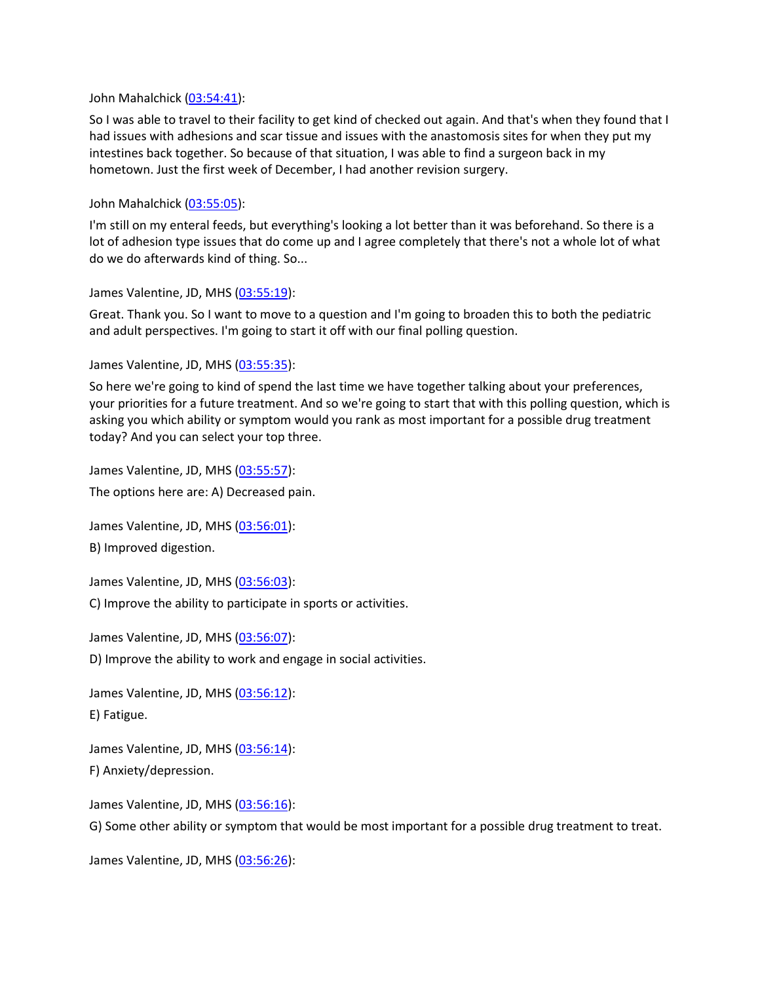John Mahalchick [\(03:54:41\)](https://www.rev.com/transcript-editor/Edit?token=MEt6dUBPvMnCpRbzwWxvQLbyM_Eku0NZi2Py14nmJ60FA2dZKz3fRnq1imhXFIAVgM4dQl7-YmM1-pa-RXq6n-lzTRE&loadFrom=DocumentDeeplink&ts=14081.02):

So I was able to travel to their facility to get kind of checked out again. And that's when they found that I had issues with adhesions and scar tissue and issues with the anastomosis sites for when they put my intestines back together. So because of that situation, I was able to find a surgeon back in my hometown. Just the first week of December, I had another revision surgery.

John Mahalchick [\(03:55:05\)](https://www.rev.com/transcript-editor/Edit?token=wlVCzPRtEjk-NCtmYyKo-TVwGXhkQXC6X3hF17FMoIt_JRy4TOynatSXQ5UG3ezdRp0KD8lymuDjqdLGgGMxCi7rMH4&loadFrom=DocumentDeeplink&ts=14105.51):

I'm still on my enteral feeds, but everything's looking a lot better than it was beforehand. So there is a lot of adhesion type issues that do come up and I agree completely that there's not a whole lot of what do we do afterwards kind of thing. So...

James Valentine, JD, MHS [\(03:55:19\)](https://www.rev.com/transcript-editor/Edit?token=yS13WhppUPmQz8EybZgsgAg--N6wTu0Wvk6M18TxpkUxatoI0LhyRlcxzsj-4PelRkfZ7if04JJuyuWOJVE2ce7AvKU&loadFrom=DocumentDeeplink&ts=14119.29):

Great. Thank you. So I want to move to a question and I'm going to broaden this to both the pediatric and adult perspectives. I'm going to start it off with our final polling question.

James Valentine, JD, MHS [\(03:55:35\)](https://www.rev.com/transcript-editor/Edit?token=-QDNI5ib8U0Arg5dxOjx5ayC7y00ARSDIE_D0EuWMyV89Ragyb9N05SSqHpQ7SIQENt8TG14zKbgFPry-SmObpZQDnA&loadFrom=DocumentDeeplink&ts=14135.22):

So here we're going to kind of spend the last time we have together talking about your preferences, your priorities for a future treatment. And so we're going to start that with this polling question, which is asking you which ability or symptom would you rank as most important for a possible drug treatment today? And you can select your top three.

James Valentine, JD, MHS [\(03:55:57\)](https://www.rev.com/transcript-editor/Edit?token=buE1kZS779A7MKm2xPl6xXcxrEVzPcie8nlv2L8NZYWlVrVFHujHSiOXFuV5-Bg-MQwkj3xe2MqgYJx1BCZI6-mKxt8&loadFrom=DocumentDeeplink&ts=14157.94):

The options here are: A) Decreased pain.

James Valentine, JD, MHS [\(03:56:01\)](https://www.rev.com/transcript-editor/Edit?token=Wyne03u7kvgQoQdJdjintCMZkSscKJnAwfifpQt-jEYkLLx6Kip-0x80Dy5jLNHyUil41vjduIuqJLhJWkmV3f-bS70&loadFrom=DocumentDeeplink&ts=14161.41):

B) Improved digestion.

James Valentine, JD, MHS [\(03:56:03\)](https://www.rev.com/transcript-editor/Edit?token=FKqSK3dPh12MewKqH-R_pJVdAreEc4oytzQfie2CuTYUB-BkI0vLvNalAUBcp3zfOgj8XHFacIZY15uT0NYAlUE-Thc&loadFrom=DocumentDeeplink&ts=14163.44):

C) Improve the ability to participate in sports or activities.

James Valentine, JD, MHS [\(03:56:07\)](https://www.rev.com/transcript-editor/Edit?token=I8zW--DvaMDEiNIn0sFiRe5OGK-WBMP34_6uNX9-9VJwMZte_EZZAYIt3MDhHrYM2beAqCJn9irIHAzbTZrOxqc-ztk&loadFrom=DocumentDeeplink&ts=14167.44):

D) Improve the ability to work and engage in social activities.

James Valentine, JD, MHS [\(03:56:12\)](https://www.rev.com/transcript-editor/Edit?token=7zbWe71c20zgHNZucK95O2DKzehHcgpgOi-nww3ZCYPBS4wyD7_3cbjv_aMcwoiQxa2yM2G6skLYSMZnUzlZyeuX0mY&loadFrom=DocumentDeeplink&ts=14172.76): E) Fatigue.

James Valentine, JD, MHS [\(03:56:14\)](https://www.rev.com/transcript-editor/Edit?token=BONQg3fi33aJ13sIBhgp-4R_VDK8pt4lg0-699zoizie4kGXRHfutNwafzFywwO6zj_q2_xwF34jv2nA70SCNQGygco&loadFrom=DocumentDeeplink&ts=14174.34):

F) Anxiety/depression.

James Valentine, JD, MHS [\(03:56:16\)](https://www.rev.com/transcript-editor/Edit?token=KEXH7t8vw9aLVn4iDW7feei6Kcf5duPt9iSJWylrIZBbyYdOUAoXFW_C8_O4GaK54UFUp7n4s5L6xyQ_kuTbkCpcxrA&loadFrom=DocumentDeeplink&ts=14176.73):

G) Some other ability or symptom that would be most important for a possible drug treatment to treat.

James Valentine, JD, MHS [\(03:56:26\)](https://www.rev.com/transcript-editor/Edit?token=WOOzit1o8hsBBv1pwpFJCkbK32Uk5jVHgnor3Cm-fMhHwVw6-K_KR1OT3fEir0tR3igIjJfLYRb2j5pumlIZG6QmZX8&loadFrom=DocumentDeeplink&ts=14186.13):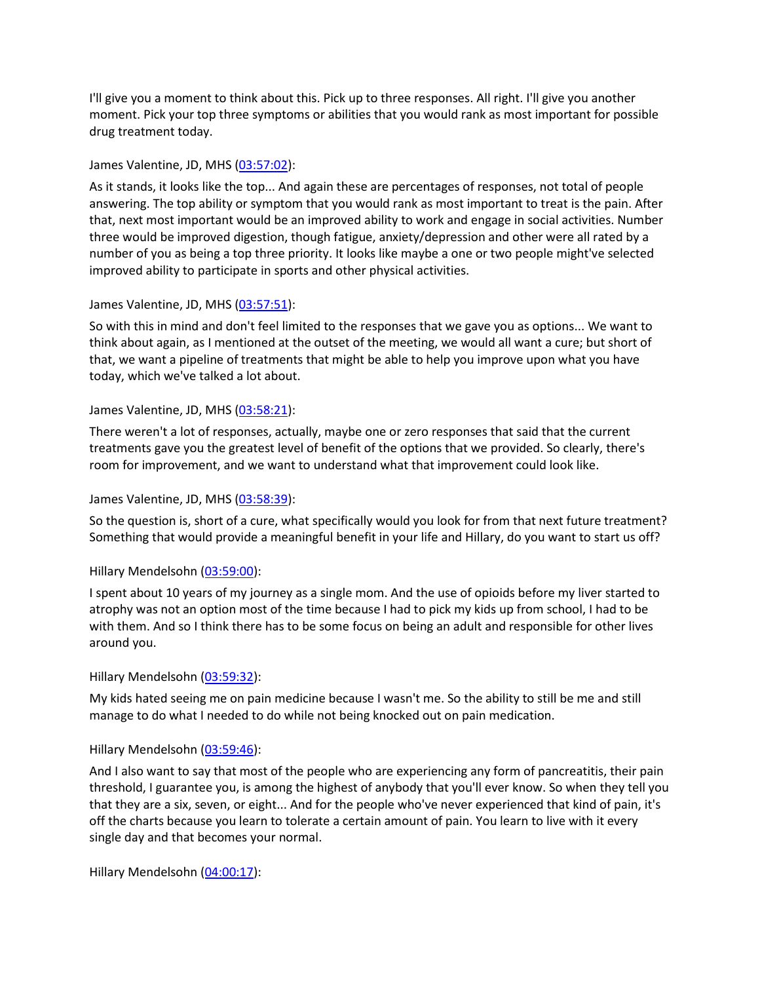I'll give you a moment to think about this. Pick up to three responses. All right. I'll give you another moment. Pick your top three symptoms or abilities that you would rank as most important for possible drug treatment today.

### James Valentine, JD, MHS [\(03:57:02\)](https://www.rev.com/transcript-editor/Edit?token=4aul9VZ6J9YppjrONIdez9eWUsLz_PB1XyWTrupeDa0FtZh3lyrZbLTZ45GjSWGmJreVmOvq5sWLxMl75xD1cSOLbEw&loadFrom=DocumentDeeplink&ts=14222.93):

As it stands, it looks like the top... And again these are percentages of responses, not total of people answering. The top ability or symptom that you would rank as most important to treat is the pain. After that, next most important would be an improved ability to work and engage in social activities. Number three would be improved digestion, though fatigue, anxiety/depression and other were all rated by a number of you as being a top three priority. It looks like maybe a one or two people might've selected improved ability to participate in sports and other physical activities.

# James Valentine, JD, MHS [\(03:57:51\)](https://www.rev.com/transcript-editor/Edit?token=D1Sb3wXTSb4oTJ-03Ld7Ab7to3CrdOwsBjsTMWifYkk2jz-FyXQLg3sWJXezzEX3EBHT78jJxoDTLyjJXRXG7oHPePE&loadFrom=DocumentDeeplink&ts=14271.44):

So with this in mind and don't feel limited to the responses that we gave you as options... We want to think about again, as I mentioned at the outset of the meeting, we would all want a cure; but short of that, we want a pipeline of treatments that might be able to help you improve upon what you have today, which we've talked a lot about.

# James Valentine, JD, MHS [\(03:58:21\)](https://www.rev.com/transcript-editor/Edit?token=S0HaetdENx_lusPtHwPnbw49nxB3VAjW4ElzQhUt56mIBlpuGDhc-q8DxbGASRCWC5tZP9jqaWPYmBF1HvGI0Nw32CA&loadFrom=DocumentDeeplink&ts=14301.37):

There weren't a lot of responses, actually, maybe one or zero responses that said that the current treatments gave you the greatest level of benefit of the options that we provided. So clearly, there's room for improvement, and we want to understand what that improvement could look like.

## James Valentine, JD, MHS [\(03:58:39\)](https://www.rev.com/transcript-editor/Edit?token=_6pshB9PqkZ7vceK116FExo0R7ecPDrrNTvlfYsul44zEmLa8ZFXlwq-mSuI5timSpq5itVXK2JeLsJxe91e44K3Vo8&loadFrom=DocumentDeeplink&ts=14319.4):

So the question is, short of a cure, what specifically would you look for from that next future treatment? Something that would provide a meaningful benefit in your life and Hillary, do you want to start us off?

# Hillary Mendelsohn [\(03:59:00\)](https://www.rev.com/transcript-editor/Edit?token=otLPALlxFZR_2E-nxEjnH4Wn4KmOkTNzzlgk3lmr5TvTJIfd2NENnLSlSOx2VVGx60ko92GeOXvRPXrvSuuTafIHvCQ&loadFrom=DocumentDeeplink&ts=14340.89):

I spent about 10 years of my journey as a single mom. And the use of opioids before my liver started to atrophy was not an option most of the time because I had to pick my kids up from school, I had to be with them. And so I think there has to be some focus on being an adult and responsible for other lives around you.

### Hillary Mendelsohn [\(03:59:32\)](https://www.rev.com/transcript-editor/Edit?token=WzyrFNR6VEcITOwD-XWo2Raz8u5_XadVUCl5Wgq7TeS5dQAuDRv1f3qfJfJn64VnWoP_xNdYf5_4sKz9xZPipE6FX6s&loadFrom=DocumentDeeplink&ts=14372.31):

My kids hated seeing me on pain medicine because I wasn't me. So the ability to still be me and still manage to do what I needed to do while not being knocked out on pain medication.

### Hillary Mendelsohn [\(03:59:46\)](https://www.rev.com/transcript-editor/Edit?token=7laNAniyc3l8IVfOPNfpkR8Zy4EZsPaT_cBYpHrP2JsRqNvU9RkXIJPf5v0CTq3Q4f0GG69kzUdIAcvwmoIuwgZc-XY&loadFrom=DocumentDeeplink&ts=14386.22):

And I also want to say that most of the people who are experiencing any form of pancreatitis, their pain threshold, I guarantee you, is among the highest of anybody that you'll ever know. So when they tell you that they are a six, seven, or eight... And for the people who've never experienced that kind of pain, it's off the charts because you learn to tolerate a certain amount of pain. You learn to live with it every single day and that becomes your normal.

Hillary Mendelsohn [\(04:00:17\)](https://www.rev.com/transcript-editor/Edit?token=L-dNZqUwefz97075m75vlcFZ6-TlJIl0yA-uo2cqO7KeazWOe9cu9s_tzK4yYK8inuhCkAtxm8nALx0UgUpAxg_O55A&loadFrom=DocumentDeeplink&ts=14417.69):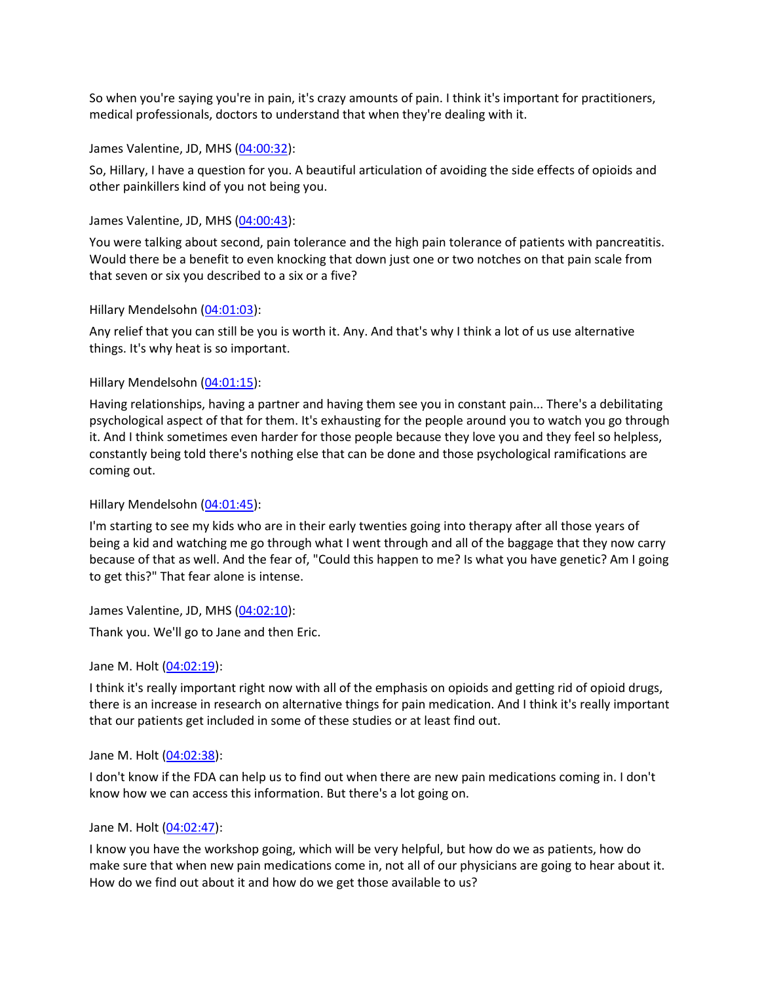So when you're saying you're in pain, it's crazy amounts of pain. I think it's important for practitioners, medical professionals, doctors to understand that when they're dealing with it.

James Valentine, JD, MHS [\(04:00:32\)](https://www.rev.com/transcript-editor/Edit?token=HqN94J_MFkyNw7L_tqGVO1n_0VyDIwIyOTB-PkxseBBt7XxGua0cN7F9yeWAHddaPrAkMHIZQrAy-3GBMuMyCef6wvo&loadFrom=DocumentDeeplink&ts=14432.34):

So, Hillary, I have a question for you. A beautiful articulation of avoiding the side effects of opioids and other painkillers kind of you not being you.

### James Valentine, JD, MHS [\(04:00:43\)](https://www.rev.com/transcript-editor/Edit?token=j-iLoJbykazi6H4ETB1Sz1sF1_dH3e2Au5ifcnlgY5mMherFOwbY8BncwOV9yMt4ESq7b__qLDGmn8Mx6tEFJqQklWQ&loadFrom=DocumentDeeplink&ts=14443.77):

You were talking about second, pain tolerance and the high pain tolerance of patients with pancreatitis. Would there be a benefit to even knocking that down just one or two notches on that pain scale from that seven or six you described to a six or a five?

# Hillary Mendelsohn [\(04:01:03\)](https://www.rev.com/transcript-editor/Edit?token=8DuGjVp7SrTUWMfgbW_bEOG1tnAVP17Hr6Lm_U6104VgJWtgHEm2jKY7Xb1YOpSdztbltV76Qjipawpuv50kgt6n2HQ&loadFrom=DocumentDeeplink&ts=14463.52):

Any relief that you can still be you is worth it. Any. And that's why I think a lot of us use alternative things. It's why heat is so important.

# Hillary Mendelsohn [\(04:01:15\)](https://www.rev.com/transcript-editor/Edit?token=4Gbiozq_XsLz3hEMVlY8Ht4XhkaHDXLOGFV3kNxKfyF9lkolBIKRfo86DH8W5Zr12cg5-B1nonggLoibLr-a4hSZAZ8&loadFrom=DocumentDeeplink&ts=14475.82):

Having relationships, having a partner and having them see you in constant pain... There's a debilitating psychological aspect of that for them. It's exhausting for the people around you to watch you go through it. And I think sometimes even harder for those people because they love you and they feel so helpless, constantly being told there's nothing else that can be done and those psychological ramifications are coming out.

### Hillary Mendelsohn [\(04:01:45\)](https://www.rev.com/transcript-editor/Edit?token=ea3EDOLChqFlvUJq0JPdvamrdM_u2odyM7TF-zvDB1BEitybXOPUsWv8R3dh25FXKpvTKzjefFxnHEhHIO4Mfxk6XeQ&loadFrom=DocumentDeeplink&ts=14505):

I'm starting to see my kids who are in their early twenties going into therapy after all those years of being a kid and watching me go through what I went through and all of the baggage that they now carry because of that as well. And the fear of, "Could this happen to me? Is what you have genetic? Am I going to get this?" That fear alone is intense.

James Valentine, JD, MHS [\(04:02:10\)](https://www.rev.com/transcript-editor/Edit?token=IPK_BRZJIRMxd-BIzx6KKJJElxnD-IbSMxW6pIQSmkr4Qcs-Pl2WvmWLC89WCbO8x8HFeT8S3AEguSMt5E39oEKppn0&loadFrom=DocumentDeeplink&ts=14530.53):

Thank you. We'll go to Jane and then Eric.

### Jane M. Holt [\(04:02:19\)](https://www.rev.com/transcript-editor/Edit?token=LMCsEDqG4BssImanX4KVxTUZ8-HoJgQSAqeP_KJtqa-5QksyP_aOPz0F1THeNgZ_QMpr8PhQP3ZfE2w-HfeDIFNYERc&loadFrom=DocumentDeeplink&ts=14539.03):

I think it's really important right now with all of the emphasis on opioids and getting rid of opioid drugs, there is an increase in research on alternative things for pain medication. And I think it's really important that our patients get included in some of these studies or at least find out.

### Jane M. Holt [\(04:02:38\)](https://www.rev.com/transcript-editor/Edit?token=wAe2iY7GRZcO58m5AU-njhy1TMQUALVB2Go0to0XQ1SwOqodFrUc7Yxom_yaVX1yXPNXJLsGDmp8amzGnpzTwCN_754&loadFrom=DocumentDeeplink&ts=14558.87):

I don't know if the FDA can help us to find out when there are new pain medications coming in. I don't know how we can access this information. But there's a lot going on.

### Jane M. Holt [\(04:02:47\)](https://www.rev.com/transcript-editor/Edit?token=EkgYOPJtkE7PmETLX-GaBVpcMLBy0HizFadraVeFq5hvclIgYi_P_3Z1wgAmYi5HgzEqcAZRk0wCXQJ-bUHuciOY7L4&loadFrom=DocumentDeeplink&ts=14567.95):

I know you have the workshop going, which will be very helpful, but how do we as patients, how do make sure that when new pain medications come in, not all of our physicians are going to hear about it. How do we find out about it and how do we get those available to us?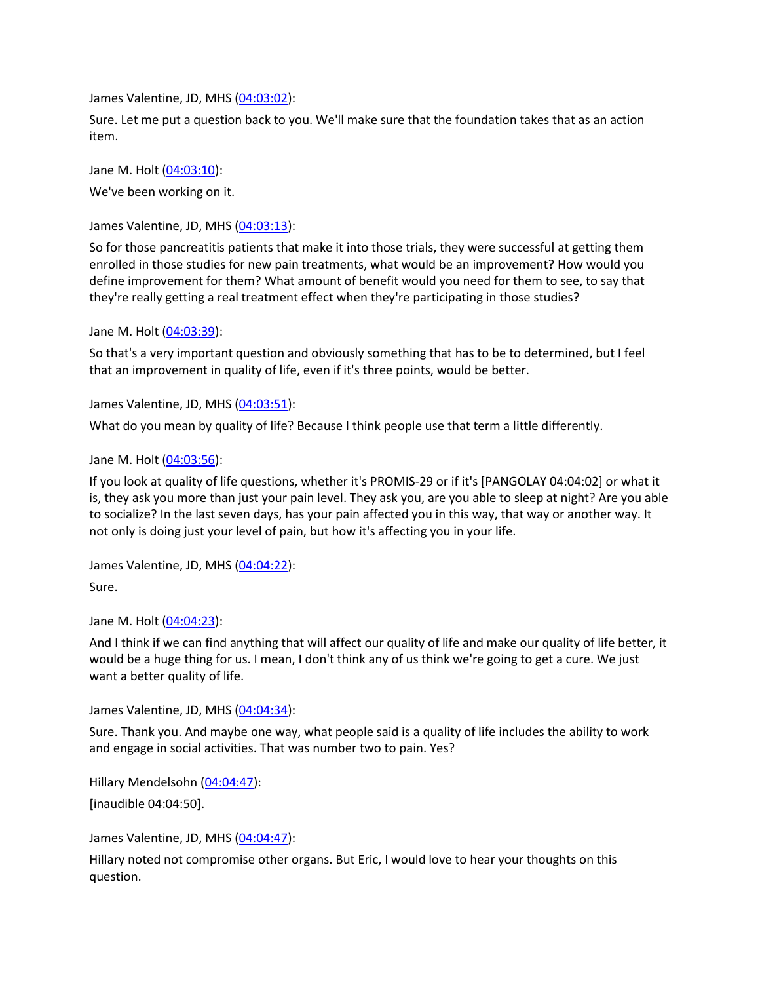James Valentine, JD, MHS [\(04:03:02\)](https://www.rev.com/transcript-editor/Edit?token=aG7YsnY2s17UleU-oyDSM-WaYocrQBbMR3hWyp55dwcNKhC6luJe3Stqw4XndBUoalzRVAbJhgmGMuk4BNyBVYv8SbQ&loadFrom=DocumentDeeplink&ts=14582.27):

Sure. Let me put a question back to you. We'll make sure that the foundation takes that as an action item.

Jane M. Holt [\(04:03:10\)](https://www.rev.com/transcript-editor/Edit?token=hpPb60yCrFVMj3uGuOdCL5iLOoCAAfSN9Fi-y93RGFHs2dE5nVgVTJYNd5Ws6li3WRSl_gIfbKpFBIxMSNHfKhruZ6A&loadFrom=DocumentDeeplink&ts=14590.25): We've been working on it.

James Valentine, JD, MHS [\(04:03:13\)](https://www.rev.com/transcript-editor/Edit?token=GAuDrQxfFh-AmGGVKvGG5ewxZ5UdKIQ3hj3YXf4dOznYy06T90AL0q2vwaiEY0wNkm9M0v80eGz7PVtl8Ble3uuPr6Y&loadFrom=DocumentDeeplink&ts=14593.85):

So for those pancreatitis patients that make it into those trials, they were successful at getting them enrolled in those studies for new pain treatments, what would be an improvement? How would you define improvement for them? What amount of benefit would you need for them to see, to say that they're really getting a real treatment effect when they're participating in those studies?

Jane M. Holt [\(04:03:39\)](https://www.rev.com/transcript-editor/Edit?token=Zd5rp8zvqtwjhnYS3n4gub07wBDSoAGRb2FDW4-IQUvv0_AYuk_hbS7msS5PkpBw5aXGt9WR4e-w-aht9o5aUMgq_jo&loadFrom=DocumentDeeplink&ts=14619.2):

So that's a very important question and obviously something that has to be to determined, but I feel that an improvement in quality of life, even if it's three points, would be better.

James Valentine, JD, MHS [\(04:03:51\)](https://www.rev.com/transcript-editor/Edit?token=a5u4E6nIt9jU9tyHvFououHA4zNs6RtOIsKnQzUfoeYCkbF2i_CcPbzWsDFYf6q8y7-dbqAE913hM0D9DCm_sTgCruk&loadFrom=DocumentDeeplink&ts=14631.54):

What do you mean by quality of life? Because I think people use that term a little differently.

Jane M. Holt [\(04:03:56\)](https://www.rev.com/transcript-editor/Edit?token=i4LJeWKvd6IFDXPCj4hcUWgnlXt2SwvogZ59rFxqoXCdWCZAsjJlmj04vIG5C0gyDSQzmVqk3ophgpa0HCGZyp8FApc&loadFrom=DocumentDeeplink&ts=14636.31):

If you look at quality of life questions, whether it's PROMIS-29 or if it's [PANGOLAY 04:04:02] or what it is, they ask you more than just your pain level. They ask you, are you able to sleep at night? Are you able to socialize? In the last seven days, has your pain affected you in this way, that way or another way. It not only is doing just your level of pain, but how it's affecting you in your life.

James Valentine, JD, MHS [\(04:04:22\)](https://www.rev.com/transcript-editor/Edit?token=TA0iRpRTpomizZB_Oo5nfXbOx0M2_vmLx9NmBN4IDtqIFDQVS8feaSGKbCk5_IDnGmF3Dw3nreYSZaJDFFmxzvGCIC0&loadFrom=DocumentDeeplink&ts=14662.78): Sure.

Jane M. Holt [\(04:04:23\)](https://www.rev.com/transcript-editor/Edit?token=GZk2AS7lhraBRRwA2AhYkA2sscsYGm2-Lsbshu96Mf3ZG6GtEtwLOgNX4eWOh2rANdu8zXFX950ZZ9q18jGgx0agvQc&loadFrom=DocumentDeeplink&ts=14663.23):

And I think if we can find anything that will affect our quality of life and make our quality of life better, it would be a huge thing for us. I mean, I don't think any of us think we're going to get a cure. We just want a better quality of life.

James Valentine, JD, MHS [\(04:04:34\)](https://www.rev.com/transcript-editor/Edit?token=U8SI825Fx8pJ3COAZ2s9mvRiHcyNmICoaJbWRDcxsSBJsKSQZlYLT90UosnbiYoNMQqk_4zGgjhZrq3SAKy7z_jgWU8&loadFrom=DocumentDeeplink&ts=14674.57):

Sure. Thank you. And maybe one way, what people said is a quality of life includes the ability to work and engage in social activities. That was number two to pain. Yes?

Hillary Mendelsohn [\(04:04:47\)](https://www.rev.com/transcript-editor/Edit?token=2avLtRaADtMRlDwZcyTiSK-Zq70UeCnzJ8BddUSApsvjZGLqh4QKsbDHzMbwBeL73--wog4JjJxe9M8_WJFA1bzcJ2k&loadFrom=DocumentDeeplink&ts=14687.1): [inaudible 04:04:50].

James Valentine, JD, MHS [\(04:04:47\)](https://www.rev.com/transcript-editor/Edit?token=-zvutlABsellhKv7Ha5i9f0q_A566lhYwmEFTzBCG1Lhj8g076T_dusPY4T5cs2R1p72kugj5IeVk4V9uKicVZVM8Dw&loadFrom=DocumentDeeplink&ts=14687.93):

Hillary noted not compromise other organs. But Eric, I would love to hear your thoughts on this question.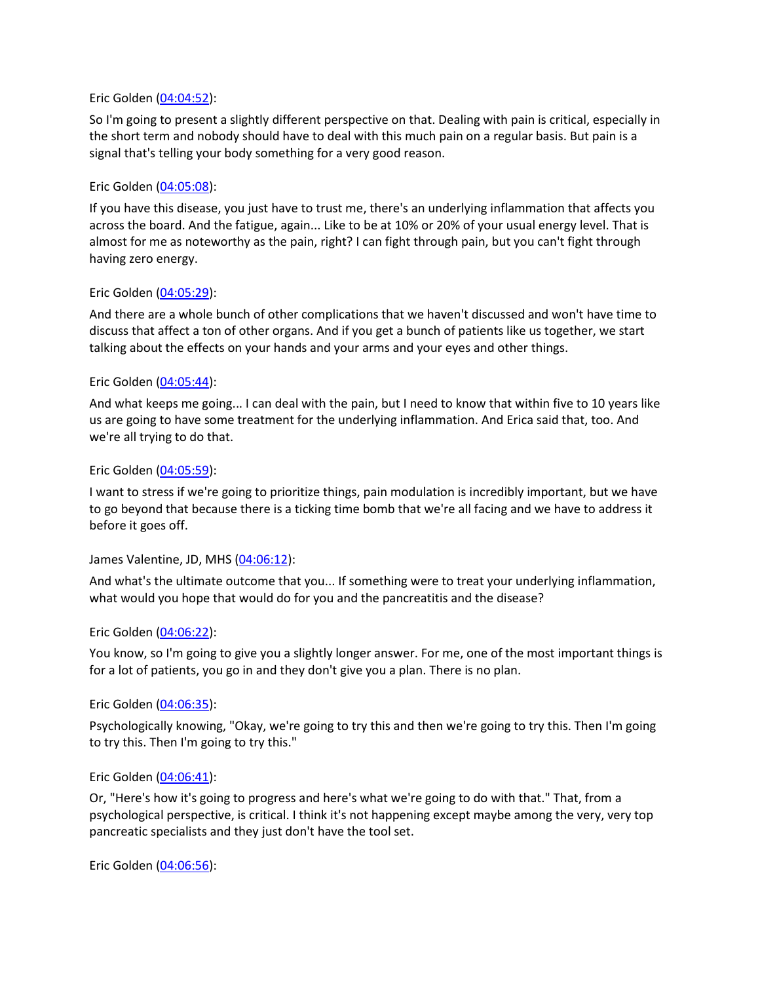#### Eric Golden [\(04:04:52\)](https://www.rev.com/transcript-editor/Edit?token=D6PXPusGLh92EdUStaZrZd7BSZjWns8MTKBsjYV15MfKsIbfHh-QtcGxPWnxYmOI4HtByi2Qs6lhiPvD6z4ZOi8vcss&loadFrom=DocumentDeeplink&ts=14692.46):

So I'm going to present a slightly different perspective on that. Dealing with pain is critical, especially in the short term and nobody should have to deal with this much pain on a regular basis. But pain is a signal that's telling your body something for a very good reason.

#### Eric Golden [\(04:05:08\)](https://www.rev.com/transcript-editor/Edit?token=WVdjETuYowLX-adTMz585135qVT_XAqmyZpjU0h5ZoTuBV9ao1z6mAtEyDk9UNCK3CEQ9bbH7gAVdYVriGyh8g7LgUc&loadFrom=DocumentDeeplink&ts=14708.49):

If you have this disease, you just have to trust me, there's an underlying inflammation that affects you across the board. And the fatigue, again... Like to be at 10% or 20% of your usual energy level. That is almost for me as noteworthy as the pain, right? I can fight through pain, but you can't fight through having zero energy.

#### Eric Golden [\(04:05:29\)](https://www.rev.com/transcript-editor/Edit?token=TDTIqY6nZDMq8Wgj5v14f57RTDZNXMLGCgIwNq1Ix75ntmJAy-AlKrs2yos88cYvc__tB3ynMD-OYTCxiIF4oP64o2s&loadFrom=DocumentDeeplink&ts=14729.06):

And there are a whole bunch of other complications that we haven't discussed and won't have time to discuss that affect a ton of other organs. And if you get a bunch of patients like us together, we start talking about the effects on your hands and your arms and your eyes and other things.

#### Eric Golden [\(04:05:44\)](https://www.rev.com/transcript-editor/Edit?token=HBXbJyUo7EZdNF4Y6LiPcdW4T8pR-ACYKBRQr-KCMbtpW8276j0vwkMa_LNM4PpTrTcUgz4jRTJ3nvOa5QfHSQ1cicg&loadFrom=DocumentDeeplink&ts=14744.85):

And what keeps me going... I can deal with the pain, but I need to know that within five to 10 years like us are going to have some treatment for the underlying inflammation. And Erica said that, too. And we're all trying to do that.

#### Eric Golden [\(04:05:59\)](https://www.rev.com/transcript-editor/Edit?token=rZsCKrSFc8l34Yt6ux70u0AqAnGK-W6H1bXi2_9l9FHibGimzX2EpV3V6bEiF8UqR6YFmtMPKbV9eEFqxGhvf5jJioM&loadFrom=DocumentDeeplink&ts=14759.15):

I want to stress if we're going to prioritize things, pain modulation is incredibly important, but we have to go beyond that because there is a ticking time bomb that we're all facing and we have to address it before it goes off.

### James Valentine, JD, MHS [\(04:06:12\)](https://www.rev.com/transcript-editor/Edit?token=AhhhioaAPGW_eA3vzTrS9YdXMHFS62dTqXa30o4ElGcnKAbfkdfuwgTGf7SsxMmMeau5itgvEJgmmw3TQ7nPZlBqgpQ&loadFrom=DocumentDeeplink&ts=14772.1):

And what's the ultimate outcome that you... If something were to treat your underlying inflammation, what would you hope that would do for you and the pancreatitis and the disease?

#### Eric Golden [\(04:06:22\)](https://www.rev.com/transcript-editor/Edit?token=ZXSdcczgTVz4bw6N3kZRtW7FDr5KQ2voNXmdzwwWE7GVHA2u_bsz50uDigZRfctqF_akBhZ-zNAWJpyTgJ6Bq01rbko&loadFrom=DocumentDeeplink&ts=14782.14):

You know, so I'm going to give you a slightly longer answer. For me, one of the most important things is for a lot of patients, you go in and they don't give you a plan. There is no plan.

#### Eric Golden [\(04:06:35\)](https://www.rev.com/transcript-editor/Edit?token=GpGvngkYNHIJv8W9e_r0JpNsy-b5JTMJN97o7wt4l92-GI6fwTYEEdEOdtNCpg0wMiNZ3Ay92bBsL-E5-_Lg5XZOiek&loadFrom=DocumentDeeplink&ts=14795.34):

Psychologically knowing, "Okay, we're going to try this and then we're going to try this. Then I'm going to try this. Then I'm going to try this."

#### Eric Golden [\(04:06:41\)](https://www.rev.com/transcript-editor/Edit?token=lE0a4r54t6xnU80DaE1_ZPzhmAt39iXuW2OJnXnnFs7QUgn4E_LyYWtVQZL6eU4sK6iOsJiK67Chj9yFiU_IYcpvJu4&loadFrom=DocumentDeeplink&ts=14801.13):

Or, "Here's how it's going to progress and here's what we're going to do with that." That, from a psychological perspective, is critical. I think it's not happening except maybe among the very, very top pancreatic specialists and they just don't have the tool set.

Eric Golden [\(04:06:56\)](https://www.rev.com/transcript-editor/Edit?token=V55xtxMeJTR4mng7o9BaLtlQC8U8_HqBe3dvvovSolIhcKUt3XhMg1q8ZAgDm1MiX9TXpiA80EFRRf-_B7a3LAWKp4A&loadFrom=DocumentDeeplink&ts=14816.26):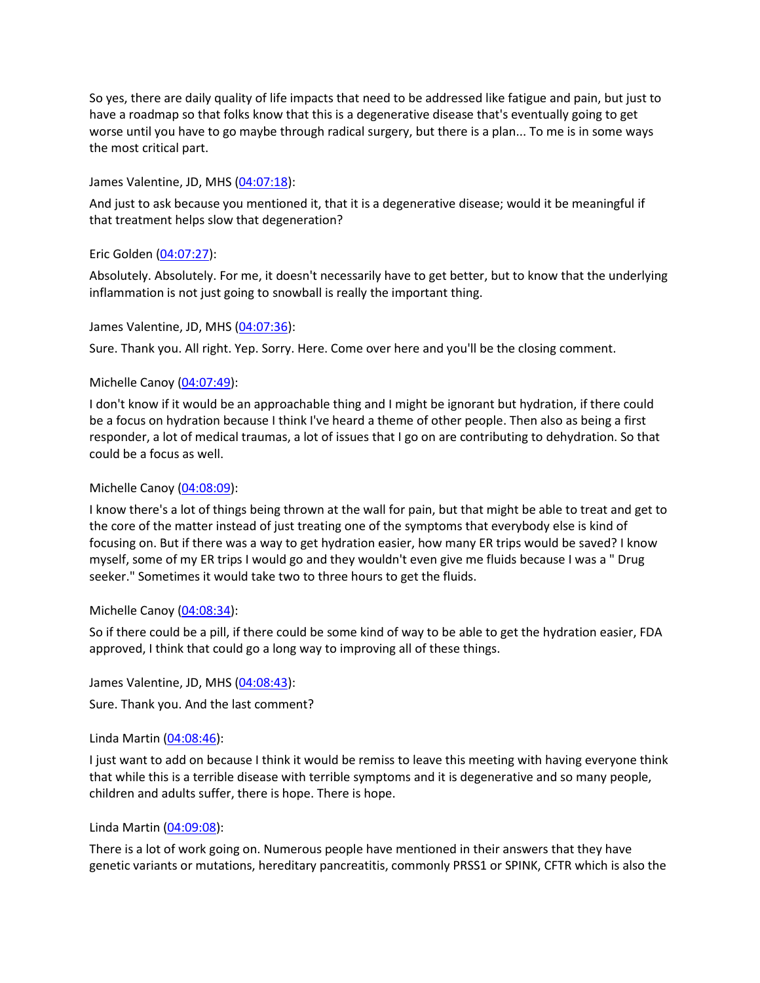So yes, there are daily quality of life impacts that need to be addressed like fatigue and pain, but just to have a roadmap so that folks know that this is a degenerative disease that's eventually going to get worse until you have to go maybe through radical surgery, but there is a plan... To me is in some ways the most critical part.

### James Valentine, JD, MHS [\(04:07:18\)](https://www.rev.com/transcript-editor/Edit?token=JkDpHabYyhynBAGa3fopJv2uhaGlHIV5p8SiALKL7xzLMTIqEPYMUPV3rs7Pj-MSOvmkBMvDYNnDT4LQrXYalbaPiHE&loadFrom=DocumentDeeplink&ts=14838.1):

And just to ask because you mentioned it, that it is a degenerative disease; would it be meaningful if that treatment helps slow that degeneration?

# Eric Golden [\(04:07:27\)](https://www.rev.com/transcript-editor/Edit?token=ZHJnXJfFejwnoIuBHB-tKBvt9bKWGn7CVz8xsow7m7B9fyrensvvdUVXYpv3SqTHQ2QP1d2Jf9N96gosmxX5C6ZR9ic&loadFrom=DocumentDeeplink&ts=14847.04):

Absolutely. Absolutely. For me, it doesn't necessarily have to get better, but to know that the underlying inflammation is not just going to snowball is really the important thing.

### James Valentine, JD, MHS [\(04:07:36\)](https://www.rev.com/transcript-editor/Edit?token=1Ku1jAlDLyEML2qLkDddegz9__aGJMCua4ngHaNm7655ywtN7tHdj7mn66XgRlKVyNuJfTW6wRp0EWydemufGSLsQjc&loadFrom=DocumentDeeplink&ts=14856.05):

Sure. Thank you. All right. Yep. Sorry. Here. Come over here and you'll be the closing comment.

# Michelle Canoy [\(04:07:49\)](https://www.rev.com/transcript-editor/Edit?token=lTBMsJt0vmTqljsqb05XxxO8LS9kozMkSczSQADtnBJ_AuLoR0y7TAX5z8yTkUJJ7d2e3EEEZ3RdqiXJ7SX4prCFiow&loadFrom=DocumentDeeplink&ts=14869.03):

I don't know if it would be an approachable thing and I might be ignorant but hydration, if there could be a focus on hydration because I think I've heard a theme of other people. Then also as being a first responder, a lot of medical traumas, a lot of issues that I go on are contributing to dehydration. So that could be a focus as well.

## Michelle Canoy [\(04:08:09\)](https://www.rev.com/transcript-editor/Edit?token=dACO0tAqAhui086rYE7_Gjq-ysX2_8Yiwz1KgxfvZauIn5bHlQNnUh7-QR70O4tnVRGT5tsy47qxYktBi2GicZmi2J8&loadFrom=DocumentDeeplink&ts=14889.15):

I know there's a lot of things being thrown at the wall for pain, but that might be able to treat and get to the core of the matter instead of just treating one of the symptoms that everybody else is kind of focusing on. But if there was a way to get hydration easier, how many ER trips would be saved? I know myself, some of my ER trips I would go and they wouldn't even give me fluids because I was a " Drug seeker." Sometimes it would take two to three hours to get the fluids.

### Michelle Canoy [\(04:08:34\)](https://www.rev.com/transcript-editor/Edit?token=kMuntimOWvmw7Li1Yn9KpsZKheIz0XXwbE3cjxp2pX2dvJlNhUS6yzJmsYE4JGKhvEHb-g0Eneo3yqRxVQyMWqQpE4Y&loadFrom=DocumentDeeplink&ts=14914.18):

So if there could be a pill, if there could be some kind of way to be able to get the hydration easier, FDA approved, I think that could go a long way to improving all of these things.

James Valentine, JD, MHS [\(04:08:43\)](https://www.rev.com/transcript-editor/Edit?token=D8gC3anTPcNKxCvKOqfFvMir8ryV6fWjpZo2i7FG0zyvh-9KhWrDj4h3vvOC7qwl60e6CY0oLzAaiD15-3w3q2wXFl0&loadFrom=DocumentDeeplink&ts=14923.26): Sure. Thank you. And the last comment?

### Linda Martin [\(04:08:46\)](https://www.rev.com/transcript-editor/Edit?token=asx4sphFVvY9VBUCM6DqD3FWuazzD8bd_dnjspzMU8eDU7gKI8RoJEg2033EjsnMJuGfmF1Qoat_V1grcdhR9baM2_g&loadFrom=DocumentDeeplink&ts=14926.76):

I just want to add on because I think it would be remiss to leave this meeting with having everyone think that while this is a terrible disease with terrible symptoms and it is degenerative and so many people, children and adults suffer, there is hope. There is hope.

### Linda Martin [\(04:09:08\)](https://www.rev.com/transcript-editor/Edit?token=bg9hUq2wVj86_aF8hrLTra6dOrlqUfcCzY5UIz1TXa3S_4dzHsNz5v_Iqoa1dFI-2OStL3awsE16EjRDAaRXg4iMJpM&loadFrom=DocumentDeeplink&ts=14948.01):

There is a lot of work going on. Numerous people have mentioned in their answers that they have genetic variants or mutations, hereditary pancreatitis, commonly PRSS1 or SPINK, CFTR which is also the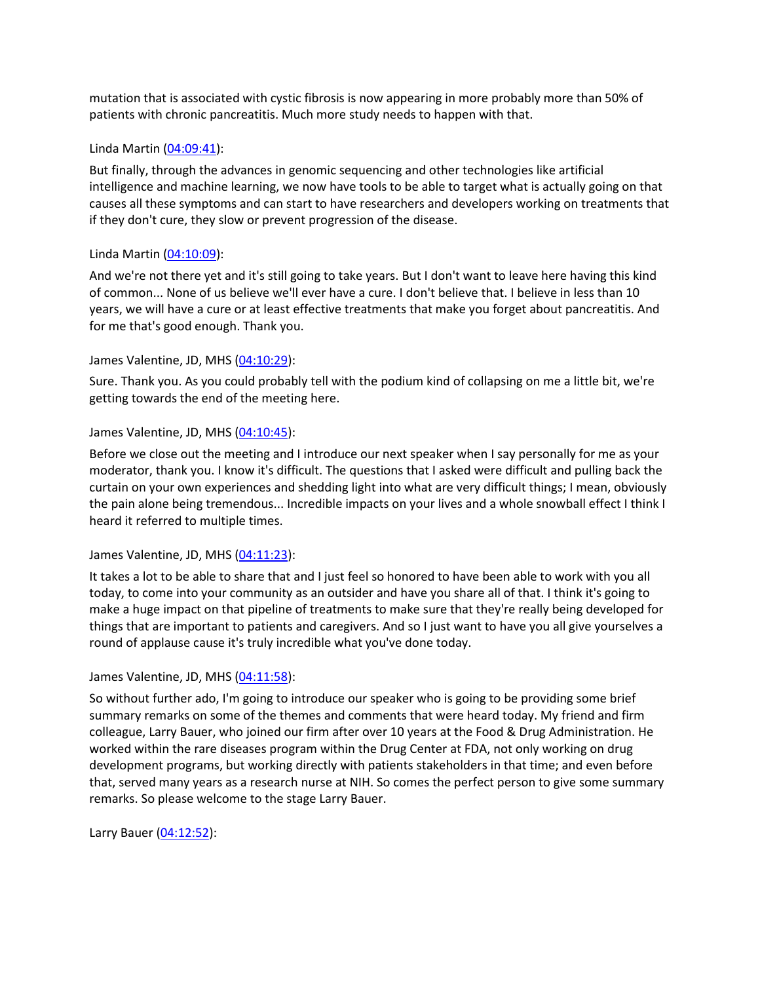mutation that is associated with cystic fibrosis is now appearing in more probably more than 50% of patients with chronic pancreatitis. Much more study needs to happen with that.

#### Linda Martin [\(04:09:41\)](https://www.rev.com/transcript-editor/Edit?token=iNZ6XJz5_B7kmGtGZi2QZZI6EqNvxNxFZ5Q_BJ9vs8uaNVL4G2SVEYq28liTtH5hPbLdRCNbtqU2zD-ZbgRJHEZD9Gc&loadFrom=DocumentDeeplink&ts=14981.41):

But finally, through the advances in genomic sequencing and other technologies like artificial intelligence and machine learning, we now have tools to be able to target what is actually going on that causes all these symptoms and can start to have researchers and developers working on treatments that if they don't cure, they slow or prevent progression of the disease.

#### Linda Martin [\(04:10:09\)](https://www.rev.com/transcript-editor/Edit?token=6vZ-4-qhB6QqMpx9t6oilkM7y7m_ovm44M0Ml61er0jD52pRidrss6vpVlN2m25iGYI5QO7E2mC584bffM25eIsypFg&loadFrom=DocumentDeeplink&ts=15009.83):

And we're not there yet and it's still going to take years. But I don't want to leave here having this kind of common... None of us believe we'll ever have a cure. I don't believe that. I believe in less than 10 years, we will have a cure or at least effective treatments that make you forget about pancreatitis. And for me that's good enough. Thank you.

#### James Valentine, JD, MHS [\(04:10:29\)](https://www.rev.com/transcript-editor/Edit?token=eQQ1wmGanLoWCJOq97lgF7P_7Exy6VKFDWaydm62rgVH8WkUz9jIdIMAqoqa-6lHMMWX1CahXDcy0z5ueZs-YWd9w04&loadFrom=DocumentDeeplink&ts=15029.95):

Sure. Thank you. As you could probably tell with the podium kind of collapsing on me a little bit, we're getting towards the end of the meeting here.

#### James Valentine, JD, MHS [\(04:10:45\)](https://www.rev.com/transcript-editor/Edit?token=GiYVs9HzEVms5PqDvQp6kvFkY9TP5ZV13CZm4bHgE8EbsXDsDZO5-bHEv1cE1JQIh4ByDIa1DQr3I-vy0iNOHYv7lnk&loadFrom=DocumentDeeplink&ts=15045.21):

Before we close out the meeting and I introduce our next speaker when I say personally for me as your moderator, thank you. I know it's difficult. The questions that I asked were difficult and pulling back the curtain on your own experiences and shedding light into what are very difficult things; I mean, obviously the pain alone being tremendous... Incredible impacts on your lives and a whole snowball effect I think I heard it referred to multiple times.

### James Valentine, JD, MHS [\(04:11:23\)](https://www.rev.com/transcript-editor/Edit?token=uk8hRQ2jyRX0FzHrdb9ew3-gF0HzkPog9F5soUJ7RUOgDrdBpvbM6-tL5BnLcD5iPWefq_FsgLtQhaZL75iIkBC_8-0&loadFrom=DocumentDeeplink&ts=15083.42):

It takes a lot to be able to share that and I just feel so honored to have been able to work with you all today, to come into your community as an outsider and have you share all of that. I think it's going to make a huge impact on that pipeline of treatments to make sure that they're really being developed for things that are important to patients and caregivers. And so I just want to have you all give yourselves a round of applause cause it's truly incredible what you've done today.

### James Valentine, JD, MHS [\(04:11:58\)](https://www.rev.com/transcript-editor/Edit?token=Z7iWrbixpPkO7_SQILeXX1fbzBS9q0AN6i4p-OWzujI1hqQfH00xV68aEmd1gQFYT6uPgjQC5gTx72KY30U5-cMVicM&loadFrom=DocumentDeeplink&ts=15118.8):

So without further ado, I'm going to introduce our speaker who is going to be providing some brief summary remarks on some of the themes and comments that were heard today. My friend and firm colleague, Larry Bauer, who joined our firm after over 10 years at the Food & Drug Administration. He worked within the rare diseases program within the Drug Center at FDA, not only working on drug development programs, but working directly with patients stakeholders in that time; and even before that, served many years as a research nurse at NIH. So comes the perfect person to give some summary remarks. So please welcome to the stage Larry Bauer.

Larry Bauer [\(04:12:52\)](https://www.rev.com/transcript-editor/Edit?token=75U-btF0BggitcBC5dY9aQgVij985vNLCU0RDVM-dsfTp48ECtO5udTNjLI2V8UvzpCLE00LjTWiu-QFVv4TaBV-Osc&loadFrom=DocumentDeeplink&ts=15172.4):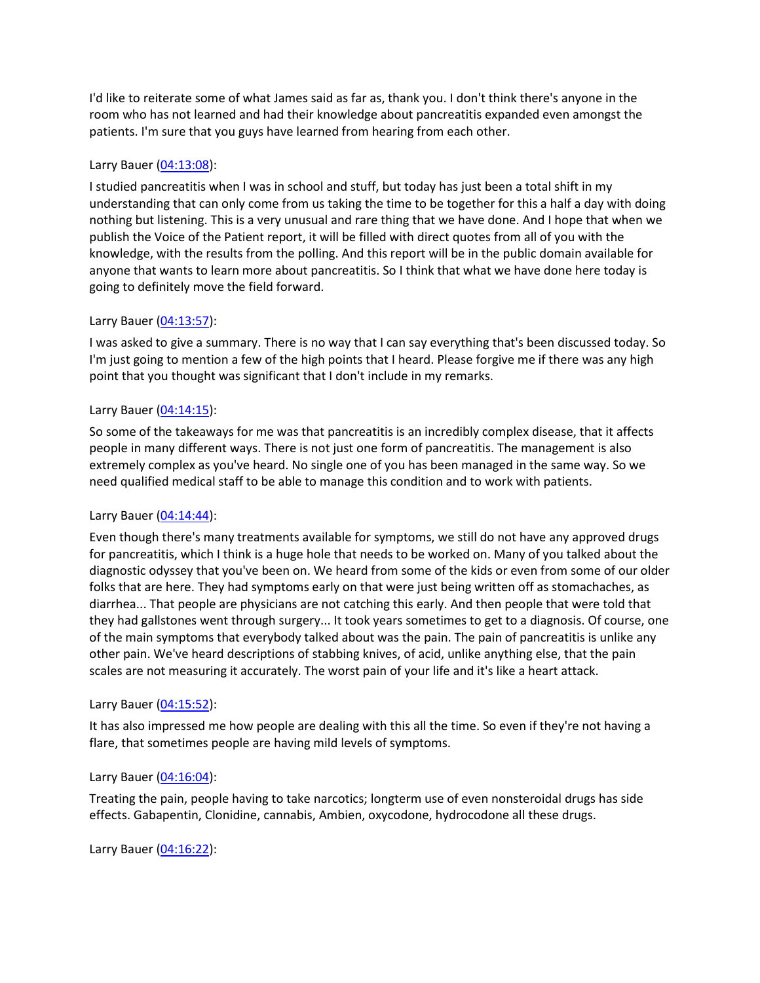I'd like to reiterate some of what James said as far as, thank you. I don't think there's anyone in the room who has not learned and had their knowledge about pancreatitis expanded even amongst the patients. I'm sure that you guys have learned from hearing from each other.

## Larry Bauer [\(04:13:08\)](https://www.rev.com/transcript-editor/Edit?token=HqiT77eyGDVFd4ni-KAJCYPeetRbVxeTf1fxHRQqJDyh3XVLHwSArzbBg-xtVN_kwnjyi2SEK-kIv2PpJ1jxHura-7s&loadFrom=DocumentDeeplink&ts=15188.74):

I studied pancreatitis when I was in school and stuff, but today has just been a total shift in my understanding that can only come from us taking the time to be together for this a half a day with doing nothing but listening. This is a very unusual and rare thing that we have done. And I hope that when we publish the Voice of the Patient report, it will be filled with direct quotes from all of you with the knowledge, with the results from the polling. And this report will be in the public domain available for anyone that wants to learn more about pancreatitis. So I think that what we have done here today is going to definitely move the field forward.

### Larry Bauer [\(04:13:57\)](https://www.rev.com/transcript-editor/Edit?token=lyvORZSVXqQpf_upOQNICIC0sUoCXR-aGrPyqaYqT0gSxn8uOEno1pVaPTrh9UweGMICmsLGTwj8WEGEVCWgFHilmYo&loadFrom=DocumentDeeplink&ts=15237.19):

I was asked to give a summary. There is no way that I can say everything that's been discussed today. So I'm just going to mention a few of the high points that I heard. Please forgive me if there was any high point that you thought was significant that I don't include in my remarks.

### Larry Bauer [\(04:14:15\)](https://www.rev.com/transcript-editor/Edit?token=cYY9SJ8efTzKGl8LQYpRsk_dH9fhnNQdF0Uk4IGO88kwEFCx1GvaPE7jrturKDaCdrnPmRvwD3zxY9HHj91JjETAvYk&loadFrom=DocumentDeeplink&ts=15255.55):

So some of the takeaways for me was that pancreatitis is an incredibly complex disease, that it affects people in many different ways. There is not just one form of pancreatitis. The management is also extremely complex as you've heard. No single one of you has been managed in the same way. So we need qualified medical staff to be able to manage this condition and to work with patients.

### Larry Bauer [\(04:14:44\)](https://www.rev.com/transcript-editor/Edit?token=DznHnzE_pphOspGhfIFbzfaqMBUXW3BI0xqYSUhPj2v1_g31izUPTmImCxJ7usROMcnlZ8WOlrzz4nYWU1TqhBja6wQ&loadFrom=DocumentDeeplink&ts=15284.7):

Even though there's many treatments available for symptoms, we still do not have any approved drugs for pancreatitis, which I think is a huge hole that needs to be worked on. Many of you talked about the diagnostic odyssey that you've been on. We heard from some of the kids or even from some of our older folks that are here. They had symptoms early on that were just being written off as stomachaches, as diarrhea... That people are physicians are not catching this early. And then people that were told that they had gallstones went through surgery... It took years sometimes to get to a diagnosis. Of course, one of the main symptoms that everybody talked about was the pain. The pain of pancreatitis is unlike any other pain. We've heard descriptions of stabbing knives, of acid, unlike anything else, that the pain scales are not measuring it accurately. The worst pain of your life and it's like a heart attack.

#### Larry Bauer [\(04:15:52\)](https://www.rev.com/transcript-editor/Edit?token=zywnHsfX3r-i3NjsBpBr-bUSn33HaaVTO9PypsUE1zo84cE4yc1w6lcAeTly_7AxUsHCAJEpKqZyJHhkbMk7lCVTz0M&loadFrom=DocumentDeeplink&ts=15352.97):

It has also impressed me how people are dealing with this all the time. So even if they're not having a flare, that sometimes people are having mild levels of symptoms.

#### Larry Bauer [\(04:16:04\)](https://www.rev.com/transcript-editor/Edit?token=nMSp4Ryh4IltCGBhSkfgiPmpy8SC-iLQ2cjO5gueNZ24nKUmjgFrjr9NaVq1gDs3ZMKMUdO8t1NT2oEdyVMns7ePnxo&loadFrom=DocumentDeeplink&ts=15364.23):

Treating the pain, people having to take narcotics; longterm use of even nonsteroidal drugs has side effects. Gabapentin, Clonidine, cannabis, Ambien, oxycodone, hydrocodone all these drugs.

Larry Bauer [\(04:16:22\)](https://www.rev.com/transcript-editor/Edit?token=vd71d3xgsoAx7EpFCm5ZWNBbPWXihGoZuLMuiHohAmtPCdx6qzo8vHzZLDUpQ_3xUVNt2_NRZLnVGAnllsmgZvOD5-8&loadFrom=DocumentDeeplink&ts=15382.19):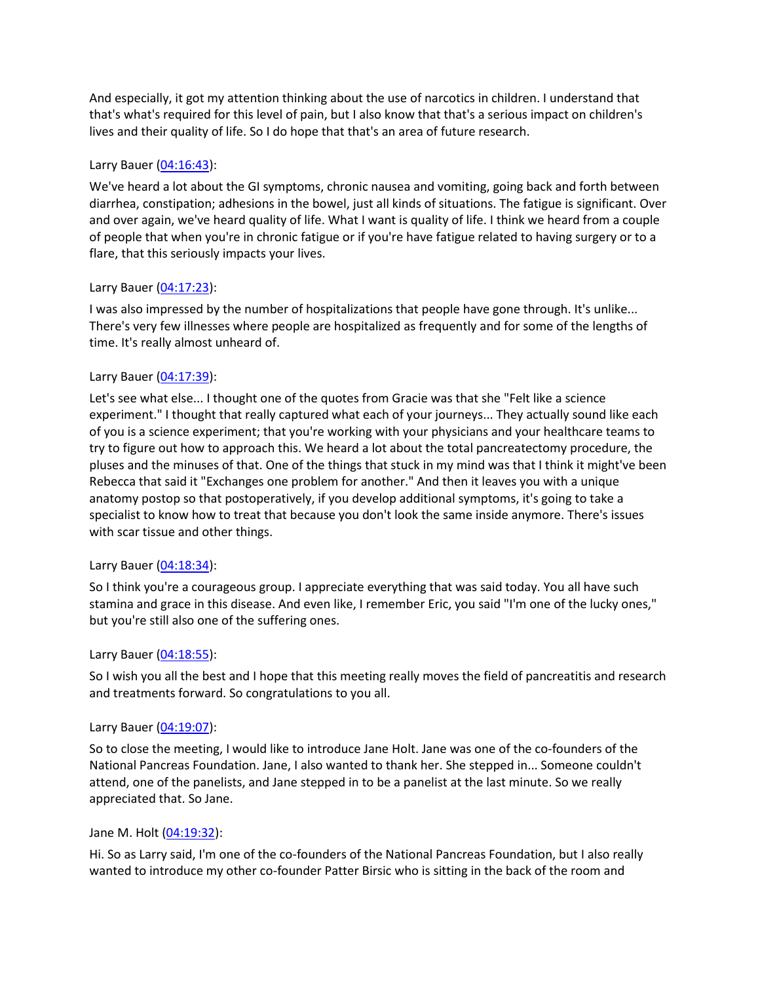And especially, it got my attention thinking about the use of narcotics in children. I understand that that's what's required for this level of pain, but I also know that that's a serious impact on children's lives and their quality of life. So I do hope that that's an area of future research.

### Larry Bauer [\(04:16:43\)](https://www.rev.com/transcript-editor/Edit?token=jbtYpfiYljrbgYWovNwsBPRmGwC5FHxgE0tdK7ZOo7c15wa4eA8TnkxHZD2S81rXqlVoEuEWJuhbn6MxcGQHD2WagMQ&loadFrom=DocumentDeeplink&ts=15403.76):

We've heard a lot about the GI symptoms, chronic nausea and vomiting, going back and forth between diarrhea, constipation; adhesions in the bowel, just all kinds of situations. The fatigue is significant. Over and over again, we've heard quality of life. What I want is quality of life. I think we heard from a couple of people that when you're in chronic fatigue or if you're have fatigue related to having surgery or to a flare, that this seriously impacts your lives.

### Larry Bauer [\(04:17:23\)](https://www.rev.com/transcript-editor/Edit?token=8YIGruWDutBAujXqMkOo-r9ZjgMYlbYKrtccrDXPRZ8MGu5VXTqV2TcWs9wjLxOXLY8JYywdkmdbiCrpVDcyvWGbrQU&loadFrom=DocumentDeeplink&ts=15443.15):

I was also impressed by the number of hospitalizations that people have gone through. It's unlike... There's very few illnesses where people are hospitalized as frequently and for some of the lengths of time. It's really almost unheard of.

# Larry Bauer [\(04:17:39\)](https://www.rev.com/transcript-editor/Edit?token=fwGmYhipJjCoVlJaptJTWMBzhMuWMDyRPULI-ZW5yxgWoZuxkdDytMlGs2HQuxETwGJsEXgq88uFcomekIA_AonHY1g&loadFrom=DocumentDeeplink&ts=15459.29):

Let's see what else... I thought one of the quotes from Gracie was that she "Felt like a science experiment." I thought that really captured what each of your journeys... They actually sound like each of you is a science experiment; that you're working with your physicians and your healthcare teams to try to figure out how to approach this. We heard a lot about the total pancreatectomy procedure, the pluses and the minuses of that. One of the things that stuck in my mind was that I think it might've been Rebecca that said it "Exchanges one problem for another." And then it leaves you with a unique anatomy postop so that postoperatively, if you develop additional symptoms, it's going to take a specialist to know how to treat that because you don't look the same inside anymore. There's issues with scar tissue and other things.

### Larry Bauer [\(04:18:34\)](https://www.rev.com/transcript-editor/Edit?token=_uZTE4JAGZQG6VBhSypxS6Z1jeN6Q5qVJjIDZA4jl65_DpkW2z-5_ntGukqONpnihsAm-FnUh_PjxTrd3O-s5ivczVE&loadFrom=DocumentDeeplink&ts=15514.54):

So I think you're a courageous group. I appreciate everything that was said today. You all have such stamina and grace in this disease. And even like, I remember Eric, you said "I'm one of the lucky ones," but you're still also one of the suffering ones.

### Larry Bauer [\(04:18:55\)](https://www.rev.com/transcript-editor/Edit?token=ehyevkAfO9KXjlBBPCYJA0o90z7niRg9CUwKOWbWnuXpLOmCmARtcl83ETeYIjOGNCX_yjAs57AWxfkFc2eqVcMrdhU&loadFrom=DocumentDeeplink&ts=15535.44):

So I wish you all the best and I hope that this meeting really moves the field of pancreatitis and research and treatments forward. So congratulations to you all.

### Larry Bauer [\(04:19:07\)](https://www.rev.com/transcript-editor/Edit?token=4hCjryzfTmuLn_EU0Vcq81Rfx-oretFphsuI9TmmEhCsaYjY-4WVScZAM-1Wbx7jm5vzZx4jT3CL7Bj5_GfgKIjHz3E&loadFrom=DocumentDeeplink&ts=15547.63):

So to close the meeting, I would like to introduce Jane Holt. Jane was one of the co-founders of the National Pancreas Foundation. Jane, I also wanted to thank her. She stepped in... Someone couldn't attend, one of the panelists, and Jane stepped in to be a panelist at the last minute. So we really appreciated that. So Jane.

### Jane M. Holt [\(04:19:32\)](https://www.rev.com/transcript-editor/Edit?token=faesr7UWXd2yEOxsKEyXxEN2j0YHerAwUZqgCAX12o3ddhDl8nnf0y-rzSeHScPavGOuV-cTO91pa8yn2UTBqRiu7b0&loadFrom=DocumentDeeplink&ts=15572.14):

Hi. So as Larry said, I'm one of the co-founders of the National Pancreas Foundation, but I also really wanted to introduce my other co-founder Patter Birsic who is sitting in the back of the room and